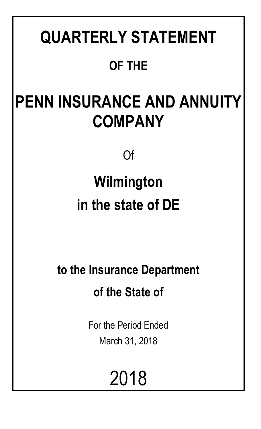# **QUARTERLY STATEMENT OF THE**

# **PENN INSURANCE AND ANNUITY COMPANY**

Of

# **Wilmington in the state of DE**

**to the Insurance Department of the State of**

> For the Period Ended March 31, 2018

> > 2018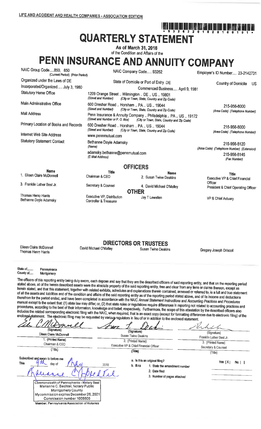# ا أَنَّا أَنَّا يَتَنَا تَبْنَ اللَّهُ اللَّهُ اللَّهُ اللَّهِ الْبَيْنَ الْبَيْنَ اللَّهِ الْأَرْسَالِ اللَّه ال **QUARTERLY STATEMENT**

As of March 31, 2018

# of the Condition and Affairs of the PENN INSURANCE AND ANNUITY COMPANY

| NAIC Group Code850, 850<br>NAIC Company Code 93262<br>(Current Period) (Prior Period) |                                                                      | Employer's ID Number 23-2142731                                                                              |                                                            |  |  |
|---------------------------------------------------------------------------------------|----------------------------------------------------------------------|--------------------------------------------------------------------------------------------------------------|------------------------------------------------------------|--|--|
| Organized under the Laws of DE                                                        |                                                                      | State of Domicile or Port of Entry DE                                                                        | Country of Domicile<br>US                                  |  |  |
| Incorporated/Organized July 3, 1980                                                   |                                                                      | Commenced Business April 9, 1981                                                                             |                                                            |  |  |
| <b>Statutory Home Office</b>                                                          | 1209 Orange Street  Wilmington  DE  US  19801<br>(Street and Number) | (City or Town, State, Country and Zip Code)                                                                  |                                                            |  |  |
| Main Administrative Office                                                            | 600 Dresher Road  Horsham  PA  US  19044<br>(Street and Number)      | (City or Town, State, Country and Zip Code)                                                                  | 215-956-8000<br>(Area Code) (Telephone Number)             |  |  |
| Mail Address                                                                          | (Street and Number or P.O. Box)                                      | Penn Insurance & Annuity Company  Philadelphia  PA  US  19172<br>(City or Town, State, Country and Zip Code) |                                                            |  |  |
| Primary Location of Books and Records                                                 | 600 Dresher Road  Horsham  PA  US  19044<br>(Street and Number)      | (City or Town, State, Country and Zip Code)                                                                  | 215-956-8000                                               |  |  |
| Internet Web Site Address                                                             | www.pennmutual.com                                                   |                                                                                                              | (Area Code) (Telephone Number)                             |  |  |
| <b>Statutory Statement Contact</b>                                                    | Bethanne Doyle Adamsky<br>(Name)                                     |                                                                                                              | 215-956-8120<br>(Area Code) (Telephone Number) (Extension) |  |  |
|                                                                                       | adamsky.bethanne@pennmutual.com<br>(E-Mail Address)                  |                                                                                                              | 215-956-8145<br>(Fax Number)                               |  |  |
|                                                                                       |                                                                      | <b>OFFICERS</b>                                                                                              |                                                            |  |  |
| <b>Name</b>                                                                           | <b>Title</b>                                                         | <b>Name</b>                                                                                                  | <b>Title</b>                                               |  |  |
| 1. Eileen Claire McDonnell                                                            | Chairman & CEO                                                       | 2. Susan Twine Deakins                                                                                       | Executive VP & Chief Financial                             |  |  |
| 3. Franklin Luther Best Jr.                                                           | Secretary & Counsel                                                  | 4. David Michael O'Malley<br><b>OTHER</b>                                                                    | Officer<br>President & Chief Operating Officer             |  |  |
| Thomas Henry Harris<br>Bethanne Doyle Adamsky                                         | Executive VP, Distribution<br>Controller & Treasurer                 | Jay T Lewellen                                                                                               | VP & Chief Actuary                                         |  |  |

## **DIRECTORS OR TRUSTEES** David Michael O'Malley

**Susan Twine Deakins** 

Gregory Joseph Driscoll

Eileen Claire McDonnell Thomas Henry Harris

State of... Pennsylvania

County of..... Montgomery

The officers of this reporting entity being duly sworn, each depose and say that they are the described officers of said reporting entity, and that on the reporting period stated above, all of the herein described assets were the absolute property of the said reporting entity, free and clear from any liens or claims thereon, except as herein stated, and that this statement, together with related exhibits, schedules and explanations therein contained, annexed or referred to, is a full and true statement of all the assets and liabilities and of the condition and affairs of the said reporting entity as of the reporting period stated above, and of its income and deductions therefrom for the period ended, and have been completed in accordance with the NAIC Annual Statement Instructions and Accounting Practices and Procedures manual except to the extent that: (1) state law may differ; or, (2) that state rules or regulations require differences in reporting not related to accounting practices and procedures, according to the best of their information, knowledge and belief, respectively. Furthermore, the scope of this attestation by the described officers also includes the related corresponding electronic filing with the NAIC, when required, that is an exact copy (except for formatting differences due to electronic filing) of the enclosed statement. The electronic filing may be requested by various regulators in

| (Signature)<br>Eileen Claire McDonnell<br>1. (Printed Name)<br>Chairman & CEO<br>(Title)                                                                                                                                                                                                    | (Signature)<br>Susan Twine Deakins<br>2. (Printed Name)<br>Executive VP & Chief Financial Officer<br>(Title)                        | (Signature)<br>Franklin Luther Best Jr.<br>3. (Printed Name)<br>Secretary & Counsel |  |  |
|---------------------------------------------------------------------------------------------------------------------------------------------------------------------------------------------------------------------------------------------------------------------------------------------|-------------------------------------------------------------------------------------------------------------------------------------|-------------------------------------------------------------------------------------|--|--|
| Subscribed and sworn to before me<br>This<br>day of<br>Commonwealth of Pennsylvania - Notary Seal<br>Marianne C. Bechtel, Notary Public<br><b>Montgomery County</b><br>My commission expires December 26, 2021<br>Commission number 1008805<br>Member, Pennsylvania Association of Notaries | a. Is this an original filing?<br>2018<br>b. If no<br>1. State the amendment number<br>2. Date filed<br>3. Number of pages attached | (Title)<br>Yes [X]<br>$No \lceil \rceil$                                            |  |  |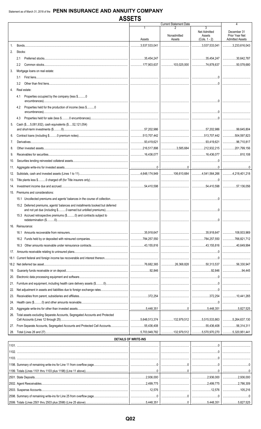|      |                                                                                       | <b>Current Statement Date</b> |                                         |                                          | 4                             |
|------|---------------------------------------------------------------------------------------|-------------------------------|-----------------------------------------|------------------------------------------|-------------------------------|
|      |                                                                                       |                               | Nonadmitted                             | $\overline{3}$<br>Net Admitted<br>Assets | December 31<br>Prior Year Net |
|      |                                                                                       | Assets                        | Assets                                  | $(Cols. 1 - 2)$                          | <b>Admitted Assets</b>        |
| 1.   |                                                                                       |                               |                                         |                                          | $\ldots$ 3,233,616,043        |
| 2.   | Stocks:                                                                               |                               |                                         |                                          |                               |
|      | 2.1                                                                                   |                               |                                         |                                          |                               |
|      | 2.2                                                                                   |                               | 103,025,000   74,878,637   50,578,680   |                                          |                               |
| 3.   | Mortgage loans on real estate:                                                        |                               |                                         |                                          |                               |
|      | 3.1                                                                                   |                               |                                         |                                          |                               |
|      | 3.2                                                                                   |                               |                                         |                                          |                               |
| 4.   | Real estate:                                                                          |                               |                                         |                                          |                               |
|      | Properties occupied by the company (less \$0<br>4.1                                   |                               |                                         |                                          |                               |
|      | Properties held for the production of income (less \$0<br>4.2                         |                               |                                         |                                          |                               |
|      | 4.3                                                                                   |                               |                                         |                                          |                               |
| 5.   | Cash (\$5,081,932), cash equivalents (\$52,121,054)                                   |                               |                                         |                                          |                               |
|      |                                                                                       |                               |                                         |                                          |                               |
| 6.   |                                                                                       |                               |                                         |                                          | $\ldots$ 504,597,823          |
|      |                                                                                       |                               |                                         |                                          | 96,710,817                    |
| 8.   |                                                                                       |                               | 3,585,684 212,932,215 201,799,156       |                                          |                               |
| 9.   |                                                                                       |                               |                                         |                                          | 810,108                       |
| 10.  |                                                                                       |                               |                                         |                                          |                               |
| 11.  |                                                                                       |                               |                                         |                                          |                               |
| 12.  |                                                                                       |                               |                                         |                                          |                               |
| 13.  |                                                                                       |                               |                                         |                                          |                               |
| 14.  |                                                                                       |                               |                                         |                                          |                               |
| 15.  | Premiums and considerations:                                                          |                               |                                         |                                          |                               |
|      |                                                                                       |                               |                                         |                                          |                               |
|      |                                                                                       |                               |                                         |                                          |                               |
|      | 15.2 Deferred premiums, agents' balances and installments booked but deferred         |                               |                                         |                                          |                               |
|      | 15.3 Accrued retrospective premiums (\$0) and contracts subject to                    |                               |                                         |                                          |                               |
| 16.  | Reinsurance:                                                                          |                               |                                         |                                          |                               |
|      |                                                                                       |                               |                                         |                                          |                               |
|      |                                                                                       |                               |                                         |                                          | $\ldots$ 766,821,712          |
|      | 16.3                                                                                  |                               |                                         |                                          | 40.649.994                    |
|      |                                                                                       |                               |                                         |                                          |                               |
| 17.  |                                                                                       |                               |                                         |                                          |                               |
| 18.1 |                                                                                       |                               |                                         |                                          |                               |
|      |                                                                                       |                               |                                         |                                          | 56,330,947                    |
| 19.  |                                                                                       |                               |                                         |                                          | 94,445                        |
| 20.  |                                                                                       |                               |                                         |                                          |                               |
| 21.  |                                                                                       |                               |                                         |                                          |                               |
| 22.  |                                                                                       |                               |                                         |                                          |                               |
| 23.  |                                                                                       |                               |                                         |                                          |                               |
| 24.  | $\textsf{Health care ($\texttt{3}.\texttt{3}.\texttt{4})$ and other amounts receive}$ |                               |                                         |                                          |                               |
| 25.  |                                                                                       |                               |                                         |                                          |                               |
|      | Total assets excluding Separate Accounts, Segregated Accounts and Protected           |                               |                                         |                                          |                               |
| 27.  | From Separate Accounts, Segregated Accounts and Protected Cell Accounts55,436,408     |                               |                                         |                                          | 56,314,311                    |
| 28.  |                                                                                       |                               | 132,979,512 5,570,970,270 5,320,951,441 |                                          |                               |
|      |                                                                                       | <b>DETAILS OF WRITE-INS</b>   |                                         |                                          |                               |
|      |                                                                                       |                               |                                         |                                          |                               |
|      |                                                                                       |                               |                                         |                                          |                               |
|      |                                                                                       |                               |                                         |                                          |                               |
|      |                                                                                       |                               |                                         |                                          |                               |
|      |                                                                                       |                               |                                         |                                          |                               |
|      |                                                                                       |                               |                                         |                                          |                               |
|      |                                                                                       |                               |                                         |                                          |                               |
|      |                                                                                       |                               |                                         |                                          |                               |
|      |                                                                                       |                               |                                         |                                          |                               |
|      |                                                                                       |                               |                                         |                                          |                               |
|      |                                                                                       |                               |                                         |                                          |                               |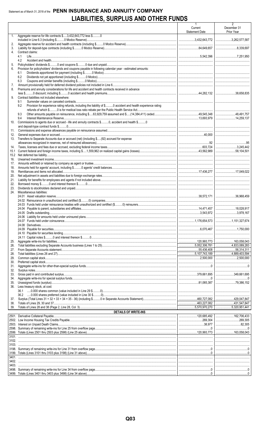# Statement as of March 31, 2018 of the PENN INSURANCE AND ANNUITY COMPANY **LIABILITIES, SURPLUS AND OTHER FUNDS**

|                |                                                                                                                       | 1<br>Current<br><b>Statement Date</b> | 2<br>December 31<br>Prior Year |
|----------------|-----------------------------------------------------------------------------------------------------------------------|---------------------------------------|--------------------------------|
| 1 <sub>1</sub> | Aggregate reserve for life contracts \$3,432,643,772 less \$0                                                         |                                       |                                |
| 2.             |                                                                                                                       |                                       |                                |
| 3.<br>4.       | Contract claims:                                                                                                      |                                       |                                |
|                | 4.1                                                                                                                   |                                       |                                |
|                | 4.2                                                                                                                   |                                       |                                |
| 5.<br>6.       | Provision for policyholders' dividends and coupons payable in following calendar year - estimated amounts:            |                                       |                                |
|                | 6.1                                                                                                                   |                                       |                                |
|                | 6.2<br>6.3                                                                                                            |                                       |                                |
| 7.             |                                                                                                                       |                                       |                                |
| 8.             | Premiums and annuity considerations for life and accident and health contracts received in advance                    |                                       |                                |
| 9.             | Contract liabilities not included elsewhere:                                                                          |                                       |                                |
|                | 9.1                                                                                                                   |                                       |                                |
|                | Provision for experience rating refunds, including the liability of \$ O accident and health experience rating<br>9.2 |                                       |                                |
|                | 9.3                                                                                                                   |                                       |                                |
|                | 9.4                                                                                                                   |                                       |                                |
| 10.            | Commissions to agents due or accrued - life and annuity contracts \$0, accident and health \$0                        |                                       |                                |
|                |                                                                                                                       |                                       |                                |
| 11.<br>12.     |                                                                                                                       |                                       |                                |
| 13.            | Transfers to Separate Accounts due or accrued (net) (including \$(92) accrued for expense                             |                                       |                                |
|                |                                                                                                                       |                                       |                                |
| 14.<br>15.1    |                                                                                                                       |                                       |                                |
| 15.2           |                                                                                                                       |                                       |                                |
| 16.            |                                                                                                                       |                                       |                                |
| 17.<br>18.     |                                                                                                                       |                                       |                                |
| 19.            |                                                                                                                       |                                       |                                |
| 20.            |                                                                                                                       |                                       |                                |
| 21.<br>22.     |                                                                                                                       |                                       |                                |
| 23.            |                                                                                                                       |                                       |                                |
| 24.            | Miscellaneous liabilities:                                                                                            |                                       |                                |
|                |                                                                                                                       |                                       |                                |
|                |                                                                                                                       |                                       |                                |
|                |                                                                                                                       |                                       |                                |
|                | 24.05 Drafts outstanding                                                                                              |                                       |                                |
|                |                                                                                                                       |                                       |                                |
|                |                                                                                                                       |                                       |                                |
|                |                                                                                                                       |                                       | 1,750.000                      |
|                |                                                                                                                       |                                       |                                |
| 25.            |                                                                                                                       |                                       |                                |
| 26.            |                                                                                                                       |                                       |                                |
| 27.<br>28.     |                                                                                                                       |                                       |                                |
| 29.            |                                                                                                                       |                                       | 2,500,000                      |
| 30.            |                                                                                                                       |                                       |                                |
| 31.<br>32.     |                                                                                                                       |                                       |                                |
| 33.            |                                                                                                                       |                                       |                                |
| 34.            |                                                                                                                       |                                       |                                |
| 35.<br>36.     | Less treasury stock, at cost:                                                                                         |                                       | 79,386.152                     |
|                |                                                                                                                       |                                       |                                |
|                |                                                                                                                       |                                       |                                |
| 37.<br>38.     |                                                                                                                       |                                       |                                |
| 39.            |                                                                                                                       |                                       |                                |
|                | <b>DETAILS OF WRITE-INS</b>                                                                                           |                                       |                                |
|                |                                                                                                                       |                                       |                                |
|                |                                                                                                                       |                                       | 82,305                         |
|                |                                                                                                                       |                                       |                                |
|                |                                                                                                                       |                                       |                                |
|                |                                                                                                                       |                                       |                                |
| 3103.          |                                                                                                                       |                                       |                                |
|                |                                                                                                                       |                                       |                                |
| 3401.          |                                                                                                                       |                                       |                                |
|                |                                                                                                                       |                                       |                                |
| 3403.          |                                                                                                                       |                                       |                                |
|                |                                                                                                                       |                                       |                                |
|                |                                                                                                                       |                                       |                                |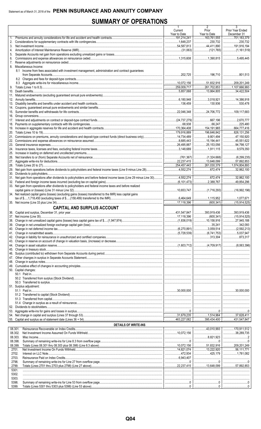# **SUMMARY OF OPERATIONS**

| $\frac{1}{163,761,555}$<br>191,214,241<br>701,183,379<br>1.<br>230,732<br>2.<br>3.<br>4.<br>5.<br>6.<br>7.<br>Miscellaneous Income:<br>8.<br>8.1 Income from fees associated with investment management, administration and contract quarantees<br>801.513<br>34,422,504<br>$ $ 530,478<br>109.117.683<br>225,480<br>$\ldots$ 826,131,256<br>1,074,804,893<br>32,862,100<br><br>33. Net gain from operations after dividends to policyholders and federal income taxes and before realized<br>34. Net realized capital gains (losses) (excluding gains (losses) transferred to the IMR) less capital gains<br>17.118.396<br>$\ldots$ (600.341) $\ldots$ (15.914.525)<br><b>CAPITAL AND SURPLUS ACCOUNT</b><br>873,317<br>50. Capital changes:<br><br>51. Surplus adjustment:<br>$\cdots$ 30,000,000<br><b>DETAILS OF WRITE-INS</b><br>08.301.<br>08.302.<br>08.303.<br>08.398.<br>08.399.<br>2701.<br>2702.<br>1,781,082<br>2703.<br>2798.<br>2799.<br>5301.<br>5302.<br><br>5303.<br>5398.<br>5399. |  | п.<br>Current<br>Year to Date | $\mathbf{z}$<br>Prior<br>Year to Date | Prior Year Ended<br>December 31 |
|------------------------------------------------------------------------------------------------------------------------------------------------------------------------------------------------------------------------------------------------------------------------------------------------------------------------------------------------------------------------------------------------------------------------------------------------------------------------------------------------------------------------------------------------------------------------------------------------------------------------------------------------------------------------------------------------------------------------------------------------------------------------------------------------------------------------------------------------------------------------------------------------------------------------------------------------------------------------------------------------------|--|-------------------------------|---------------------------------------|---------------------------------|
|                                                                                                                                                                                                                                                                                                                                                                                                                                                                                                                                                                                                                                                                                                                                                                                                                                                                                                                                                                                                      |  |                               |                                       |                                 |
|                                                                                                                                                                                                                                                                                                                                                                                                                                                                                                                                                                                                                                                                                                                                                                                                                                                                                                                                                                                                      |  |                               |                                       |                                 |
|                                                                                                                                                                                                                                                                                                                                                                                                                                                                                                                                                                                                                                                                                                                                                                                                                                                                                                                                                                                                      |  |                               |                                       |                                 |
|                                                                                                                                                                                                                                                                                                                                                                                                                                                                                                                                                                                                                                                                                                                                                                                                                                                                                                                                                                                                      |  |                               |                                       |                                 |
|                                                                                                                                                                                                                                                                                                                                                                                                                                                                                                                                                                                                                                                                                                                                                                                                                                                                                                                                                                                                      |  |                               |                                       |                                 |
|                                                                                                                                                                                                                                                                                                                                                                                                                                                                                                                                                                                                                                                                                                                                                                                                                                                                                                                                                                                                      |  |                               |                                       |                                 |
|                                                                                                                                                                                                                                                                                                                                                                                                                                                                                                                                                                                                                                                                                                                                                                                                                                                                                                                                                                                                      |  |                               |                                       |                                 |
|                                                                                                                                                                                                                                                                                                                                                                                                                                                                                                                                                                                                                                                                                                                                                                                                                                                                                                                                                                                                      |  |                               |                                       |                                 |
|                                                                                                                                                                                                                                                                                                                                                                                                                                                                                                                                                                                                                                                                                                                                                                                                                                                                                                                                                                                                      |  |                               |                                       |                                 |
|                                                                                                                                                                                                                                                                                                                                                                                                                                                                                                                                                                                                                                                                                                                                                                                                                                                                                                                                                                                                      |  |                               |                                       |                                 |
|                                                                                                                                                                                                                                                                                                                                                                                                                                                                                                                                                                                                                                                                                                                                                                                                                                                                                                                                                                                                      |  |                               |                                       |                                 |
|                                                                                                                                                                                                                                                                                                                                                                                                                                                                                                                                                                                                                                                                                                                                                                                                                                                                                                                                                                                                      |  |                               |                                       |                                 |
|                                                                                                                                                                                                                                                                                                                                                                                                                                                                                                                                                                                                                                                                                                                                                                                                                                                                                                                                                                                                      |  |                               |                                       |                                 |
|                                                                                                                                                                                                                                                                                                                                                                                                                                                                                                                                                                                                                                                                                                                                                                                                                                                                                                                                                                                                      |  |                               |                                       |                                 |
|                                                                                                                                                                                                                                                                                                                                                                                                                                                                                                                                                                                                                                                                                                                                                                                                                                                                                                                                                                                                      |  |                               |                                       |                                 |
|                                                                                                                                                                                                                                                                                                                                                                                                                                                                                                                                                                                                                                                                                                                                                                                                                                                                                                                                                                                                      |  |                               |                                       |                                 |
|                                                                                                                                                                                                                                                                                                                                                                                                                                                                                                                                                                                                                                                                                                                                                                                                                                                                                                                                                                                                      |  |                               |                                       |                                 |
|                                                                                                                                                                                                                                                                                                                                                                                                                                                                                                                                                                                                                                                                                                                                                                                                                                                                                                                                                                                                      |  |                               |                                       |                                 |
|                                                                                                                                                                                                                                                                                                                                                                                                                                                                                                                                                                                                                                                                                                                                                                                                                                                                                                                                                                                                      |  |                               |                                       |                                 |
|                                                                                                                                                                                                                                                                                                                                                                                                                                                                                                                                                                                                                                                                                                                                                                                                                                                                                                                                                                                                      |  |                               |                                       |                                 |
|                                                                                                                                                                                                                                                                                                                                                                                                                                                                                                                                                                                                                                                                                                                                                                                                                                                                                                                                                                                                      |  |                               |                                       |                                 |
|                                                                                                                                                                                                                                                                                                                                                                                                                                                                                                                                                                                                                                                                                                                                                                                                                                                                                                                                                                                                      |  |                               |                                       |                                 |
|                                                                                                                                                                                                                                                                                                                                                                                                                                                                                                                                                                                                                                                                                                                                                                                                                                                                                                                                                                                                      |  |                               |                                       |                                 |
|                                                                                                                                                                                                                                                                                                                                                                                                                                                                                                                                                                                                                                                                                                                                                                                                                                                                                                                                                                                                      |  |                               |                                       |                                 |
|                                                                                                                                                                                                                                                                                                                                                                                                                                                                                                                                                                                                                                                                                                                                                                                                                                                                                                                                                                                                      |  |                               |                                       |                                 |
|                                                                                                                                                                                                                                                                                                                                                                                                                                                                                                                                                                                                                                                                                                                                                                                                                                                                                                                                                                                                      |  |                               |                                       |                                 |
|                                                                                                                                                                                                                                                                                                                                                                                                                                                                                                                                                                                                                                                                                                                                                                                                                                                                                                                                                                                                      |  |                               |                                       |                                 |
|                                                                                                                                                                                                                                                                                                                                                                                                                                                                                                                                                                                                                                                                                                                                                                                                                                                                                                                                                                                                      |  |                               |                                       |                                 |
|                                                                                                                                                                                                                                                                                                                                                                                                                                                                                                                                                                                                                                                                                                                                                                                                                                                                                                                                                                                                      |  |                               |                                       |                                 |
|                                                                                                                                                                                                                                                                                                                                                                                                                                                                                                                                                                                                                                                                                                                                                                                                                                                                                                                                                                                                      |  |                               |                                       |                                 |
|                                                                                                                                                                                                                                                                                                                                                                                                                                                                                                                                                                                                                                                                                                                                                                                                                                                                                                                                                                                                      |  |                               |                                       |                                 |
|                                                                                                                                                                                                                                                                                                                                                                                                                                                                                                                                                                                                                                                                                                                                                                                                                                                                                                                                                                                                      |  |                               |                                       |                                 |
|                                                                                                                                                                                                                                                                                                                                                                                                                                                                                                                                                                                                                                                                                                                                                                                                                                                                                                                                                                                                      |  |                               |                                       |                                 |
|                                                                                                                                                                                                                                                                                                                                                                                                                                                                                                                                                                                                                                                                                                                                                                                                                                                                                                                                                                                                      |  |                               |                                       |                                 |
|                                                                                                                                                                                                                                                                                                                                                                                                                                                                                                                                                                                                                                                                                                                                                                                                                                                                                                                                                                                                      |  |                               |                                       |                                 |
|                                                                                                                                                                                                                                                                                                                                                                                                                                                                                                                                                                                                                                                                                                                                                                                                                                                                                                                                                                                                      |  |                               |                                       |                                 |
|                                                                                                                                                                                                                                                                                                                                                                                                                                                                                                                                                                                                                                                                                                                                                                                                                                                                                                                                                                                                      |  |                               |                                       |                                 |
|                                                                                                                                                                                                                                                                                                                                                                                                                                                                                                                                                                                                                                                                                                                                                                                                                                                                                                                                                                                                      |  |                               |                                       |                                 |
|                                                                                                                                                                                                                                                                                                                                                                                                                                                                                                                                                                                                                                                                                                                                                                                                                                                                                                                                                                                                      |  |                               |                                       |                                 |
|                                                                                                                                                                                                                                                                                                                                                                                                                                                                                                                                                                                                                                                                                                                                                                                                                                                                                                                                                                                                      |  |                               |                                       |                                 |
|                                                                                                                                                                                                                                                                                                                                                                                                                                                                                                                                                                                                                                                                                                                                                                                                                                                                                                                                                                                                      |  |                               |                                       |                                 |
|                                                                                                                                                                                                                                                                                                                                                                                                                                                                                                                                                                                                                                                                                                                                                                                                                                                                                                                                                                                                      |  |                               |                                       |                                 |
|                                                                                                                                                                                                                                                                                                                                                                                                                                                                                                                                                                                                                                                                                                                                                                                                                                                                                                                                                                                                      |  |                               |                                       |                                 |
|                                                                                                                                                                                                                                                                                                                                                                                                                                                                                                                                                                                                                                                                                                                                                                                                                                                                                                                                                                                                      |  |                               |                                       |                                 |
|                                                                                                                                                                                                                                                                                                                                                                                                                                                                                                                                                                                                                                                                                                                                                                                                                                                                                                                                                                                                      |  |                               |                                       |                                 |
|                                                                                                                                                                                                                                                                                                                                                                                                                                                                                                                                                                                                                                                                                                                                                                                                                                                                                                                                                                                                      |  |                               |                                       |                                 |
|                                                                                                                                                                                                                                                                                                                                                                                                                                                                                                                                                                                                                                                                                                                                                                                                                                                                                                                                                                                                      |  |                               |                                       |                                 |
|                                                                                                                                                                                                                                                                                                                                                                                                                                                                                                                                                                                                                                                                                                                                                                                                                                                                                                                                                                                                      |  |                               |                                       |                                 |
|                                                                                                                                                                                                                                                                                                                                                                                                                                                                                                                                                                                                                                                                                                                                                                                                                                                                                                                                                                                                      |  |                               |                                       |                                 |
|                                                                                                                                                                                                                                                                                                                                                                                                                                                                                                                                                                                                                                                                                                                                                                                                                                                                                                                                                                                                      |  |                               |                                       |                                 |
|                                                                                                                                                                                                                                                                                                                                                                                                                                                                                                                                                                                                                                                                                                                                                                                                                                                                                                                                                                                                      |  |                               |                                       |                                 |
|                                                                                                                                                                                                                                                                                                                                                                                                                                                                                                                                                                                                                                                                                                                                                                                                                                                                                                                                                                                                      |  |                               |                                       |                                 |
|                                                                                                                                                                                                                                                                                                                                                                                                                                                                                                                                                                                                                                                                                                                                                                                                                                                                                                                                                                                                      |  |                               |                                       |                                 |
|                                                                                                                                                                                                                                                                                                                                                                                                                                                                                                                                                                                                                                                                                                                                                                                                                                                                                                                                                                                                      |  |                               |                                       |                                 |
|                                                                                                                                                                                                                                                                                                                                                                                                                                                                                                                                                                                                                                                                                                                                                                                                                                                                                                                                                                                                      |  |                               |                                       |                                 |
|                                                                                                                                                                                                                                                                                                                                                                                                                                                                                                                                                                                                                                                                                                                                                                                                                                                                                                                                                                                                      |  |                               |                                       |                                 |
|                                                                                                                                                                                                                                                                                                                                                                                                                                                                                                                                                                                                                                                                                                                                                                                                                                                                                                                                                                                                      |  |                               |                                       |                                 |
|                                                                                                                                                                                                                                                                                                                                                                                                                                                                                                                                                                                                                                                                                                                                                                                                                                                                                                                                                                                                      |  |                               |                                       |                                 |
|                                                                                                                                                                                                                                                                                                                                                                                                                                                                                                                                                                                                                                                                                                                                                                                                                                                                                                                                                                                                      |  |                               |                                       |                                 |
|                                                                                                                                                                                                                                                                                                                                                                                                                                                                                                                                                                                                                                                                                                                                                                                                                                                                                                                                                                                                      |  |                               |                                       |                                 |
|                                                                                                                                                                                                                                                                                                                                                                                                                                                                                                                                                                                                                                                                                                                                                                                                                                                                                                                                                                                                      |  |                               |                                       |                                 |
|                                                                                                                                                                                                                                                                                                                                                                                                                                                                                                                                                                                                                                                                                                                                                                                                                                                                                                                                                                                                      |  |                               |                                       |                                 |
|                                                                                                                                                                                                                                                                                                                                                                                                                                                                                                                                                                                                                                                                                                                                                                                                                                                                                                                                                                                                      |  |                               |                                       |                                 |
|                                                                                                                                                                                                                                                                                                                                                                                                                                                                                                                                                                                                                                                                                                                                                                                                                                                                                                                                                                                                      |  |                               |                                       |                                 |
|                                                                                                                                                                                                                                                                                                                                                                                                                                                                                                                                                                                                                                                                                                                                                                                                                                                                                                                                                                                                      |  |                               |                                       |                                 |
|                                                                                                                                                                                                                                                                                                                                                                                                                                                                                                                                                                                                                                                                                                                                                                                                                                                                                                                                                                                                      |  |                               |                                       |                                 |
|                                                                                                                                                                                                                                                                                                                                                                                                                                                                                                                                                                                                                                                                                                                                                                                                                                                                                                                                                                                                      |  |                               |                                       |                                 |
|                                                                                                                                                                                                                                                                                                                                                                                                                                                                                                                                                                                                                                                                                                                                                                                                                                                                                                                                                                                                      |  |                               |                                       |                                 |
|                                                                                                                                                                                                                                                                                                                                                                                                                                                                                                                                                                                                                                                                                                                                                                                                                                                                                                                                                                                                      |  |                               |                                       |                                 |
|                                                                                                                                                                                                                                                                                                                                                                                                                                                                                                                                                                                                                                                                                                                                                                                                                                                                                                                                                                                                      |  |                               |                                       |                                 |
|                                                                                                                                                                                                                                                                                                                                                                                                                                                                                                                                                                                                                                                                                                                                                                                                                                                                                                                                                                                                      |  |                               |                                       |                                 |
|                                                                                                                                                                                                                                                                                                                                                                                                                                                                                                                                                                                                                                                                                                                                                                                                                                                                                                                                                                                                      |  |                               |                                       |                                 |
|                                                                                                                                                                                                                                                                                                                                                                                                                                                                                                                                                                                                                                                                                                                                                                                                                                                                                                                                                                                                      |  |                               |                                       |                                 |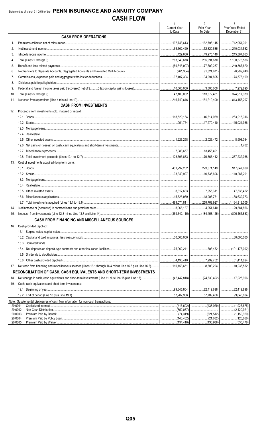|         |                                                                                                                                         | $\mathbf{1}$<br><b>Current Year</b> | $\overline{2}$<br>Prior Year | 3<br>Prior Year Ended                |
|---------|-----------------------------------------------------------------------------------------------------------------------------------------|-------------------------------------|------------------------------|--------------------------------------|
|         |                                                                                                                                         | to Date                             | To Date                      | December 31                          |
|         | <b>CASH FROM OPERATIONS</b>                                                                                                             |                                     |                              |                                      |
| 1.      |                                                                                                                                         | 197,748,613                         | 162,796,145                  | 12,951,391                           |
| 2.      |                                                                                                                                         |                                     | $\ldots$ 52,320,585          | 210,034,532                          |
| 3.      |                                                                                                                                         |                                     | 1.149,975,140                | $\ldots$ 215,387,663                 |
| 4.      |                                                                                                                                         |                                     | 265,091,870                  | 1,138,373,586                        |
| 5.      |                                                                                                                                         |                                     |                              | 249,367,620                          |
| 6.      |                                                                                                                                         |                                     |                              |                                      |
| 7.      |                                                                                                                                         |                                     |                              | 74,576,109                           |
| 8.      |                                                                                                                                         |                                     |                              |                                      |
| 9.      |                                                                                                                                         |                                     |                              | 7,272,890                            |
| 10.     |                                                                                                                                         |                                     | 113,872,461                  | 324,917,379                          |
| 11.     |                                                                                                                                         |                                     |                              |                                      |
|         | <b>CASH FROM INVESTMENTS</b>                                                                                                            |                                     |                              |                                      |
| 12.     | Proceeds from investments sold, matured or repaid:                                                                                      |                                     |                              |                                      |
|         |                                                                                                                                         |                                     | 46,614,069   263,215,316     |                                      |
|         |                                                                                                                                         |                                     |                              | 115,021,986                          |
|         |                                                                                                                                         |                                     |                              |                                      |
|         | 12.4                                                                                                                                    |                                     |                              |                                      |
|         | 12.5                                                                                                                                    |                                     |                              | 8,993,034                            |
|         | 12.6                                                                                                                                    |                                     |                              |                                      |
|         | 12.7                                                                                                                                    |                                     |                              |                                      |
|         | 12.8                                                                                                                                    |                                     | 79,367,442                   | $\ldots$ 387,232,038                 |
| 13.     | Cost of investments acquired (long-term only):                                                                                          |                                     |                              |                                      |
|         |                                                                                                                                         |                                     |                              |                                      |
|         |                                                                                                                                         |                                     |                              | 110,287,201                          |
|         | 13.3                                                                                                                                    |                                     |                              |                                      |
|         | 13.4                                                                                                                                    |                                     |                              |                                      |
|         | 13.5                                                                                                                                    |                                     | 1.17, 955, 311               | <br>47,538,422                       |
|         | 13.6                                                                                                                                    |                                     | 18,006,771                   | 38,639,773                           |
|         |                                                                                                                                         |                                     | $\ldots$ 259,768,927         |                                      |
|         | 13.7                                                                                                                                    |                                     |                              | 1,164,313,005                        |
| 14.     |                                                                                                                                         |                                     | 1.1.1.1.1.4.051.640          | 29,384,866                           |
| 15.     |                                                                                                                                         |                                     |                              |                                      |
|         | <b>CASH FROM FINANCING AND MISCELLANEOUS SOURCES</b>                                                                                    |                                     |                              |                                      |
| 16.     | Cash provided (applied):                                                                                                                |                                     |                              |                                      |
|         |                                                                                                                                         |                                     |                              |                                      |
|         |                                                                                                                                         |                                     |                              | $\ldots$ 30,000.000                  |
|         | 16.3                                                                                                                                    |                                     |                              |                                      |
|         | 16.4                                                                                                                                    |                                     |                              |                                      |
|         | 16.5                                                                                                                                    |                                     |                              |                                      |
|         | 16.6                                                                                                                                    |                                     |                              | 81,411,624                           |
| 17.     | Net cash from financing and miscellaneous sources (Lines 16.1 through 16.4 minus Line 16.5 plus Line 16.6)  110,158,651                 |                                     | $\ldots$ 8,603,224           | 10,235,532                           |
|         | RECONCILIATION OF CASH, CASH EQUIVALENTS AND SHORT-TERM INVESTMENTS                                                                     |                                     |                              |                                      |
| 18.     | Net change in cash, cash equivalents and short-term investments (Line 11 plus Line 15 plus Line 17)(42,442,818) (24,630,492) 17,225,906 |                                     |                              |                                      |
| 19.     | Cash, cash equivalents and short-term investments:                                                                                      |                                     |                              |                                      |
|         |                                                                                                                                         |                                     | 82,419,898                   | 82,419,898<br>.                      |
|         |                                                                                                                                         |                                     | 57,789,406                   | .99,645,804                          |
|         | Note: Supplemental disclosures of cash flow information for non-cash transactions:                                                      |                                     |                              |                                      |
| 20.0001 |                                                                                                                                         |                                     |                              | (1,926,675)<br>.                     |
|         | 20.0002<br>20.0003                                                                                                                      |                                     |                              | (2,420,921)<br>.<br>(1,150,920)<br>. |
|         | 20.0004                                                                                                                                 |                                     |                              |                                      |
|         | 20.0005                                                                                                                                 | (134.418)                           | (130.936)                    | (530.478)                            |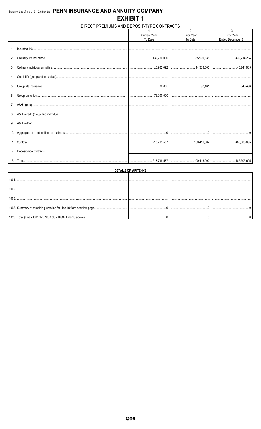# DIRECT PREMIUMS AND DEPOSIT-TYPE CONTRACTS

|                |                     | $\mathfrak{p}$ | 3                 |
|----------------|---------------------|----------------|-------------------|
|                | <b>Current Year</b> | Prior Year     | Prior Year        |
|                | To Date             | To Date        | Ended December 31 |
| $\mathbf{1}$ . |                     |                |                   |
| 2.             |                     |                |                   |
| 3.             |                     |                |                   |
|                |                     |                |                   |
| 5.             |                     |                |                   |
|                |                     |                |                   |
| 7.             |                     |                |                   |
| 8.             |                     |                |                   |
| 9.             |                     |                |                   |
|                |                     |                |                   |
|                |                     |                |                   |
|                |                     |                |                   |
|                |                     |                |                   |

| DETAILS OF WRITE-INS |  |  |  |  |  |  |  |
|----------------------|--|--|--|--|--|--|--|
| 1001                 |  |  |  |  |  |  |  |
| 1002                 |  |  |  |  |  |  |  |
|                      |  |  |  |  |  |  |  |
| 1003                 |  |  |  |  |  |  |  |
|                      |  |  |  |  |  |  |  |
|                      |  |  |  |  |  |  |  |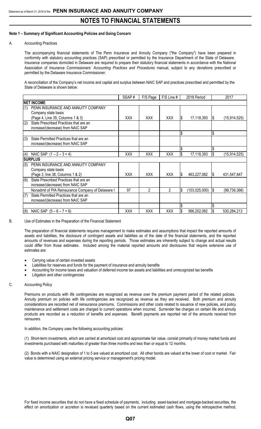## **Note 1 – Summary of Significant Accounting Policies and Going Concern**

#### A. Accounting Practices

The accompanying financial statements of The Penn Insurance and Annuity Company ("the Company") have been prepared in conformity with statutory accounting practices (SAP) prescribed or permitted by the Insurance Department of the State of Delaware. Insurance companies domiciled in Delaware are required to prepare their statutory financial statements in accordance with the National Association of Insurance Commissioners' *Accounting Practices and Procedures* manual, subject to any deviations prescribed or permitted by the Delaware Insurance Commissioner.

A reconciliation of the Company's net income and capital and surplus between NAIC SAP and practices prescribed and permitted by the State of Delaware is shown below:

|     |                                                                                               | SSAP#      | F/S Page   | $F/S$ Line $#$ |     | 2018 Period     |     | 2017           |
|-----|-----------------------------------------------------------------------------------------------|------------|------------|----------------|-----|-----------------|-----|----------------|
|     | <b>NET INCOME</b>                                                                             |            |            |                |     |                 |     |                |
| (1) | PENN INSURANCE AND ANNUITY COMPANY<br>Company state basis<br>(Page 4, Line 35, Columns 1 & 3) | <b>XXX</b> | XXX        | <b>XXX</b>     | IS. | 17,118,393      | I\$ | (15, 914, 525) |
| (2) | State Prescribed Practices that are an<br>increase/(decrease) from NAIC SAP                   |            |            |                |     |                 |     |                |
|     |                                                                                               |            |            |                | \$  |                 | \$  |                |
| (3) | State Permitted Practices that are an<br>increase/(decrease) from NAIC SAP                    |            |            |                |     |                 |     |                |
|     |                                                                                               |            |            |                | \$  |                 | \$  |                |
| (4) | NAIC SAP $(1 – 2 – 3 = 4)$                                                                    | <b>XXX</b> | XXX        | <b>XXX</b>     | \$  | 17,118,393      | l\$ | (15, 914, 525) |
|     | <b>SURPLUS</b>                                                                                |            |            |                |     |                 |     |                |
| (5) | PENN INSURANCE AND ANNUITY COMPANY<br>Company state basis                                     |            |            |                |     |                 |     |                |
|     | (Page 3, line 38, Columns 1 & 2)                                                              | XXX        | <b>XXX</b> | <b>XXX</b>     | S   | 463,227,082     | I\$ | 431,547,847    |
| (6) | State Prescribed Practices that are an<br>increase/(decrease) from NAIC SAP                   |            |            |                |     |                 |     |                |
|     | Nonadmit of PIA Reinsurance Company of Delaware I                                             | 97         | 2          | $\overline{2}$ | \$  | (103, 025, 000) | l\$ | (98, 736, 366) |
| (7) | State Permitted Practices that are an<br>increase/(decrease) from NAIC SAP                    |            |            |                |     |                 |     |                |
|     |                                                                                               |            |            |                | \$  |                 | \$  |                |
| (8) | NAIC SAP $(5 - 6 - 7 = 8)$                                                                    | XXX        | XXX        | XXX            |     | 566,252,082     | I\$ | 530,284,213    |

B. Use of Estimates in the Preparation of the Financial Statement

The preparation of financial statements requires management to make estimates and assumptions that impact the reported amounts of assets and liabilities, the disclosure of contingent assets and liabilities as of the date of the financial statements, and the reported amounts of revenues and expenses during the reporting periods. Those estimates are inherently subject to change and actual results could differ from those estimates. Included among the material reported amounts and disclosures that require extensive use of estimates are:

- Carrying value of certain invested assets
- Liabilities for reserves and funds for the payment of insurance and annuity benefits
- Accounting for income taxes and valuation of deferred income tax assets and liabilities and unrecognized tax benefits
- Litigation and other contingencies

### C. Accounting Policy

Premiums on products with life contingencies are recognized as revenue over the premium payment period of the related policies. Annuity premium on policies with life contingencies are recognized as revenue as they are received. Both premium and annuity considerations are recorded net of reinsurance premiums. Commissions and other costs related to issuance of new policies, and policy maintenance and settlement costs are charged to current operations when incurred. Surrender fee charges on certain life and annuity products are recorded as a reduction of benefits and expenses. Benefit payments are reported net of the amounts received from reinsurers.

In addition, the Company uses the following accounting policies:

(1) Short-term investments, which are carried at amortized cost and approximate fair value, consist primarily of money market funds and investments purchased with maturities of greater than three months and less than or equal to 12 months.

(2) Bonds with a NAIC designation of 1 to 5 are valued at amortized cost. All other bonds are valued at the lower of cost or market. Fair value is determined using an external pricing service or management's pricing model.

For fixed income securities that do not have a fixed schedule of payments, including asset-backed and mortgage-backed securities, the effect on amortization or accretion is revalued quarterly based on the current estimated cash flows, using the retrospective method,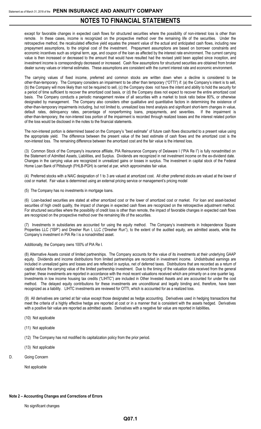except for favorable changes in expected cash flows for structured securities where the possibility of non-interest loss is other than remote. In these cases, income is recognized on the prospective method over the remaining life of the securities. Under the retrospective method, the recalculated effective yield equates the present value of the actual and anticipated cash flows, including new prepayment assumptions, to the original cost of the investment. Prepayment assumptions are based on borrower constraints and economic incentives such as original term, age, and coupon of the loan as affected by the interest rate environment. The current carrying value is then increased or decreased to the amount that would have resulted had the revised yield been applied since inception, and investment income is correspondingly decreased or increased. Cash flow assumptions for structured securities are obtained from broker dealer survey values or internal estimates. These assumptions are consistent with the current interest rate and economic environment.

The carrying values of fixed income, preferred and common stocks are written down when a decline is considered to be other-than-temporary. The Company considers an impairment to be other than temporary ("OTTI") if: (a) the Company's intent is to sell, (b) the Company will more likely than not be required to sell, (c) the Company does not have the intent and ability to hold the security for a period of time sufficient to recover the amortized cost basis, or (d) the Company does not expect to recover the entire amortized cost basis. The Company conducts a periodic management review of all securities with a market to book ratio below 80%, or otherwise designated by management. The Company also considers other qualitative and quantitative factors in determining the existence of other-than-temporary impairments including, but not limited to, unrealized loss trend analysis and significant short-term changes in value, default rates, delinquency rates, percentage of nonperforming loans, prepayments, and severities. other-than-temporary, the non-interest loss portion of the impairment is recorded through realized losses and the interest related portion of the loss would be disclosed in the notes to the financial statements.

The non-interest portion is determined based on the Company's "best estimate" of future cash flows discounted to a present value using the appropriate yield. The difference between the present value of the best estimate of cash flows and the amortized cost is the non-interest loss. The remaining difference between the amortized cost and the fair value is the interest loss.

(3) Common Stock of the Company's insurance affiliate, PIA Reinsurance Company of Delaware I ("PIA Re I") is fully nonadmitted on the Statement of Admitted Assets, Liabilities, and Surplus. Dividends are recognized in net investment income on the ex-dividend date. Changes in the carrying value are recognized in unrealized gains or losses in surplus. The investment in capital stock of the Federal Home Loan Bank of Pittsburgh (FHLB-PGH) is carried at par, which approximates fair value.

(4) Preferred stocks with a NAIC designation of 1 to 3 are valued at amortized cost. All other preferred stocks are valued at the lower of cost or market. Fair value is determined using an external pricing service or management's pricing model

(5) The Company has no investments in mortgage loans.

(6) Loan-backed securities are stated at either amortized cost or the lower of amortized cost or market. For loan and asset-backed securities of high credit quality, the impact of changes in expected cash flows are recognized on the retrospective adjustment method. For structured securities where the possibility of credit loss is other than remote, the impact of favorable changes in expected cash flows are recognized on the prospective method over the remaining life of the securities.

(7) Investments in subsidiaries are accounted for using the equity method. The Company's investments in Independence Square Properties LLC ("ISP") and Dresher Run I, LLC ("Dresher Run"), to the extent of the audited equity, are admitted assets, while the Company's investment in PIA Re I is a nonadmitted asset.

### Additionally, the Company owns 100% of PIA Re I.

(8) Alternative Assets consist of limited partnerships. The Company accounts for the value of its investments at their underlying GAAP equity. Dividends and income distributions from limited partnerships are recorded in investment income. Undistributed earnings are included in unrealized gains and losses and are reflected in surplus, net of deferred taxes. Distributions that are recorded as a return of capital reduce the carrying value of the limited partnership investment. Due to the timing of the valuation data received from the general partner, these investments are reported in accordance with the most recent valuations received which are primarily on a one quarter lag. Investments in low income housing tax credits ("LIHTC") are included in Other Invested Assets and are accounted for under the cost method. The delayed equity contributions for these investments are unconditional and legally binding and, therefore, have been recognized as a liability. LIHTC investments are reviewed for OTTI, which is accounted for as a realized loss.

(9) All derivatives are carried at fair value except those designated as hedge accounting. Derivatives used in hedging transactions that meet the criteria of a highly effective hedge are reported at cost or in a manner that is consistent with the assets hedged. Derivatives with a positive fair value are reported as admitted assets. Derivatives with a negative fair value are reported in liabilities**.**

- (10) Not applicable
- (11) Not applicable
- (12) The Company has not modified its capitalization policy from the prior period.
- (13) Not applicable
- D. Going Concern

Not applicable

#### **Note 2 – Accounting Changes and Corrections of Errors**

No significant changes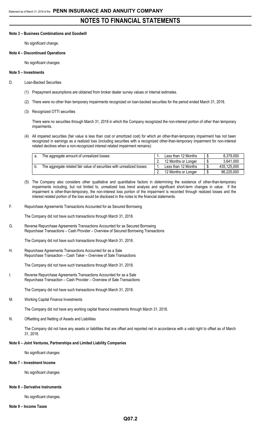#### **Note 3 – Business Combinations and Goodwill**

No significant change.

#### **Note 4 – Discontinued Operations**

No significant changes

#### **Note 5 – Investments**

- D. Loan-Backed Securities
	- (1) Prepayment assumptions are obtained from broker dealer survey values or internal estimates.
	- (2) There were no other than temporary impairments recognized on loan-backed securities for the period ended March 31, 2018.
	- (3) Recognized OTTI securities

There were no securities through March 31, 2018 in which the Company recognized the non-interest portion of other than temporary impairments.

(4) All impaired securities (fair value is less than cost or amortized cost) for which an other-than-temporary impairment has not been recognized in earnings as a realized loss (including securities with a recognized other-than-temporary impairment for non-interest related declines when a non-recognized interest related impairment remains):

| The aggregate amount of unrealized losses:                             | Less than 12 Months | 8,379,000   |
|------------------------------------------------------------------------|---------------------|-------------|
|                                                                        | 12 Months or Longer | 3,641,000   |
| The aggregate related fair value of securities with unrealized losses: | Less than 12 Months | 435,125,000 |
|                                                                        | 12 Months or Longer | 86,225,000  |

- (5) The Company also considers other qualitative and quantitative factors in determining the existence of other-than-temporary impairments including, but not limited to, unrealized loss trend analysis and significant short-term changes in value. If the impairment is other-than-temporary, the non-interest loss portion of the impairment is recorded through realized losses and the interest related portion of the loss would be disclosed in the notes to the financial statements.
- F. Repurchase Agreements Transactions Accounted for as Secured Borrowing

The Company did not have such transactions through March 31, 2018.

G. Reverse Repurchase Agreements Transactions Accounted for as Secured Borrowing Repurchase Transactions – Cash Provider – Overview of Secured Borrowing Transactions

The Company did not have such transactions through March 31, 2018.

H. Repurchase Agreements Transactions Accounted for as a Sale Repurchase Transaction – Cash Taker – Overview of Sale Transactions

The Company did not have such transactions through March 31, 2018.

I. Reverse Repurchase Agreements Transactions Accounted for as a Sale Repurchase Transaction – Cash Provider – Overview of Sale Transactions

The Company did not have such transactions through March 31, 2018.

M. Working Capital Finance Investments

The Company did not have any working capital finance investments through March 31, 2018.

N. Offsetting and Netting of Assets and Liabilities

The Company did not have any assets or liabilities that are offset and reported net in accordance with a valid right to offset as of March 31, 2018.

#### **Note 6 – Joint Ventures, Partnerships and Limited Liability Companies**

No significant changes

#### **Note 7 – Investment Income**

No significant changes

#### **Note 8 – Derivative Instruments**

No significant changes.

#### **Note 9 – Income Taxes**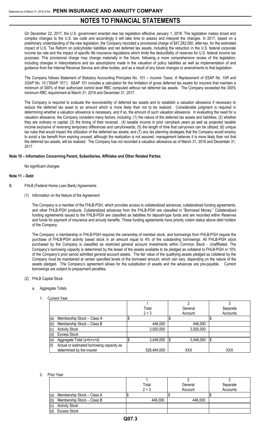On December 22, 2017, the U.S. government enacted new tax legislation effective January 1, 2018. The legislation makes broad and complex changes to the U.S. tax code and accordingly it will take time to assess and interpret the changes. In 2017, based on a preliminary understanding of the new legislation, the Company recorded a provisional charge of \$47,282,000, after-tax, for the estimated impact of U.S. Tax Reform on policyholder liabilities and net deferred tax assets, including the reduction in the U.S. federal corporate income tax rate and the impact of specific life insurance regulations which limits the deductibility of reserves for U.S. federal income tax purposes. This provisional charge may change materially in the future, following a more comprehensive review of the legislation, including changes in interpretations and tax assumptions made in the valuation of policy liabilities as well as implementation of and guidance from the Internal Revenue Service and other bodies, and as a result of any future changes or amendments to that legislation.

The Company follows Statement of Statutory Accounting Principles No. 101 – *Income Taxes, A Replacement of SSAP No. 10R and SSAP No. 10* ("SSAP 101"). SSAP 101 includes a calculation for the limitation of gross deferred tax assets for insurers that maintain a minimum of 300% of their authorized control level RBC computed without net deferred tax assets. The Company exceeded the 300% minimum RBC requirement at March 31, 2018 and December 31, 2017.

The Company is required to evaluate the recoverability of deferred tax assets and to establish a valuation allowance if necessary to reduce the deferred tax asset to an amount which is more likely than not to be realized. Considerable judgment is required in determining whether a valuation allowance is necessary, and if so, the amount of such valuation allowance. In evaluating the need for a valuation allowance, the Company considers many factors, including: (1) the nature of the deferred tax assets and liabilities; (2) whether they are ordinary or capital; (3) the timing of their reversal; (4) taxable income in prior carryback years as well as projected taxable income exclusive of reversing temporary differences and carryforwards; (5) the length of time that carryovers can be utilized; (6) unique tax rules that would impact the utilization of the deferred tax assets; and (7) any tax planning strategies that the Company would employ to avoid a tax benefit from expiring unused; although the realization is not assured, management believes it is more likely than not that the deferred tax assets, will be realized. The Company has not recorded a valuation allowance as of March 31, 2018 and December 31, 2017.

## **Note 10 – Information Concerning Parent, Subsidiaries, Affiliates and Other Related Parties**

No significant changes

## **Note 11 – Debt**

- B. FHLB (Federal Home Loan Bank) Agreements
	- (1) Information on the Nature of the Agreement

The Company is a member of the FHLB-PGH, which provides access to collateralized advances, collateralized funding agreements, and other FHLB-PGH products. Collateralized advances from the FHLB-PGH are classified in "Borrowed Money." Collateralized funding agreements issued to the FHLB-PGH are classified as liabilities for deposit-type funds and are recorded within Reserves and funds for payment of insurance and annuity benefits. These funding agreements have priority vclaim status above debt holders of the Company.

The Company' s membership in FHLB-PGH requires the ownership of member stock, and borrowings from FHLB-PGH require the purchase of FHLB-PGH activity based stock in an amount equal to 4% of the outstanding borrowings. All FHLB-PGH stock purchased by the Company is classified as restricted general account investments within Common Stock - Unaffiliated. The Company's borrowing capacity is determined by the lesser of the assets available to be pledged as collateral to FHLB-PGH or 10% of the Company's prior period admitted general account assets. The fair value of the qualifying assets pledged as collateral by the Company must be maintained at certain specified levels of the borrowed amount, which can vary, depending on the nature of the assets pledged. The Company's agreement allows for the substitution of assets and the advances are pre-payable. Current borrowings are subject to prepayment penalties.

### (2) FHLB Capital Stock

#### a. Aggregate Totals

1. Current Year

|     |                                           | Total       | General         | Separate |  |
|-----|-------------------------------------------|-------------|-----------------|----------|--|
|     |                                           | $2 + 3$     | Account         | Accounts |  |
| (a) | Membership Stock - Class A                |             |                 |          |  |
| (b) | Membership Stock - Class B                | 446,000     | 446,000         |          |  |
| (c) | <b>Activity Stock</b>                     | 3,000,000   | 3,000,000       |          |  |
| (d) | <b>Excess Stock</b>                       |             |                 |          |  |
| (e) | Aggregate Total (a+b+c+d)                 | 3,446,000   | \$<br>3,446,000 | \$       |  |
| (f) | Actual or estimated borrowing capacity as |             |                 |          |  |
|     | determined by the insurer                 | 526,464,000 | XXX             | XXX      |  |

#### 2. Prior Year

|                                   | Total   | General | Separate |
|-----------------------------------|---------|---------|----------|
|                                   | $2 + 3$ | Account | Accounts |
| (a)<br>Membership Stock - Class A |         |         |          |
| (b)<br>Membership Stock - Class B | 446,000 | 446,000 |          |
| (c)<br><b>Activity Stock</b>      |         |         |          |
| (d)<br><b>Excess Stock</b>        |         |         |          |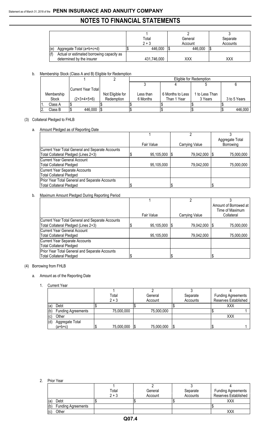# **NOTES TO FINANCIAL STATEMENTS**

|     |                                           | Total       | General | Separate |
|-----|-------------------------------------------|-------------|---------|----------|
|     |                                           | $2 + 3$     | Account | Accounts |
| (e) | Aggregate Total (a+b+c+d)                 | 446,000     | 446,000 |          |
|     | Actual or estimated borrowing capacity as |             |         |          |
|     | determined by the insurer                 | 431,746,000 | XXX     | XXX      |

b. Membership Stock (Class A and B) Eligible for Redemption

|            |                           |                  | Eligible for Redemption |                  |                |              |
|------------|---------------------------|------------------|-------------------------|------------------|----------------|--------------|
|            |                           |                  |                         |                  |                |              |
|            | <b>Current Year Total</b> |                  |                         |                  |                |              |
| Membership |                           | Not Eligible for | Less than               | 6 Months to Less | 1 to Less Than |              |
| Stock      | $(2+3+4+5+6)$             | Redemption       | 6 Months                | Than 1 Year      | 3 Years        | 3 to 5 Years |
| Class A    |                           |                  |                         |                  |                |              |
| Class B    | 446,000                   |                  |                         |                  |                | 446,000      |

# (3) Collateral Pledged to FHLB

# a. Amount Pledged as of Reporting Date

|                                                                                          | Fair Value | Carrying Value  | Aggregate Total<br>Borrowing |
|------------------------------------------------------------------------------------------|------------|-----------------|------------------------------|
| Current Year Total General and Separate Accounts<br>Total Collateral Pledged (Lines 2+3) | 95,105,000 | 79,042,000   \$ | 75,000,000                   |
| Current Year General Account<br><b>Total Collateral Pledged</b>                          | 95,105,000 | 79,042,000      | 75,000,000                   |
| Current Year Separate Accounts<br><b>Total Collateral Pledged</b>                        |            |                 |                              |
| Prior Year Total General and Separate Accounts<br>Total Collateral Pledged               |            |                 |                              |

# b. Maximum Amount Pledged During Reporting Period

|                                                  |            |                 | Amount of Borrowed at |
|--------------------------------------------------|------------|-----------------|-----------------------|
|                                                  |            |                 | Time of Maximum       |
|                                                  | Fair Value | Carrying Value  | Collateral            |
| Current Year Total General and Separate Accounts |            |                 |                       |
| Total Collateral Pledged (Lines 2+3)             | 95,105,000 | 79,042,000   \$ | 75,000,000            |
| <b>Current Year General Account</b>              |            |                 |                       |
| <b>Total Collateral Pledged</b>                  | 95,105,000 | 79,042,000      | 75,000,000            |
| Current Year Separate Accounts                   |            |                 |                       |
| <b>Total Collateral Pledged</b>                  |            |                 |                       |
| Prior Year Total General and Separate Accounts   |            |                 |                       |
| <b>Total Collateral Pledged</b>                  |            |                 | \$                    |

## (4) Borrowing from FHLB

## a. Amount as of the Reporting Date

# 1. Current Year

|     |                           | Total      |     | General    | Separate | <b>Funding Agreements</b> |
|-----|---------------------------|------------|-----|------------|----------|---------------------------|
|     |                           | $2 + 3$    |     | Account    | Accounts | Reserves Established      |
| (a) | Debt                      |            |     |            |          | XXX                       |
| (b) | <b>Funding Agreements</b> | 75,000,000 |     | 75,000,000 |          |                           |
| (c) | Other                     |            |     |            |          | XXX                       |
| (d) | Aggregate Total           |            |     |            |          |                           |
|     | (a+b+c)                   | 75,000,000 | 1\$ | 75,000,000 |          |                           |

2. Prior Year

|     | ווטו ויטוו                |         |         |          |                           |
|-----|---------------------------|---------|---------|----------|---------------------------|
|     |                           |         |         |          |                           |
|     |                           | Total   | General | Separate | <b>Funding Agreements</b> |
|     |                           | $2 + 3$ | Account | Accounts | Reserves Established      |
| (a) | Debt                      |         |         |          | XXX                       |
| (b) | <b>Funding Agreements</b> |         |         |          |                           |
| (c) | Other                     |         |         |          | XXX                       |
|     |                           |         |         |          |                           |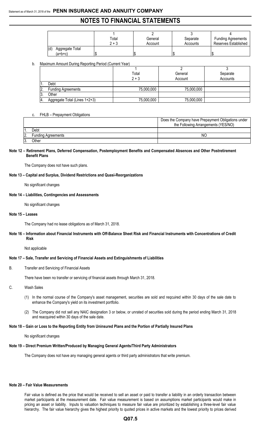|                                     | Total   | General | Separate | <b>Funding Agreements</b> |
|-------------------------------------|---------|---------|----------|---------------------------|
|                                     | $2 + 3$ | Account | Accounts | Reserves Established      |
| (d)<br>Aggregate Total<br>$(a+b+c)$ | Ψ       | Φ       |          |                           |

b. Maximum Amount During Reporting Period (Current Year)

|                  | 1.00                          | Total<br>$2 + 3$ | General<br>Account | Separate<br>Accounts |
|------------------|-------------------------------|------------------|--------------------|----------------------|
|                  | Debt                          |                  |                    |                      |
| $\overline{2}$ . | <b>Funding Agreements</b>     | 75,000,000       | 75,000,000         |                      |
| I3.              | Other                         |                  |                    |                      |
| 14.              | Aggregate Total (Lines 1+2+3) | 75,000,000       | 75,000,000         |                      |

## c. FHLB – Prepayment Obligations

|    |                           | Does the Company have Prepayment Obligations under |
|----|---------------------------|----------------------------------------------------|
|    |                           | the Following Arrangements (YES/NO)                |
|    | Debt                      |                                                    |
| 2. | <b>Funding Agreements</b> | NC                                                 |
|    | Other                     |                                                    |

#### **Note 12 – Retirement Plans, Deferred Compensation, Postemployment Benefits and Compensated Absences and Other Postretirement Benefit Plans**

The Company does not have such plans.

#### **Note 13 – Capital and Surplus, Dividend Restrictions and Quasi-Reorganizations**

No significant changes

#### **Note 14 – Liabilities, Contingencies and Assessments**

No significant changes

#### **Note 15 – Leases**

The Company had no lease obligations as of March 31, 2018.

#### **Note 16 – Information about Financial Instruments with Off-Balance Sheet Risk and Financial Instruments with Concentrations of Credit Risk**

Not applicable

#### **Note 17 – Sale, Transfer and Servicing of Financial Assets and Extinguishments of Liabilities**

B. Transfer and Servicing of Financial Assets

There have been no transfer or servicing of financial assets through March 31, 2018.

- C. Wash Sales
	- (1) In the normal course of the Company's asset management, securities are sold and reqcuired within 30 days of the sale date to enhance the Company's yield on its investment portfolio.
	- (2) The Company did not sell any NAIC designation 3 or below, or unrated of securities sold during the period ending March 31, 2018 and reacquired within 30 days of the sale date.

### **Note 18 – Gain or Loss to the Reporting Entity from Uninsured Plans and the Portion of Partially Insured Plans**

No significant changes

#### **Note 19 – Direct Premium Written/Produced by Managing General Agents/Third Party Administrators**

The Company does not have any managing general agents or third party administrators that write premium.

#### **Note 20 – Fair Value Measurements**

Fair value is defined as the price that would be received to sell an asset or paid to transfer a liability in an orderly transaction between market participants at the measurement date. Fair value measurement is based on assumptions market participants would make in pricing an asset or liability. Inputs to valuation techniques to measure fair value are prioritized by establishing a three-level fair value hierarchy. The fair value hierarchy gives the highest priority to quoted prices in active markets and the lowest priority to prices derived

## **Q07.5**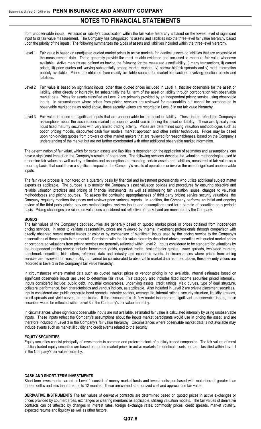from unobservable inputs. An asset or liability's classification within the fair value hierarchy is based on the lowest level of significant input to its fair value measurement. The Company has categorized its assets and liabilities into the three-level fair value hierarchy based upon the priority of the inputs. The following summarizes the types of assets and liabilities included within the three-level hierarchy.

- Level 1 Fair value is based on unadjusted quoted market prices in active markets for identical assets or liabilities that are accessible at the measurement date. These generally provide the most reliable evidence and are used to measure fair value whenever available. Active markets are defined as having the following for the measured asset/liability: i) many transactions, ii) current prices, iii) price quotes not varying substantially among market makers, iv) narrow bid/ask spreads and v) most information publicly available. Prices are obtained from readily available sources for market transactions involving identical assets and liabilities.
- Level 2 Fair value is based on significant inputs, other than quoted prices included in Level 1, that are observable for the asset or liability, either directly or indirectly, for substantially the full term of the asset or liability through corroboration with observable market data. Prices for assets classified as Level 2 are primarily provided by an independent pricing service using observable inputs. In circumstances where prices from pricing services are reviewed for reasonability but cannot be corroborated to observable market data as noted above, these security values are recorded in Level 3 in our fair value hierarchy.
- Level 3 Fair value is based on significant inputs that are unobservable for the asset or liability. These inputs reflect the Company's assumptions about the assumptions market participants would use in pricing the asset or liability. These are typically less liquid fixed maturity securities with very limited trading activity. Prices are determined using valuation methodologies such as option pricing models, discounted cash flow models, market approach and other similar techniques. Prices may be based upon non-binding quotes from brokers or other market makers that are reviewed for reasonableness, based on the Company's understanding of the market but are not further corroborated with other additional observable market information.

The determination of fair value, which for certain assets and liabilities is dependent on the application of estimates and assumptions, can have a significant impact on the Company's results of operations. The following sections describe the valuation methodologies used to determine fair values as well as key estimates and assumptions surrounding certain assets and liabilities, measured at fair value on a recurring basis, that could have a significant impact on the Company's results of operations or involve the use of significant unobservable inputs.

The fair value process is monitored on a quarterly basis by financial and investment professionals who utilize additional subject matter experts as applicable. The purpose is to monitor the Company's asset valuation policies and procedures by ensuring objective and reliable valuation practices and pricing of financial instruments, as well as addressing fair valuation issues, changes to valuation methodologies and pricing sources. To assess the continuing appropriateness of third party pricing service security valuations, the Company regularly monitors the prices and reviews price variance reports. In addition, the Company performs an initial and ongoing review of the third party pricing services methodologies, reviews inputs and assumptions used for a sample of securities on a periodic basis. Pricing challenges are raised on valuations considered not reflective of market and are monitored by the Company.

#### **BONDS**

The fair values of the Company's debt securities are generally based on quoted market prices or prices obtained from independent pricing services. In order to validate reasonability, prices are reviewed by internal investment professionals through comparison with directly observed recent market trades or color or by comparison of significant inputs used by the pricing service to the Company's observations of those inputs in the market. Consistent with the fair value hierarchy described above, securities with quoted market prices or corroborated valuations from pricing services are generally reflected within Level 2. Inputs considered to be standard for valuations by the independent pricing service include: benchmark yields, reported trades, broker/dealer quotes, issuer spreads, two-sided markets, benchmark securities, bids, offers, reference data and industry and economic events. In circumstances where prices from pricing services are reviewed for reasonability but cannot be corroborated to observable market data as noted above, these security values are recorded in Level 3 in the Company's fair value hierarchy.

In circumstances where market data such as quoted market prices or vendor pricing is not available, internal estimates based on significant observable inputs are used to determine fair value. This category also includes fixed income securities priced internally. Inputs considered include: public debt, industrial comparables, underlying assets, credit ratings, yield curves, type of deal structure, collateral performance, loan characteristics and various indices, as applicable. Also included in Level 2 are private placement securities. Inputs considered are: public corporate bond spreads, industry sectors, average life, internal ratings, security structure, liquidity spreads, credit spreads and yield curves, as applicable. If the discounted cash flow model incorporates significant unobservable inputs, these securities would be reflected within Level 3 in the Company's fair value hierarchy.

In circumstances where significant observable inputs are not available, estimated fair value is calculated internally by using unobservable inputs. These inputs reflect the Company's assumptions about the inputs market participants would use in pricing the asset, and are therefore included in Level 3 in the Company's fair value hierarchy. Circumstances where observable market data is not available may include events such as market illiquidity and credit events related to the security.

#### **EQUITY SECURITIES**

Equity securities consist principally of investments in common and preferred stock of publicly traded companies. The fair values of most publicly traded equity securities are based on quoted market prices in active markets for identical assets and are classified within Level 1 in the Company's fair value hierarchy.

#### **CASH AND SHORT-TERM INVESTMENTS**

Short-term investments carried at Level 1 consist of money market funds and investments purchased with maturities of greater than three months and less than or equal to 12 months. These are carried at amortized cost and approximate fair value.

**DERIVATIVE INSTRUMENTS** The fair values of derivative contracts are determined based on quoted prices in active exchanges or prices provided by counterparties, exchanges or clearing members as applicable, utilizing valuation models. The fair values of derivative contracts can be affected by changes in interest rates, foreign exchange rates, commodity prices, credit spreads, market volatility, expected returns and liquidity as well as other factors.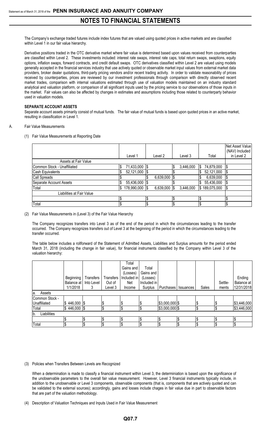The Company's exchange traded futures include index futures that are valued using quoted prices in active markets and are classified within Level 1 in our fair value hierarchy.

Derivative positions traded in the OTC derivative market where fair value is determined based upon values received from counterparties are classified within Level 2. These investments included: interest rate swaps, interest rate caps, total return swaps, swaptions, equity options, inflation swaps, forward contracts, and credit default swaps. OTC derivatives classified within Level 2 are valued using models generally accepted in the financial services industry that use actively quoted or observable market input values from external market data providers, broker dealer quotations, third-party pricing vendors and/or recent trading activity. In order to validate reasonability of prices received by counterparties, prices are reviewed by our investment professionals through comparison with directly observed recent market trades, comparison with internal valuations estimated through use of valuation models maintained on an industry standard analytical and valuation platform, or comparison of all significant inputs used by the pricing service to our observations of those inputs in the market. Fair values can also be affected by changes in estimates and assumptions including those related to counterparty behavior used in valuation models.

#### **SEPARATE ACCOUNT ASSETS**

Separate account assets primarily consist of mutual funds. The fair value of mutual funds is based upon quoted prices in an active market, resulting in classification in Level 1.

- A. Fair Value Measurements
	- (1) Fair Value Measurements at Reporting Date

|                             | Level 1            | Level 2   | Level 3         | Total           | Net Asset Value<br>(NAV) Included<br>in Level 2 |
|-----------------------------|--------------------|-----------|-----------------|-----------------|-------------------------------------------------|
| Assets at Fair Value        |                    |           |                 |                 |                                                 |
| Common Stock - Unaffiliated | 71,433,000<br>\$   | -1\$      | 3,446,000<br>\$ | 74,879,000<br>S |                                                 |
| Cash Equivalents            | 52,121,000<br>I\$  |           |                 | 52,121,000      |                                                 |
| Call Spreads                |                    | 6,639,000 |                 | 6,639,000       | 'S                                              |
| Separate Account Assets     | 55,436,000         |           |                 | 55,436,000      |                                                 |
| Total                       | 178,990,000<br>I\$ | 6,639,000 | 3,446,000       | \$189,075,000   |                                                 |
| Liabilities at Fair Value   |                    |           |                 |                 |                                                 |
|                             | l\$                |           |                 |                 |                                                 |
| Total                       | \$                 | J         | \$              |                 | l\$                                             |

## (2) Fair Value Measurements in (Level 3) of the Fair Value Hierarchy

The Company recognizes transfers into Level 3 as of the end of the period in which the circumstances leading to the transfer occurred. The Company recognizes transfers out of Level 3 at the beginning of the period in which the circumstances leading to the transfer occurred.

The table below includes a rollforward of the Statement of Admitted Assets, Liabilities and Surplus amounts for the period ended March 31, 2018 (including the change in fair value), for financial instruments classified by the Company within Level 3 of the valuation hierarchy:

|                   |                  |                  |                  | Total       |             |                       |       |         |             |
|-------------------|------------------|------------------|------------------|-------------|-------------|-----------------------|-------|---------|-------------|
|                   |                  |                  |                  | Gains and   | Total       |                       |       |         |             |
|                   |                  |                  |                  | (Losses)    | Gains and   |                       |       |         |             |
|                   | <b>Beginning</b> | <b>Transfers</b> | <b>Transfers</b> | Included in | (Losses)    |                       |       |         | Ending      |
|                   | Balance at       | Into Level       | Out of           | Net         | Included in |                       |       | Settle- | Balance at  |
|                   | 1/1/2018         | 3                | Level 3          | Income      | Surplus     | Purchases   Issuances | Sales | ments   | 12/31/2018  |
| Assets<br>a.      |                  |                  |                  |             |             |                       |       |         |             |
| Common Stock -    |                  |                  |                  |             |             |                       |       |         |             |
| Unaffiliated      | $$446,000$ \\$   |                  | \$               |             |             | $$3,000,000$ \$       | \$    |         | \$3,446,000 |
| Total             | $$446,000$ $$$   |                  | \$               | J           |             | $$3,000,000$ \$       | \$    | J       | \$3,446,000 |
| Liabilities<br>b. |                  |                  |                  |             |             |                       |       |         |             |
|                   |                  |                  |                  |             |             |                       |       |         |             |
| Total             |                  |                  | \$               | S           |             |                       | l\$   | ا \$    |             |

## (3) Policies when Transfers Between Levels are Recognized

When a determination is made to classify a financial instrument within Level 3, the determiniation is based upon the significance of the unobservable parameters to the overall fair value measurement. However, Level 3 financial instruments typically include, in addition to the unobservable or Level 3 components, observable components (that is, components that are actively quoted and can be validated to the external sources); accordingly, gains and losses include chages in fair value due in part to observable factors that are part of the valuation methodology.

(4) Description of Valuation Techniques and Inputs Used in Fair Value Measurement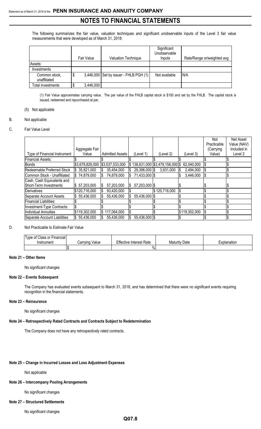The following summarizes the fair value, valuation techniques and significant unobservable inputs of the Level 3 fair value measurements that were developed as of March 31, 2018:

|                               | Fair Value | <b>Valuation Technique</b>             | Significant<br>Unobservable<br>Inputs | Rate/Range or/weighted avg |
|-------------------------------|------------|----------------------------------------|---------------------------------------|----------------------------|
| Assets:                       |            |                                        |                                       |                            |
| Investments                   |            |                                        |                                       |                            |
| Common stock,<br>unaffiliated | \$         | 3,446,000 Set by issuer - FHLB PGH (1) | Not available                         | N/A                        |
| Total investments             | 3,446,000  |                                        |                                       |                            |

(1) Fair Value approximates carrying value. The par value of the FHLB capital stock is \$100 and set by the FHLB. The capital stock is issued, redeemed and repurchased at par.

# (5) Not applicable

## B. Not applicable

## C. Fair Value Level

|                              |                 |                        |               |                                      |               | Not         | Net Asset   |
|------------------------------|-----------------|------------------------|---------------|--------------------------------------|---------------|-------------|-------------|
|                              |                 |                        |               |                                      |               | Practicable | Value (NAV) |
|                              | Aggregate Fair  |                        |               |                                      |               | (Carrying   | Included in |
| Type of Financial Instrument | Value           | <b>Admitted Assets</b> | (Level 1)     | (Level 2                             | (Level 3)     | Value)      | Level 2     |
| Financial Assets:            |                 |                        |               |                                      |               |             |             |
| <b>Bonds</b>                 | \$3,679,829,000 | \$3,537,533,000        |               | \$138,631,000   \$3,479,158,000   \$ | 62,040,000    |             |             |
| Redeemable Preferred Stock   | \$35,821,000    | 35,454,000<br>IS.      | 29,396,000 \$ | 3,931,000                            | 2,494,000     | 1\$         |             |
| Common Stock - Unaffiliated  | \$74,879,000    | 74,879,000<br>IS.      | 71,433,000 \$ |                                      | 3,446,000     | 1\$         |             |
| Cash, Cash Equivalents and   |                 |                        |               |                                      |               |             |             |
| Short-Term Investments       | \$57,203,000    | 57,203,000<br>IS.      | 57,203,000 \$ |                                      |               |             |             |
| Derivatives                  | \$120,716,000   | 93,420,000<br>IS       |               | \$120,716,000                        |               |             |             |
| Separate Account Assets      | \$55,436,000    | 55,436,000             | 55,436,000 \$ |                                      |               |             |             |
| Financial Liabilities:       |                 |                        |               |                                      |               |             |             |
| Investment-Type Contracts:   |                 |                        |               |                                      |               |             |             |
| Individual Annuities         | \$119,302,000   | $\$\,117,064,000$      |               |                                      | \$119,302,000 | l\$         |             |
| Separate Account Liabilities | \$55,436,000    | 55,436,000<br>IS.      | 55,436,000 \$ |                                      |               |             |             |

## D. Not Practicable to Estimate Fair Value

| Type of Class or Financial |                           |                                |                      |             |
|----------------------------|---------------------------|--------------------------------|----------------------|-------------|
| Instrument                 | Value<br><i>C</i> arrving | <b>Effective Interest Rate</b> | <b>Maturity Date</b> | Explanation |
|                            |                           | $\%$                           |                      |             |

## **Note 21 – Other Items**

No significant changes

#### **Note 22 – Events Subsequent**

The Company has evaluated events subsequent to March 31, 2018, and has determined that there were no significant events requiring recognition in the financial statements.

#### **Note 23 – Reinsurance**

No significant changes

#### **Note 24 – Retrospectively Rated Contracts and Contracts Subject to Redetermination**

The Company does not have any retrospectively rated contracts.

#### **Note 25 – Change in Incurred Losses and Loss Adjustment Expenses**

## Not applicable

# **Note 26 – Intercompany Pooling Arrangements**

No significant changes

# **Note 27 – Structured Settlements**

No significant changes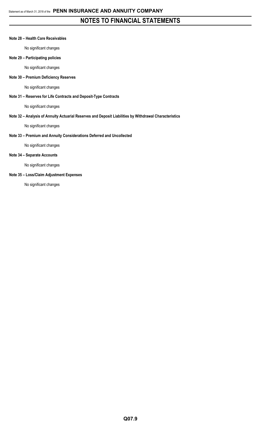#### **Note 28 – Health Care Receivables**

No significant changes

# **Note 29 – Participating policies**

No significant changes

## **Note 30 – Premium Deficiency Reserves**

No significant changes

# **Note 31 – Reserves for Life Contracts and Deposit-Type Contracts**

No significant changes

## **Note 32 – Analysis of Annuity Actuarial Reserves and Deposit Liabilities by Withdrawal Characteristics**

No significant changes

# **Note 33 – Premium and Annuity Considerations Deferred and Uncollected**

No significant changes

# **Note 34 – Separate Accounts**

No significant changes

## **Note 35 – Loss/Claim Adjustment Expenses**

No significant changes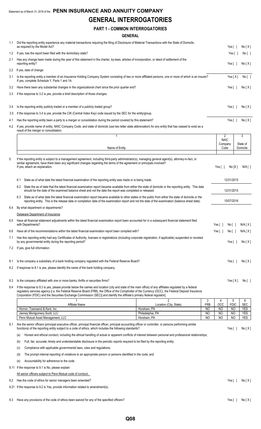# Statement as of March 31, 2018 of the **PENN INSURANCE AND ANNUITY COMPANY GENERAL INTERROGATORIES**

# **PART 1 - COMMON INTERROGATORIES**

# **GENERAL**

| 1.1 |     | Did the reporting entity experience any material transactions requiring the filing of Disclosure of Material Transactions with the State of Domicile,<br>as required by the Model Act?                                                                                                                                                                                                                                                       |                                 |                             |                                  | Yes [ ]                     | No[X]                    |  |
|-----|-----|----------------------------------------------------------------------------------------------------------------------------------------------------------------------------------------------------------------------------------------------------------------------------------------------------------------------------------------------------------------------------------------------------------------------------------------------|---------------------------------|-----------------------------|----------------------------------|-----------------------------|--------------------------|--|
| 1.2 |     | If yes, has the report been filed with the domiciliary state?                                                                                                                                                                                                                                                                                                                                                                                |                                 |                             |                                  | Yes[]                       | No [ ]                   |  |
| 2.1 |     | Has any change been made during the year of this statement in the charter, by-laws, articles of incorporation, or deed of settlement of the<br>reporting entity?                                                                                                                                                                                                                                                                             |                                 |                             |                                  | Yes $\lceil$ 1              | No[X]                    |  |
| 2.2 |     | If yes, date of change:                                                                                                                                                                                                                                                                                                                                                                                                                      |                                 |                             |                                  |                             |                          |  |
| 3.1 |     | Is the reporting entity a member of an Insurance Holding Company System consisting of two or more affiliated persons, one or more of which is an insurer?<br>If yes, complete Schedule Y, Parts 1 and 1A.                                                                                                                                                                                                                                    |                                 |                             |                                  | Yes $[X]$                   | No[ ]                    |  |
| 3.2 |     | Have there been any substantial changes in the organizational chart since the prior quarter end?                                                                                                                                                                                                                                                                                                                                             |                                 |                             |                                  | Yes $\lceil$ $\rceil$       | No[X]                    |  |
| 3.3 |     | If the response to 3.2 is yes, provide a brief description of those changes.                                                                                                                                                                                                                                                                                                                                                                 |                                 |                             |                                  |                             |                          |  |
|     |     |                                                                                                                                                                                                                                                                                                                                                                                                                                              |                                 |                             |                                  |                             |                          |  |
| 3.4 |     | Is the reporting entity publicly traded or a member of a publicly traded group?                                                                                                                                                                                                                                                                                                                                                              |                                 |                             |                                  | Yes $[ ]$                   | No[X]                    |  |
| 3.5 |     | If the response to 3.4 is yes, provide the CIK (Central Index Key) code issued by the SEC for the entity/group.                                                                                                                                                                                                                                                                                                                              |                                 |                             |                                  |                             |                          |  |
| 4.1 |     | Has the reporting entity been a party to a merger or consolidation during the period covered by this statement?                                                                                                                                                                                                                                                                                                                              |                                 |                             |                                  | Yes $\lceil$ 1              | No[X]                    |  |
| 4.2 |     | If yes, provide name of entity, NAIC Company Code, and state of domicile (use two letter state abbreviation) for any entity that has ceased to exist as a<br>result of the merger or consolidation.                                                                                                                                                                                                                                          |                                 |                             |                                  |                             |                          |  |
|     |     | $\overline{1}$                                                                                                                                                                                                                                                                                                                                                                                                                               |                                 |                             | $\overline{2}$<br><b>NAIC</b>    |                             | 3                        |  |
|     |     |                                                                                                                                                                                                                                                                                                                                                                                                                                              |                                 |                             | Company                          |                             | State of                 |  |
|     |     | Name of Entity                                                                                                                                                                                                                                                                                                                                                                                                                               |                                 |                             | Code                             |                             | Domicile                 |  |
| 5.  |     | If the reporting entity is subject to a management agreement, including third-party administrator(s), managing general agent(s), attorney-in-fact, or<br>similar agreement, have there been any significant changes regarding the terms of the agreement or principals involved?<br>If yes, attach an explanation.                                                                                                                           |                                 |                             | Yes $\lceil \ \rceil$            | No[X]                       | $N/A$ [ ]                |  |
|     |     |                                                                                                                                                                                                                                                                                                                                                                                                                                              |                                 |                             |                                  |                             |                          |  |
|     | 6.1 | State as of what date the latest financial examination of the reporting entity was made or is being made.                                                                                                                                                                                                                                                                                                                                    |                                 |                             |                                  | 12/31/2015                  |                          |  |
|     |     | 6.2 State the as of date that the latest financial examination report became available from either the state of domicile or the reporting entity. This date<br>should be the date of the examined balance sheet and not the date the report was completed or released.                                                                                                                                                                       |                                 |                             |                                  | 12/31/2015                  |                          |  |
|     |     | 6.3 State as of what date the latest financial examination report became available to other states or the public from either the state of domicile or the<br>reporting entity. This is the release date or completion date of the examination report and not the date of the examination (balance sheet date).                                                                                                                               |                                 |                             |                                  | 10/07/2016                  |                          |  |
| 6.4 |     | By what department or departments?                                                                                                                                                                                                                                                                                                                                                                                                           |                                 |                             |                                  |                             |                          |  |
|     |     | Delaware Department of Insurance                                                                                                                                                                                                                                                                                                                                                                                                             |                                 |                             |                                  |                             |                          |  |
| 6.5 |     | Have all financial statement adjustments within the latest financial examination report been accounted for in a subsequent financial statement filed<br>with Departments?                                                                                                                                                                                                                                                                    |                                 |                             | Yes $[ \ ]$                      | No [ ]                      | $N/A$ [ $X$ ]            |  |
| 6.6 |     | Have all of the recommendations within the latest financial examination report been complied with?                                                                                                                                                                                                                                                                                                                                           |                                 |                             | Yes $\lceil \rceil$              | No [ ]                      | N/A[X]                   |  |
| 7.1 |     | Has this reporting entity had any Certificates of Authority, licenses or registrations (including corporate registration, if applicable) suspended or revoked<br>by any governmental entity during the reporting period?                                                                                                                                                                                                                     |                                 |                             |                                  | Yes $[ \ ]$                 | No[X]                    |  |
| 7.2 |     | If yes, give full information:                                                                                                                                                                                                                                                                                                                                                                                                               |                                 |                             |                                  |                             |                          |  |
| 8.1 |     | Is the company a subsidiary of a bank holding company regulated with the Federal Reserve Board?                                                                                                                                                                                                                                                                                                                                              |                                 |                             |                                  | Yes $\lceil$ 1              | No[X]                    |  |
| 8.2 |     | If response to 8.1 is yes, please identify the name of the bank holding company.                                                                                                                                                                                                                                                                                                                                                             |                                 |                             |                                  |                             |                          |  |
|     |     |                                                                                                                                                                                                                                                                                                                                                                                                                                              |                                 |                             |                                  |                             |                          |  |
| 8.3 |     | Is the company affiliated with one or more banks, thrifts or securities firms?                                                                                                                                                                                                                                                                                                                                                               |                                 |                             |                                  | Yes $[X]$                   | No [ ]                   |  |
| 8.4 |     | If the response to 8.3 is yes, please provide below the names and location (city and state of the main office) of any affiliates regulated by a federal<br>regulatory services agency [i.e. the Federal Reserve Board (FRB), the Office of the Comptroller of the Currency (OCC), the Federal Deposit Insurance<br>Corporation (FDIC) and the Securities Exchange Commission (SEC)] and identify the affiliate's primary federal regulator]. |                                 |                             |                                  |                             |                          |  |
|     |     | Affiliate Name                                                                                                                                                                                                                                                                                                                                                                                                                               | Location (City, State)          | 3<br><b>FRB</b>             | 4<br>OCC                         | 5<br><b>FDIC</b>            | 6<br><b>SEC</b>          |  |
|     |     | Hornor, Townsend & Kent, Inc.                                                                                                                                                                                                                                                                                                                                                                                                                | Horsham, PA                     | NO                          | N <sub>O</sub>                   | <b>NO</b>                   | <b>YES</b>               |  |
|     |     | Janney Montgomery Scott, LLC<br>Penn Mutual Asset Management, LLC                                                                                                                                                                                                                                                                                                                                                                            | Philadelphia, PA<br>Horsham, PA | <b>NO</b><br>N <sub>O</sub> | N <sub>O</sub><br>N <sub>O</sub> | <b>NO</b><br>N <sub>O</sub> | <b>YES</b><br><b>YES</b> |  |
| 9.1 |     | Are the senior officers (principal executive officer, principal financial officer, principal accounting officer or controller, or persons performing similar<br>functions) of the reporting entity subject to a code of ethics, which includes the following standards?                                                                                                                                                                      |                                 |                             |                                  | Yes [ ]                     | No[X]                    |  |
|     | (a) | Honest and ethical conduct, including the ethical handling of actual or apparent conflicts of interest between personal and professional relationships;                                                                                                                                                                                                                                                                                      |                                 |                             |                                  |                             |                          |  |
|     | (b) | Full, fair, accurate, timely and understandable disclosure in the periodic reports required to be filed by the reporting entity;                                                                                                                                                                                                                                                                                                             |                                 |                             |                                  |                             |                          |  |
|     | (C) | Compliance with applicable governmental laws, rules and regulations;                                                                                                                                                                                                                                                                                                                                                                         |                                 |                             |                                  |                             |                          |  |
|     | (d) | The prompt internal reporting of violations to an appropriate person or persons identified in the code; and                                                                                                                                                                                                                                                                                                                                  |                                 |                             |                                  |                             |                          |  |
|     | (e) | Accountability for adherence to the code.                                                                                                                                                                                                                                                                                                                                                                                                    |                                 |                             |                                  |                             |                          |  |
|     |     | 9.11 If the response to 9.1 is No, please explain:                                                                                                                                                                                                                                                                                                                                                                                           |                                 |                             |                                  |                             |                          |  |
|     |     | All senior officers subject to Penn Mutual code of conduct.                                                                                                                                                                                                                                                                                                                                                                                  |                                 |                             |                                  |                             |                          |  |
| 9.2 |     | Has the code of ethics for senior managers been amended?                                                                                                                                                                                                                                                                                                                                                                                     |                                 |                             |                                  | Yes $\lceil \ \rceil$       | No[X]                    |  |
|     |     | 9.21 If the response to 9.2 is Yes, provide information related to amendment(s).                                                                                                                                                                                                                                                                                                                                                             |                                 |                             |                                  |                             |                          |  |
|     |     |                                                                                                                                                                                                                                                                                                                                                                                                                                              |                                 |                             |                                  |                             |                          |  |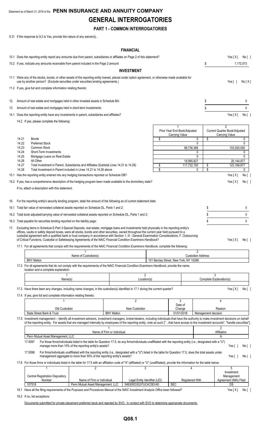# Statement as of March 31, 2018 of the **PENN INSURANCE AND ANNUITY COMPANY GENERAL INTERROGATORIES**

# **PART 1 - COMMON INTERROGATORIES**

9.31 If the response to 9.3 is Yes, provide the nature of any waiver(s).

# **FINANCIAL**

|     |                                           |                                                                                                                                                                                                                                                                                                                                                                                                                                                                                                                                                                       |                                                                                                                                                                                                                                          |                            | FINANCIAL                          |          |                                                                     |                                   |                                                                                         |                             |
|-----|-------------------------------------------|-----------------------------------------------------------------------------------------------------------------------------------------------------------------------------------------------------------------------------------------------------------------------------------------------------------------------------------------------------------------------------------------------------------------------------------------------------------------------------------------------------------------------------------------------------------------------|------------------------------------------------------------------------------------------------------------------------------------------------------------------------------------------------------------------------------------------|----------------------------|------------------------------------|----------|---------------------------------------------------------------------|-----------------------------------|-----------------------------------------------------------------------------------------|-----------------------------|
|     |                                           | 10.1 Does the reporting entity report any amounts due from parent, subsidiaries or affiliates on Page 2 of this statement?                                                                                                                                                                                                                                                                                                                                                                                                                                            |                                                                                                                                                                                                                                          |                            |                                    |          |                                                                     |                                   | Yes[X]                                                                                  | No[]                        |
|     |                                           | 10.2 If yes, indicate any amounts receivable from parent included in the Page 2 amount:                                                                                                                                                                                                                                                                                                                                                                                                                                                                               |                                                                                                                                                                                                                                          |                            |                                    |          |                                                                     | \$                                |                                                                                         | 1,172,513                   |
|     |                                           |                                                                                                                                                                                                                                                                                                                                                                                                                                                                                                                                                                       |                                                                                                                                                                                                                                          |                            | <b>INVESTMENT</b>                  |          |                                                                     |                                   |                                                                                         |                             |
|     |                                           | 11.1 Were any of the stocks, bonds, or other assets of the reporting entity loaned, placed under option agreement, or otherwise made available for<br>use by another person? (Exclude securities under securities lending agreements.)                                                                                                                                                                                                                                                                                                                                |                                                                                                                                                                                                                                          |                            |                                    |          |                                                                     |                                   | Yes[ ]                                                                                  | No[X]                       |
|     |                                           | 11.2 If yes, give full and complete information relating thereto:                                                                                                                                                                                                                                                                                                                                                                                                                                                                                                     |                                                                                                                                                                                                                                          |                            |                                    |          |                                                                     |                                   |                                                                                         |                             |
| 12. |                                           | Amount of real estate and mortgages held in other invested assets in Schedule BA:                                                                                                                                                                                                                                                                                                                                                                                                                                                                                     |                                                                                                                                                                                                                                          |                            |                                    |          |                                                                     | \$                                |                                                                                         | 0                           |
| 13. |                                           | Amount of real estate and mortgages held in short-term investments:                                                                                                                                                                                                                                                                                                                                                                                                                                                                                                   |                                                                                                                                                                                                                                          |                            |                                    |          |                                                                     | \$                                |                                                                                         | 0                           |
|     |                                           | 14.1 Does the reporting entity have any investments in parent, subsidiaries and affiliates?                                                                                                                                                                                                                                                                                                                                                                                                                                                                           |                                                                                                                                                                                                                                          |                            |                                    |          |                                                                     |                                   | Yes[X]                                                                                  | No [ ]                      |
|     |                                           | 14.2 If yes, please complete the following:                                                                                                                                                                                                                                                                                                                                                                                                                                                                                                                           |                                                                                                                                                                                                                                          |                            |                                    |          |                                                                     |                                   |                                                                                         |                             |
|     | 14.21<br>14.22<br>14.23<br>14.24<br>14.25 | <b>Bonds</b><br><b>Preferred Stock</b><br>Common Stock<br>Short-Term Investments<br>Mortgage Loans on Real Estate                                                                                                                                                                                                                                                                                                                                                                                                                                                     |                                                                                                                                                                                                                                          |                            |                                    | \$       | Prior Year End Book/Adjusted<br><b>Carrying Value</b><br>98,736,366 | \$<br>0<br>0<br>0<br>$\mathbf{0}$ | $\overline{2}$<br>Current Quarter Book/Adjusted<br><b>Carrying Value</b><br>103,025,000 | 0<br>0<br>0<br>$\mathbf{0}$ |
|     | 14.26                                     | All Other                                                                                                                                                                                                                                                                                                                                                                                                                                                                                                                                                             |                                                                                                                                                                                                                                          |                            |                                    |          | 18,995,827                                                          |                                   | 20,144,877                                                                              |                             |
|     | 14.27<br>14.28                            | Total Investment in Parent, Subsidiaries and Affiliates (Subtotal Lines 14.21 to 14.26)<br>Total Investment in Parent included in Lines 14.21 to 14.26 above                                                                                                                                                                                                                                                                                                                                                                                                          |                                                                                                                                                                                                                                          |                            |                                    | \$<br>\$ | 117,732,193                                                         | \$<br>\$<br>0                     | 123,169,877                                                                             | 0                           |
|     |                                           | 15.1 Has the reporting entity entered into any hedging transactions reported on Schedule DB?                                                                                                                                                                                                                                                                                                                                                                                                                                                                          |                                                                                                                                                                                                                                          |                            |                                    |          |                                                                     |                                   | Yes[X]                                                                                  | No [ ]                      |
|     |                                           | 15.2 If yes, has a comprehensive description of the hedging program been made available to the domiciliary state?                                                                                                                                                                                                                                                                                                                                                                                                                                                     |                                                                                                                                                                                                                                          |                            |                                    |          |                                                                     |                                   | Yes[X]                                                                                  | No[                         |
|     |                                           | If no, attach a description with this statement.                                                                                                                                                                                                                                                                                                                                                                                                                                                                                                                      |                                                                                                                                                                                                                                          |                            |                                    |          |                                                                     |                                   |                                                                                         |                             |
|     |                                           |                                                                                                                                                                                                                                                                                                                                                                                                                                                                                                                                                                       |                                                                                                                                                                                                                                          |                            |                                    |          |                                                                     |                                   |                                                                                         |                             |
|     |                                           | 16. For the reporting entity's security lending program, state the amount of the following as of current statement date:                                                                                                                                                                                                                                                                                                                                                                                                                                              |                                                                                                                                                                                                                                          |                            |                                    |          |                                                                     |                                   |                                                                                         |                             |
|     |                                           | 16.1 Total fair value of reinvested collateral assets reported on Schedule DL, Parts 1 and 2:                                                                                                                                                                                                                                                                                                                                                                                                                                                                         |                                                                                                                                                                                                                                          |                            |                                    |          |                                                                     | \$                                |                                                                                         | 0                           |
|     |                                           | 16.2 Total book adjusted/carrying value of reinvested collateral assets reported on Schedule DL, Parts 1 and 2:                                                                                                                                                                                                                                                                                                                                                                                                                                                       |                                                                                                                                                                                                                                          |                            |                                    |          |                                                                     | \$                                |                                                                                         | 0                           |
|     |                                           | 16.3 Total payable for securities lending reported on the liability page:                                                                                                                                                                                                                                                                                                                                                                                                                                                                                             |                                                                                                                                                                                                                                          |                            |                                    |          |                                                                     | \$                                |                                                                                         | 0                           |
|     |                                           | 17. Excluding items in Schedule E-Part 3-Special Deposits, real estate, mortgage loans and investments held physically in the reporting entity's<br>offices, vaults or safety deposit boxes, were all stocks, bonds and other securities, owned throughout the current year held pursuant to a<br>custodial agreement with a qualified bank or trust company in accordance with Section 1, III - General Examination Considerations, F. Outsourcing<br>of Critical Functions. Custodial or Safekeeping Agreements of the NAIC Financial Condition Examiners Handbook? |                                                                                                                                                                                                                                          |                            |                                    |          |                                                                     |                                   | Yes[X] No[]                                                                             |                             |
|     |                                           | 17.1 For all agreements that comply with the requirements of the NAIC Financial Condition Examiners Handbook, complete the following:                                                                                                                                                                                                                                                                                                                                                                                                                                 |                                                                                                                                                                                                                                          |                            |                                    |          |                                                                     |                                   |                                                                                         |                             |
|     |                                           |                                                                                                                                                                                                                                                                                                                                                                                                                                                                                                                                                                       | Name of Custodian(s)                                                                                                                                                                                                                     |                            |                                    |          |                                                                     | 2<br><b>Custodian Address</b>     |                                                                                         |                             |
|     |                                           | <b>BNY Mellon</b>                                                                                                                                                                                                                                                                                                                                                                                                                                                                                                                                                     |                                                                                                                                                                                                                                          |                            |                                    |          | 101 Barclay Street, New York, NY 10286                              |                                   |                                                                                         |                             |
|     |                                           | 17.2 For all agreements that do not comply with the requirements of the NAIC Financial Condition Examiners Handbook, provide the name,<br>location and a complete explanation:                                                                                                                                                                                                                                                                                                                                                                                        |                                                                                                                                                                                                                                          |                            |                                    |          |                                                                     |                                   |                                                                                         |                             |
|     |                                           |                                                                                                                                                                                                                                                                                                                                                                                                                                                                                                                                                                       |                                                                                                                                                                                                                                          |                            | 2                                  |          |                                                                     |                                   |                                                                                         |                             |
|     |                                           | Name(s)                                                                                                                                                                                                                                                                                                                                                                                                                                                                                                                                                               |                                                                                                                                                                                                                                          |                            | Location(s)                        |          |                                                                     |                                   | Complete Explanation(s)                                                                 |                             |
|     |                                           | 17.3 Have there been any changes, including name changes, in the custodian(s) identified in 17.1 during the current quarter?                                                                                                                                                                                                                                                                                                                                                                                                                                          |                                                                                                                                                                                                                                          |                            |                                    |          |                                                                     |                                   | Yes[X]                                                                                  | No [ ]                      |
|     |                                           | 17.4 If yes, give full and complete information relating thereto:                                                                                                                                                                                                                                                                                                                                                                                                                                                                                                     |                                                                                                                                                                                                                                          |                            |                                    |          |                                                                     |                                   |                                                                                         |                             |
|     |                                           |                                                                                                                                                                                                                                                                                                                                                                                                                                                                                                                                                                       |                                                                                                                                                                                                                                          |                            | $\overline{2}$                     |          | 3<br>Date of                                                        |                                   | 4                                                                                       |                             |
|     |                                           | Old Custodian                                                                                                                                                                                                                                                                                                                                                                                                                                                                                                                                                         |                                                                                                                                                                                                                                          |                            | New Custodian                      |          | Change                                                              |                                   | Reason                                                                                  |                             |
|     |                                           | State Street Bank & Trust                                                                                                                                                                                                                                                                                                                                                                                                                                                                                                                                             |                                                                                                                                                                                                                                          | <b>BNY Mellon</b>          |                                    |          | 01/01/2018                                                          | Management decision               |                                                                                         |                             |
|     |                                           | 17.5 Investment management - Identify all investment advisors, investment managers, broker/dealers, including individuals that have the authority to make investment decisions on behalf<br>of the reporting entity. For assets that are managed internally by employees of the reporting entity, note as such ["that have access to the investment accounts", "handle securities"].                                                                                                                                                                                  |                                                                                                                                                                                                                                          |                            |                                    |          |                                                                     |                                   | $\overline{2}$                                                                          |                             |
|     |                                           |                                                                                                                                                                                                                                                                                                                                                                                                                                                                                                                                                                       |                                                                                                                                                                                                                                          | Name of Firm or Individual |                                    |          |                                                                     |                                   | Affiliation                                                                             |                             |
|     |                                           | Penn Mutual Asset Management, LLC                                                                                                                                                                                                                                                                                                                                                                                                                                                                                                                                     |                                                                                                                                                                                                                                          |                            |                                    |          |                                                                     |                                   | A                                                                                       |                             |
|     |                                           | 17.5097                                                                                                                                                                                                                                                                                                                                                                                                                                                                                                                                                               | For those firms/individuals listed in the table for Question 17.5, do any firms/individuals unaffiliated with the reporting entity (i.e., designated with a "U")<br>manage more than 10% of the reporting entity's assets?               |                            |                                    |          |                                                                     |                                   | Yes $[ \ ]$                                                                             | No[ ]                       |
|     |                                           | 17.5098                                                                                                                                                                                                                                                                                                                                                                                                                                                                                                                                                               | For firms/individuals unaffiliated with the reporting entity (i.e., designated with a "U") listed in the table for Question 17.5, does the total assets under<br>management aggregate to more than 50% of the reporting entity's assets? |                            |                                    |          |                                                                     |                                   | Yes[ ]                                                                                  | No[]                        |
|     |                                           | 17.6 For those firms or individuals listed in the table for 17.5 with an affiliation code of "A" (affiliated) or "U" (unaffiliated), provide the information for the table below.                                                                                                                                                                                                                                                                                                                                                                                     |                                                                                                                                                                                                                                          |                            |                                    |          |                                                                     |                                   |                                                                                         |                             |
|     |                                           | 1<br>Central Registration Depository<br>Number                                                                                                                                                                                                                                                                                                                                                                                                                                                                                                                        | 2<br>Name of Firm or Individual                                                                                                                                                                                                          |                            | 3<br>Legal Entity Identifier (LEI) |          | 4<br><b>Registered With</b>                                         |                                   | 5<br>Investment<br>Management<br>Agreement (IMA) Filed                                  |                             |
|     |                                           | 107518<br>18.1 Have all the filing requirements of the Purposes and Procedures Manual of the NAIC Investment Analysis Office been followed?                                                                                                                                                                                                                                                                                                                                                                                                                           | Penn Mutual Asset Management, LLC                                                                                                                                                                                                        |                            | 549300O3G37UC4C5EV40               |          | <b>SEC</b>                                                          |                                   | DS<br>Yes[X]                                                                            | No[ ]                       |
|     |                                           |                                                                                                                                                                                                                                                                                                                                                                                                                                                                                                                                                                       |                                                                                                                                                                                                                                          |                            |                                    |          |                                                                     |                                   |                                                                                         |                             |

Documents submitted for private placement preferred stock and rejected by SVO. In contact with SVO to determine appropriate documents.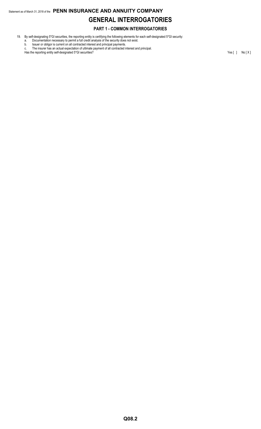# Statement as of March 31, 2018 of the **PENN INSURANCE AND ANNUITY COMPANY GENERAL INTERROGATORIES**

# **PART 1 - COMMON INTERROGATORIES**

- 19. By self-designating 5\*GI securities, the reporting entity is certifying the following elements for each self-designated 5\*GI security:
	- a. Documentation necessary to permit a full credit analysis of the security does not exist.
	- b. Issuer or obligor is current on all contracted interest and principal payments. c. The insurer has an actual expectation of ultimate payment of all contracted interest and principal.

Has the reporting entity self-designated 5\*GI securities? Yes [ ] No [ X ]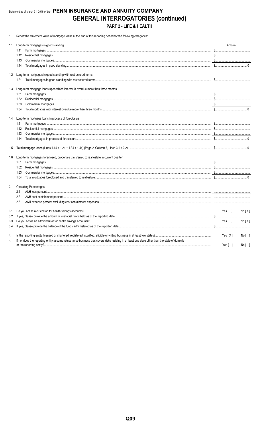# Statement as of March 31, 2018 of the PENN INSURANCE AND ANNUITY COMPANY **GENERAL INTERROGATORIES (continued)** PART 2 - LIFE & HEALTH

1. Report the statement value of mortgage loans at the end of this reporting period for the following categories:

| 1.1 | Long-term mortgages in good standing                                                                                                           | Amount                                     |
|-----|------------------------------------------------------------------------------------------------------------------------------------------------|--------------------------------------------|
|     | 1.11                                                                                                                                           |                                            |
|     | 1.12                                                                                                                                           |                                            |
|     | 1.13                                                                                                                                           |                                            |
|     | 1.14                                                                                                                                           |                                            |
|     | 1.2 Long-term mortgages in good standing with restructured terms                                                                               |                                            |
|     | 1.21                                                                                                                                           |                                            |
| 1.3 | Long-term mortgage loans upon which interest is overdue more than three months                                                                 |                                            |
|     | 1.31                                                                                                                                           |                                            |
|     | 1.32                                                                                                                                           |                                            |
|     | 1.33                                                                                                                                           |                                            |
|     | 1.34                                                                                                                                           |                                            |
|     | 1.4 Long-term mortgage loans in process of foreclosure                                                                                         |                                            |
|     | 1.41                                                                                                                                           |                                            |
|     | 1.42                                                                                                                                           |                                            |
|     | 1.43                                                                                                                                           |                                            |
|     | 1.44                                                                                                                                           |                                            |
| 1.5 |                                                                                                                                                |                                            |
| 1.6 | Long-term mortgages foreclosed, properties transferred to real estate in current quarter                                                       |                                            |
|     | 1.61                                                                                                                                           |                                            |
|     | 1.62                                                                                                                                           |                                            |
|     | 1.63                                                                                                                                           |                                            |
|     | 1.64                                                                                                                                           |                                            |
| 2.  | Operating Percentages:                                                                                                                         |                                            |
|     | 2.1                                                                                                                                            |                                            |
|     | 2.2                                                                                                                                            |                                            |
|     | 2.3                                                                                                                                            |                                            |
| 3.1 |                                                                                                                                                | Yes [ ]<br>No[X]                           |
| 3.2 |                                                                                                                                                |                                            |
| 3.3 |                                                                                                                                                | Yes[ ]<br>No[X]                            |
| 3.4 |                                                                                                                                                |                                            |
| 4.  |                                                                                                                                                | Yes $[X]$<br>$No[$ ]                       |
| 4.1 | If no, does the reporting entity assume reinsurance business that covers risks residing in at least one state other than the state of domicile | Yes $\begin{bmatrix} \end{bmatrix}$<br>No[ |
|     |                                                                                                                                                |                                            |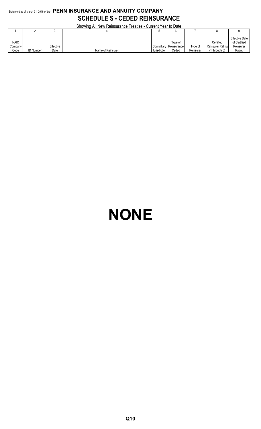# Statement as of March 31, 2018 of the **PENN INSURANCE AND ANNUITY COMPANY SCHEDULE S - CEDED REINSURANCE**

Showing All New Reinsurance Treaties - Current Year to Date

|             |                  |           | <b>ONOWING / WEITHOW I NOTIFICATION I HUGHLOG</b> | <b>OUTION TOUR TO DUIV</b> |                         |           |                         |                |
|-------------|------------------|-----------|---------------------------------------------------|----------------------------|-------------------------|-----------|-------------------------|----------------|
|             |                  |           |                                                   |                            |                         |           |                         |                |
|             |                  |           |                                                   |                            |                         |           |                         | Effective Date |
| <b>NAIC</b> |                  |           |                                                   |                            | Type of                 |           | Certified               | of Certified   |
| Company     |                  | Effective |                                                   |                            | Domiciliary Reinsurance | Type of   | <b>Reinsurer Rating</b> | Reinsurer      |
| Code        | <b>ID Number</b> | Date      | Name of Reinsurer                                 | Jurisdiction               | Ceded                   | Reinsurer | through 6)              | Rating         |

# **NONE**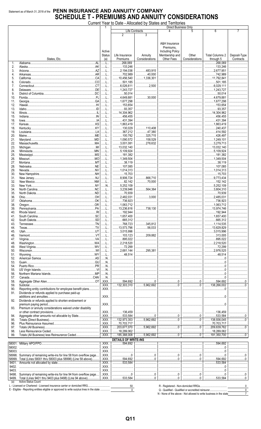# Statement as of March 31, 2018 of the PENN INSURANCE AND ANNUITY COMPANY **SCHEDULE T - PREMIUMS AND ANNUITY CONSIDERATIONS**

Current Year to Date - Allocated by States and Territories

|        |                                                                                                                                                                                                                                                                                                                                                                                                                                |                                   | ีเง มีนเง                   | - Allucatua Dy        | <b>URICO GITU</b><br>טטוושווטו<br><b>Direct Business Only</b> |                                                                                                 |                           |                |
|--------|--------------------------------------------------------------------------------------------------------------------------------------------------------------------------------------------------------------------------------------------------------------------------------------------------------------------------------------------------------------------------------------------------------------------------------|-----------------------------------|-----------------------------|-----------------------|---------------------------------------------------------------|-------------------------------------------------------------------------------------------------|---------------------------|----------------|
|        |                                                                                                                                                                                                                                                                                                                                                                                                                                |                                   |                             | <b>Life Contracts</b> |                                                               | 5                                                                                               | 6                         |                |
|        |                                                                                                                                                                                                                                                                                                                                                                                                                                |                                   | $\overline{2}$              | 3                     |                                                               |                                                                                                 |                           |                |
|        |                                                                                                                                                                                                                                                                                                                                                                                                                                |                                   |                             |                       |                                                               |                                                                                                 |                           |                |
|        |                                                                                                                                                                                                                                                                                                                                                                                                                                |                                   |                             |                       |                                                               |                                                                                                 |                           |                |
|        |                                                                                                                                                                                                                                                                                                                                                                                                                                |                                   |                             |                       | A&H Insurance                                                 |                                                                                                 |                           |                |
|        |                                                                                                                                                                                                                                                                                                                                                                                                                                |                                   |                             |                       | Premiums.                                                     |                                                                                                 |                           |                |
|        |                                                                                                                                                                                                                                                                                                                                                                                                                                |                                   |                             |                       |                                                               |                                                                                                 |                           |                |
|        |                                                                                                                                                                                                                                                                                                                                                                                                                                | Active                            |                             |                       | <b>Including Policy</b>                                       |                                                                                                 |                           |                |
|        |                                                                                                                                                                                                                                                                                                                                                                                                                                | <b>Status</b>                     | Life Insurance              | Annuity               | Membership and                                                | Other                                                                                           | <b>Total Columns 2</b>    | Deposit-Type   |
|        | States, Etc.                                                                                                                                                                                                                                                                                                                                                                                                                   | (a)                               | Premiums                    | Considerations        | Other Fees                                                    | Considerations                                                                                  | through 5                 | Contracts      |
| 1.     | $.$ AL                                                                                                                                                                                                                                                                                                                                                                                                                         | . L                               | .268,069                    |                       |                                                               |                                                                                                 | 268,069                   |                |
| 2.     |                                                                                                                                                                                                                                                                                                                                                                                                                                | . L                               | 133.246                     |                       |                                                               |                                                                                                 | 133,246                   |                |
|        |                                                                                                                                                                                                                                                                                                                                                                                                                                |                                   |                             |                       |                                                               |                                                                                                 |                           |                |
| 3.     |                                                                                                                                                                                                                                                                                                                                                                                                                                | . L                               | .2,194,036                  | 483,915               |                                                               |                                                                                                 | 2,677,951                 |                |
| 4.     |                                                                                                                                                                                                                                                                                                                                                                                                                                | . L                               | 702,989                     | 40,000                |                                                               |                                                                                                 | 742,989                   |                |
| 5.     |                                                                                                                                                                                                                                                                                                                                                                                                                                | . L                               | 10,456,540                  | 1,336,301             |                                                               |                                                                                                 | 11,792,841                |                |
| 6.     |                                                                                                                                                                                                                                                                                                                                                                                                                                | L                                 | 501,185                     |                       |                                                               |                                                                                                 | 501,185                   |                |
| 7.     |                                                                                                                                                                                                                                                                                                                                                                                                                                | . L                               | $\ldots$ 6,026,611          | 2.500                 |                                                               |                                                                                                 |                           |                |
|        |                                                                                                                                                                                                                                                                                                                                                                                                                                |                                   |                             |                       |                                                               |                                                                                                 |                           |                |
| 8.     |                                                                                                                                                                                                                                                                                                                                                                                                                                | L                                 | 1.243.727                   |                       |                                                               |                                                                                                 | 1,243,727                 |                |
| 9.     |                                                                                                                                                                                                                                                                                                                                                                                                                                | . L                               | 50,014                      |                       |                                                               |                                                                                                 | 50,014                    |                |
| 10.    |                                                                                                                                                                                                                                                                                                                                                                                                                                | L                                 | 4,649,881                   | 30,000                |                                                               |                                                                                                 | 4.679.881                 |                |
| 11.    |                                                                                                                                                                                                                                                                                                                                                                                                                                | . L                               | 1,677,298                   |                       |                                                               |                                                                                                 | 1,677,298                 |                |
|        |                                                                                                                                                                                                                                                                                                                                                                                                                                |                                   |                             |                       |                                                               |                                                                                                 |                           |                |
| 12.    |                                                                                                                                                                                                                                                                                                                                                                                                                                | L                                 | 153,654                     |                       |                                                               |                                                                                                 | 153,654                   |                |
| 13.    |                                                                                                                                                                                                                                                                                                                                                                                                                                | $1$                               | .93,357                     |                       |                                                               |                                                                                                 | 93,357                    |                |
| 14.    | $\label{eq:1} \hbox{\tt lllinois}. \hbox{\tt }. \hbox{\tt }. \hbox{\tt }. \hbox{\tt }. \hbox{\tt }. \hbox{\tt }. \hbox{\tt }. \hbox{\tt }. \hbox{\tt }. \hbox{\tt }. \hbox{\tt }. \hbox{\tt }. \hbox{\tt }. \hbox{\tt }. \hbox{\tt }. \hbox{\tt }. \hbox{\tt }. \hbox{\tt }. \hbox{\tt }. \hbox{\tt }. \hbox{\tt }. \hbox{\tt }. \hbox{\tt }. \hbox{\tt }. \hbox{\tt }. \hbox{\tt }. \hbox{\tt }. \hbox{\tt }. \hbox{\tt }. \$ | L                                 | 14.304.962                  |                       |                                                               |                                                                                                 | 14.304.962                |                |
| 15.    |                                                                                                                                                                                                                                                                                                                                                                                                                                | . L                               | 456,455                     |                       |                                                               |                                                                                                 | 456,455                   |                |
| 16.    |                                                                                                                                                                                                                                                                                                                                                                                                                                | L                                 | 431.394                     |                       |                                                               |                                                                                                 | 431,394                   |                |
|        |                                                                                                                                                                                                                                                                                                                                                                                                                                |                                   |                             |                       |                                                               |                                                                                                 |                           |                |
| 17.    |                                                                                                                                                                                                                                                                                                                                                                                                                                | L                                 | 1,863,419                   |                       |                                                               |                                                                                                 | 1,863,419                 |                |
| 18.    |                                                                                                                                                                                                                                                                                                                                                                                                                                | L                                 | 130,029                     | 110,408               |                                                               |                                                                                                 | 240,437                   |                |
| 19.    |                                                                                                                                                                                                                                                                                                                                                                                                                                | . L                               | 367,212                     | 47,380                |                                                               |                                                                                                 | 414,592                   |                |
| 20.    |                                                                                                                                                                                                                                                                                                                                                                                                                                | L                                 | 100,782                     | 325,715               |                                                               |                                                                                                 | 426,497                   |                |
| 21.    |                                                                                                                                                                                                                                                                                                                                                                                                                                | L                                 | 1,090,572                   | 158,529               |                                                               |                                                                                                 | 1.249.101                 |                |
|        |                                                                                                                                                                                                                                                                                                                                                                                                                                |                                   |                             |                       |                                                               |                                                                                                 |                           |                |
| 22.    |                                                                                                                                                                                                                                                                                                                                                                                                                                | L                                 | 3,001,081                   | 278,632               |                                                               |                                                                                                 | 3,279,713                 |                |
| 23.    |                                                                                                                                                                                                                                                                                                                                                                                                                                | . L                               | $\ldots$ 13,032,140         |                       |                                                               |                                                                                                 | 13,032,140                |                |
| 24.    |                                                                                                                                                                                                                                                                                                                                                                                                                                | L                                 | 5,109,924                   |                       |                                                               |                                                                                                 | 5,109,924                 |                |
| 25.    |                                                                                                                                                                                                                                                                                                                                                                                                                                | . L                               | 181,382                     |                       |                                                               |                                                                                                 | 181,382                   |                |
| 26.    |                                                                                                                                                                                                                                                                                                                                                                                                                                | L                                 | 1,349,504                   |                       |                                                               |                                                                                                 | 1,349,504                 |                |
|        |                                                                                                                                                                                                                                                                                                                                                                                                                                | . L                               | 38,119                      |                       |                                                               |                                                                                                 | 38,119                    |                |
| 27.    |                                                                                                                                                                                                                                                                                                                                                                                                                                |                                   |                             |                       |                                                               |                                                                                                 |                           |                |
| 28.    |                                                                                                                                                                                                                                                                                                                                                                                                                                | L                                 | 107,085                     |                       |                                                               |                                                                                                 | 107.085                   |                |
| 29.    |                                                                                                                                                                                                                                                                                                                                                                                                                                | . L                               | 1,014,313                   |                       |                                                               |                                                                                                 | 1,014,313                 |                |
| 30.    |                                                                                                                                                                                                                                                                                                                                                                                                                                | L                                 | 15,703                      |                       |                                                               |                                                                                                 | 15,703                    |                |
| 31.    |                                                                                                                                                                                                                                                                                                                                                                                                                                | . L                               | 3,906,724                   | 866,710               |                                                               |                                                                                                 | 9,773,434                 |                |
| 32.    |                                                                                                                                                                                                                                                                                                                                                                                                                                | . L                               | 82,142                      | 70,000                |                                                               |                                                                                                 | 152,142                   |                |
|        |                                                                                                                                                                                                                                                                                                                                                                                                                                |                                   |                             |                       |                                                               |                                                                                                 |                           |                |
| 33.    |                                                                                                                                                                                                                                                                                                                                                                                                                                | N                                 | $3.109$ 5,252,109           |                       |                                                               |                                                                                                 | $\dots$ 5,252,109         |                |
| 34.    |                                                                                                                                                                                                                                                                                                                                                                                                                                | L                                 | 3,239,946                   | 564,364               |                                                               |                                                                                                 | 3,804,310                 |                |
| 35.    |                                                                                                                                                                                                                                                                                                                                                                                                                                | . L                               | 70,939                      |                       |                                                               |                                                                                                 | 70,939                    |                |
| 36.    |                                                                                                                                                                                                                                                                                                                                                                                                                                | L                                 | 1.1112.482.031              | 3.000                 |                                                               |                                                                                                 | 1.11112.485.031           |                |
| 37.    |                                                                                                                                                                                                                                                                                                                                                                                                                                | . L                               | 736,923                     |                       |                                                               |                                                                                                 | $\ldots$ 736,923          |                |
| 38.    |                                                                                                                                                                                                                                                                                                                                                                                                                                | L                                 | 1, 063, 712                 |                       |                                                               |                                                                                                 | 1,063,712                 |                |
| 39.    |                                                                                                                                                                                                                                                                                                                                                                                                                                | L                                 | 13,236,616                  | 738.130               |                                                               |                                                                                                 | 13,974,746                |                |
|        |                                                                                                                                                                                                                                                                                                                                                                                                                                |                                   |                             |                       |                                                               |                                                                                                 |                           |                |
| 40.    |                                                                                                                                                                                                                                                                                                                                                                                                                                | L                                 | 192.944                     |                       |                                                               |                                                                                                 | 192,944                   |                |
| 41.    |                                                                                                                                                                                                                                                                                                                                                                                                                                | L                                 | 1,657,400                   |                       |                                                               |                                                                                                 | 1,657,400                 |                |
| 42.    |                                                                                                                                                                                                                                                                                                                                                                                                                                | L                                 | .665,312                    |                       |                                                               |                                                                                                 | 665,312                   |                |
| 43.    |                                                                                                                                                                                                                                                                                                                                                                                                                                | . L                               | .768,723                    | 345.812               |                                                               |                                                                                                 | 1,114,535                 |                |
| 44.    |                                                                                                                                                                                                                                                                                                                                                                                                                                | L                                 | .13,573,796                 | 56,033                |                                                               |                                                                                                 | $\ldots$ 13,629,829       |                |
| 45.    |                                                                                                                                                                                                                                                                                                                                                                                                                                | . L                               | .3,015,996                  |                       |                                                               |                                                                                                 | 3,015,996                 |                |
|        |                                                                                                                                                                                                                                                                                                                                                                                                                                |                                   |                             | .209.882              |                                                               |                                                                                                 |                           |                |
| 46.    |                                                                                                                                                                                                                                                                                                                                                                                                                                | . L                               | 103,123                     | .                     |                                                               |                                                                                                 | 313,005                   |                |
| 47.    |                                                                                                                                                                                                                                                                                                                                                                                                                                | . L                               | .895,022                    |                       |                                                               |                                                                                                 | 895,022                   |                |
| 48.    |                                                                                                                                                                                                                                                                                                                                                                                                                                | L                                 | .2,218,520                  |                       |                                                               |                                                                                                 | $\dots$ 2,218,520         |                |
| 49.    |                                                                                                                                                                                                                                                                                                                                                                                                                                | L.                                | 72,299                      |                       |                                                               |                                                                                                 | 72,299                    |                |
| 50.    |                                                                                                                                                                                                                                                                                                                                                                                                                                | L                                 | .2,681,144                  | 295,381               |                                                               |                                                                                                 | 2,976,525<br>.            |                |
| 51.    |                                                                                                                                                                                                                                                                                                                                                                                                                                | L                                 | 48,514                      |                       |                                                               |                                                                                                 | 48,514                    |                |
|        |                                                                                                                                                                                                                                                                                                                                                                                                                                |                                   |                             |                       |                                                               |                                                                                                 |                           |                |
| 52.    |                                                                                                                                                                                                                                                                                                                                                                                                                                | N                                 |                             |                       |                                                               |                                                                                                 |                           |                |
| 53.    |                                                                                                                                                                                                                                                                                                                                                                                                                                | . N                               |                             |                       |                                                               |                                                                                                 |                           |                |
| 54.    |                                                                                                                                                                                                                                                                                                                                                                                                                                | N                                 |                             |                       |                                                               |                                                                                                 |                           |                |
| 55.    |                                                                                                                                                                                                                                                                                                                                                                                                                                | N                                 |                             |                       |                                                               |                                                                                                 |                           |                |
| 56.    |                                                                                                                                                                                                                                                                                                                                                                                                                                | N                                 |                             |                       |                                                               |                                                                                                 |                           |                |
| 57.    |                                                                                                                                                                                                                                                                                                                                                                                                                                | N                                 |                             |                       |                                                               |                                                                                                 | . 0                       |                |
| 58.    |                                                                                                                                                                                                                                                                                                                                                                                                                                | $.$ $XXX$                         | .594,692                    | 0                     |                                                               | $\begin{array}{l} \rule{0.2cm}{0.15mm} \ldots \end{array} \begin{array}{ll} \ldots \end{array}$ | .594,692                  |                |
|        |                                                                                                                                                                                                                                                                                                                                                                                                                                |                                   |                             |                       | . 0                                                           |                                                                                                 |                           | $\sim$ 0       |
| 59.    |                                                                                                                                                                                                                                                                                                                                                                                                                                | $.$ $XXX$                         | 132,303,310                 | 3.5, 962, 692         |                                                               |                                                                                                 | 138.266.002               |                |
| 90.    | Reporting entity contributions for employee benefit plans                                                                                                                                                                                                                                                                                                                                                                      | . XXX.                            |                             |                       |                                                               |                                                                                                 |                           |                |
| 91.    | Dividends or refunds applied to purchase paid-up                                                                                                                                                                                                                                                                                                                                                                               |                                   |                             |                       |                                                               |                                                                                                 |                           |                |
|        |                                                                                                                                                                                                                                                                                                                                                                                                                                | .XXX                              |                             |                       |                                                               |                                                                                                 | $\Omega$                  |                |
| 92.    | Dividends or refunds applied to shorten endowment or                                                                                                                                                                                                                                                                                                                                                                           |                                   |                             |                       |                                                               |                                                                                                 |                           |                |
|        |                                                                                                                                                                                                                                                                                                                                                                                                                                | . XXX.                            |                             |                       |                                                               |                                                                                                 | . 0                       |                |
|        |                                                                                                                                                                                                                                                                                                                                                                                                                                |                                   |                             |                       |                                                               |                                                                                                 |                           |                |
| 93.    | Premium or annuity considerations waived under disability                                                                                                                                                                                                                                                                                                                                                                      |                                   |                             |                       |                                                               |                                                                                                 |                           |                |
|        |                                                                                                                                                                                                                                                                                                                                                                                                                                | . XXX.                            | 136,459                     |                       |                                                               |                                                                                                 | 136.459                   |                |
| 94.    |                                                                                                                                                                                                                                                                                                                                                                                                                                | XXX.                              | .533,584                    | 0                     |                                                               |                                                                                                 | .533,584                  | . 0            |
| 95.    |                                                                                                                                                                                                                                                                                                                                                                                                                                | $.$ $XXX$                         | .132,973,353<br>$\ddotsc$   | 3.5,962,692           |                                                               | 0                                                                                               | 138,936,045               |                |
| 96.    |                                                                                                                                                                                                                                                                                                                                                                                                                                | $.$ $XXX$                         | 70,703,717                  |                       |                                                               |                                                                                                 | 70,703,717                |                |
| 97.    |                                                                                                                                                                                                                                                                                                                                                                                                                                | $.$ $XXX$                         | .203,677,070<br>$\ddotsc$   | .5,962,692            |                                                               |                                                                                                 | .209,639,762<br>$\ddotsc$ | $\sim$ 0       |
|        |                                                                                                                                                                                                                                                                                                                                                                                                                                |                                   |                             |                       |                                                               |                                                                                                 |                           |                |
| 98.    |                                                                                                                                                                                                                                                                                                                                                                                                                                | $.$ $XXX$                         | 18,289,062                  |                       |                                                               |                                                                                                 | 18.289.062                |                |
| 99.    |                                                                                                                                                                                                                                                                                                                                                                                                                                | $.$ $XXX$                         | .185,388,008<br>$\ddotsc$   | 3,962,692             |                                                               |                                                                                                 | 191.350.700               | $\Omega$       |
|        |                                                                                                                                                                                                                                                                                                                                                                                                                                |                                   | <b>DETAILS OF WRITE-INS</b> |                       |                                                               |                                                                                                 |                           |                |
|        |                                                                                                                                                                                                                                                                                                                                                                                                                                | $\overline{.}$ XXX $\overline{.}$ | 594.692<br>.                |                       |                                                               |                                                                                                 | .594.692<br>.             |                |
|        |                                                                                                                                                                                                                                                                                                                                                                                                                                |                                   |                             |                       |                                                               |                                                                                                 |                           |                |
| 58002. |                                                                                                                                                                                                                                                                                                                                                                                                                                | XXX                               |                             |                       |                                                               |                                                                                                 |                           |                |
| 58003. |                                                                                                                                                                                                                                                                                                                                                                                                                                | .XXX.                             |                             |                       |                                                               |                                                                                                 |                           |                |
|        | 58998. Summary of remaining write-ins for line 58 from overflow page                                                                                                                                                                                                                                                                                                                                                           | XXX                               |                             | 0                     |                                                               | 0                                                                                               | 0                         |                |
|        | 58999. Total (Lines 58001 thru 58003 plus 58998) (Line 58 above)                                                                                                                                                                                                                                                                                                                                                               | .XXX.                             | .594,692                    | 0                     | 0                                                             | 0                                                                                               | .594,692<br>.             | 0              |
| 9401.  |                                                                                                                                                                                                                                                                                                                                                                                                                                | $.$ $XXX$                         | .533,584<br>.               |                       |                                                               |                                                                                                 | .533,584<br>.             |                |
|        |                                                                                                                                                                                                                                                                                                                                                                                                                                | $.$ $XXX$                         |                             |                       |                                                               |                                                                                                 |                           |                |
| 9402.  |                                                                                                                                                                                                                                                                                                                                                                                                                                |                                   |                             |                       |                                                               | $\ $                                                                                            |                           |                |
| 9403.  |                                                                                                                                                                                                                                                                                                                                                                                                                                | $.$ $XXX$                         |                             |                       |                                                               |                                                                                                 |                           |                |
|        | 9498. Summary of remaining write-ins for line 94 from overflow page                                                                                                                                                                                                                                                                                                                                                            | XXX                               | 0                           |                       |                                                               |                                                                                                 |                           | $\overline{0}$ |
|        | 9499. Total (Lines 9401 thru 9403 plus 9498) (Line 94 above)                                                                                                                                                                                                                                                                                                                                                                   | XXX                               | .533,584                    | 0                     | 0                                                             | 0                                                                                               | .533.584<br>.             | $\Omega$       |
| (a)    | <b>Active Status Count</b>                                                                                                                                                                                                                                                                                                                                                                                                     |                                   |                             |                       |                                                               |                                                                                                 |                           |                |
|        |                                                                                                                                                                                                                                                                                                                                                                                                                                |                                   | 50                          |                       |                                                               |                                                                                                 |                           | $\Omega$       |

.............  $\overline{\mathbf{0}}$ 

 $\frac{0}{7}$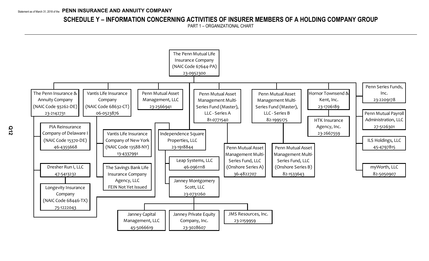# **SCHEDULE Y – INFORMATION CONCERNING ACTIVITIES OF INSURER MEMBERS OF A HOLDING COMPANY GROUP**

PART 1 – ORGANIZATIONAL CHART

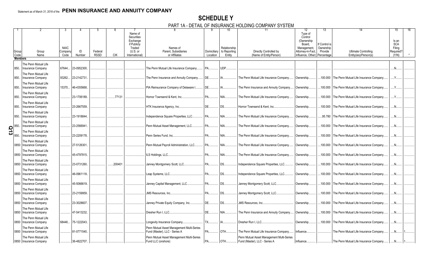# **SCHEDULE Y**

PART 1A - DETAIL OF INSURANCE HOLDING COMPANY SYSTEM

|                                       |                          |             |             |             |            |                   | $\cdots$<br>◡–…                           |             |              | <b>UIVILLANTI UTULLIV</b>                 |                              |               |                                                  |              |
|---------------------------------------|--------------------------|-------------|-------------|-------------|------------|-------------------|-------------------------------------------|-------------|--------------|-------------------------------------------|------------------------------|---------------|--------------------------------------------------|--------------|
|                                       |                          |             |             |             |            |                   |                                           |             |              |                                           | 12                           | 13            |                                                  | 15           |
|                                       |                          |             |             |             |            | Name of           |                                           |             |              |                                           | Type of                      |               |                                                  |              |
|                                       |                          |             |             |             |            | <b>Securities</b> |                                           |             |              |                                           | Control                      |               |                                                  |              |
|                                       |                          |             |             |             |            | Exchange          |                                           |             |              |                                           | (Ownership)                  |               |                                                  | Is an        |
|                                       |                          |             |             |             |            | if Publicly       |                                           |             |              |                                           | Board.                       | If Control is |                                                  | <b>SCA</b>   |
|                                       |                          | <b>NAIC</b> |             |             |            | Traded            | Names of                                  |             | Relationship |                                           | Management,                  | Ownership     |                                                  | Filing       |
| Group                                 | Group                    | Compan      | ID          | Federal     |            | $(U.S.$ or        | Parent, Subsidiaries                      | Domiciliary | to Reporting | Directly Controlled by                    | Attorney-in-Fact             | Provide       | <b>Ultimate Controlling</b>                      | Required?    |
| Code                                  | Name                     | Code        | Number      | <b>RSSD</b> | <b>CIK</b> | International)    | or Affiliates                             | Location    | Entity       | (Name of Entity/Person)                   | Influence, Other) Percentage |               | Entity(ies)/Person(s)                            | (Y/N)        |
| <b>Members</b>                        |                          |             |             |             |            |                   |                                           |             |              |                                           |                              |               |                                                  |              |
|                                       |                          |             |             |             |            |                   |                                           |             |              |                                           |                              |               |                                                  |              |
|                                       | The Penn Mutual Life     |             |             |             |            |                   |                                           |             |              |                                           |                              |               |                                                  |              |
| 850.                                  | Insurance Company        | 67644.      | 23-0952300  |             |            |                   | The Penn Mutual Life Insurance Company    | PA          | UDP.         |                                           |                              |               |                                                  |              |
|                                       | The Penn Mutual Life     |             |             |             |            |                   |                                           |             |              |                                           |                              |               |                                                  |              |
|                                       |                          |             |             |             |            |                   |                                           |             |              |                                           |                              |               |                                                  |              |
| 850.                                  | <b>Insurance Company</b> | 93262.      | 23-2142731  |             |            |                   | The Penn Insurance and Annuity Company.   | DE.         |              | The Penn Mutual Life Insurance Company.   | Ownership                    |               | 100.000 The Penn Mutual Life Insurance Company   | Y            |
|                                       | The Penn Mutual Life     |             |             |             |            |                   |                                           |             |              |                                           |                              |               |                                                  |              |
| 850.                                  | <b>Insurance Company</b> | 15370.      | 46-4355668. |             |            |                   | PIA Reinsurance Company of Delaware I     | DE.         |              | The Penn Insurance and Annuity Company    | Ownership.                   |               | .100.000 The Penn Mutual Life Insurance Company  | Y            |
|                                       |                          |             |             |             |            |                   |                                           |             |              |                                           |                              |               |                                                  |              |
|                                       | The Penn Mutual Life     |             |             |             |            |                   |                                           |             |              |                                           |                              |               |                                                  |              |
| 850.                                  | <b>Insurance Company</b> |             | 23-1706189. |             | .77131     |                   | Hornor Townsend & Kent, Inc.              | PA          | NIA.         | The Penn Mutual Life Insurance Company.   | Ownership.                   |               | 100.000 The Penn Mutual Life Insurance Company   | Y            |
|                                       |                          |             |             |             |            |                   |                                           |             |              |                                           |                              |               |                                                  |              |
|                                       | The Penn Mutual Life     |             |             |             |            |                   |                                           |             |              |                                           |                              |               |                                                  |              |
| 850.                                  | <b>Insurance Company</b> |             | 23-2667559. |             |            |                   | HTK Insurance Agency, Inc.                | DE.         | IDS          | Hornor Townsend & Kent, Inc.              | Ownership                    |               | .100.000 The Penn Mutual Life Insurance Company. | .N           |
|                                       | The Penn Mutual Life     |             |             |             |            |                   |                                           |             |              |                                           |                              |               |                                                  |              |
|                                       |                          |             |             |             |            |                   |                                           |             |              |                                           |                              |               |                                                  |              |
| 850.                                  | Insurance Company        |             | 23-1918844. |             |            |                   | Independence Square Properties, LLC.      | PA.         | NIA.         | The Penn Mutual Life Insurance Company.   | Ownership.                   |               | .95.780 The Penn Mutual Life Insurance Company.  | N            |
|                                       | The Penn Mutual Life     |             |             |             |            |                   |                                           |             |              |                                           |                              |               |                                                  |              |
|                                       | <b>Insurance Company</b> |             | 23-2566941  |             |            |                   | Penn Mutual Asset Management, LLC.        | PA          | NIA.         | The Penn Mutual Life Insurance Company.   | Ownership.                   | .100.000      | The Penn Mutual Life Insurance Company           | .N           |
|                                       |                          |             |             |             |            |                   |                                           |             |              |                                           |                              |               |                                                  |              |
| $\frac{2}{\omega} \bigg _{850}^{850}$ | The Penn Mutual Life     |             |             |             |            |                   |                                           |             |              |                                           |                              |               |                                                  |              |
| 850.                                  | <b>Insurance Company</b> |             | 23-2209178. |             |            |                   | Penn Series Fund, Inc.                    | PA.         | NIA.         | The Penn Mutual Life Insurance Company.   | Ownership.                   |               | .100.000 The Penn Mutual Life Insurance Company  | .N           |
|                                       |                          |             |             |             |            |                   |                                           |             |              |                                           |                              |               |                                                  |              |
|                                       | The Penn Mutual Life     |             |             |             |            |                   |                                           |             |              |                                           |                              |               |                                                  |              |
|                                       | 0850 Insurance Company   |             | 27-5126301  |             |            |                   | Penn Mutual Pavroll Administration, LLC.  | PA.         | NIA.         | The Penn Mutual Life Insurance Company.   | Ownership.                   |               | .100.000 The Penn Mutual Life Insurance Company. | .N           |
|                                       |                          |             |             |             |            |                   |                                           |             |              |                                           |                              |               |                                                  |              |
|                                       | The Penn Mutual Life     |             |             |             |            |                   |                                           |             |              |                                           |                              |               |                                                  |              |
|                                       | 0850   Insurance Company |             | 45-4797815. |             |            |                   | ILS Holdings, LLC.                        | <b>PA</b>   | NIA.         | The Penn Mutual Life Insurance Company.   | Ownership.                   | .100.000      | The Penn Mutual Life Insurance Company           | $N_{\cdots}$ |
|                                       | The Penn Mutual Life     |             |             |             |            |                   |                                           |             |              |                                           |                              |               |                                                  |              |
|                                       | 0850   Insurance Company |             | 23-0731260. |             | .200401    |                   | Janney Montgomery Scott, LLC.             | PA          | IDS          | Independence Square Properties, LLC.      |                              |               | .100.000 The Penn Mutual Life Insurance Company  | .N           |
|                                       |                          |             |             |             |            |                   |                                           |             |              |                                           | Ownership.                   |               |                                                  |              |
|                                       | The Penn Mutual Life     |             |             |             |            |                   |                                           |             |              |                                           |                              |               |                                                  |              |
|                                       | 0850   Insurance Company |             | 46-0961118. |             |            |                   | Leap Systems, LLC.                        | PA.         | DS.          | Independence Square Properties, LLC.      | Ownership.                   | .100.000      | The Penn Mutual Life Insurance Company           | N            |
|                                       |                          |             |             |             |            |                   |                                           |             |              |                                           |                              |               |                                                  |              |
|                                       | The Penn Mutual Life     |             |             |             |            |                   |                                           |             |              |                                           |                              |               |                                                  |              |
|                                       | 0850   Insurance Company |             | 45-5066619. |             |            |                   | Janney Capital Management, LLC.           | PA          | DS.          | Janney Montgomery Scott, LLC.             | Ownership.                   | .100.000      | The Penn Mutual Life Insurance Company           | .N           |
|                                       |                          |             |             |             |            |                   |                                           |             |              |                                           |                              |               |                                                  |              |
|                                       | The Penn Mutual Life     |             |             |             |            |                   |                                           |             |              |                                           |                              |               |                                                  |              |
|                                       | 0850 Insurance Company   |             | 23-2159959. |             |            |                   | <b>JMS Resources, Inc.</b>                | <b>PA</b>   | DS.          | Janney Montgomery Scott, LLC.             | Ownership.                   | .100.000      | The Penn Mutual Life Insurance Company           | .N           |
|                                       | The Penn Mutual Life     |             |             |             |            |                   |                                           |             |              |                                           |                              |               |                                                  |              |
|                                       |                          |             | 23-3028607. |             |            |                   |                                           | DE          |              |                                           |                              |               |                                                  |              |
|                                       | 0850 Insurance Company   |             |             |             |            |                   | Janney Private Equity Company, Inc.       |             | DS.          | <b>JMS Resources, Inc.</b>                | Ownership.                   |               | .100.000 The Penn Mutual Life Insurance Company. | N            |
|                                       | The Penn Mutual Life     |             |             |             |            |                   |                                           |             |              |                                           |                              |               |                                                  |              |
|                                       | 0850 Insurance Company   |             | 47-5413232. |             |            |                   | Dresher Run I. LLC.                       | DE.         | NIA.         | The Penn Insurance and Annuity Company.   | Ownership.                   | .100.000      | The Penn Mutual Life Insurance Company           | N            |
|                                       |                          |             |             |             |            |                   |                                           |             |              |                                           |                              |               |                                                  |              |
|                                       | The Penn Mutual Life     |             |             |             |            |                   |                                           |             |              |                                           |                              |               |                                                  |              |
|                                       | 0850 Insurance Company   | 68446.      | 75-1222043. |             |            |                   | Longevity Insurance Company.              | TX.         |              | Dresher Run I. LLC.                       | Ownership.                   |               | .100.000 The Penn Mutual Life Insurance Company  | N            |
|                                       |                          |             |             |             |            |                   |                                           |             |              |                                           |                              |               |                                                  |              |
|                                       | The Penn Mutual Life     |             |             |             |            |                   | Penn Mutual Asset Management Multi-Series |             |              |                                           |                              |               |                                                  |              |
|                                       | 0850   Insurance Company |             | 81-0771540. |             |            |                   | Fund (Master), LLC - Series A             | PA.         | OTH          | The Penn Mutual Life Insurance Company.   | Influence.                   |               | The Penn Mutual Life Insurance Company.          | .N           |
|                                       | The Penn Mutual Life     |             |             |             |            |                   | Penn Mutual Asset Management Multi-Series |             |              | Penn Mutual Asset Management Multi-Series |                              |               |                                                  |              |
|                                       |                          |             |             |             |            |                   |                                           |             |              |                                           |                              |               |                                                  |              |
|                                       | 0850   Insurance Company |             | 36-4822707. |             |            |                   | Fund LLC (onshore)                        | <b>PA</b>   | OTH          | Fund (Master), LLC - Series A             | Influence.                   |               | The Penn Mutual Life Insurance Company           | .N.          |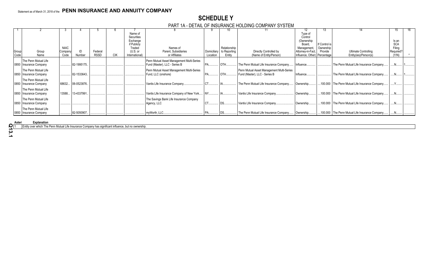# **SCHEDULE Y**

### PART 1A - DETAIL OF INSURANCE HOLDING COMPANY SYSTEM

|               |                                                  |                                |                   |                        |            |                                                                                            |                                                                  |                         | ΊU                                     |                                                                            |                                                                                                                | IJ                                    |                                                 |                                                     |  |
|---------------|--------------------------------------------------|--------------------------------|-------------------|------------------------|------------|--------------------------------------------------------------------------------------------|------------------------------------------------------------------|-------------------------|----------------------------------------|----------------------------------------------------------------------------|----------------------------------------------------------------------------------------------------------------|---------------------------------------|-------------------------------------------------|-----------------------------------------------------|--|
| Group<br>Code | Group<br>Name                                    | <b>NAIC</b><br>Company<br>Code | Number            | Federal<br><b>RSSD</b> | <b>CIK</b> | Name of<br>Securities<br>Exchange<br>if Publicly<br>Traded<br>$(U.S.$ or<br>International) | Names of<br>Parent, Subsidiaries<br>or Affiliates                | Domiciliary<br>Location | Relationship<br>to Reporting<br>Entity | Directly Controlled by<br>(Name of Entity/Person)                          | Type of<br>Control<br>(Ownership<br>Board.<br>Management,<br>Attorney-in-Fact,<br>Influence, Other) Percentage | If Control is<br>Ownership<br>Provide | Ultimate Controlling<br>Entity(ies)/Person(s)   | Is an<br><b>SCA</b><br>Filing<br>Required?<br>(Y/N) |  |
|               | The Penn Mutual Life                             |                                |                   |                        |            |                                                                                            | Penn Mutual Asset Management Multi-Series                        |                         |                                        |                                                                            |                                                                                                                |                                       |                                                 |                                                     |  |
|               | 0850 Insurance Company                           |                                | 82-1995175.       |                        |            |                                                                                            | Fund (Master), LLC - Series B                                    |                         | I OTH                                  | The Penn Mutual Life Insurance Company.                                    | Influence.                                                                                                     |                                       | The Penn Mutual Life Insurance Company          |                                                     |  |
|               | The Penn Mutual Life<br>0850 Insurance Company   |                                | 82-1533643.       |                        |            |                                                                                            | Penn Mutual Asset Management Multi-Series<br>Fund, LLC (onshore) |                         | <b>OTH</b>                             | Penn Mutual Asset Management Multi-Series<br>Fund (Master), LLC - Series B | Influence.                                                                                                     |                                       | The Penn Mutual Life Insurance Company          |                                                     |  |
|               | The Penn Mutual Life<br>0850   Insurance Company |                                | 68632 06-0523876. |                        |            |                                                                                            | Vantis Life Insurance Company.                                   |                         |                                        | The Penn Mutual Life Insurance Company.                                    | Ownership                                                                                                      |                                       | .100.000 The Penn Mutual Life Insurance Company |                                                     |  |
|               | The Penn Mutual Life<br>0850 Insurance Company   |                                | 13588 13-4337991. |                        |            |                                                                                            | Vantis Life Insurance Company of New York                        |                         |                                        | Vantis Life Insurance Company.                                             | Ownership.                                                                                                     |                                       | .100.000 The Penn Mutual Life Insurance Company |                                                     |  |
|               | The Penn Mutual Life<br>0850 Insurance Company   |                                |                   |                        |            |                                                                                            | The Savings Bank Life Insurance Company<br>Agency, LLC           | СT                      |                                        | Vantis Life Insurance Company.                                             | Ownership.                                                                                                     |                                       | 100.000 The Penn Mutual Life Insurance Company  |                                                     |  |
|               | The Penn Mutual Life<br>0850 Insurance Company   |                                | 82-5050907.       |                        |            |                                                                                            | myWorth, LLC.                                                    |                         |                                        | The Penn Mutual Life Insurance Company   Ownership                         |                                                                                                                |                                       | .100.000 The Penn Mutual Life Insurance Company |                                                     |  |

**Asteri Explanation** 

1 Entity over which The Penn Mutual Life Insurance Company has significant influence, but no ownership.

**Q13.1**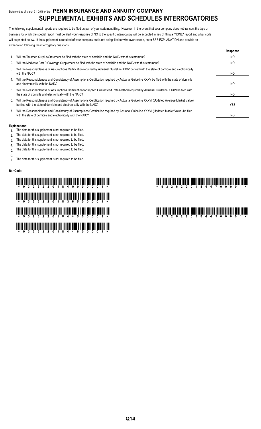# Statement as of March 31, 2018 of the **PENN INSURANCE AND ANNUITY COMPANY SUPPLEMENTAL EXHIBITS AND SCHEDULES INTERROGATORIES**

The following supplemental reports are required to be filed as part of your statement filing. However, in the event that your company does not transact the type of business for which the special report must be filed, your response of NO to the specific interrogatory will be accepted in lieu of filing a "NONE" report and a bar code will be printed below. If the supplement is required of your company but is not being filed for whatever reason, enter SEE EXPLANATION and provide an explanation following the interrogatory questions.

|    |                                                                                                                                                                                                                    | Response |
|----|--------------------------------------------------------------------------------------------------------------------------------------------------------------------------------------------------------------------|----------|
| 1. | Will the Trusteed Surplus Statement be filed with the state of domicile and the NAIC with this statement?                                                                                                          | NO       |
| 2. | Will the Medicare Part D Coverage Supplement be filed with the state of domicile and the NAIC with this statement?                                                                                                 | NO       |
| 3. | Will the Reasonableness of Assumptions Certification required by Actuarial Guideline XXXV be filed with the state of domicile and electronically<br>with the NAIC?                                                 | NO       |
| 4. | Will the Reasonableness and Consistency of Assumptions Certification required by Actuarial Guideline XXXV be filed with the state of domicile<br>and electronically with the NAIC?                                 | NO       |
| 5. | Will the Reasonableness of Assumptions Certification for Implied Guaranteed Rate Method required by Actuarial Guideline XXXVI be filed with<br>the state of domicile and electronically with the NAIC?             | NO       |
| 6. | Will the Reasonableness and Consistency of Assumptions Certification required by Actuarial Guideline XXXVI (Updated Average Market Value)<br>be filed with the state of domicile and electronically with the NAIC? | YES      |
|    | Will the Reasonableness and Consistency of Assumptions Certification required by Actuarial Guideline XXXVI (Updated Market Value) be filed<br>with the state of domicile and electronically with the NAIC?         | NO       |

#### **Explanations:**

- 1. The data for this supplement is not required to be filed.
- 2. The data for this supplement is not required to be filed.
- 3. The data for this supplement is not required to be filed.
- 4. The data for this supplement is not required to be filed.
- 5. The data for this supplement is not required to be filed.
- 6.
- 7. The data for this supplement is not required to be filed.

#### **Bar Code:**

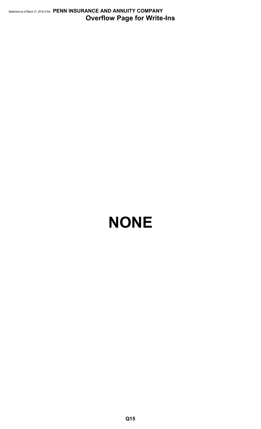Statement as of March 31, 2018 of the **PENN INSURANCE AND ANNUITY COMPANY Overflow Page for Write-Ins**

# **NONE**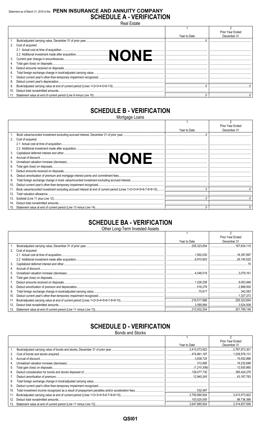# Statement as of March 31, 2018 of the PENN INSURANCE AND ANNUITY COMPANY **SCHEDULE A - VERIFICATION** Real Estate

|    |                                                                    |              | Prior Year Ended |
|----|--------------------------------------------------------------------|--------------|------------------|
|    |                                                                    | Year to Date | December 31      |
|    |                                                                    |              |                  |
|    | 2. Cost of acquired:                                               |              |                  |
|    |                                                                    |              |                  |
|    | .                                                                  |              |                  |
|    |                                                                    |              |                  |
|    |                                                                    |              |                  |
| 5. |                                                                    |              |                  |
| 6. |                                                                    |              |                  |
|    |                                                                    |              |                  |
|    |                                                                    |              |                  |
| 9. |                                                                    |              |                  |
|    |                                                                    |              |                  |
|    | 11 Statement value at end of current period (Line 9 minus Line 10) |              |                  |

# **SCHEDULE B - VERIFICATION**

Mortgage Loans

|     |                                                                                                                 |              | <b>Prior Year Ended</b> |
|-----|-----------------------------------------------------------------------------------------------------------------|--------------|-------------------------|
|     |                                                                                                                 | Year to Date | December 31             |
|     |                                                                                                                 |              |                         |
| 2.  | Cost of acquired:                                                                                               |              |                         |
|     |                                                                                                                 |              |                         |
|     |                                                                                                                 |              |                         |
| 3.  |                                                                                                                 |              |                         |
|     |                                                                                                                 |              |                         |
| 5.  |                                                                                                                 |              |                         |
| 6.  |                                                                                                                 |              |                         |
|     |                                                                                                                 |              |                         |
| 8.  |                                                                                                                 |              |                         |
| 9.  |                                                                                                                 |              |                         |
| 10. |                                                                                                                 |              |                         |
| 11. | Book value/recorded investment excluding accrued interest at end of current period (Lines 1+2+3+4+5+6-7-8+9-10) |              |                         |
| 12. |                                                                                                                 |              |                         |
| 13. |                                                                                                                 |              |                         |
| 14. |                                                                                                                 |              |                         |
| 15. |                                                                                                                 |              |                         |

# **SCHEDULE BA - VERIFICATION**

Other Long-Term Invested Assets

|     |                   |              | Prior Year Ended |
|-----|-------------------|--------------|------------------|
|     |                   | Year to Date | December 31      |
|     |                   |              |                  |
| 2.  | Cost of acquired: |              |                  |
|     |                   |              |                  |
|     |                   |              |                  |
| 3.  |                   |              |                  |
|     |                   |              |                  |
| 5.  |                   |              |                  |
| 6.  |                   |              |                  |
|     |                   |              |                  |
| 8.  |                   |              |                  |
| 9.  |                   |              |                  |
| 10. |                   |              | 1.327.272        |
| 11. |                   |              |                  |
| 12. |                   |              | .3.524.506       |
| 13. |                   |              |                  |

# **SCHEDULE D - VERIFICATION**

**Bonds and Stocks** 

|     |              | Prior Year Ended |
|-----|--------------|------------------|
|     | Year to Date | December 31      |
|     |              |                  |
| 2.  |              |                  |
| 3.  |              |                  |
| 4.  |              |                  |
| 5.  |              |                  |
| 6.  |              |                  |
| 7.  |              |                  |
| 8.  |              |                  |
| 9.  |              |                  |
| 10. |              |                  |
| 11. |              | 3,413,573,922    |
| 12. |              |                  |
| 13. |              |                  |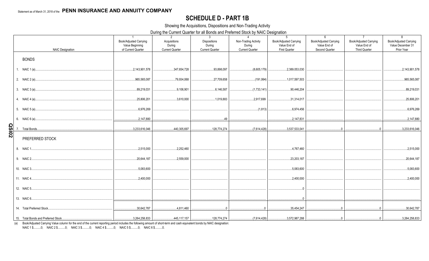# **SCHEDULE D - PART 1B**

Showing the Acquisitions, Dispositions and Non-Trading Activity

During the Current Quarter for all Bonds and Preferred Stock by NAIC Designation

|              | <b>NAIC Designation</b> | $\overline{1}$<br>Book/Adjusted Carrying<br>Value Beginning<br>of Current Quarter | 2<br>Acquisitions<br>During<br><b>Current Quarter</b> | 3<br><b>Dispositions</b><br>During<br><b>Current Quarter</b> | $\overline{4}$<br>Non-Trading Activity<br>During<br><b>Current Quarter</b> | ັ<br>5 <sup>5</sup><br>Book/Adjusted Carrying<br>Value End of<br>First Quarter | 6<br><b>Book/Adjusted Carrying</b><br>Value End of<br>Second Quarter | $\overline{7}$<br><b>Book/Adjusted Carrying</b><br>Value End of<br>Third Quarter                                                                                                                                                                                                                                              | 8<br><b>Book/Adjusted Carrying</b><br>Value December 31<br>Prior Year |
|--------------|-------------------------|-----------------------------------------------------------------------------------|-------------------------------------------------------|--------------------------------------------------------------|----------------------------------------------------------------------------|--------------------------------------------------------------------------------|----------------------------------------------------------------------|-------------------------------------------------------------------------------------------------------------------------------------------------------------------------------------------------------------------------------------------------------------------------------------------------------------------------------|-----------------------------------------------------------------------|
|              | <b>BONDS</b>            |                                                                                   |                                                       |                                                              |                                                                            |                                                                                |                                                                      |                                                                                                                                                                                                                                                                                                                               |                                                                       |
|              | 1. NAIC 1 (a)           | 2,143,901,578                                                                     | 347,654,728                                           | 93,898,097                                                   | (8,605,179)                                                                | 2,389,053,030                                                                  |                                                                      |                                                                                                                                                                                                                                                                                                                               | 2,143,901,578                                                         |
|              |                         | 965,565,087                                                                       | 79,934,068                                            | 27,709,658                                                   | (191,994)                                                                  | 1,017,597,503                                                                  |                                                                      |                                                                                                                                                                                                                                                                                                                               | 965,565,087                                                           |
|              |                         | 89,219,031                                                                        | 9,106,901                                             | 6,146,587                                                    | (1,733,141)                                                                | 90,446,204                                                                     |                                                                      |                                                                                                                                                                                                                                                                                                                               | 89,219,031                                                            |
|              |                         | 25,806,201                                                                        | 3,610,000                                             | 1,019,883                                                    | 2,917,699                                                                  | 31,314,017                                                                     |                                                                      |                                                                                                                                                                                                                                                                                                                               | 25,806,201                                                            |
|              |                         |                                                                                   |                                                       |                                                              | (1,813)                                                                    | 6,974,456                                                                      |                                                                      |                                                                                                                                                                                                                                                                                                                               | 6,976,269                                                             |
|              |                         | 2,147,880                                                                         |                                                       |                                                              |                                                                            |                                                                                |                                                                      |                                                                                                                                                                                                                                                                                                                               | 2,147,880                                                             |
| <b>20ISO</b> |                         | 3,233,616,046                                                                     | 440,305,697                                           | 128,774,274                                                  | (7,614,428)                                                                | $\ldots$ 3,537,533,041                                                         | $\overline{0}$                                                       | $\Omega$                                                                                                                                                                                                                                                                                                                      | 3,233,616,046                                                         |
|              | PREFERRED STOCK         |                                                                                   |                                                       |                                                              |                                                                            |                                                                                |                                                                      |                                                                                                                                                                                                                                                                                                                               |                                                                       |
|              | 8. NAIC 1               | 2,515,000                                                                         | .2,252,460                                            |                                                              |                                                                            | 4,767,460                                                                      |                                                                      |                                                                                                                                                                                                                                                                                                                               | .2,515,000                                                            |
|              | 9. NAIC 2               | 20,644,187                                                                        | .2,559,000                                            |                                                              |                                                                            | .23,203,187                                                                    |                                                                      |                                                                                                                                                                                                                                                                                                                               | 20,644,187                                                            |
|              | 10. NAIC 3              | 5,083,600                                                                         |                                                       |                                                              |                                                                            | 5,083,600                                                                      |                                                                      |                                                                                                                                                                                                                                                                                                                               | 5,083,600                                                             |
|              |                         | 2,400,000                                                                         |                                                       |                                                              |                                                                            | 0.2,400,000                                                                    |                                                                      |                                                                                                                                                                                                                                                                                                                               | 0.2,400,000                                                           |
|              | 12. NAIC 5              |                                                                                   |                                                       |                                                              |                                                                            | $\Omega$                                                                       |                                                                      |                                                                                                                                                                                                                                                                                                                               |                                                                       |
|              |                         |                                                                                   |                                                       |                                                              |                                                                            | 0                                                                              |                                                                      |                                                                                                                                                                                                                                                                                                                               |                                                                       |
|              |                         | 30,642,787                                                                        | 4,811,460                                             |                                                              |                                                                            | 35,454,247                                                                     |                                                                      | $\begin{bmatrix} 0 & 0 & 0 & 0 \\ 0 & 0 & 0 & 0 \\ 0 & 0 & 0 & 0 \\ 0 & 0 & 0 & 0 \\ 0 & 0 & 0 & 0 \\ 0 & 0 & 0 & 0 \\ 0 & 0 & 0 & 0 \\ 0 & 0 & 0 & 0 \\ 0 & 0 & 0 & 0 \\ 0 & 0 & 0 & 0 \\ 0 & 0 & 0 & 0 & 0 \\ 0 & 0 & 0 & 0 & 0 \\ 0 & 0 & 0 & 0 & 0 \\ 0 & 0 & 0 & 0 & 0 & 0 \\ 0 & 0 & 0 & 0 & 0 & 0 \\ 0 & 0 & 0 & 0 & $ | 30,642,787                                                            |
|              |                         |                                                                                   |                                                       |                                                              |                                                                            |                                                                                |                                                                      |                                                                                                                                                                                                                                                                                                                               |                                                                       |

(a) Book/Adjusted Carrying Value column for the end of the current reporting period includes the following amount of short-term and cash equivalent bonds by NAIC designation:

NAIC 1 \$..........0; NAIC 2 \$..........0; NAIC 3 \$..........0; NAIC 4 \$..........0; NAIC 5 \$..........0; NAIC 6 \$..........0.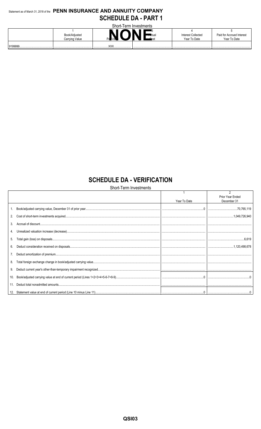# Statement as of March 31, 2018 of the PENN INSURANCE AND ANNUITY COMPANY **SCHEDULE DA - PART 1**  $\sim$

| Short-Term Investments |                                 |                  |                   |                                           |                                           |  |  |  |  |  |  |  |  |
|------------------------|---------------------------------|------------------|-------------------|-------------------------------------------|-------------------------------------------|--|--|--|--|--|--|--|--|
|                        | Book/Adjusted<br>Carrying Value | <b>NaN</b><br>Pa | — ⊷tual<br>ו ≳חדי | <b>Interest Collected</b><br>Year To Date | Paid for Accrued Interest<br>Year To Date |  |  |  |  |  |  |  |  |
| 9199999<br>            |                                 | <b>VVV</b><br>   |                   |                                           |                                           |  |  |  |  |  |  |  |  |

# **SCHEDULE DA - VERIFICATION**

Short-Term Investments

|     | Year To Date | Prior Year Ended<br>December 31 |
|-----|--------------|---------------------------------|
|     |              |                                 |
|     |              |                                 |
| 3.  |              |                                 |
|     |              |                                 |
| 5.  |              |                                 |
| 6.  |              |                                 |
|     |              |                                 |
| 8.  |              |                                 |
|     |              |                                 |
| 10. |              |                                 |
|     |              |                                 |
|     |              |                                 |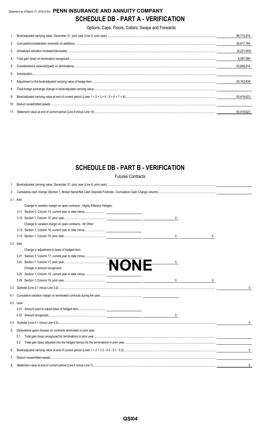# Statement as of March 31, 2018 of the **PENN INSURANCE AND ANNUITY COMPANY SCHEDULE DB - PART A - VERIFICATION**

Options, Caps, Floors, Collars, Swaps and Forwards

|     | 96.710.818  |
|-----|-------------|
|     | 26,817,785  |
|     | (8,221,003) |
|     | 8,597,999   |
|     | 55.648.814  |
| 6.  |             |
|     | 25.162.839  |
|     |             |
|     | 93.419.623  |
| 10. |             |
|     | 93.419.623  |

# **SCHEDULE DB - PART B - VERIFICATION**

Futures Contracts

| 1.  |           |                                                                         |              |
|-----|-----------|-------------------------------------------------------------------------|--------------|
| 2.  |           |                                                                         |              |
|     | 3.1 Add:  |                                                                         |              |
|     |           | Change in variation margin on open contracts - Highly Effective Hedges: |              |
|     |           |                                                                         |              |
|     |           | 0                                                                       |              |
|     |           | Change in variation margin on open contracts - All Other:               |              |
|     |           |                                                                         |              |
|     |           | 0                                                                       |              |
|     | 3.2 Add:  |                                                                         |              |
|     |           | Change in adjustment to basis of hedged item:                           |              |
|     | 3.21      |                                                                         |              |
|     |           | 0                                                                       |              |
|     |           |                                                                         |              |
|     |           |                                                                         |              |
|     |           | $\overline{0}$<br>0                                                     |              |
|     |           |                                                                         | 0            |
| 4.1 |           |                                                                         |              |
|     | 4.2 Less: |                                                                         |              |
|     |           |                                                                         |              |
|     |           | $\mathbf 0$                                                             |              |
|     |           |                                                                         |              |
| 5.  |           | Dispositions gains (losses) on contracts terminated in prior year:      |              |
|     | 5.1       |                                                                         |              |
|     | 5.2       |                                                                         |              |
| 6.  |           |                                                                         | $\mathbf{0}$ |
| 7.  |           |                                                                         |              |
| 8.  |           |                                                                         |              |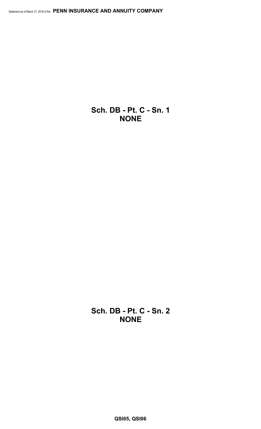**Sch. DB - Pt. C - Sn. 1 NONE**

**Sch. DB - Pt. C - Sn. 2 NONE**

**QSI05, QSI06**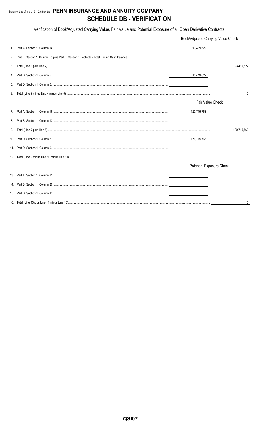# Statement as of March 31, 2018 of the PENN INSURANCE AND ANNUITY COMPANY **SCHEDULE DB - VERIFICATION**

Verification of Book/Adjusted Carrying Value, Fair Value and Potential Exposure of all Open Derivative Contracts

|    | Book/Adjusted Carrying Value Check |                |
|----|------------------------------------|----------------|
| 1. | 93,419,622                         |                |
| 2. |                                    |                |
| 3. |                                    | 93,419,622     |
| 4. |                                    |                |
| 5. |                                    |                |
| 6. |                                    | $\overline{0}$ |
|    | Fair Value Check                   |                |
| 7. | 120,715,763                        |                |
| 8. |                                    |                |
| 9. |                                    | 120,715,763    |
|    | 120,715,763                        |                |
|    |                                    |                |
|    |                                    | 0              |
|    | <b>Potential Exposure Check</b>    |                |
|    |                                    |                |
|    |                                    |                |
|    |                                    |                |
|    |                                    | 0              |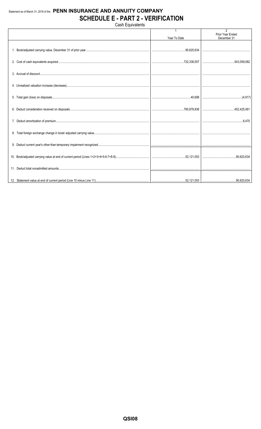# Statement as of March 31, 2018 of the PENN INSURANCE AND ANNUITY COMPANY **SCHEDULE E - PART 2 - VERIFICATION** Cash Equivalents

Prior Year Ended Year To Date December 31 1. Book/adjusted carrying value, December 31 of prior year.. ..90,620,634 2. Cost of cash equivalents acquired.. ..722,338,557 .543,059,082 3. Accrual of discount... 4. Unrealized valuation increase (decrease). 5. Total gain (loss) on disposals.. 40,698  $(4, 917)$ 6. Deduct consideration received on disposals.. .760,878,836 .452.425.061 7. Deduct amortization of premium... .8,470 8. Total foreign exchange change in book/ adjusted carrying value. 9. Deduct current year's other-than-temporary impairment recognized. 10. Book/adjusted carrying value at end of current period (Lines 1+2+3+4+5-6-7+8-9). ..52,121,053 .90,620,634 11. Deduct total nonadmitted amounts.. 12. Statement value at end of current period (Line 10 minus Line 11). 52,121,053 .90,620,634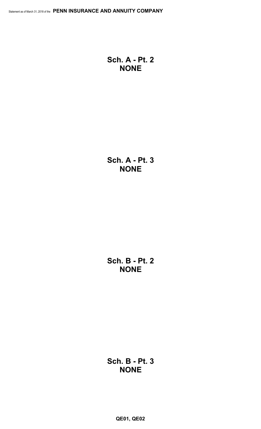**Sch. A - Pt. 2 NONE**

**Sch. A - Pt. 3 NONE**

**Sch. B - Pt. 2 NONE**

**Sch. B - Pt. 3 NONE**

**QE01, QE02**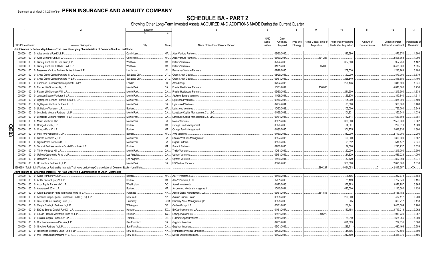SCHEDULE BA - PART 2<br>Showing Other Long-Term Invested Assets ACQUIRED AND ADDITIONS MADE During the Current Quarter

|     |                             |        | $\overline{2}$                                                                                                               | Location               |           | 5                                      | -6          |             | 8<br>-9                            | 10                           | 11           | 12                           | 13           |
|-----|-----------------------------|--------|------------------------------------------------------------------------------------------------------------------------------|------------------------|-----------|----------------------------------------|-------------|-------------|------------------------------------|------------------------------|--------------|------------------------------|--------------|
|     |                             |        |                                                                                                                              | $\mathcal{E}$          | 4         |                                        |             |             |                                    |                              |              |                              |              |
|     |                             |        |                                                                                                                              |                        |           |                                        | <b>NAIC</b> | Date        |                                    |                              |              |                              |              |
|     |                             |        |                                                                                                                              |                        |           |                                        | Desig-      | Originally  | Actual Cost at Time of<br>Type and | <b>Additional Investment</b> | Amount of    | Commitment for               | Percentage o |
|     | <b>CUSIP</b> Identification |        | Name or Description                                                                                                          | City                   | State     | Name of Vendor or General Partner      | nation      | Acquired    | Strategy<br>Acquisition            | Made after Acquisition       | Encumbrances | <b>Additional Investment</b> | Ownership    |
|     |                             |        | Joint Venture or Partnership Interests That Have Underlying Characteristics of Common Stocks - Unaffiliated                  |                        |           |                                        |             |             |                                    |                              |              |                              |              |
|     | 000000                      | 00     | 0 Atlas Venture Fund X, L.P.                                                                                                 | Cambridge              |           | MA Atlas Venture Partners              |             | 03/20/2015. |                                    | .345,590                     |              | 873,970                      | 1.200        |
|     | 000000                      | $00\,$ | Atlas Venture Fund XI, L.P.                                                                                                  | Cambridge              | MA.       | <b>Atlas Venture Partners</b>          |             | 06/30/2017. |                                    | 101,237                      |              | .2,898,763                   | 1.000        |
|     | 000000                      | $00\,$ | Battery Ventures XI Side Fund, L.P.                                                                                          | Waltham.               | MA        | <b>Battery Ventures</b>                |             | 02/22/2016  |                                    | 367.500                      |              | .957,250                     | .1.167       |
|     | 000000                      | $00\,$ | Battery Ventures XII Side Fund, L.P                                                                                          | Waltham.               | MA        | <b>Battery Ventures</b>                |             | 01/31/2018  |                                    | .65.000                      |              | .6,435,000                   | 1.625        |
|     | 000000                      | $00\,$ | Bessemer Venture Partners IX Institutional L.P.                                                                              | Larchmont              | NY        | <b>Bessemer Venture Partners</b>       |             | 02/28/2015. |                                    | 209.030                      |              | .1,213,269                   | .0.188       |
|     | 000000                      | $00\,$ | Cross Creek Capital Partners III, L.P.                                                                                       | Salt Lake City         | <b>UT</b> | <b>Cross Creek Capital</b>             |             | 08/29/2013. |                                    | .90,000                      |              | 879,000                      | .3.679       |
|     | 000000                      | $00\,$ | Cross Creek Capital Partners IV, L.P.                                                                                        | Salt Lake City         | UT.       | Cross Creek Capital.                   |             | 03/31/2016. |                                    | 225,840                      |              | 816,580                      | .1.400       |
|     | 000000                      | $00\,$ | European Secondary Development Fund V.                                                                                       | London                 | UK        | Arcis Group.                           |             | 07/22/2016  |                                    | 296.136                      |              | .1,848,600                   | 1.041        |
|     | 000000                      | 00     | Frazier Life Sciences IX, L.P.                                                                                               | Menlo Park.            | CA.       | <b>Frazier Healthcare Partners</b>     |             | 10/31/2017. |                                    | .130,000                     |              | .4,870,000                   | 1.250        |
|     | 000000                      | $00\,$ | Frazier Life Sciences VIII. L.P.                                                                                             | Menlo Park             | CA.       | Frazier Healthcare Partner             |             | 09/30/2015  |                                    | .241.500                     |              | .1,249,500                   | .1.333       |
|     | 000000                      | $00\,$ | Jackson Square Ventures I, L.P                                                                                               | Menlo Park.            | CA.       | <b>Jackson Square Ventures</b>         |             | 11/28/2011. |                                    | .56,376                      |              | 310,840                      | .1.611       |
|     | 000000                      | $00\,$ | Lightspeed Venture Partners Select II, L.P.                                                                                  | Menlo Park.            | CA.       | <b>Lightspeed Ventures</b>             |             | 03/10/2016  |                                    | 125,000                      |              | .875,000                     | .0.500       |
|     | 000000                      | $00\,$ | Lightspeed Venture Partners X, L.P.                                                                                          | Menlo Park.            | CA.       | Lightspeed Ventures.                   |             | 07/07/2014. |                                    | 60,000                       |              | .360,000                     | .0.480       |
|     |                             |        |                                                                                                                              |                        | MA.       |                                        |             | 10/22/2013  |                                    | 105,000                      |              |                              |              |
|     | 000000                      | $00\,$ | Lightstone Ventures, L.P.                                                                                                    | Boston.<br>Menlo Park. | CA.       | <b>Lightstone Ventures</b>             |             | 04/25/2013. |                                    |                              |              | .765,000                     | .2.949       |
|     | 000000                      | $00\,$ | Longitude Venture Partners II, L.P.                                                                                          |                        |           | Longitude Capital Management Co., LLC. |             |             |                                    | 101,321                      |              | .350.54                      | .1.039       |
|     | 000000                      | $00\,$ | Longitude Venture Partners III, L.P.                                                                                         | Menlo Park             | CA        | Longitude Capital Management Co., LLC. |             | 03/31/2016  |                                    | 162,514                      |              | .1,639,803                   | .0.381       |
|     | 000000                      | $00\,$ | Menlo Ventures XIV, L.P.                                                                                                     | Menlo Park             | CA        | Menlo Ventures.                        |             | 05/31/2017. |                                    | 300.000                      |              | .2,550,000                   | .0.667       |
| O   | 000000                      | $00\,$ | Omega Fund IV, L.P.                                                                                                          | Boston.                | MA.       | Omega Fund Management.                 |             | 06/20/2013  |                                    | .64,601                      |              | 229,319                      | 1.089        |
| E03 | 000000                      | $00\,$ | Omega Fund V, L.P.                                                                                                           | Boston.                | MA.       | Omega Fund Management                  |             | 04/30/2015. |                                    | 301,775                      |              | .2,616,936                   | 1.600        |
|     | 000000                      | 00     | 0 Point 406 Ventures III, L.P.                                                                                               | Boston.                | MA.       | .406 Ventures.                         |             | 04/30/2015  |                                    | 312,000                      |              | .2,740,000                   | .2.286       |
|     | 000000                      | 00     | Shasta Ventures V. L.P.                                                                                                      | Menlo Park.            | CA.       | Shasta Ventures Management             |             | 06/27/2016  |                                    | 100,000                      |              | .1,300,000                   | .0.667       |
|     | 000000                      | $00\,$ | 0 Sigma Prime Partners IX, L.P.                                                                                              | Menlo Park.            | CA        | Sigma Partners.                        |             | 05/29/2012  |                                    | .58.812                      |              | 514,177                      | .2.941       |
|     | 000000                      | $00\,$ | 0 Summit Partners Venture Capital Fund IV-A, L.P.                                                                            | Boston.                | MA.       | <b>Summit Partners</b>                 |             | 09/30/2015. |                                    | 24,000                       |              | .1,225,737                   | .0.333       |
|     | 000000                      | $00\,$ | 0 Trinity Ventures XII. L.P.                                                                                                 | Menlo Park.            | CA.       | <b>Trinity Ventures</b>                |             | 10/31/2015. |                                    | .90,000                      |              | .1,245,000                   | .0.500       |
|     | 000000                      | $00\,$ | Upfront Opportunity Fund I, L.P.                                                                                             | Los Angeles            | CA.       | <b>Upfront Ventures</b>                |             | 03/31/2015. |                                    | 24,329                       |              | .535,228                     | .4.000       |
|     | 000000                      | $00\,$ | 0 Upfront V, L.P                                                                                                             | Los Angeles            | CA        | <b>Upfront Ventures</b>                |             | 11/30/2014  |                                    | .82,729                      |              | .892,994                     | 1.071        |
|     |                             |        | 000000 00 0 US Venture Partners XI. L.P.                                                                                     | Menlo Park             | CA.       | <b>US Venture Partners</b>             |             | 05/20/2015. |                                    | .350,000                     |              | .2,625,000                   | .1.818       |
|     |                             |        | 1599999. Total - Joint Venture or Partnership Interests That Have Underlying Characteristics of Common Stocks - Unaffiliated |                        |           |                                        |             |             |                                    | .4.094.053<br>.296.237       | $\Omega$     | .42,817,507                  | XXX          |
|     |                             |        | Joint Venture or Partnership Interests That Have Underlying Characteristics of Other - Unaffiliated                          |                        |           |                                        |             |             |                                    |                              |              |                              |              |
|     |                             |        | 000000 00 0 ABRY Partners VII. L.P.                                                                                          | Boston.                | MA.       | ABRY Partners, LLC.                    |             | 08/10/2011. |                                    | .6,495                       |              | 262,778                      | .0.184       |
|     | 000000                      | $00\,$ | ABRY Senior Equity V, L.P.                                                                                                   | Boston.                | MA.       | <b>ABRY Partners, LLC.</b>             |             | 12/01/2016  |                                    | .25,169                      |              | .1,787,349                   | 0.191        |
|     | 000000                      | $00\,$ | Acon Equity Partners IV, L.P.                                                                                                | Washington             | DC.       | Acon Investments.                      |             | 04/22/2016  |                                    | .372,983                     |              | .3,872,797                   | .0.865       |
|     | 000000                      | 00     | Ampersand 2014, L.P.                                                                                                         | Boston.                | MA        | Ampersand Venture Management           |             | 10/10/2014. |                                    | 420,000                      |              | .1,140,000                   | .1.124       |
|     | 000000                      | $00\,$ | Apollo European Principal Finance Fund III, L.P.                                                                             | Purchase               |           | NY Apollo Global Management, LLC.      |             | 03/31/2017  |                                    | .864.818                     |              | .8,135,182                   |              |
|     | 000000                      | $00\,$ | Avenue Europe Special Situations Fund III (U.S.), L.P                                                                        | New York.              | <b>NY</b> | Avenue Capital Group.                  |             | 06/05/2015. |                                    | .200,000                     |              | .432,112                     | .0.200       |
|     | 000000                      | $00\,$ | BlueBay Direct Lending Fund I, LP.                                                                                           | Guernsey.              |           | GBR. BlueBay Asset Management plc.     |             | 06/25/2013  |                                    | .905                         |              | .363,717                     | .0.118       |
|     | 000000                      | $00\,$ | Carlyle Strategic Partners IV, L.P.                                                                                          | Wilmington             | <b>DE</b> | Carlyle Group, L.P                     |             | 03/31/2016. |                                    | 161,141                      |              | .3,405,584                   | .0.200       |
|     | 000000                      | $00\,$ | EnCap Energy Capital Fund XI, L.P.                                                                                           | Houston.               | <b>TX</b> | EnCap Investments, L.P.                |             | 01/31/2017  |                                    | 140.493                      |              | .3,717,213                   | .0.062       |
|     | 000000                      | $00\,$ | 0 EnCap Flatrock Midstream Fund IV, L.P.                                                                                     | Houston.               | <b>TX</b> | EnCap Investments, L.P.                |             | 08/31/2017. |                                    | .80.270                      |              | .1,919,730                   | .0.067       |
|     | 000000                      | $00\,$ | Fulcrum Capital Partners V, LP                                                                                               | Toronto.               | ON        | <b>Fulcrum Capital Partners</b>        |             | 06/11/2015  |                                    | .26,010                      |              | .1,625,365                   | 1.000        |
|     | 000000                      | $00\,$ | Gryphon Mezzanine Partners, L.P.                                                                                             | San Francisco          | CA        | Gryphon Investors.                     |             | 07/01/2017. |                                    | .621.389                     |              | 732,65                       | 3.000        |
|     | 000000                      | $00\,$ | 0 Gryphon Partners IV, L.P.                                                                                                  | San Francisco          | CA        | Gryphon Investors.                     |             | 09/01/2016  |                                    | (39,711)                     |              | 632,166                      | .0.559       |
|     | 000000                      | $00\,$ | Highbridge Specialty Loan Fund III LP.                                                                                       | New York.              | <b>NY</b> | <b>Highbridge Principal Strategies</b> |             | 05/06/2013. |                                    | .44.695                      |              | .172,580                     | .0.899       |
|     | 000000                      |        | 00 0 MHR Institutional Partners IV, L.P.                                                                                     | New York.              |           | NY   MHR Fund Management               |             | 06/27/2016  |                                    | .212.500                     |              | .3,368,076                   | .0.556       |
|     |                             |        |                                                                                                                              |                        |           |                                        |             |             |                                    |                              |              |                              |              |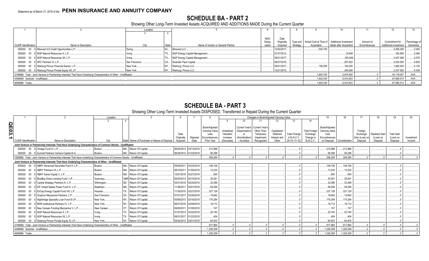# **SCHEDULE BA - PART 2**

Showing Other Long-Term Invested Assets ACQUIRED AND ADDITIONS MADE During the Current Quarter

|                                   |                                                                                                                      | Location      |                                            |             |             |          |                                                           |                        |              | 12                    |               |
|-----------------------------------|----------------------------------------------------------------------------------------------------------------------|---------------|--------------------------------------------|-------------|-------------|----------|-----------------------------------------------------------|------------------------|--------------|-----------------------|---------------|
|                                   |                                                                                                                      |               |                                            |             |             |          |                                                           |                        |              |                       |               |
|                                   |                                                                                                                      |               |                                            | <b>NAIC</b> | Date        |          |                                                           |                        |              |                       |               |
|                                   |                                                                                                                      |               |                                            | Desig       | Originally  |          | Type and   Actual Cost at Time of   Additional Investment |                        | Amount of    | Commitment for        | Percentage of |
| <b>CUSIP</b> Identification       | Name or Description                                                                                                  | City          | Name of Vendor or General Partner<br>State | nation      | Acquired    | Strategy | Acquisition                                               | Made after Acquisition | Encumbrances | Additional Investment | Ownership     |
|                                   | 000000 00 0 Miravast ILS Credit Opportunities L.P                                                                    | Ewing         | Miravast LLC                               |             | 12/02/2017. |          | 504.705                                                   |                        |              | .3,495,295            | 0.2.000       |
|                                   | 000000 00 0 NGP Natural Resources X, L.P                                                                             |               | TX NGP Energy Capital Management           |             | 01/27/2012. |          |                                                           | 19,908                 |              | .163,893              | 0.084         |
|                                   | 000000 00 0 NGP Natural Resources XII, L.P                                                                           | Irvina        | TX NGP Energy Capital Management           |             | 08/31/2017. |          |                                                           | (65,049)               |              | .3,407,469            | 0.076         |
| 000000 00 0 SPC Partners VI. L.P  |                                                                                                                      | San Francisco | CA Swander Pace Capital                    |             | 06/27/2016. |          |                                                           | .267,622               |              | .2.524.550            | 0.600         |
|                                   | 000000 00 0 Warburg Pincus Financial Sector, L.P                                                                     | New York      | ' I Warburg. Pincus LLC                    |             | 09/21/2017. |          | .156.000                                                  | .162.000               |              | .1,682,000            | 0.125         |
|                                   | 000000 00 0 Warburg Pincus Private Equity XII, LP                                                                    | New York.     | NY Warburg, Pincus LLC                     |             | 12/21/2015  |          |                                                           | .240.000               |              | .2.337.500            | 0.039         |
|                                   | 2199999. Total - Joint Venture or Partnership Interests That Have Underlying Characteristics of Other - Unaffiliated |               |                                            |             |             |          | 1.605.793                                                 | .2,816,550             |              | .45,178,007           | XXX           |
| 4499999. Subtotal - Unaffiliated. |                                                                                                                      |               |                                            |             |             |          | 1.902.030                                                 | .6,910,603             |              | .87,995,514           | XXX.          |
| 4699999. Totals                   |                                                                                                                      |               |                                            |             |             |          | 1,902,030                                                 | .6,910,603             |              | .87,995,514           | XXX           |

SCHEDULE BA - PART 3<br>Showing Other Long-Term Invested Assets DISPOSED, Transferred or Repaid During the Current Quarter

|       |                             |                                                                                                                               | Location      |                         |                                                           |                       |                |            |                               | Changes in Book/Adiusted Carrying Value |              |                     |                      | 15             | 16            |                | 18                   | 19                | -20        |
|-------|-----------------------------|-------------------------------------------------------------------------------------------------------------------------------|---------------|-------------------------|-----------------------------------------------------------|-----------------------|----------------|------------|-------------------------------|-----------------------------------------|--------------|---------------------|----------------------|----------------|---------------|----------------|----------------------|-------------------|------------|
|       |                             |                                                                                                                               |               |                         |                                                           |                       |                |            | 10                            |                                         |              |                     | 14                   |                |               |                |                      |                   |            |
| QE03. |                             |                                                                                                                               |               |                         |                                                           |                       | Book/Adjusted  |            | Current Year's Current Year's |                                         |              |                     |                      | Book/Adiusted  |               |                |                      |                   |            |
|       |                             |                                                                                                                               |               |                         |                                                           |                       | Carrying Value | Unrealized | (Depreciation                 | Other-Than-                             | Capitalized  |                     | <b>Total Foreign</b> | Carrying Value |               | Foreian        |                      |                   |            |
|       |                             |                                                                                                                               |               |                         | Date                                                      |                       | Less           | Valuation  |                               | Temporary                               | Deferred     | <b>Total Change</b> | Exchange             | <b>Less</b>    |               | Exchange       | <b>Realized Gain</b> | <b>Total Gain</b> |            |
| ∸     |                             |                                                                                                                               |               |                         | Originally                                                | Disposal              | Encumbrances   | Increase   | (Amortization                 | Impairment                              | Interest and | in B./A.C.V         | Change in            | Encumbrances   |               | Gain (Loss) on | (Loss) on            | (Loss) on         | Investment |
|       | <b>CUSIP</b> Identification | Name or Description                                                                                                           | City          |                         | State Name of Purchaser or Nature of Disposal<br>Acquired | Date                  | Prior Year     | (Decrease) | / Accretion                   | Recognized                              | Other        | $(9+10-11+12)$      | B./A.C.V             | on Disposal    | Consideration | Disposal       | Disposal             | Disposal          | Income     |
|       |                             | Joint Venture or Partnership Interests That Have Underlying Characteristics of Common Stocks - Unaffiliated                   |               |                         |                                                           |                       |                |            |                               |                                         |              |                     |                      |                |               |                |                      |                   |            |
|       |                             | 000000 00 0 Omega Fund IV, L.P                                                                                                | Boston.       | MA Return Of Capital.   |                                                           | 06/20/2013 03/13/2018 | .212,996       |            |                               |                                         |              |                     |                      | .212,996       | 212,996       |                |                      |                   |            |
|       |                             | 000000 00 0 Summit Partners Venture Capital III-A.                                                                            | Boston.       | MA Return Of Capital.   |                                                           | 06/28/2012 01/23/2018 | 95.298         |            |                               |                                         |              |                     |                      | .95,298        | .95,298       |                |                      |                   |            |
|       |                             | 1599999. Total - Joint Venture or Partnership Interests That Have Underlying Characteristics of Common Stocks - Unaffiliated. |               |                         |                                                           |                       | 308.294        |            |                               |                                         |              |                     |                      | 308,294        | .308.294      |                |                      |                   |            |
|       |                             | Joint Venture or Partnership Interests That Have Underlying Characteristics of Other - Unaffiliated                           |               |                         |                                                           |                       |                |            |                               |                                         |              |                     |                      |                |               |                |                      |                   |            |
|       |                             | 000000 00 0 ABRY Advanced Securities Fund II. L.P.                                                                            | Boston.       | MA Return Of Capital.   |                                                           | 05/04/2011 03/23/2018 | .149.726       |            |                               |                                         |              |                     |                      | 149,726        | 149.726       |                |                      |                   |            |
|       | 000000                      | 00 0 ABRY Partners VII, L.P.                                                                                                  | Boston.       | MA Return Of Capital.   |                                                           | 08/10/2011 01/05/2018 | 13,234         |            |                               |                                         |              |                     |                      | .13,234        | .13,234       |                |                      |                   |            |
|       | 000000                      | 00 0 ABRY Senior Equity V, L.P.                                                                                               | Boston.       | MA., Return Of Capital. |                                                           | 12/01/2016 03/27/2018 | .640           |            |                               |                                         |              |                     |                      | 640            | .640          |                |                      |                   |            |
|       | 000000                      | 00 0 BlueBay Direct Lending Fund I, LP.                                                                                       | Guernsey.     | GBR Return Of Capital.  |                                                           | 06/25/2013 02/15/2018 | .35.261        |            |                               |                                         |              |                     |                      | .35,261        | 35,261        |                |                      |                   |            |
|       | 000000                      | 00 0 Carlyle Strategic Partners IV, L.P                                                                                       | Wilmington.   | DE. Return Of Capital.  |                                                           | 03/31/2016 02/20/2018 | .32.486        |            |                               |                                         |              |                     |                      | 32,486         | .32.486       |                |                      |                   |            |
|       | 000000                      | 00 0 EIF United States Power Fund IV, L.P.                                                                                    | Needham       | MA., Return Of Capital. |                                                           | 11/28/2011 02/01/2018 | .59.256        |            |                               |                                         |              |                     |                      | 59,256         | 59,256        |                |                      |                   |            |
|       | 000000                      | 00 0 EnCap Energy Capital Fund VIII, L.P.                                                                                     | Houston.      | Return Of Capital.      |                                                           | 11/30/2010 03/27/2018 | .327.129       |            |                               |                                         |              |                     |                      | .327,129       | .327.129      |                |                      |                   |            |
|       | 000000                      | 00 0 Gryphon Mezzanine Partners, L.P.                                                                                         | San Francisco | CA., Return Of Capital. |                                                           | 07/01/2017 03/29/2018 | .19.842        |            |                               |                                         |              |                     |                      | .19.842        | 19.842        |                |                      |                   |            |
|       | 000000                      | 00 0 Highbridge Specialty Loan Fund III LP.                                                                                   | New York      | NY., Return Of Capital. |                                                           | 05/06/2013 03/16/2018 | .175.284       |            |                               |                                         |              |                     |                      | 175,284        | 175,284       |                |                      |                   |            |
|       | 000000                      | 00 0 MHR Institutional Partners IV, L.P.                                                                                      | New York.     | Return Of Capital.      |                                                           | 06/27/2016 03/09/2018 | .18,712        |            |                               |                                         |              |                     |                      | .18,712        | .18,712       |                |                      |                   |            |
|       | 000000                      | 00 0 New Canaan Funding Mezzanine V, L.P.                                                                                     | New Canaan    | CT. Return Of Capital.  |                                                           | 08/05/2011 01/05/2018 | 747            |            |                               |                                         |              |                     |                      | .747           | .747          |                |                      |                   |            |
|       | 000000                      | 00 0 NGP Natural Resources X. L.P.                                                                                            | Irvina.       | TX Return Of Capital.   |                                                           | 01/27/2012 03/22/2018 | .20.740        |            |                               |                                         |              |                     |                      | 20,740         | 20.740        |                |                      |                   |            |
|       |                             | 000000 00 0 NGP Natural Resources XII. L.P.                                                                                   | Irving.       | TX Return Of Capital.   |                                                           | 08/31/2017 01/22/2018 | .404           |            |                               |                                         |              |                     |                      | .404           | .404          |                |                      |                   |            |
|       |                             | 000000 00 0 Warburg Pincus Private Equity XI, LP.                                                                             | New York.     | NY Return Of Capital.   |                                                           | 05/24/2012 03/01/2018 | 64.503         |            |                               |                                         |              |                     |                      | 64.503         | 64.503        |                |                      |                   |            |
|       |                             | 2199999. Total - Joint Venture or Partnership Interests That Have Underlying Characteristics of Other - Unaffiliated          |               |                         |                                                           |                       | .917.964       |            |                               |                                         |              |                     |                      | .917.964       | .917,964      |                |                      |                   |            |
|       |                             | 4499999. Subtotal - Unaffiliated                                                                                              |               |                         |                                                           |                       | 1.226.258      |            |                               |                                         |              |                     |                      | 1,226,258      | 1.226.258     |                |                      |                   |            |
|       | 4699999. Totals.            |                                                                                                                               |               |                         |                                                           |                       | .1.226.258     |            |                               |                                         |              |                     |                      | 1,226,258      | 1,226,258     |                |                      |                   |            |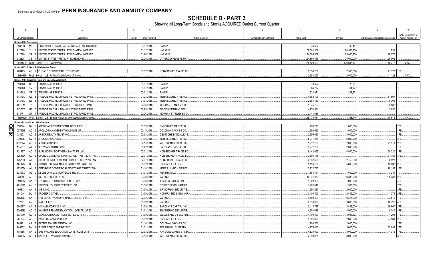**SCHEDULE D - PART 3**<br>Showing all Long-Term Bonds and Stocks ACQUIRED During Current Quarter

|              |                             | $\overline{2}$                                                        | 3       | $\overline{4}$ | 5                              | 6                         | $\overline{7}$     | 8           | -9                                      | 10                   |
|--------------|-----------------------------|-----------------------------------------------------------------------|---------|----------------|--------------------------------|---------------------------|--------------------|-------------|-----------------------------------------|----------------------|
|              |                             |                                                                       |         |                |                                |                           |                    |             |                                         | NAIC Designation or  |
|              | <b>CUSIP</b> Identification | Description                                                           | Foreign | Date Acquired  | Name of Vendor                 | Number of Shares of Stock | <b>Actual Cost</b> | Par Value   | Paid for Accrued Interest and Dividends | Market Indicator (a) |
|              |                             | Bonds - U.S. Government                                               |         |                |                                |                           |                    |             |                                         |                      |
|              | 38378B                      | M6 3 GOVERNMENT NATIONAL MORTGAGE ASSOCIATION                         |         | 03/01/2018.    | PAYUP.                         |                           | .48,457            | .48,457     |                                         |                      |
|              | 912828                      | 2L<br>3 UNITED STATES TREASURY INFLATION INDEXED                      |         | 01/12/2018.    | <b>VARIOUS.</b>                |                           | .69,501,902        | .70,585,900 | 731                                     |                      |
|              | 912828                      | 3R<br>UNITED STATES TREASURY INFLATION INDEXED.<br>- 9                |         | 01/24/2018.    | VARIOUS.                       |                           | 74,385,509         | 75,000,750  | .16,575                                 |                      |
|              | 912828                      | 3S 7 UNITED STATES TREASURY NOTE/BOND.                                |         | 02/20/2018.    | CITIGROUP GLOBAL MKT.          |                           | 24,893,555         | .25,000,000 | .29.006                                 |                      |
|              |                             | 0599999. Total - Bonds - U.S. Government                              |         |                |                                |                           | 168,829,423        | 170,635,107 | .46.312                                 | XXX.                 |
|              |                             | <b>Bonds - U.S. Political Subdivisions of States</b>                  |         |                |                                |                           |                    |             |                                         |                      |
|              |                             | 283493 AP 9 EL PASO COUNTY FACILITIES CORP                            |         | 03/12/2018.    | NON-BROKER TRADE, BO.          |                           | 2,658,250          | .2,500,000  | 41,128 1FE.                             |                      |
|              |                             | 2499999. Total - Bonds - U.S. Political Subdivisions of States.       |         |                |                                |                           | 2.658.250          | .2,500,000  | .41,128                                 | $\mathsf{L}$ XXX.    |
|              |                             | Bonds - U.S. Special Revenue and Special Assessment                   |         |                |                                |                           |                    |             |                                         |                      |
|              | 3136A8                      | N5 5 FANNIE MAE REMICS                                                |         | 03/01/2018.    | PAYUP.                         |                           | 70,397             | 70,397      |                                         |                      |
|              | 3136A8                      | <b>SM</b><br>3 FANNIE MAE REMICS                                      |         | 03/01/2018.    | PAYUP.                         |                           | .64,77             | .64,777     |                                         |                      |
|              | 3136A8                      | <b>FANNIE MAE REMICS</b><br><b>XR</b><br>- 6                          |         | 03/01/2018.    | PAYUP.                         |                           | .232,97            | 232,971     |                                         |                      |
|              | 3137BL                      | FREDDIE MAC MULTIFAMILY STRUCTURED PASS.<br>AE                        |         | 01/23/2018.    | <b>MERRILL LYNCH PIERCE</b>    |                           | .4,662,109         |             | .51,697                                 |                      |
|              | 3137BL                      | N <sub>3</sub><br>FREDDIE MAC MULTIFAMILY STRUCTURED PASS.<br>- 8     |         | 01/03/2018.    | <b>MERRILL LYNCH PIERCE</b>    |                           | 2,684,450          |             | .8,306                                  |                      |
|              | 3137BM                      | FREDDIE MAC MULTIFAMILY STRUCTURED PASS.<br>TZ 9                      |         | 02/06/2018.    | MORGAN STANLEY & CO.           |                           | 1,045,703          |             | .3,582                                  |                      |
|              | 3137BX                      | HE 5   FREDDIE MAC MULTIFAMILY STRUCTURED PASS.                       |         | 02/28/2018.    | BK OF NY/MIZUHO SECU           |                           | .4,274,53          |             | .5,030                                  |                      |
|              | 3137F1                      | G7 7   FREDDIE MAC MULTIFAMILY STRUCTURED PASS                        |         | 02/26/2018.    | MORGAN STANLEY & CO.           |                           | 2,141,016          |             |                                         |                      |
|              |                             | 3199999. Total - Bonds - U.S. Special Revenue and Special Assessments |         |                |                                |                           | .15,175,954        | .368.145    | .68,615                                 | XXX.                 |
|              |                             | <b>Bonds - Industrial and Miscellaneous</b>                           |         |                |                                |                           |                    |             |                                         |                      |
|              | 026874                      | AMERICAN INTERNATIONAL GROUP INC<br>DK 0                              |         | 03/19/2018.    | <b>BANC/AMERICA SECUR.</b>     |                           | .996,270           | .1,000,000  |                                         | 2FE.                 |
| <u>င</u> ္က  | 03765H                      | AC<br>APOLLO MANAGEMENT HOLDINGS LP.                                  |         | 03/15/2018.    | GOLDMAN SACHS & CO.            |                           | .998,920           | 1,000,000   |                                         | 1FE.                 |
| $\mathsf{R}$ | 038923                      | ARBOR REALTY TRUST INC.<br>AC                                         |         | 03/08/2018.    | DEUTSCHE BANC/ALEX B.          |                           | .2,999,610         | .3,000,000  |                                         | IFE.                 |
|              | 04010L                      | ARES CAPITAL CORP.<br>AV                                              |         | 01/08/2018.    | MERRILL LYNCH PIERCE.          |                           | .5,977,260         | .6,000,000  |                                         | 2FE.                 |
|              | 05329W                      | AP<br><b>AUTONATION INC.</b>                                          |         | 02/15/2018.    | <b>WELLS FARGO SECS LLC.</b>   |                           | 1,912,100          | .2,000,000  | .21,111                                 | 2FE.                 |
|              | 115637                      | <b>BROWN-FORMAN CORP.</b><br>AT                                       |         | 03/22/2018.    | <b>BARCLAYS CAPITAL FIX</b>    |                           | 1,977,100          | .2,000,000  |                                         | IFE.                 |
|              | 12189T                      | BURLINGTON NORTHERN SANTA FE LLC.<br>AD                               |         | 02/01/2018.    | NON-BROKER TRADE, BO           |                           | .6,442,695         | .4,500,000  | .58,320                                 | 1FE.                 |
|              | 12528D                      | AC<br>CFCRE COMMERCIAL MORTGAGE TRUST 2018-TAN.                       |         | 02/01/2018.    | NON-BROKER TRADE, BO.          |                           | .3,696,145         |             | .31,751                                 | 3FE.                 |
|              | 12528D                      | CFCRE COMMERCIAL MORTGAGE TRUST 2018-TAN.<br>AJ                       |         | 02/01/2018.    | <b>VON-BROKER TRADE, BO.</b>   |                           | .2,832,489         | .2,750,000  | .6,523                                  | 1FE.                 |
|              | 161175                      | <b>BL</b><br>CHARTER COMMUNICATIONS OPERATING LLC / C.                |         | 01/02/2018.    | <b>EXCHANGE OFFER.</b>         |                           | 5,194,139          | .5,000,000  | .45,538                                 | 2FE.                 |
|              | 17325D                      | AJ<br>CITIGROUP COMMERCIAL MORTGAGE TRUST 2016                        |         | 01/18/2018.    | <b>MERRILL LYNCH PIERCE</b>    |                           | 2,922,795          |             | .28,158                                 | 1FE.                 |
|              | 23305X                      | DBUBS 2011-LC2 MORTGAGE TRUST<br>AJ                                   |         | 01/31/2018.    | PERSHING LLC.                  |                           | 1,563,164          | 1,500,000   | 231                                     |                      |
|              | 23355L                      | AF<br>DXC TECHNOLOGY CO.                                              |         | 03/08/2018.    | <b>VARIOUS.</b>                |                           | 10,347,373         | 10,388,000  | .236,338                                | 2FE.                 |
|              | 35906A                      | FRONTIER COMMUNICATIONS CORP.<br>BA                                   |         | 03/08/2018.    | JPM SECURITIES-FIXED.          |                           | .1,000,000         | .1,000,000  |                                         | 4FE.                 |
|              | 44106M                      | AY<br>HOSPITALITY PROPERTIES TRUST                                    |         | 01/30/2018     | CITIGROUP GBL MKTS/S           |                           | 1,462,410          | 1,500,000   |                                         | 2FE.                 |
|              | 466313                      | AH<br>JABIL INC.<br>- 6                                               |         | 01/09/2018.    | J.P MORGAN SECURITIE.          |                           | 1,994,280          | .2,000,000  |                                         | 2FE.                 |
|              | 501044                      | DJ<br><b>KROGER CO/THE.</b>                                           |         | 01/09/2018.    | NOMURA SECS NEW YORK           |                           | 2,406,503          | .2,405,000  | .41,279                                 | 2FE.                 |
|              | 50543L                      | LABRADOR AVIATION FINANCE LTD 2016-1A.<br>AA                          |         | 02/02/2018.    | <b>VARIOUS.</b>                |                           | 9,508,301          | .9,375,000  | .23,516                                 | 1FE.                 |
|              | 577081                      | $AY$ 8<br><b>MATTEL INC.</b>                                          |         | 03/09/2018.    | <b>VARIOUS.</b>                |                           | .2,610,000         | .3,000,000  | .46,725 4FE.                            |                      |
|              |                             |                                                                       |         |                |                                |                           |                    |             |                                         |                      |
|              | 59408T                      | MICHAEL KORS USA INC<br>AA                                            |         | 01/29/2018.    | <b>BARCLAYS CAPITAL INC.</b>   |                           | .2,413,717         | .2,403,000  | .26,967                                 | 2FE.                 |
|              | 63939E                      | AD<br>NAVIENT PRIVATE EDUCATION LOAN TRUST 201                        |         | 01/03/2018.    | BNY/MIZUHO SECURITIE           |                           | .4,654,688         | .4,500,000  | .8.340                                  | 1FE.                 |
|              | 67389M                      | AV<br>OAKS MORTGAGE TRUST SERIES 2015-1<br>3                          |         | 01/09/2018.    | WELLS FARGO SECURITI.          |                           | .4,109,307         | .4,041,423  | .4,298                                  | 1FE.                 |
|              | 701094                      | AL<br>PARKER-HANNIFIN CORP.                                           |         | 01/02/2018.    | <b>EXCHANGE OFFER.</b>         |                           | 1,991,899          | .2,000,000  | .27,561                                 | 2FE.                 |
|              | 703481                      | AA 9<br><b>PATTERSON-UTI ENERGY INC.</b>                              |         | 01/10/2018.    | <b>GOLDMAN SACHS &amp; CO.</b> |                           | .1,998,500         | .2,000,000  |                                         | 2FE.                 |
|              | 745332                      | BY<br>PUGET SOUND ENERGY INC                                          |         | 01/31/2018     | PERSHING LLC JERSEY            |                           | .4,975,000         | .5,000,000  | .35,093                                 | 2FE.                 |
|              | 784456                      | AF<br>SMB PRIVATE EDUCATION LOAN TRUST 2014-A.<br>2                   |         | 03/08/2018.    | RAYMOND JAMES & ASSO           |                           | .4,825,000         | .5,000,000  | .4,375                                  | 1FE.                 |
|              | 80306A                      | AC<br>4 SAPPHIRE AVIATION FINANCE I LTD.                              |         | 03/14/2018.    | WELLS FARGO SECS LLC.          |                           | .2.999.981         | .3,000,000  |                                         | 3FE.                 |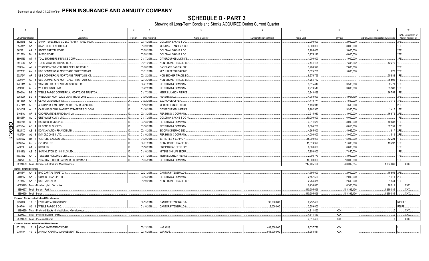**SCHEDULE D - PART 3**<br>Showing all Long-Term Bonds and Stocks ACQUIRED During Current Quarter

|              | $\overline{1}$                   | 2                                                                | $\overline{3}$<br>$\overline{4}$        | 5                               | 6                         | $\overline{7}$ | 8            | 9                                       | 10                           |
|--------------|----------------------------------|------------------------------------------------------------------|-----------------------------------------|---------------------------------|---------------------------|----------------|--------------|-----------------------------------------|------------------------------|
|              |                                  |                                                                  |                                         | Name of Vendor                  | Number of Shares of Stock | Actual Cost    | Par Value    |                                         | NAIC Designation or          |
|              | CUSIP Identification<br>85208N   | Description<br>AE 0 SPRINT SPECTRUM COLLC / SPRINT SPECTRUM      | Foreign<br>Date Acquired<br>03/14/2018. | <b>GOLDMAN SACHS &amp; CO.</b>  |                           | .2,000,000     | .2,000,000   | Paid for Accrued Interest and Dividends | Market Indicator (a)<br>2FE. |
|              | 85434V<br>AA                     | STANFORD HEALTH CARE.                                            | 01/09/2018.                             | MORGAN STANLEY & CO.            |                           | .3,000,000     | .3,000,000   |                                         | 1FE                          |
|              | 862121<br>AA                     | 8 STORE CAPITAL CORP.                                            | 03/08/2018.                             | <b>GOLDMAN SACHS &amp; CO.</b>  |                           | .2,985,450     | .3,000,000   |                                         | 2FE                          |
|              | 871829<br><b>BH</b>              | 9 SYSCO CORP.                                                    | 03/08/2018.                             | GOLDMAN SACHS & CO.             |                           | .3,975,120     | .4,000,000   |                                         | 2FE                          |
|              | 88947E<br>AT                     | 7   TOLL BROTHERS FINANCE CORP.                                  |                                         |                                 |                           |                | .1,000,000   |                                         | 3FE.                         |
|              | AA                               | 3   TORO MTG FTG TR 2017-RE 4.0                                  | 01/17/2018.                             | CITIGROUP GBL MKTS/S.           |                           | 1,000,000      |              |                                         |                              |
|              | 891098                           |                                                                  | 01/11/2018.                             | NON-BROKER TRADE, BO            |                           | .7,441,104     | 7,348,262    | 12,279                                  |                              |
|              | 893574                           | $AJ$ 2<br>TRANSCONTINENTAL GAS PIPE LINE CO LLC.                 | 03/08/2018.                             | <b>BARCLAYS CAPITAL FIX.</b>    |                           | .1,988,920     | .2,000,000   |                                         | 2FE                          |
|              | 90276E<br>AN                     | UBS COMMERCIAL MORTGAGE TRUST 2017-C1                            | 01/31/2018.                             | MIZUHO SECS USA/FIXE.           |                           | .5,025,781     | .5,000,000   | .672                                    | 2FE                          |
|              | 90276V<br>AF                     | UBS COMMERCIAL MORTGAGE TRUST 2018-C8                            | 02/12/2018.                             | NON-BROKER TRADE, BO            |                           | .6,976,769     |              | .65,932                                 | 1FF                          |
|              | 90276V<br>AG                     | UBS COMMERCIAL MORTGAGE TRUST 2018-C8                            | 02/12/2018.                             | NON-BROKER TRADE, BO            |                           | .4,754,782     |              | .35,506                                 | 1FF                          |
|              | 92211M<br>AC                     | VANTAGE DATA CENTERS ISSUER LLC.                                 | 02/21/2018.                             | PERSHING & COMPANY.             |                           | .3,515,449     | .3,500,000   | .2,771                                  | 1FE.                         |
|              | 92924F<br>AB                     | 2 WGL HOLDINGS INC                                               | 03/22/2018.                             | PERSHING & COMPANY.             |                           | .2,919,510     | .3,000,000   | .55,583                                 | 1FE.                         |
|              | <b>BE</b><br>95001A              | 5 WELLS FARGO COMMERCIAL MORTGAGE TRUST 20.                      | 01/17/2018.                             | MERRILL LYNCH PIERCE            |                           | .3,943,499     |              | .26,752                                 | 1FE.                         |
|              | 97652U<br>BG                     | 4   WINWATER MORTGAGE LOAN TRUST 2015-2.                         | 01/30/2018.                             | PERSHING LLC                    |                           | 4,960,990      | 4,967,199    |                                         | 2FE                          |
|              | 15135U<br>AP                     | CENOVUS ENERGY INC.                                              | 01/02/2018.                             | <b>EXCHANGE OFFER</b>           |                           | 1,410,774      | .1,500,000   | .3,719                                  | 3FF                          |
|              | 00774M<br>AE                     | AERCAP IRELAND CAPITAL DAC / AERCAP GLOB<br>-5                   | 01/16/2018.                             | <b>MERRILL LYNCH PIERCE</b>     |                           | 1,494,945      | .1,500,000   |                                         | 2FE                          |
|              | 14310U<br>AL                     | 3 CARLYLE GLOBAL MARKET STRATEGIES CLO 201                       | 01/16/2018.                             | CITIGROUP GBL MKTS/S            |                           | .9,962,935     | .9,950,000   | .1,415                                  | 1FE                          |
|              | 21684A<br>AF                     | 3 COOPERATIEVE RABOBANK UA.                                      | 03/13/2018.                             | PERSHING & COMPANY              |                           | .2,915,910     | .3,000,000   | .16,875                                 | 2FE                          |
|              | 39808P<br>AL                     | 0 GREYWOLF CLO V LTD.                                            | 01/17/2018.                             | <b>GOLDMAN SACHS &amp; CO N</b> |                           | 10,000,000     | 10,000,000   |                                         | 1FE.                         |
|              | 404280<br><b>BH</b>              | <b>HSBC HOLDINGS PLC.</b>                                        | 03/13/2018.                             | PERSHING & COMPANY              |                           | .3,011,670     | 3,000,000    | 40,833                                  | 1FE.                         |
| ΟR<br>Π      | 43132W<br>AC                     | HILDENE CLO IV LTD.                                              | 01/18/2018.                             | PERSHING & COMPANY.             |                           | .6,884,250     | .6,850,000   | .62,551                                 | 1FF                          |
|              | 48244X<br>AB                     | <b>KDAC AVIATION FINANCE LTD</b>                                 | 02/14/2018.                             | BK OF NY/MIZUHO SECU            |                           | 4,965,000      | .4,965,000   | .817                                    | 2FE                          |
| $\mathbf{5}$ | 482739<br>AJ                     | 8 KVK CLO 2013-1 LTD.                                            | 01/10/2018.                             | PERSHING & COMPANY              |                           | .4,000,000     | .4,000,000   | .519                                    |                              |
| د            | 60689W                           | BZ 3 VENTURE XXX CLO LTD.                                        | 01/30/2018.                             | JEFFERIES & CO INC N.           |                           | 15,000,000     | 15,000,000   | .72,224                                 | 1FE.                         |
|              | 67108W                           | AQ 2 OZLM VII LTD.                                               | 02/01/2018.                             | NON-BROKER TRADE, BO            |                           | 11,613,920     | .11,600,000  | .19,497                                 | 1FE.                         |
|              | AA<br>74988L                     | 2 RR 3 LTD                                                       | 01/18/2018.                             | <b>BNP PARIBAS SECS CP/</b>     |                           | .6,000,000     | .6,000,000   |                                         | 1FE                          |
|              | 81881Q<br>AS                     | 5 SHACKLETON 2013-III CLO LTD                                    | 01/10/2018.                             | MITSUBISHI UFJ SECUR.           |                           | .7,850,000     | 7,850,000    |                                         | 1FE                          |
|              | AH<br>88032W                     | 9   TENCENT HOLDINGS LTD.                                        | 01/11/2018.                             | <b>MERRILL LYNCH PIERCE</b>     |                           | .2,998,770     | .3,000,000   |                                         | 1FE                          |
|              | 98877E                           | AG 8 Z CAPITAL CREDIT PARTNERS CLO 2015-1 LTD.                   | 01/05/2018.                             | PERSHING & COMPANY.             |                           | 10,000,000     | .10,000,000  |                                         | 1FE.                         |
|              |                                  | 3899999. Total - Bonds - Industrial and Miscellaneous            |                                         |                                 |                           | 247,405,194    | .223,392,884 | 1,064,069                               | .XXX.                        |
|              | <b>Bonds - Hybrid Securities</b> |                                                                  |                                         |                                 |                           |                |              |                                         |                              |
|              | 05518V                           | AA 3 BAC CAPITAL TRUST XIV                                       | 02/21/2018.                             | CANTOR FITZGERALD &.            |                           | 1,795,000      | .2,000,000   | .15,556 2FE.                            |                              |
|              | 20035A                           | AA 2 COMED FINANCING III                                         | 03/15/2018.                             | PERSHING & COMPANY.             |                           | .2,157,500     | .2,000,000   | .1,411                                  | 2FE                          |
|              | 91731K                           | AA 8 USB CAPITAL IX.                                             | 01/19/2018.                             | NON-BROKER TRADE, BO            |                           | .2.284.375     | .2.500.000   | .1.944                                  | 1FE.                         |
|              |                                  | 4899999. Total - Bonds - Hybrid Securities.                      |                                         |                                 |                           | .6,236,875     | .6.500.000   | .18,911                                 | .XXX.                        |
|              |                                  | 8399997. Total - Bonds - Part 3                                  |                                         |                                 |                           | .440,305,696   | .403.396.136 | 1,239,035                               | .XXX.                        |
|              | 8399999. Total - Bonds.          |                                                                  |                                         |                                 |                           | .440,305,696   | .403,396,136 | 1,239,035                               | XXX.                         |
|              |                                  | Preferred Stocks - Industrial and Miscellaneous                  |                                         |                                 |                           |                |              |                                         |                              |
|              | 29364D                           | 10 0 ENTERGY ARKANSAS INC.                                       | 02/15/2018.                             | CANTOR FITZGERALD &.            | .93,000.000               | .2,252,460     |              |                                         | RP1LFE.                      |
|              | 949746                           | 80 4 WELLS FARGO & CO.                                           | 01/10/2018.                             | <b>CANTOR FITZGERALD &amp;</b>  | .2,000.000                | 2.559.000      |              |                                         | P2LFE.                       |
|              |                                  | 8499999. Total - Preferred Stocks - Industrial and Miscellaneous |                                         |                                 |                           | .4.811.460     | <b>XXX</b>   | $\Omega$                                | .XXX                         |
|              |                                  | 8999997. Total - Preferred Stocks - Part 3.                      |                                         |                                 |                           | .4.811.460     | <b>XXX</b>   | 0                                       | .XXX.                        |
|              |                                  | 8999999. Total - Preferred Stocks.                               |                                         |                                 |                           | .4,811,460     | XXX          | 0                                       | .XXX.                        |
|              |                                  | <b>Common Stocks - Industrial and Miscellaneous</b>              |                                         |                                 |                           |                |              |                                         |                              |
|              | 00123Q                           | 10 4 AGNC INVESTMENT CORP.                                       | 02/13/2018.                             | VARIOUS.                        | 483,000.000               | .9,037,776     | XXX          |                                         |                              |
|              | 035710                           | 40 9 ANNALY CAPITAL MANAGEMENT INC.                              | 02/16/2018                              | VARIOUS.                        | .663,000.000              | .6,985,531     | <b>XXX</b>   |                                         |                              |
|              |                                  |                                                                  |                                         |                                 |                           |                |              |                                         |                              |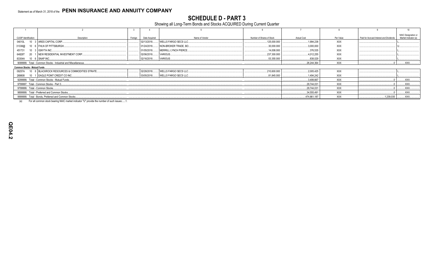**SCHEDULE D - PART 3**<br>Showing all Long-Term Bonds and Stocks ACQUIRED During Current Quarter

| <b>CUSIP</b> Identification     | Description                                                    | Foreian | Date Acquired | Name of Vendor               | Number of Shares of Stock | Actual Cost | Par Value  | Paid for Accrued Interest and Dividends | NAIC Designation or<br>Market Indicator (a) |
|---------------------------------|----------------------------------------------------------------|---------|---------------|------------------------------|---------------------------|-------------|------------|-----------------------------------------|---------------------------------------------|
| 04010L                          | 10 3 ARES CAPITAL CORP.                                        |         | 02/13/2018    | <b>WELLS FARGO SECS LLC</b>  | .125.000.000              | .1.994.238  | <b>XXX</b> |                                         |                                             |
| 31338@                          | 10 6 FHLN OF PITTSBURGH.                                       |         | 01/24/2018    | NON-BROKER TRADE, BO.        | .30,000.000               | .3,000,000  | <b>XXX</b> |                                         |                                             |
| 451731                          | 10 3 <b>IGNYTA INC.</b>                                        |         | 01/05/2018    | <b>MERRILL LYNCH PIERCE.</b> | .14.008.000               | .376.535    | XXX        |                                         |                                             |
| 64828T                          | 20 1 NEW RESIDENTIAL INVESTMENT CORP                           |         | 02/06/2018    | VARIOUS                      | 237,300.000               | .4.012.255  | <b>XXX</b> |                                         |                                             |
| 83304A 10 6 SNAP INC            |                                                                |         | 02/16/2018.   | VARIOUS.                     | 53,355.000                | .838,029    | <b>XXX</b> |                                         |                                             |
|                                 | 9099999. Total - Common Stocks - Industrial and Miscellaneous. |         |               |                              |                           | .26,244,364 | <b>XXX</b> |                                         | .XXX.                                       |
| Common Stocks - Mutual Funds    |                                                                |         |               |                              |                           |             |            |                                         |                                             |
|                                 | 09257A 10 8 BLACKROCK RESOURCES & COMMODITIES STRATE           |         | 02/28/2018.   | <b>WELLS FARGO SECS LLC</b>  | 210,600.000               | .2.005.425  | <b>XXX</b> |                                         |                                             |
|                                 | 269808 10 1 EAGLE POINT CREDIT CO INC                          |         | 03/05/2018    | <b>WELLS FARGO SECS LLC</b>  | 81.845.000                | 1.494.242   | XXX        |                                         |                                             |
|                                 | 9299999. Total - Common Stocks - Mutual Funds                  |         |               |                              |                           | 3,499,667   | XXX        |                                         | XXX.                                        |
|                                 | 9799997. Total - Common Stocks - Part 3.                       |         |               |                              |                           | .29,744,031 | XXX        |                                         | XXX                                         |
| 9799999. Total - Common Stocks. |                                                                |         |               |                              |                           | .29.744.031 | XXX        |                                         | XXX.                                        |
|                                 | 9899999. Total - Preferred and Common Stocks.                  |         |               |                              |                           | .34.555.491 | XXX        |                                         | XXX.                                        |
|                                 | 9999999. Total - Bonds, Preferred and Common Stocks            |         |               |                              |                           | 474,861,187 | XXX        | 1,239,035                               | XXX.                                        |
|                                 |                                                                |         |               |                              |                           |             |            |                                         |                                             |

For all common stock bearing NAIC market indicator "U" provide the number of such issues:.....1.  $(a)$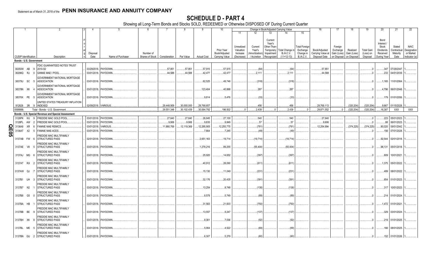|                  |                             |     |     | 2                                                       |                  | 5                    | -6                            |             |             | -9                 | 10                          |                        |                             | Change in Book/Adjusted Carrying Value    |                       | 16                                 | 17                         | 18                         | 19                    | 20                      | 21                      | 22                       |
|------------------|-----------------------------|-----|-----|---------------------------------------------------------|------------------|----------------------|-------------------------------|-------------|-------------|--------------------|-----------------------------|------------------------|-----------------------------|-------------------------------------------|-----------------------|------------------------------------|----------------------------|----------------------------|-----------------------|-------------------------|-------------------------|--------------------------|
|                  |                             |     |     |                                                         |                  |                      |                               |             |             |                    |                             | 11                     | 12                          | 13<br>14                                  | 15                    |                                    |                            |                            |                       |                         |                         |                          |
|                  |                             |     |     |                                                         |                  |                      |                               |             |             |                    |                             |                        |                             |                                           |                       |                                    |                            |                            |                       |                         |                         |                          |
|                  |                             |     |     |                                                         |                  |                      |                               |             |             |                    |                             |                        |                             | Current                                   |                       |                                    |                            |                            |                       | Bond                    |                         |                          |
|                  |                             |     |     |                                                         |                  |                      |                               |             |             |                    |                             |                        |                             | Year's                                    |                       |                                    |                            |                            |                       | Interest /              |                         |                          |
|                  |                             |     |     |                                                         |                  |                      |                               |             |             |                    |                             | Unrealized             | Current                     | Other-Than-                               | <b>Total Foreigr</b>  |                                    | Foreign                    |                            |                       | Stock                   | Stated                  | <b>NAIC</b>              |
|                  |                             |     |     |                                                         |                  |                      | Number of                     |             |             |                    | Prior Year<br>Book/Adjusted | Valuation              | Year's                      | Total Change in<br>Temporary<br>B./A.C.V. | Exchange<br>Change in | Book/Adjusted                      | Exchange                   | Realized                   | <b>Total Gain</b>     | Dividends               | Contractual<br>Maturity | Designation<br>or Market |
|                  | <b>CUSIP</b> Identification |     |     | Description                                             | Disposal<br>Date | Name of Purchaser    | Shares of Stock Consideration |             | Par Value   | <b>Actual Cost</b> | <b>Carrying Value</b>       | Increase<br>(Decrease) | Amortization<br>/ Accretion | Impairment<br>$(11+12-13)$<br>Recognized  | <b>B./A.C.V.</b>      | Carrying Value at<br>Disposal Date | Gain (Loss)<br>on Disposal | Gain (Loss)<br>on Disposal | (Loss) on<br>Disposal | Received<br>During Year | Date                    | Indicator (a)            |
|                  | Bonds - U.S. Government     |     |     |                                                         |                  |                      |                               |             |             |                    |                             |                        |                             |                                           |                       |                                    |                            |                            |                       |                         |                         |                          |
|                  |                             |     |     |                                                         |                  |                      |                               |             |             |                    |                             |                        |                             |                                           |                       |                                    |                            |                            |                       |                         |                         |                          |
|                  |                             |     |     | FDIC GUARANTEED NOTES TRUST                             |                  |                      |                               |             |             |                    |                             |                        |                             |                                           |                       |                                    |                            |                            |                       |                         |                         |                          |
|                  | 30250W AB                   |     |     | 2010-S2                                                 | 03/29/2018.      | PAYDOWN.             |                               | .57,851     | .57,851     | .57,915            | 57,915                      |                        | (64)                        | (64)                                      |                       | .57,851                            |                            |                            | $\cdot$ .0            | .347                    | 07/29/2047              |                          |
|                  | 36296Q RJ                   |     |     | GINNIE MAE I POOL                                       | 03/01/2018.      | PAYDOWN.             |                               | .44,588     | .44,588     | 42,477             | .42,477                     |                        | .2,11'                      | .2,111                                    |                       | .44,588                            |                            |                            |                       | .233                    | 04/01/2039.             |                          |
|                  |                             |     |     | <b>GOVERNMENT NATIONAL MORTGAGE</b>                     |                  |                      |                               |             |             |                    |                             |                        |                             |                                           |                       |                                    |                            |                            |                       |                         |                         |                          |
|                  | 38375U SC                   |     |     | <b>ASSOCIATION</b>                                      | 03/01/2018.      | PAYDOWN.             |                               |             |             | .62,525            | .49,746                     |                        | (318)                       | (318)                                     |                       |                                    |                            |                            | $\cdot$ .0            | 1,165                   | 11/01/2064.             |                          |
|                  |                             |     |     | GOVERNMENT NATIONAL MORTGAGE                            |                  |                      |                               |             |             |                    |                             |                        |                             |                                           |                       |                                    |                            |                            |                       |                         |                         |                          |
|                  | 38378N XK                   |     |     | ASSOCIATION                                             | 03/01/2018.      | PAYDOWN.             |                               |             |             | 123,404            | .40,888                     |                        | .287                        | .287                                      |                       |                                    |                            |                            | . . 0                 | 4,796                   | 06/01/2048.             |                          |
|                  |                             |     |     | GOVERNMENT NATIONAL MORTGAGE                            |                  |                      |                               |             |             |                    |                             |                        |                             |                                           |                       |                                    |                            |                            |                       |                         |                         |                          |
|                  | 38378X PE                   |     | - 5 | <b>ASSOCIATION</b>                                      |                  | 03/01/2018. PAYDOWN  |                               |             |             | .9.814             | .5,476                      |                        | (33)                        | (33)                                      |                       |                                    |                            |                            | $\Omega$              |                         | .179 01/01/2056.        |                          |
|                  |                             |     |     |                                                         |                  |                      |                               |             |             |                    |                             |                        |                             |                                           |                       |                                    |                            |                            |                       |                         |                         |                          |
|                  |                             |     |     | UNITED STATES TREASURY INFLATION<br>912828 3R 9 INDEXED |                  | 02/09/2018. VARIOUS. |                               | .29.448.909 | .30.000.000 | .29,768,657        |                             |                        | .456                        | 456                                       |                       | .29.769.113                        |                            | (320.204)                  | (320, 204)            |                         | .9,667 01/15/2028.      |                          |
|                  |                             |     |     |                                                         |                  |                      |                               |             |             |                    |                             |                        |                             |                                           |                       |                                    |                            |                            |                       |                         |                         |                          |
|                  | 0599999.                    |     |     | Total - Bonds - U.S. Government.                        |                  |                      |                               | 29,551,348  | .30.102.439 | 30,064,792         | 196,502                     | $\Omega$               | .2.439                      | .2,439<br>$\Omega$                        | $\Omega$              | 29,871,552                         | $\Omega$                   | . (320, 204)               | (320, 204)            | .16,387                 | <b>XXX</b>              | <b>XXX</b>               |
|                  |                             |     |     | Bonds - U.S. Special Revenue and Special Assessment     |                  |                      |                               |             |             |                    |                             |                        |                             |                                           |                       |                                    |                            |                            |                       |                         |                         |                          |
|                  | 3128PK                      | WJ. |     | FREDDIE MAC GOLD POO                                    | 03/01/2018       | PAYDOWN              |                               | 27,640      | .27,640     | .26,845            | 27,100                      |                        | .540                        | .540                                      |                       | .27,640                            |                            |                            | - 0                   |                         | .223 05/01/2023.        |                          |
|                  | 3128PL                      | AW  |     | FREDDIE MAC GOLD POOL                                   | 03/01/201        | PAYDOWN              |                               | .9,906      | .9,906      | .9,835             | .9,849                      |                        | .57                         | 57                                        |                       | .9,906                             |                            |                            | $\Omega$              | .88                     | 06/01/2023              |                          |
| O                | 3136A8                      | XR  |     | FANNIE MAE REMICS.                                      | 03/01/201        | <b>/ARIOUS</b>       |                               | .11,880,769 | 12,119,369  | 12,295,905         | 12,255,775                  |                        | (781)                       | (781                                      |                       | 12,254,994                         |                            | (374,225)                  | (374, 225)            | .80,020                 | 09/01/2042              |                          |
| $\overline{503}$ | 3136AT                      | X2  |     | <b>FANNIE MAE-ACES.</b>                                 | 03/01/2018.      | PAYDOWN.             |                               |             |             | .7,664             | .7,245                      |                        | (49)                        | (49)                                      |                       |                                    |                            |                            |                       | 156                     | 07/01/2028.             |                          |
|                  |                             |     |     | FREDDIE MAC MULTIFAMILY                                 |                  |                      |                               |             |             |                    |                             |                        |                             |                                           |                       |                                    |                            |                            |                       |                         |                         |                          |
|                  | 3137AB                      | FW  |     | <b>STRUCTURED PASS</b>                                  | 02/01/2018.      | PAYDOWN.             |                               |             |             | .2,651,163         | .19,714                     |                        | (19,714)                    | (19,714)                                  |                       |                                    |                            |                            | $\cdot$ 0             | .92,544                 | 02/01/2018.             |                          |
|                  |                             |     |     |                                                         |                  |                      |                               |             |             |                    |                             |                        |                             |                                           |                       |                                    |                            |                            |                       |                         |                         |                          |
|                  | 3137AE V8                   |     |     | FREDDIE MAC MULTIFAMILY<br><b>STRUCTURED PASS</b>       |                  |                      |                               |             |             | .1,278,216         | .89,255                     |                        |                             |                                           |                       |                                    |                            |                            | - 0                   |                         | 05/01/2018.             |                          |
|                  |                             |     |     |                                                         | 03/01/2018.      | PAYDOWN              |                               |             |             |                    |                             |                        | (55, 404)                   | (55, 404)                                 |                       |                                    |                            |                            |                       | .96,131                 |                         |                          |
|                  |                             |     |     | FREDDIE MAC MULTIFAMILY                                 |                  |                      |                               |             |             |                    |                             |                        |                             |                                           |                       |                                    |                            |                            |                       |                         |                         |                          |
|                  | 3137AJ MG                   |     |     | <b>STRUCTURED PASS</b>                                  |                  | 03/01/2018. PAYDOWN  |                               |             |             | .25,920            | .14,652                     |                        | (397)                       | (397)                                     |                       |                                    |                            |                            |                       | .809                    | 10/01/2021              |                          |
|                  |                             |     |     | FREDDIE MAC MULTIFAMILY                                 |                  |                      |                               |             |             |                    |                             |                        |                             |                                           |                       |                                    |                            |                            |                       |                         |                         |                          |
|                  | 3137AT RX                   |     |     | <b>STRUCTURED PASS</b>                                  | 03/01/2018.      | PAYDOWN              |                               |             |             | .40,912            | .28,090                     |                        | (611)                       | (611                                      |                       |                                    |                            |                            |                       | .1,375                  | 05/01/2022.             |                          |
|                  |                             |     |     | FREDDIE MAC MULTIFAMILY                                 |                  |                      |                               |             |             |                    |                             |                        |                             |                                           |                       |                                    |                            |                            |                       |                         |                         |                          |
|                  | 3137AW QJ                   |     |     | STRUCTURED PASS                                         | 03/01/2018.      | PAYDOWN.             |                               |             |             | 15,130             | .11,049                     |                        | (231)                       | (231)                                     |                       |                                    |                            |                            | . . 0                 |                         | .489 08/01/2022.        |                          |
|                  |                             |     |     | FREDDIE MAC MULTIFAMILY                                 |                  |                      |                               |             |             |                    |                             |                        |                             |                                           |                       |                                    |                            |                            |                       |                         |                         |                          |
|                  | 3137B1 UH                   |     |     | <b>STRUCTURED PASS</b>                                  | 03/01/2018.      | PAYDOWN              |                               |             |             | .32,176            | .20,435                     |                        | (391)                       | .(391                                     |                       |                                    |                            |                            | - 0                   | .854                    | 01/01/2023.             |                          |
|                  |                             |     |     | FREDDIE MAC MULTIFAMILY                                 |                  |                      |                               |             |             |                    |                             |                        |                             |                                           |                       |                                    |                            |                            |                       |                         |                         |                          |
|                  | 3137B7 N2                   |     |     | <b>STRUCTURED PASS</b>                                  |                  | 03/01/2018. PAYDOWN  |                               |             |             | 13,254             | .8,748                      |                        | (138)                       | (138)                                     |                       |                                    |                            |                            |                       | .317                    | 10/01/2023.             |                          |
|                  |                             |     |     |                                                         |                  |                      |                               |             |             |                    |                             |                        |                             |                                           |                       |                                    |                            |                            |                       |                         |                         |                          |
|                  |                             |     |     | FREDDIE MAC MULTIFAMILY                                 |                  |                      |                               |             |             |                    |                             |                        |                             |                                           |                       |                                    |                            |                            |                       |                         |                         |                          |
|                  | 3137B8 G5                   |     |     | <b>STRUCTURED PASS</b>                                  |                  | 03/01/2018. PAYDOWN. |                               |             |             | .8,578             | .5.749                      |                        | (89)                        | (89)                                      |                       |                                    |                            |                            | - 0                   |                         | 214 01/01/2024.         |                          |
|                  |                             |     |     | FREDDIE MAC MULTIFAMILY                                 |                  |                      |                               |             |             |                    |                             |                        |                             |                                           |                       |                                    |                            |                            |                       |                         |                         |                          |
|                  | 3137BA HB                   |     |     | <b>STRUCTURED PASS</b>                                  |                  | 03/01/2018. PAYDOWN. |                               |             |             | .31,563            | 21,603                      |                        | (750)                       | (750)                                     |                       |                                    |                            |                            | $\cdot$ 0             |                         | .1,472 01/01/2021.      |                          |
|                  |                             |     |     | FREDDIE MAC MULTIFAMILY                                 |                  |                      |                               |             |             |                    |                             |                        |                             |                                           |                       |                                    |                            |                            |                       |                         |                         |                          |
|                  | 3137BB BE                   |     |     | <b>STRUCTURED PASS</b>                                  | 03/01/2018.      | PAYDOWN.             |                               |             |             | .13,557            | .9,247                      |                        | (137)                       | (137)                                     |                       |                                    |                            |                            | $\cdot$ 0             | .329                    | 03/01/2024.             |                          |
|                  |                             |     |     | FREDDIE MAC MULTIFAMILY                                 |                  |                      |                               |             |             |                    |                             |                        |                             |                                           |                       |                                    |                            |                            |                       |                         |                         |                          |
|                  | 3137BH XK                   |     |     | <b>STRUCTURED PASS</b>                                  |                  | 03/01/2018. PAYDOWN  |                               |             |             | .8,361             | .7,036                      |                        | (92)                        | (92)                                      |                       |                                    |                            |                            | . . 0                 |                         | .219 01/01/2025.        |                          |
|                  |                             |     |     | FREDDIE MAC MULTIFAMILY                                 |                  |                      |                               |             |             |                    |                             |                        |                             |                                           |                       |                                    |                            |                            |                       |                         |                         |                          |
|                  | 3137BL ME                   |     |     | <b>STRUCTURED PASS</b>                                  |                  | 03/01/2018. PAYDOWN  |                               |             |             | .5,064             | .4,522                      |                        | (69)                        | (69)                                      |                       |                                    |                            |                            |                       |                         | 166 08/01/2025.         |                          |
|                  |                             |     |     |                                                         |                  |                      |                               |             |             |                    |                             |                        |                             |                                           |                       |                                    |                            |                            |                       |                         |                         |                          |
|                  | 3137BN GU                   |     |     | FREDDIE MAC MULTIFAMILY<br><b>STRUCTURED PASS</b>       |                  | 03/01/2018. PAYDOWN. |                               |             |             | .6.307             | .5.279                      |                        | (60)                        | (60)                                      |                       |                                    |                            |                            | $\Omega$              |                         | 152 01/01/2026.         |                          |
|                  |                             |     |     |                                                         |                  |                      |                               |             |             |                    |                             |                        |                             |                                           |                       |                                    |                            |                            |                       |                         |                         |                          |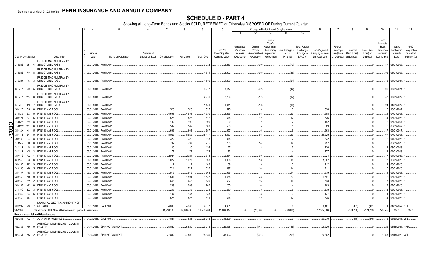|     |           |                             | 2                                                            |             | -5                          | 6               |               | 8          | 9                  | 10                          |                                     |                                    |                                                             | Change in Book/Adjusted Carrying Value |                                               | 16                                 | 17                                 | 18                      | 19                             | 20                                                        | 21                                | 22                                      |
|-----|-----------|-----------------------------|--------------------------------------------------------------|-------------|-----------------------------|-----------------|---------------|------------|--------------------|-----------------------------|-------------------------------------|------------------------------------|-------------------------------------------------------------|----------------------------------------|-----------------------------------------------|------------------------------------|------------------------------------|-------------------------|--------------------------------|-----------------------------------------------------------|-----------------------------------|-----------------------------------------|
|     |           |                             |                                                              |             |                             |                 |               |            |                    |                             | 11                                  | 12                                 | 13                                                          | 14                                     | 15                                            |                                    |                                    |                         |                                |                                                           |                                   |                                         |
|     |           |                             |                                                              | Disposal    |                             | Number of       |               |            |                    | Prior Year<br>Book/Adjusted | Unrealized<br>Valuation<br>Increase | Current<br>Year's<br>Amortization) | Current<br>Year's<br>Other-Than-<br>Temporary<br>Impairment | Total Change i<br>B./A.C.V.            | <b>Total Foreign</b><br>Exchange<br>Change in | Book/Adjusted<br>Carrying Value at | Foreign<br>Exchange<br>Gain (Loss) | Realized<br>Gain (Loss) | <b>Total Gain</b><br>(Loss) on | Bond<br>Interest<br>Stock<br><b>Dividends</b><br>Received | Stated<br>Contractual<br>Maturity | <b>NAIC</b><br>Designation<br>or Market |
|     |           | <b>CUSIP</b> Identification | Description                                                  | Date        | Name of Purchaser           | Shares of Stock | Consideration | Par Value  | <b>Actual Cost</b> | Carrying Value              | (Decrease)                          | / Accretion                        | Recognized                                                  | $(11+12-13)$                           | <b>B./A.C.V.</b>                              | Disposal Date                      | on Disposal                        | on Disposal             | Disposal                       | During Year                                               | Date                              | Indicator (a)                           |
|     | 3137BS 5P |                             | FREDDIE MAC MULTIFAMILY<br>STRUCTURED PASS                   |             | 03/01/2018. PAYDOWN.        |                 |               |            | .7,032             | .6,683                      |                                     | (70)                               |                                                             | (70)                                   |                                               |                                    |                                    |                         |                                |                                                           | .187 08/01/2026.                  |                                         |
|     | 3137BS P9 |                             | FREDDIE MAC MULTIFAMILY<br><b>STRUCTURED PASS</b>            |             | 03/01/2018. PAYDOWN.        |                 |               |            | .4,371             | .3,902                      |                                     | (36)                               |                                                             | (36)                                   |                                               |                                    |                                    |                         |                                | .96                                                       | 08/01/2026.                       |                                         |
|     | 3137BY PS |                             | FREDDIE MAC MULTIFAMILY<br><b>STRUCTURED PASS</b>            |             | 03/01/2018. PAYDOWN.        |                 |               |            | .1,519             | .1,390                      |                                     | (21                                |                                                             | .(21                                   |                                               |                                    |                                    |                         |                                | . 48                                                      | 04/01/2024                        |                                         |
|     | 3137FA RG | -5                          | FREDDIE MAC MULTIFAMILY<br><b>STRUCTURED PASS</b>            |             | 03/01/2018. PAYDOWN.        |                 |               |            | .3,277             | .3,117                      |                                     | (42)                               |                                                             | (42)                                   |                                               |                                    |                                    |                         |                                |                                                           | .99 07/01/2024.                   |                                         |
|     | 3137FA WU |                             | FREDDIE MAC MULTIFAMILY<br><b>STRUCTURED PASS</b>            |             | 03/01/2018. PAYDOWN.        |                 |               |            | .2,276             | .2,204                      |                                     | (17)                               |                                                             | (17)                                   |                                               |                                    |                                    |                         |                                | .47                                                       | 07/01/2027                        |                                         |
|     | 3137FC JM |                             | FREDDIE MAC MULTIFAMILY<br><b>STRUCTURED PASS</b>            | 03/01/2018. | PAYDOWN.                    |                 |               |            | 1,441              | .1,441                      |                                     | (10)                               |                                                             | (10)                                   |                                               |                                    |                                    |                         |                                | .24                                                       | 11/01/2027                        |                                         |
|     | 31412B DS |                             | <b>FANNIE MAE POOL</b>                                       | 03/01/2018  | PAYDOWN.                    |                 | .528          | .528       | .525               | .525                        |                                     |                                    |                                                             |                                        |                                               | 528                                |                                    |                         |                                |                                                           | 10/01/2047                        |                                         |
|     | 31412M 2X |                             | <b>FANNIE MAE POOL</b>                                       | 03/01/2018  | PAYDOWN.                    |                 | .4,658        | 4,658      | 4,530              | .4,565                      |                                     | 93                                 |                                                             | .93                                    |                                               | .4,658                             |                                    |                         |                                | 24                                                        | 07/01/2023.                       |                                         |
|     | 31412T AZ |                             | FANNIE MAE POOL                                              | 03/01/201   | PAYDOWN.                    |                 | .526          | .526       | .512               | 515                         |                                     | 12                                 |                                                             | .12                                    |                                               | .526                               |                                    |                         |                                |                                                           | 05/01/2023                        |                                         |
|     | 31412W    | WB                          | <b>FANNIE MAE POOL</b>                                       | 03/01/2018  | PAYDOWN.                    |                 | .192          | .192       | .190               | 190                         |                                     |                                    |                                                             |                                        |                                               | 192                                |                                    |                         |                                |                                                           | 05/01/2047                        |                                         |
| OEO | 31412W    | <b>WC</b>                   | <b>ANNIE MAE POOL</b>                                        | 03/01/201   | PAYDOWN.                    |                 | .589          | .589       | .583               | .583                        |                                     |                                    |                                                             |                                        |                                               | .589                               |                                    |                         |                                |                                                           | 05/01/2047                        |                                         |
|     | 31412X    | K4                          | <b>FANNIE MAE POOL</b>                                       | 03/01/201   | PAYDOWN.                    |                 | .663          | .663       | 657                | 657                         |                                     | - 6                                |                                                             |                                        |                                               | 663                                |                                    |                         |                                |                                                           | 06/01/2047                        |                                         |
| ທ   | 31414E    | 2V                          | <b>FANNIE MAE POOL</b>                                       | 03/01/201   | PAYDOWN.                    |                 | 18,525        | 18,525     | 18,417             | 18,433                      |                                     | 93                                 |                                                             | .93                                    |                                               | 18,525                             |                                    |                         |                                | 167                                                       | 07/01/2023.                       |                                         |
| ∸   | 31414L    | C4                          | <b>FANNIE MAE POOL</b>                                       | 03/01/20    | PAYDOWN.                    |                 | .322          | .322       | 313                | .315                        |                                     |                                    |                                                             |                                        |                                               | .322                               |                                    |                         |                                |                                                           | 04/01/2023.                       |                                         |
|     | 31414M    | - BH                        | <b>FANNIE MAE POOL</b>                                       | 03/01/20    | PAYDOWN.                    |                 | .797          | .797       | .775               | 783                         |                                     |                                    |                                                             | 14                                     |                                               | 797                                |                                    |                         |                                |                                                           | 03/01/2023.                       |                                         |
|     | 31414R LG |                             | <b>FANNIE MAE POOL</b>                                       | 03/01/201   | PAYDOWN.                    |                 | .130          | .130       | .126               | .127                        |                                     |                                    |                                                             |                                        |                                               | .130                               |                                    |                         |                                |                                                           | 03/01/2023.                       |                                         |
|     | 31414R NV |                             | <b>FANNIE MAE POOL</b>                                       | 03/01/20    | PAYDOWN.                    |                 | .177          | .177       | .172               | .173                        |                                     |                                    |                                                             |                                        |                                               | .177                               |                                    |                         |                                |                                                           | 04/01/2023.                       |                                         |
|     | 31414S AA |                             | <b>FANNIE MAE POOL</b>                                       | 03/01/20    | PAYDOWN.                    |                 | .2,924        | .2,924     | .2,844             | .2,864                      |                                     | 60                                 |                                                             | 60                                     |                                               | .2,924                             |                                    |                         |                                |                                                           | 04/01/2023.                       |                                         |
|     | 31414U G3 |                             | <b>FANNIE MAE POOL</b>                                       | 03/01/20    | PAYDOWN.                    |                 | .1,027        | 1,027      | .998               | 1,008                       |                                     | 18                                 |                                                             |                                        |                                               | .1,027                             |                                    |                         |                                |                                                           | 03/01/2023.                       |                                         |
|     | 31415B    | AE                          | <b>FANNIE MAE POOL</b>                                       | 03/01/201   | PAYDOWN.                    |                 | .112          | .112       | .109               | .109                        |                                     |                                    |                                                             |                                        |                                               | .112                               |                                    |                         |                                |                                                           | 06/01/2023.                       |                                         |
|     | 31415C ND |                             | <b>FANNIE MAE POOL</b>                                       | 03/01/201   | PAYDOWN.                    |                 | .711          | 711        | .692               | .697                        |                                     |                                    |                                                             | 14                                     |                                               | .711                               |                                    |                         |                                |                                                           | 05/01/2023.                       |                                         |
|     | 31415P    | AE                          | <b>FANNIE MAE POOL</b>                                       | 03/01/2018  | PAYDOWN.                    |                 | .579          | .579       | .563               | .565                        |                                     |                                    |                                                             | 14                                     |                                               | .579                               |                                    |                         |                                |                                                           | 06/01/2023.                       |                                         |
|     | 31415P    | AR                          | <b>FANNIE MAE POOL</b>                                       | 03/01/2018  | PAYDOWN.                    |                 | 1,591         | 1,591      | .1,547             | 1,568                       |                                     | 23                                 |                                                             | .23                                    |                                               | .1,591                             |                                    |                         |                                |                                                           | 06/01/2023.                       |                                         |
|     | 31415P    | WA                          | <b>FANNIE MAE POOL</b>                                       | 03/01/2018. | PAYDOWN                     |                 | .648          | .648       | .630               | 632                         |                                     | .16                                |                                                             | 16                                     |                                               | .648                               |                                    |                         |                                |                                                           | 07/01/2023.                       |                                         |
|     | 31415P XP |                             | <b>FANNIE MAE POOL</b>                                       | 03/01/2018. | PAYDOWN                     |                 | .269          | .269       | .262               | .265                        |                                     |                                    |                                                             |                                        |                                               | .269                               |                                    |                         |                                |                                                           | 07/01/2023.                       |                                         |
|     | 31415Q BX |                             | <b>FANNIE MAE POOL</b>                                       | 03/01/2018  | PAYDOWN                     |                 | .235          | .235       | .229               | 230                         |                                     |                                    |                                                             |                                        |                                               | .235                               |                                    |                         |                                |                                                           | 06/01/2023.                       |                                         |
|     | 31415Q E8 |                             | <b>FANNIE MAE POOL</b>                                       | 03/01/2018  | PAYDOWN.                    |                 | .137          | .137       | .133               | .133                        |                                     |                                    |                                                             |                                        |                                               | .137                               |                                    |                         |                                |                                                           | 07/01/2023.                       |                                         |
|     | 31415R 4B |                             | <b>FANNIE MAE POOL</b>                                       | 03/01/2018. | PAYDOWN.                    |                 | .525          | .525       | .511               | .514                        |                                     | 12                                 |                                                             | .12                                    |                                               | 525                                |                                    |                         |                                |                                                           | 06/01/2023.                       |                                         |
|     |           |                             | MUNICIPAL ELECTRIC AUTHORITY OF                              |             |                             |                 |               |            |                    |                             |                                     |                                    |                                                             |                                        |                                               |                                    |                                    |                         |                                |                                                           |                                   |                                         |
|     |           | 626207 YS 7                 | <b>GEORGIA</b>                                               | 03/07/2018. | <b>CALL 100</b>             |                 | 0.4,000       | 4,000      | .4,577             | .4.481                      |                                     |                                    |                                                             |                                        |                                               | .4.481                             |                                    | (481)                   | (481)                          |                                                           | 04/01/2057. 1FE.                  |                                         |
|     | 3199999.  |                             | Total - Bonds - U.S. Special Revenue and Special Assessments |             |                             |                 | 11,958,180    | 12,196,780 | 16,530,261         | 12,604,017                  |                                     | (78,098)                           |                                                             | (78,098)                               |                                               | 12,332,886                         | $\Omega$                           | (374, 706)              | (374, 706)                     | 276,345                                                   | <b>XXX</b>                        | XXX                                     |
|     |           |                             | <b>Bonds - Industrial and Miscellaneous</b>                  |             |                             |                 |               |            |                    |                             |                                     |                                    |                                                             |                                        |                                               |                                    |                                    |                         |                                |                                                           |                                   |                                         |
|     | 021345 AA |                             | ALTA WIND HOLDINGS LLC.<br>MERICAN AIRLINES 2013-1 CLASS B   |             | 01/02/2018. CALL 100.       |                 | .37,821       | .37,821    | .38,388            | .38,270                     |                                     |                                    |                                                             |                                        |                                               | .38,270                            |                                    | (448)                   | .(448)                         |                                                           | 13 06/30/2035. 2FE.               |                                         |
|     | 023766 AD |                             | PASS TH<br>AMERICAN AIRLINES 2013-2 CLASS B                  | 01/15/2018. | <b>SINKING PAYMENT</b>      |                 | .25,820       | .25,820    | .26,078            | .25,965                     |                                     | (145)                              |                                                             | (145)                                  |                                               | .25,820                            |                                    |                         |                                |                                                           | .726 01/15/2021. 4AM              |                                         |
|     | 02376T AC |                             | <b>PASS TH</b>                                               |             | 01/15/2018. SINKING PAYMENT |                 | .37,802       | .37.802    | .38.180            | .38.003                     |                                     | (201)                              |                                                             | (201)                                  |                                               | .37.802                            |                                    |                         | $\Omega$                       |                                                           | .1,058 07/15/2020. 3FE.           |                                         |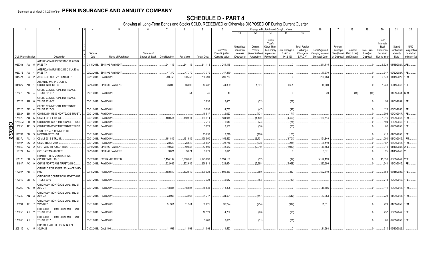|       |                             |           | 2                                                  |                       | -5                          | -6                           |               |                     | -9                 | 10                                            |                                                   |                                                  | Change in Book/Adjusted Carrying Value                                                                                          |                                                                   | 16                                                  | 17                                                | 18                                     | 19                                         | 20                                                                         | 21                                        | 22                                                       |
|-------|-----------------------------|-----------|----------------------------------------------------|-----------------------|-----------------------------|------------------------------|---------------|---------------------|--------------------|-----------------------------------------------|---------------------------------------------------|--------------------------------------------------|---------------------------------------------------------------------------------------------------------------------------------|-------------------------------------------------------------------|-----------------------------------------------------|---------------------------------------------------|----------------------------------------|--------------------------------------------|----------------------------------------------------------------------------|-------------------------------------------|----------------------------------------------------------|
|       |                             |           |                                                    |                       |                             |                              |               |                     |                    |                                               | 11                                                | 12                                               | 14<br>13                                                                                                                        | 15                                                                |                                                     |                                                   |                                        |                                            |                                                                            |                                           |                                                          |
|       | <b>CUSIP Identification</b> |           | Description                                        | Disposal<br>Date      | Name of Purchaser           | Number of<br>Shares of Stock | Consideration | Par Value           | <b>Actual Cost</b> | Prior Year<br>Book/Adjusted<br>Carrying Value | Unrealized<br>Valuation<br>Increase<br>(Decrease) | Current<br>Year's<br>Amortization<br>/ Accretion | Current<br>Year's<br>Other-Than-<br>Temporary<br>Total Change i<br><b>B./A.C.V.</b><br>Impairment<br>$(11+12-13)$<br>Recognized | <b>Total Foreigr</b><br>Exchange<br>Change in<br><b>B./A.C.V.</b> | Book/Adjusted<br>Carrying Value at<br>Disposal Date | Foreign<br>Exchange<br>Gain (Loss)<br>on Disposal | Realized<br>Gain (Loss)<br>on Disposal | <b>Total Gain</b><br>(Loss) on<br>Disposal | Bond<br>Interest /<br>Stock<br><b>Dividends</b><br>Received<br>During Year | Stated<br>Contractual<br>Maturity<br>Date | <b>NAIC</b><br>Designation<br>or Market<br>Indicator (a) |
|       |                             |           | AMERICAN AIRLINES 2016-1 CLASS B                   |                       |                             |                              |               |                     |                    |                                               |                                                   |                                                  |                                                                                                                                 |                                                                   |                                                     |                                                   |                                        |                                            |                                                                            |                                           |                                                          |
|       | 02376Y AA                   |           | PASS TH                                            |                       | 01/15/2018. SINKING PAYMENT |                              | .241,115      | .241,115            | .241,115           | 241,115                                       |                                                   |                                                  |                                                                                                                                 |                                                                   | .241,115                                            |                                                   |                                        | 0                                          |                                                                            | .6,329 01/15/2024. 2FE                    |                                                          |
|       |                             |           | AMERICAN AIRLINES 2015-2 CLASS A                   |                       |                             |                              |               |                     |                    |                                               |                                                   |                                                  |                                                                                                                                 |                                                                   |                                                     |                                                   |                                        |                                            |                                                                            |                                           |                                                          |
|       | 02377B AA                   |           | PASS TH                                            | 03/22/2018.           | <b>SINKING PAYMENT</b>      |                              | .47,370       | .47,370<br>.290,753 | .47,370            | .47,370                                       |                                                   |                                                  |                                                                                                                                 |                                                                   | .47,370                                             |                                                   |                                        | $\cdot$ 0<br>$\cdot$ .0                    | .947                                                                       | 09/22/2027.<br>04/11/2029.                | 1FE.<br>1FM.                                             |
|       | 045424 EX                   |           | ASSET SECURITIZATION CORP.                         | 03/11/2018.           | PAYDOWN.                    |                              | .290,753      |                     | .286,391           | .290,753                                      |                                                   |                                                  |                                                                                                                                 |                                                                   | .290,753                                            |                                                   |                                        |                                            | .3,673                                                                     |                                           |                                                          |
|       | 048677 AH                   |           | ATLANTIC MARINE CORPS<br><b>COMMUNITIES LLC</b>    | 02/15/2018.           | <b>SINKING PAYMENT</b>      |                              | .46,000       | .46,000             | .44,282            | .44,309                                       |                                                   | .1,691                                           | .1,691                                                                                                                          |                                                                   | .46,000                                             |                                                   |                                        | $\cdot$ .0                                 |                                                                            | .1,238 02/15/2048. 1FE                    |                                                          |
|       | 12527E AK                   |           | <b>CFCRE COMMERCIAL MORTGAGE</b><br>TRUST 2011-C1  |                       | 01/01/2018. PAYDOWN.        |                              |               | 54                  | .45                | .49                                           |                                                   |                                                  |                                                                                                                                 |                                                                   | .49                                                 |                                                   | (49)                                   | (49)                                       |                                                                            | 04/01/2044. 6FM.                          |                                                          |
|       | 12532B AH                   |           | CFCRE COMMERCIAL MORTGAGE<br><b>TRUST 2016-C7</b>  |                       | 03/01/2018. PAYDOWN.        |                              |               |                     | .3,838             | .3,403                                        |                                                   | (32)                                             | (32)                                                                                                                            |                                                                   |                                                     |                                                   |                                        | - 0                                        | .91                                                                        | 12/01/2054.                               | 11FE                                                     |
|       |                             |           | CFCRE COMMERCIAL MORTGAGE                          |                       |                             |                              |               |                     |                    |                                               |                                                   |                                                  |                                                                                                                                 |                                                                   |                                                     |                                                   |                                        |                                            |                                                                            |                                           |                                                          |
|       | 12532C BE                   |           | <b>TRUST 2017-C8</b>                               | 03/01/2018.           | PAYDOWN.                    |                              |               |                     | .5,098             | .4,760                                        |                                                   | (47)                                             | (47)                                                                                                                            |                                                                   |                                                     |                                                   |                                        | 0                                          |                                                                            | 128 06/01/2050.                           |                                                          |
|       | 12592K                      | <b>BD</b> | COMM 2014-UBS5 MORTGAGE TRUST                      | 03/01/2018            | PAYDOWN.                    |                              |               |                     | .15,517            | .9,027                                        |                                                   | (171)                                            | (171)                                                                                                                           |                                                                   |                                                     |                                                   |                                        | 0                                          | .398                                                                       | 09/01/2047.                               | 1FF.                                                     |
|       | 12592U                      | AQ        | CSMLT 2015-1 TRUST                                 | 03/01/2018            | PAYDOWN.                    |                              | .180,514      | 180,514             | 184,914            | 184,914                                       |                                                   | (4,400)                                          | (4,400)                                                                                                                         |                                                                   | .180,514                                            |                                                   |                                        | $\cdot$ .0                                 | 1,316                                                                      | 05/01/2045.                               | 1FM.                                                     |
|       | 12594M                      | <b>BD</b> | COMM 2016-COR1 MORTGAGE TRUST                      | 03/01/2018            | PAYDOWN.                    |                              |               |                     | 7,719              | .6,640                                        |                                                   | (74)                                             | (74)                                                                                                                            |                                                                   |                                                     |                                                   |                                        | $\Omega$                                   | 194                                                                        | 10/01/2049.                               | 1FE.                                                     |
|       | 12595E                      | AE        | COMM 2017-COR2 MORTGAGE TRUST                      | 03/01/2018.           | PAYDOWN.                    |                              |               |                     | .3,621             | .3,500                                        |                                                   | (30)                                             | (30)                                                                                                                            |                                                                   |                                                     |                                                   |                                        |                                            | .82                                                                        | 09/01/2050.                               | 1FE.                                                     |
| QE05. | 126281                      | BB        | CSAIL 2015-C1 COMMERCIAL<br><b>MORTGAGE TRUST</b>  | 03/01/2018.           | PAYDOWN.                    |                              |               |                     | .15,038            | .12,219                                       |                                                   | (166)                                            | (166)                                                                                                                           |                                                                   |                                                     |                                                   |                                        |                                            |                                                                            | .418 04/01/2050.                          | 1FE.                                                     |
| N     | 12637L                      | AL        | CSMLT 2015-2 TRUST.                                | 03/01/2018.           | PAYDOWN.                    |                              | .151,849      | 151,849             | 155,550            | .155,550                                      |                                                   | (3,701)                                          | (3,701)                                                                                                                         |                                                                   | .151,849                                            |                                                   |                                        | $\cdot$ 0                                  | .1,000                                                                     | 08/01/2045.                               | 1FM.                                                     |
|       | 12649X                      | BC        | <b>CSMC TRUST 2015-3.</b>                          | 03/01/2018.           | PAYDOWN.                    |                              | 28,519        | .28,519             | .28,857            | 28,756                                        |                                                   | (238)                                            | (238)                                                                                                                           |                                                                   | .28,519                                             |                                                   |                                        | . . 0                                      | 187                                                                        | 03/01/2045. 1FM.                          |                                                          |
|       | 12665U                      | AA        | <b>CVS PASS-THROUGH TRUST</b>                      | 03/10/2018.           | <b>SINKING PAYMENT</b>      |                              | .40,653       | .40,653             | .43,590            | .43,563                                       |                                                   | (2,910)                                          | (2,910)                                                                                                                         |                                                                   | .40,653                                             |                                                   |                                        | . . 0                                      |                                                                            | .319 01/10/2036. 2FE.                     |                                                          |
|       | 12677# AA                   |           | <b>CVS CAREMARK CORP.</b>                          | 02/15/2018.           | <b>SINKING PAYMENT</b>      |                              | .3,671        | .3,671              | .3,671             | .3,671                                        |                                                   |                                                  |                                                                                                                                 |                                                                   | .3,671                                              |                                                   |                                        | - 0                                        |                                                                            | .25 01/15/2040.                           |                                                          |
|       | 161175 BD                   |           | CHARTER COMMUNICATIONS<br>OPERATING LLC / C        | 01/02/2018.           | <b>EXCHANGE OFFER</b>       |                              | .5,194,139    | 5,000,000           | .5,195,230         | 5,194,150                                     |                                                   | (12)                                             | (12)                                                                                                                            |                                                                   | .5,194,139                                          |                                                   |                                        | . . 0                                      | .45.538                                                                    | 05/01/2047. 2FE.                          |                                                          |
|       | 16164A AC                   |           | CHASE MORTGAGE TRUST 2016-2.                       | 03/01/2018.           | PAYDOWN.                    |                              | .222,686      | .222,686            | .228,81'           | .228,654                                      |                                                   | (5,968)                                          | (5,968)                                                                                                                         |                                                                   | .222,686                                            |                                                   |                                        | $\cdot$ .0                                 | 1,241                                                                      | 12/01/2045. 1FE.                          |                                                          |
|       |                             |           | CITI HELD FOR ASSET ISSUANCE 2015-                 |                       |                             |                              |               |                     |                    |                                               |                                                   |                                                  |                                                                                                                                 |                                                                   |                                                     |                                                   |                                        |                                            |                                                                            |                                           |                                                          |
|       | 17290K AB                   |           | PM <sub>2</sub>                                    | 03/15/2018.           | PAYDOWN.                    |                              | .592,819      | .592,819            | .590,028           | .592,469                                      |                                                   | .350                                             | .350                                                                                                                            |                                                                   | .592,819                                            |                                                   |                                        | $\cdot$ 0                                  | .3,853                                                                     | 03/15/2022. 1FE                           |                                                          |
|       | 17291E BB                   |           | CITIGROUP COMMERCIAL MORTGAGE<br><b>TRUST 2016</b> |                       | 03/01/2018. PAYDOWN.        |                              |               |                     | .7,723             | .6,647                                        |                                                   | (83)                                             | (83)                                                                                                                            |                                                                   |                                                     |                                                   |                                        | - 0                                        | .211                                                                       | 12/01/2049. 1FE                           |                                                          |
|       | 17321L AE 9                 |           | CITIGROUP MORTGAGE LOAN TRUST<br>2013-J1           |                       | 03/01/2018. PAYDOWN.        |                              | .18,895       | .18.895             | 18,635             | 18,895                                        |                                                   |                                                  |                                                                                                                                 |                                                                   | 18,895                                              |                                                   |                                        | - 0                                        |                                                                            | .112   10/01/2043.   1FM.                 |                                                          |
|       | 17323E AN 3                 |           | CITIGROUP MORTGAGE LOAN TRUST<br>2014-J2           |                       | 03/01/2018. PAYDOWN.        |                              | .33,953       | .33.953             | .34,717            | .34,501                                       |                                                   | (547)                                            | (547)                                                                                                                           |                                                                   | .33,953                                             |                                                   |                                        | - 0                                        | .223                                                                       | 11/01/2044.                               | 1FM.                                                     |
|       | 17323T AF                   |           | CITIGROUP MORTGAGE LOAN TRUST<br>2015-RP2          |                       | 03/01/2018. PAYDOWN.        |                              | 31,311        | .31,311             | .32,225            | .32,224                                       |                                                   | (914)                                            | (914)                                                                                                                           |                                                                   | 31,311                                              |                                                   |                                        | $\cdot$ 0                                  |                                                                            | 221   01/01/2053.   1FM.                  |                                                          |
|       | 17325D AJ                   | - 2       | CITIGROUP COMMERCIAL MORTGAGE<br><b>TRUST 2016</b> |                       | 03/01/2018. PAYDOWN.        |                              |               |                     | 10,121             | .4,759                                        |                                                   | (90)                                             | (90)                                                                                                                            |                                                                   |                                                     |                                                   |                                        | - 0                                        | .237                                                                       | 10/01/2049.                               | 1FE.                                                     |
|       | 17326D AJ                   |           | CITIGROUP COMMERCIAL MORTGAGE<br><b>TRUST 2017</b> |                       | 03/01/2018. PAYDOWN.        |                              |               |                     | .3,763             | .3,635                                        |                                                   | (31)                                             | (31)                                                                                                                            |                                                                   |                                                     |                                                   |                                        |                                            |                                                                            | .86 09/01/2050.                           | 1FE.                                                     |
|       | 209115 A*                   | - 5       | CONSOLIDATED EDISON IN 8.71<br>30JUN22             | 01/02/2018. CALL 100. |                             |                              | .11,593       | .11,593             | .11,593            | .11,593                                       |                                                   |                                                  |                                                                                                                                 |                                                                   | .11,593                                             |                                                   |                                        |                                            |                                                                            | .510 06/30/2022.                          |                                                          |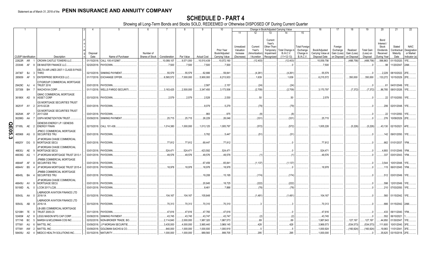|               |                             |    |     |                                                    |             |                             |                 |               | 8          | -9                 | 10                          |                                     |                                          |                                                             | Change in Book/Adjusted Carrying Value |                                               | 16                                 | 17                                 | 18                      | 19                             | 20                                                  | 21                                | 22                                      |
|---------------|-----------------------------|----|-----|----------------------------------------------------|-------------|-----------------------------|-----------------|---------------|------------|--------------------|-----------------------------|-------------------------------------|------------------------------------------|-------------------------------------------------------------|----------------------------------------|-----------------------------------------------|------------------------------------|------------------------------------|-------------------------|--------------------------------|-----------------------------------------------------|-----------------------------------|-----------------------------------------|
|               |                             |    |     |                                                    |             |                             |                 |               |            |                    |                             | 11                                  | 12                                       | 13                                                          | 14                                     | 15                                            |                                    |                                    |                         |                                |                                                     |                                   |                                         |
|               |                             |    |     |                                                    | Disposal    |                             | Number of       |               |            |                    | Prior Year<br>Book/Adjusted | Unrealized<br>Valuation<br>Increase | Current<br>Year's<br><b>Amortization</b> | Current<br>Year's<br>Other-Than-<br>Temporary<br>Impairment | Total Change i<br><b>B./A.C.V.</b>     | <b>Total Foreign</b><br>Exchange<br>Change in | Book/Adjusted<br>Carrying Value at | Foreign<br>Exchange<br>Gain (Loss) | Realized<br>Gain (Loss) | <b>Total Gain</b><br>(Loss) on | Bond<br>Interest/<br>Stock<br>Dividends<br>Received | Stated<br>Contractual<br>Maturity | <b>NAIC</b><br>Designation<br>or Market |
|               | <b>CUSIP</b> Identification |    |     | Description                                        | Date        | Name of Purchaser           | Shares of Stock | Consideration | Par Value  | <b>Actual Cost</b> | Carrying Value              | (Decrease)                          | / Accretion                              | Recognized                                                  | $(11+12-13)$                           | <b>B./A.C.V.</b>                              | Disposal Date                      | on Disposal                        | on Disposal             | Disposal                       | During Year                                         | Date                              | Indicator (a)                           |
|               | 22822R AR                   |    |     | CROWN CASTLE TOWERS LLC.                           | 01/15/2018. | CALL 105.4132967            |                 | 10,089,107    | .9,571,000 | .10,510,439        | .10,072,160                 |                                     | (12,403)                                 |                                                             | (12,403)                               |                                               | 10,059,756                         |                                    | .(488,756)              | (488,756)                      | .566,863                                            | 01/15/2020.                       | 1FE.                                    |
|               | 233046 AF                   |    |     | DB MASTER FINANCE LLC.                             | 02/20/2018. | PAYDOWN.                    |                 | .7,500        | .7,500     | .7,500             | .7,500                      |                                     |                                          |                                                             |                                        |                                               | .7,500                             |                                    |                         |                                | .98                                                 | 11/20/2047.                       | 2AM.                                    |
|               |                             |    |     | DELTA AIR LINES 2007-1 CLASS B PASS                |             |                             |                 |               |            |                    |                             |                                     |                                          |                                                             |                                        |                                               |                                    |                                    |                         |                                |                                                     |                                   |                                         |
|               | 247367 BJ                   |    | -3  | <b>THRO</b>                                        | 02/10/2018. | <b>SINKING PAYMENT</b>      |                 | .55,579       | .55,579    | 62,666             | 59,841                      |                                     | (4,261)                                  |                                                             | (4,261)                                |                                               | .55,579                            |                                    |                         |                                | .2,229                                              | 08/10/2022. 2FE.                  |                                         |
|               | 285659                      | AF |     | <b>ENTERPRISE SERVICES LLC.</b>                    | 01/17/2018. | <b>EXCHANGE OFFER</b>       |                 | 6,565,572     | .7,000,000 | .5,900,000         | 6,213,933                   |                                     | .1,639                                   |                                                             | .1,639                                 |                                               | 6,215,572                          |                                    | 350,000                 | .350,000                       |                                                     | .133,272 10/15/2029. 2FE.         |                                         |
|               |                             |    |     | CITIGROUP COMMERCIAL MORTGAGE                      |             |                             |                 |               |            |                    |                             |                                     |                                          |                                                             |                                        |                                               |                                    |                                    |                         |                                |                                                     |                                   |                                         |
|               | 29429C AJ                   |    |     | <b>TRUST 2016</b>                                  | 03/01/2018. | PAYDOWN.                    |                 |               |            | .2,587             | .2,157                      |                                     | (24)                                     |                                                             | (24)                                   |                                               |                                    |                                    |                         |                                | .61                                                 | 04/01/2049. 1FE.                  |                                         |
|               | 337358 BH                   |    |     | <b>WACHOVIA CORP</b>                               | 01/11/2018  | <b>WELLS FARGO SECURITI</b> |                 | .3,163,425    | .2,500,000 | .3,347,450         | .3,173,506                  |                                     | (2,709)                                  |                                                             | (2,709)                                |                                               | .3,170,797                         |                                    | (7,372)                 | (7, 372)                       | .86,785                                             | 08/01/2026. 1FE.                  |                                         |
|               | 36186X AD                   |    | - q | GMAC COMMERCIAL MORTGAGE<br>ASSET CORP             |             | 03/10/2018. PAYDOWN.        |                 | .2,579        | .2,579     | .2,528             | .2,530                      |                                     | .50                                      |                                                             | 50                                     |                                               | .2,579                             |                                    |                         |                                |                                                     | 22   07/10/2050.   1FE            |                                         |
|               | 36251F AY                   |    |     | <b>GS MORTGAGE SECURITIES TRUST</b><br>2015-GC28   |             | 03/01/2018. PAYDOWN         |                 |               |            | .8,079             | .5,279                      |                                     | (79)                                     |                                                             | (79)                                   |                                               |                                    |                                    |                         |                                |                                                     | .206 02/01/2048. 1FE.             |                                         |
|               |                             |    |     | <b>GS MORTGAGE SECURITIES TRUST</b>                |             |                             |                 |               |            |                    |                             |                                     |                                          |                                                             |                                        |                                               |                                    |                                    |                         |                                |                                                     |                                   |                                         |
|               | 36254K AP                   |    |     | 2017-GS8                                           |             | 03/01/2018. PAYDOWN.        |                 |               |            | .993               | 975                         |                                     | (8)                                      |                                                             |                                        |                                               |                                    |                                    |                         |                                | .22                                                 | 11/01/2050. 1FE.                  |                                         |
|               | 36298G AA                   |    |     | GSPA MONETIZATION TRUST.                           |             | 03/09/2018. SINKING PAYMENT |                 | .25,715       | .25,715    | .26,229            | .26,046                     |                                     | (331)                                    |                                                             | (331                                   |                                               | .25,715                            |                                    |                         |                                | .276                                                | 10/09/2029. 2FE.                  |                                         |
|               | 37185L                      | AE |     | GENESIS ENERGY LP / GENESIS<br><b>ENERGY FINAN</b> |             | 02/15/2018. CALL 101.438.   |                 | .1,014,380    | .1,000,000 | .1,013,125         | 1,005,797                   |                                     | (572)                                    |                                                             | (572)                                  |                                               | 1,005,226                          |                                    | (5,226)                 | (5,226)                        |                                                     | .43,130 02/15/2021. 4FE           |                                         |
| <b>QE05.3</b> | 465968                      | AG |     | <b>JPMCC COMMERCIAL MORTGAGE</b><br>SECURITIES TRU |             | 03/01/2018. PAYDOWN.        |                 |               |            | .5,782             | .5,447                      |                                     | (51)                                     |                                                             | .(51                                   |                                               |                                    |                                    |                         |                                |                                                     | .142 09/01/2050. 1FE              |                                         |
|               | 46625Y DG                   |    | - 5 | JP MORGAN CHASE COMMERCIAL<br>MORTGAGE SECU        |             | 03/01/2018. PAYDOWN.        |                 | .77,812       | .77,812    | 69,447             | 77,812                      |                                     |                                          |                                                             |                                        |                                               | 77,812                             |                                    |                         |                                |                                                     | .662 01/01/2037. 1FM.             |                                         |
|               |                             |    |     | JP MORGAN CHASE COMMERCIAL                         |             |                             |                 |               |            |                    |                             |                                     |                                          |                                                             |                                        |                                               |                                    |                                    |                         |                                |                                                     |                                   |                                         |
|               | 46630J AE                   |    |     | MORTGAGE SECU                                      |             | 03/01/2018. PAYDOWN.        |                 | .524,47'      | .524,471   | 423,592            | .524,471                    |                                     |                                          |                                                             |                                        |                                               | .524,471                           |                                    |                         |                                |                                                     | .4,893 01/01/2049. 1FM.           |                                         |
|               | 46639G AG                   |    |     | JP MORGAN MORTGAGE TRUST 2013-1                    |             | 03/01/2018. PAYDOWN.        |                 | .49,576       | .49,576    | .49,576            | .49,576                     |                                     |                                          |                                                             |                                        |                                               | .49,576                            |                                    |                         |                                |                                                     | .337 03/01/2043. 1FM.             |                                         |
|               |                             |    |     | JPMBB COMMERCIAL MORTGAGE                          |             |                             |                 |               |            |                    |                             |                                     |                                          |                                                             |                                        |                                               |                                    |                                    |                         |                                |                                                     |                                   |                                         |
|               | 46644F AF                   |    |     | <b>SECURITIES TRU</b>                              | 03/01/2018. | PAYDOWN.                    |                 |               |            | .67,459            | .65,841                     |                                     | (1, 137)                                 |                                                             | (1, 137)                               |                                               |                                    |                                    |                         |                                | .3,544                                              | 10/01/2048. 1FE                   |                                         |
|               | 46644V BS                   |    |     | JP MORGAN MORTGAGE TRUST 2015-4                    | 03/01/2018. | PAYDOWN.                    |                 | .18,978       | .18,978    | 18,978             | 18,978                      |                                     |                                          |                                                             |                                        |                                               | .18,978                            |                                    |                         |                                | .115                                                | 06/01/2045. 1FM.                  |                                         |
|               | 46645L BA                   |    |     | JPMBB COMMERCIAL MORTGAGE<br><b>SECURITIES TRU</b> |             | 03/01/2018. PAYDOWN.        |                 |               |            | 19,208             | .15,195                     |                                     | (174)                                    |                                                             | (174)                                  |                                               |                                    |                                    |                         |                                |                                                     | .512 03/01/2049. 1FE              |                                         |
|               |                             |    |     | JP MORGAN CHASE COMMERCIAL                         |             |                             |                 |               |            |                    |                             |                                     |                                          |                                                             |                                        |                                               |                                    |                                    |                         |                                |                                                     |                                   |                                         |
|               | 46645U AV                   |    | - 9 | MORTGAGE SECU                                      |             | 03/01/2018. PAYDOWN.        |                 |               |            | .20,845            | .18,725                     |                                     | (222)                                    |                                                             | (222)                                  |                                               |                                    |                                    |                         |                                | 598                                                 | 12/01/2049. 1FE.                  |                                         |
|               | 50190D AL                   |    |     | LCCM 2017-LC26                                     |             | 03/01/2018. PAYDOWN         |                 |               |            | .8,461             | .7,888                      |                                     | (78)                                     |                                                             | (78)                                   |                                               |                                    |                                    |                         |                                |                                                     | 210 07/03/2050. 1FE.              |                                         |
|               | 50543L AA                   |    |     | ABRADOR AVIATION FINANCE LTD<br>2016-1A            |             | 03/15/2018. PAYDOWN.        |                 | .104,167      | 104,167    | 105,648            |                             |                                     | (1,481)                                  |                                                             | (1,481)                                |                                               | .104,167                           |                                    |                         |                                |                                                     | .560 01/15/2042. 1FE              |                                         |
|               | 50543L AB                   |    |     | ABRADOR AVIATION FINANCE LTD<br>2016-1A            |             | 03/15/2018. PAYDOWN.        |                 | 70,313        | .70,313    | 70,310             | 70,310                      |                                     |                                          |                                                             |                                        |                                               | 70,313                             |                                    |                         |                                |                                                     | .666 01/15/2042. 2AM.             |                                         |
|               | 52108H 7E                   |    |     | LB-UBS COMMERCIAL MORTGAGE<br>TRUST 2005-C5        |             | 03/11/2018. PAYDOWN         |                 | .47,616       | .47,616    | .47,765            | .47,616                     |                                     |                                          |                                                             |                                        |                                               | .47,616                            |                                    |                         |                                | .433                                                | 09/11/2040. 1FM.                  |                                         |
|               | 52465#                      | AZ |     | LEGG MASON MTG CAP CORP.                           | 03/08/2018  | SINKING PAYMENT.            |                 | .43,745       | .43,745    | .43,747            | .43,747                     |                                     | (2)                                      |                                                             | (2)                                    |                                               | .43,745                            |                                    |                         |                                | .552                                                | 06/10/2021                        |                                         |
|               | 571748                      | BC |     | MARSH & MCLENNAN COS INC                           | 02/02/2018  | NON-BROKER TRADE, BO.       |                 | .2,114,840    | .2,000,000 | .1,987,320         | .1,987,573                  |                                     | 69                                       |                                                             | .69                                    |                                               | .1,987,643                         |                                    | 127,197                 | 127,197                        | .44,950                                             | 01/30/2047.                       | 1FE.                                    |
|               | 577081                      | AU |     | <b>MATTEL INC</b>                                  | 03/09/2018  | <b>J.P MORGAN SECURITIE</b> |                 | .3,435,000    | .4,000,000 | .3,965,440         | .3,969,145                  |                                     | .428                                     |                                                             | .428                                   |                                               | .3,969,573                         |                                    | (534, 573)              | (534, 573)                     | 111,600                                             | 10/01/2040. 3FE.                  |                                         |
|               | 577081                      | AW |     | MATTEL INC.                                        | 03/09/2018  | GOLDMAN SACHS & CO.         |                 | .840,000      | .1,000,000 | 1,000,930          | 1,000,919                   |                                     |                                          |                                                             |                                        |                                               | 1,000,924                          |                                    | (160,924)               | (160, 924)                     | .19,983                                             | 11/01/2041. 3FE.                  |                                         |
|               | 58405U                      | AD |     | MEDCO HEALTH SOLUTIONS INC.                        |             | 03/15/2018. MATURITY.       |                 | 1,000,000     | .1,000,000 | .989,560           | .999,705                    |                                     | 295                                      |                                                             | .295                                   |                                               | 1,000,000                          |                                    |                         |                                |                                                     | .35,625 03/15/2018. 2FE.          |                                         |
|               |                             |    |     |                                                    |             |                             |                 |               |            |                    |                             |                                     |                                          |                                                             |                                        |                                               |                                    |                                    |                         |                                |                                                     |                                   |                                         |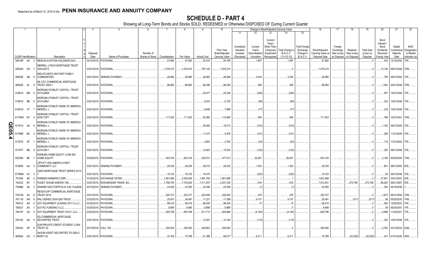|        |                             |          |     |                                                                                   |                          |                                                |                 |                      | 8                        | 9                       | 10                          |                                     |                                   |                                                             | Change in Book/Adjusted Carrying Value |                                               | 16                                 | 17                                 | 18                      | 19                             | 20                                                 | 21                                                   | 22                                      |
|--------|-----------------------------|----------|-----|-----------------------------------------------------------------------------------|--------------------------|------------------------------------------------|-----------------|----------------------|--------------------------|-------------------------|-----------------------------|-------------------------------------|-----------------------------------|-------------------------------------------------------------|----------------------------------------|-----------------------------------------------|------------------------------------|------------------------------------|-------------------------|--------------------------------|----------------------------------------------------|------------------------------------------------------|-----------------------------------------|
|        |                             |          |     |                                                                                   |                          |                                                |                 |                      |                          |                         |                             | 11                                  | $12 \overline{ }$                 | 13                                                          | 14                                     | 15                                            |                                    |                                    |                         |                                |                                                    |                                                      |                                         |
|        |                             |          |     |                                                                                   | Disposal                 |                                                | Number of       |                      |                          |                         | Prior Year<br>Book/Adjusted | Unrealized<br>Valuation<br>Increase | Current<br>Year's<br>Amortization | Current<br>Year's<br>Other-Than-<br>Temporary<br>Impairment | Total Change ir<br><b>B./A.C.V.</b>    | <b>Total Foreign</b><br>Exchange<br>Change in | Book/Adjusted<br>Carrying Value at | Foreign<br>Exchange<br>Gain (Loss) | Realized<br>Gain (Loss) | <b>Total Gain</b><br>(Loss) on | Bond<br>Interest<br>Stock<br>Dividends<br>Received | Stated<br>Contractual<br>Maturity                    | <b>NAIC</b><br>Designation<br>or Market |
|        | <b>CUSIP</b> Identification |          |     | Description                                                                       | Date                     | Name of Purchaser                              | Shares of Stock | Consideration        | Par Value                | <b>Actual Cost</b>      | Carrying Value              | (Decrease)                          | / Accretion                       | Recognized                                                  | $(11+12-13)$                           | B./A.C.V.                                     | Disposal Date                      | on Disposal                        | on Disposal             | Disposal                       | During Year                                        | Date                                                 | Indicator (a)                           |
|        | 59010R AA<br>59022H DX      |          | - 2 | MERLIN AVIATION HOLDINGS DAC.<br><b>MERRILL LYNCH MORTGAGE TRUST</b><br>2004-KEY2 |                          | 03/15/2018. PAYDOWN.<br>03/01/2018. PAYDOWN.   |                 | .57,692<br>1,078,274 | .57,692<br>1,078,274     | .55,474<br>787,140      | .55,795<br>1,078,274        |                                     | .1,897                            |                                                             | .1,897                                 |                                               | .57,692<br>1,078,274               |                                    |                         |                                |                                                    | .442   12/15/2032.   1FE<br>.13,136 08/01/2039. 1FM. |                                         |
|        | 59524E AB                   |          |     | MID-ATLANTIC MILITARY FAMILY<br><b>COMMUNITIES</b>                                |                          | 02/01/2018. SINKING PAYMENT                    |                 | .29,980              | .29,980                  | 26,663                  | .26,946                     |                                     | .3,034                            |                                                             | .3,034                                 |                                               | .29,980                            |                                    |                         |                                |                                                    | .785 08/01/2050. 1FE                                 |                                         |
|        | 606935 AL                   |          |     | ML-CFC COMMERCIAL MORTGAGE<br><b>TRUST 2006-1</b>                                 |                          | 03/01/2018. PAYDOWN.                           |                 | .96,893              | .96,893                  | .96,288                 | .96,529                     |                                     | 365                               |                                                             | .365                                   |                                               | .96,893                            |                                    |                         |                                |                                                    | .1,002 02/01/2039. 1FM.                              |                                         |
|        | 61691A BM                   |          |     | MORGAN STANLEY CAPITAL I TRUST<br>2015-UBS8<br>MORGAN STANLEY CAPITAL I TRUST     |                          | 03/01/2018. PAYDOWN                            |                 |                      |                          | .20,677                 | .20,228                     |                                     | (228)                             |                                                             | (228)                                  |                                               |                                    |                                    |                         |                                | .591                                               | 12/01/2048. 1FE.                                     |                                         |
|        | 61691E BB                   |          |     | 2016-UBS1<br>MORGAN STANLEY BANK OF AMERICA                                       |                          | 03/01/2018. PAYDOWN.                           |                 |                      |                          | .9,343                  | .8,129                      |                                     | (90)                              |                                                             | (90)                                   |                                               |                                    |                                    |                         |                                |                                                    | .242   12/01/2049.   1FE.                            |                                         |
|        | 61691G AT                   |          |     | <b>MERRILL L</b><br>MORGAN STANLEY CAPITAL I TRUST                                |                          | 03/01/2018. PAYDOWN                            |                 |                      |                          | .8,948                  | .7,889                      |                                     | (77)                              |                                                             | .177                                   |                                               |                                    |                                    |                         |                                |                                                    | .216   12/01/2049.   1FE.                            |                                         |
|        | 61745M W7                   |          |     | 2005-TOP1<br>MORGAN STANLEY BANK OF AMERICA                                       |                          | 03/01/2018. PAYDOWN                            |                 | .111,053             | 111,053                  | .93,562                 | .110,469                    |                                     | 584                               |                                                             | .584                                   |                                               | .111,053                           |                                    |                         |                                | .786                                               | 12/01/2041. 1FM.                                     |                                         |
| QE05.4 | 61761A AA                   |          |     | <b>MERRILL L</b><br>MORGAN STANLEY BANK OF AMERICA                                |                          | 03/01/2018. PAYDOWN.                           |                 |                      |                          | .29,950                 | .18,513                     |                                     | (314)                             |                                                             | (314)                                  |                                               |                                    |                                    |                         |                                | 1,150                                              | 08/01/2045. 1FE.                                     |                                         |
|        | 61766R                      | BA       |     | <b>MERRILL L</b><br>MORGAN STANLEY BANK OF AMERICA                                |                          | 03/01/2018. PAYDOWN.                           |                 |                      |                          | .11,473                 | .9,978                      |                                     | (101)                             |                                                             | (101                                   |                                               |                                    |                                    |                         |                                | .289                                               | 11/01/2049. 1FE.                                     |                                         |
|        | 61767E AF<br>61767F BB      |          |     | <b>MERRILL L</b><br>MORGAN STANLEY CAPITAL I TRUST<br>2016-UB11                   |                          | 03/01/2018. PAYDOWN.<br>03/01/2018. PAYDOWN.   |                 |                      |                          | .4,893<br>12,603        | .4,762<br>10,503            |                                     | (43)<br>(124)                     |                                                             | (43)<br>(124                           |                                               |                                    |                                    |                         |                                |                                                    | .115   11/01/2052. 1FE.<br>.325   08/01/2049.   1FE. |                                         |
|        | 65536H BE                   |          |     | NOMURA HOME EQUITY LOAN INC<br><b>HOME EQUITY</b>                                 |                          | 03/26/2018. PAYDOWN.                           |                 | .503,704             | .503,704                 | .338,741                | .477,613                    |                                     | .26,091                           |                                                             | .26,091                                |                                               | .503,704                           |                                    |                         |                                |                                                    | .2,109 09/25/2035. 1FM.                              |                                         |
|        | 67085K AA                   |          |     | OFFUTT AFB AMERICA FIRST<br><b>COMMUNITY LLC</b>                                  |                          | 03/01/2018. SINKING PAYMENT                    |                 | .29,335              | .29,335                  | .28,015                 | .28,032                     |                                     | .1,303                            |                                                             | .1,303                                 |                                               | 29,335                             |                                    |                         |                                |                                                    | .801 09/01/2050. 2FE.                                |                                         |
|        | 67389M AV 3                 |          |     | OAKS MORTGAGE TRUST SERIES 2015                                                   |                          | 03/01/2018. PAYDOWN                            |                 | .19,153<br>1,991,899 | .19,153                  | .19,475                 |                             |                                     | (322)                             |                                                             | (322)                                  |                                               | 19,153                             |                                    |                         |                                | .27,561                                            | .92 04/01/2046. 1FE.                                 |                                         |
|        | 701094<br>745332            | AK<br>BY |     | PARKER-HANNIFIN CORP.                                                             | 01/02/2018<br>03/07/2018 | <b>EXCHANGE OFFER</b><br>NON-BROKER TRADE, BO. |                 | .7,788,750           | .2,000,000<br>.7,750,000 | 1,991,760<br>.7,511,875 | .1,991,898<br>.2,537,335    |                                     | .616                              |                                                             | .616                                   |                                               | 1,991,899<br>.7,512,951            |                                    | 275,799                 | 275,799                        | .96,260                                            | 03/01/2047. 2FE.<br>06/01/2067. 2FE.                 |                                         |
|        | 75086# AA                   |          |     | PUGET SOUND ENERGY INC.<br>RAINIER GSA PORTFOLIO 4.82 15JUN36                     | 03/15/2018.              | SINKING PAYMENT                                |                 | .43,555              | .43,555                  | .43,556                 | .43,556                     |                                     | (1)                               |                                                             |                                        |                                               | .43,555                            |                                    |                         |                                | .350                                               | 06/15/2036.                                          |                                         |
|        | 75574Q AA                   |          |     | READYCAP COMMERCIAL MORTGAGE<br><b>TRUST 2015-</b>                                | 03/01/2018.              | PAYDOWN.                                       |                 | .220,727             | .220,727                 | .220,458                | 220,450                     |                                     | .276                              |                                                             | .276                                   |                                               | .220,727                           |                                    |                         |                                | .1,670                                             | 06/01/2055.                                          | 1FM.                                    |
|        | 761118 AW                   |          |     | RALI SERIES 2005-QS9 TRUST.                                                       | 03/25/2018               | PAYDOWN.                                       |                 | .25,973              | .26,491                  | .17,221                 | .17,389                     |                                     | .9,101                            |                                                             | .9,101                                 |                                               | .26,491                            |                                    | (517)                   | (517)                          | .99                                                | 06/25/2035.                                          | 1FM.                                    |
|        | 784012                      | AA       |     | SCF EQUIPMENT LEASING 2017-2 LLC.                                                 | 03/20/2018               | PAYDOWN.                                       |                 | .96,419              | .96,419                  | .96,404                 | .96,404                     |                                     | 15                                |                                                             | .15                                    |                                               | .96,419                            |                                    |                         |                                | .562                                               | 12/20/2023.                                          | 1FE.                                    |
|        | 784037                      | AA       |     | SCF RC FUNDING II LLC.                                                            | 03/25/201                | PAYDOWN.                                       |                 | 8,989                | .8,989                   | .8,988                  | .8,989                      |                                     |                                   |                                                             |                                        |                                               | .8,989                             |                                    |                         |                                | 59                                                 | 06/25/2047.                                          |                                         |
|        | 78410F AA                   |          |     | SCF EQUIPMENT TRUST 2016-1 LLC.                                                   |                          | 03/20/2018. PAYDOWN.                           |                 | .805,796             | .805,796                 | .811,714                | .809,980                    |                                     | (4, 184)                          |                                                             | (4, 184)                               |                                               | .805,796                           |                                    |                         |                                | .4,988                                             | 11/20/2021.                                          | 11FE.                                   |
|        | 78419C AG                   |          |     | SG COMMERCIAL MORTGAGE<br><b>SECURITIES TRUST</b>                                 |                          | 03/01/2018. PAYDOWN.                           |                 |                      |                          | .12,281                 | .10,183                     |                                     | (115)                             |                                                             | (115                                   |                                               |                                    |                                    |                         |                                | .323                                               | 10/01/2048. 1FE.                                     |                                         |
|        | 78443C AP                   |          |     | SLM PRIVATE CREDIT STUDENT LOAN<br>TRUST 20                                       |                          | 03/15/2018. CALL 100                           |                 | .350,000             | .350,000                 | .349,563                | .350,000                    |                                     |                                   |                                                             |                                        |                                               | .350,000                           |                                    |                         |                                |                                                    | 2,782 03/15/2033. 2AM                                |                                         |
|        | 805564 GA                   |          | -3  | SAXON ASSET SECURITIES TR 2000-2<br><b>MORT LN</b>                                |                          | 03/01/2018. PAYDOWN.                           |                 | .33,162              | .75,788                  | 61,388                  | .69,577                     |                                     | .6.21                             |                                                             | .6,211                                 |                                               | .75,788                            |                                    | (42,626)                | (42,626)                       |                                                    | 341   07/01/2030. 3FM.                               |                                         |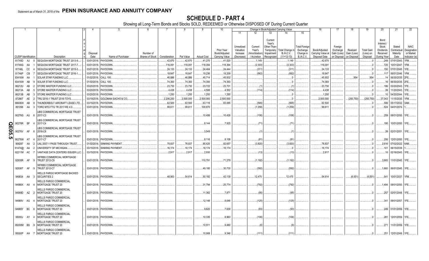|       |                             |    |                                                                  | 4                | -5                            |                              |               |            |                    | 10                          |                                     |                                   |                                                            | Change in Book/Adjusted Carrying Value      |                                                                   | 16                                                  | 17                                 | 18                      | 19                             | 20                                                        | 21                                        | 22                                      |
|-------|-----------------------------|----|------------------------------------------------------------------|------------------|-------------------------------|------------------------------|---------------|------------|--------------------|-----------------------------|-------------------------------------|-----------------------------------|------------------------------------------------------------|---------------------------------------------|-------------------------------------------------------------------|-----------------------------------------------------|------------------------------------|-------------------------|--------------------------------|-----------------------------------------------------------|-------------------------------------------|-----------------------------------------|
|       |                             |    |                                                                  |                  |                               |                              |               |            |                    |                             | 11                                  | 12                                | 13                                                         | 14                                          | 15                                                                |                                                     |                                    |                         |                                |                                                           |                                           |                                         |
|       | <b>CUSIP</b> Identification |    | Description                                                      | Disposal<br>Date | Name of Purchaser             | Number of<br>Shares of Stock | Consideration | Par Value  |                    | Prior Year<br>Book/Adjusted | Unrealized<br>Valuation<br>Increase | Current<br>Year's<br>Amortization | Current<br>Year's<br>Other-Than<br>Temporary<br>Impairment | Total Change i<br>B./A.C.V.<br>$(11+12-13)$ | <b>Total Foreign</b><br>Exchange<br>Change in<br><b>B./A.C.V.</b> | Book/Adjusted<br>Carrying Value at<br>Disposal Date | Foreign<br>Exchange<br>Gain (Loss) | Realized<br>Gain (Loss) | <b>Total Gain</b><br>(Loss) on | Bond<br>Interest<br>Stock<br><b>Dividends</b><br>Received | Stated<br>Contractual<br>Maturity<br>Date | <b>NAIC</b><br>Designation<br>or Market |
|       |                             |    |                                                                  |                  |                               |                              |               |            | <b>Actual Cost</b> | Carrying Value              | (Decrease)                          | / Accretion                       | Recognized                                                 |                                             |                                                                   |                                                     | on Disposal                        | on Disposal             | Disposal                       | During Year                                               |                                           | Indicator (a)                           |
|       | 81745D                      | AJ | SEQUOIA MORTGAGE TRUST 2013-9                                    | 03/01/2018       | PAYDOWN.                      |                              | .42,670       | .42,670    | .41,270            | 41,520                      |                                     | 1,149                             |                                                            | .1,149                                      |                                                                   | .42,670                                             |                                    |                         |                                | .249                                                      | 07/01/2043                                | IFM.                                    |
|       | 81746G AA                   |    | SEQUOIA MORTGAGE TRUST 2017-7                                    | 03/01/20         | PAYDOWN.                      |                              | .116,091      | 116,091    | 118,394            | 118,394                     |                                     | (2, 303)                          |                                                            | (2, 303)                                    |                                                                   | .116,091                                            |                                    |                         |                                | .725                                                      | 10/01/2047                                | IFM.                                    |
|       | 81746L                      | CC | SEQUOIA MORTGAGE TRUST 2015-3                                    | 03/01/20         | PAYDOWN.                      |                              | .24,133       | 24,133     | .24,464            | 24,444                      |                                     | (311)                             |                                                            | (311)                                       |                                                                   | .24,133                                             |                                    |                         |                                | 150                                                       | 07/01/2045                                | FE.                                     |
|       | 81746P                      | CB | SEQUOIA MORTGAGE TRUST 2016-1                                    | 03/01/20         | PAYDOWN.                      |                              | .18,647       | 18,647     | .19,236            | .19,209                     |                                     | (562)                             |                                                            | (562)                                       |                                                                   | .18,647                                             |                                    |                         |                                | 117                                                       | 06/01/2046.                               | <b>FM</b>                               |
|       | 83416W                      | AA | SOLAR STAR FUNDING LLC.                                          | 01/02/2018       | <b>CALL 100</b>               |                              | .46,886       | 46,886     | .45,714            | .45,932                     |                                     |                                   |                                                            |                                             |                                                                   | .45,932                                             |                                    | .954                    | .954                           |                                                           | 06/30/2035.                               |                                         |
|       | 83416W                      | AB | SOLAR STAR FUNDING LLC                                           | 01/02/2018       | <b>CALL 100</b>               |                              | 74,393        | .74,393    | 74,393             | 74,393                      |                                     |                                   |                                                            |                                             |                                                                   | .74,393                                             |                                    |                         |                                |                                                           | 06/30/2035.                               |                                         |
|       | 86212U                      | AB | STORE MASTER FUNDING LLC                                         | 03/20/20         | PAYDOWN.                      |                              | .23,730       | 23,730     | .23,722            | 23,731                      |                                     |                                   |                                                            |                                             |                                                                   | .23,730                                             |                                    |                         |                                | 186                                                       | 03/20/2043.                               |                                         |
|       | 86213A                      | AB | STORE MASTER FUNDING LLC.                                        | 03/20/201        | PAYDOWN.                      |                              | .4,438        | .4,438     | .4,599             | .4,552                      |                                     | (114)                             |                                                            | (114)                                       |                                                                   | .4,438                                              |                                    |                         |                                | 39                                                        | 1/20/2043.                                |                                         |
|       | 86213B                      | AB | STORE MASTER FUNDING LLC.                                        | 03/20/20         | PAYDOWN.                      |                              | .1,250        | .1,250     | .1,250             | .1,250                      |                                     |                                   |                                                            |                                             |                                                                   | 1,250                                               |                                    |                         |                                |                                                           | 04/20/2044                                |                                         |
|       | 87266T                      | AE | TRU 2016-1 TRUST 2016-TOYS.                                      | 03/19/20         | <b>GOLDMAN SACHS &amp; CO</b> |                              | .2,206,250    | .2,500,000 | 2,500,000          | .2,500,000                  |                                     |                                   |                                                            |                                             |                                                                   | .2,500,000                                          |                                    | (293,750)               | (293, 750)                     | .37.043                                                   | 1/15/2030                                 |                                         |
|       | 88606W                      | AB | HUNDERBOLT AIRCRAFT LEASE LTD.                                   | 03/15/20         | PAYDOWN.                      |                              | .62,500       | 62.500     | .63,118            | 63,065                      |                                     | (565)                             |                                                            | (565)                                       |                                                                   | .62,500                                             |                                    |                         |                                | 599                                                       | 05/17/2032                                | AM                                      |
|       | 891098                      | AA | TORO MTG FTG TR 2017-RE 4.0.                                     |                  | 03/01/2018. PAYDOWN.          |                              | .99,611       | .99,611    | 100,870            |                             |                                     | (1,259)                           |                                                            | (1,259)                                     |                                                                   | .99,611                                             |                                    |                         |                                | .524                                                      | 04/01/2074                                |                                         |
|       |                             |    | <b>JBS COMMERCIAL MORTGAGE TRUST</b>                             |                  |                               |                              |               |            |                    |                             |                                     |                                   |                                                            |                                             |                                                                   |                                                     |                                    |                         |                                |                                                           |                                           |                                         |
|       | 90276G AU                   |    | 2017-C3                                                          | 03/01/2018.      | PAYDOWN.                      |                              |               |            | 10,499             | 10,426                      |                                     | (106)                             |                                                            | (106)                                       |                                                                   |                                                     |                                    |                         |                                |                                                           | .259 08/01/2050.                          |                                         |
|       | 90276R BF                   |    | <b>JBS COMMERCIAL MORTGAGE TRUST</b><br>2017-C4                  |                  | 03/01/2018. PAYDOWN           |                              |               |            | .8,144             | .7,925                      |                                     | (71)                              |                                                            | (71)                                        |                                                                   |                                                     |                                    |                         |                                |                                                           | 195 10/01/2050.                           | 1FF                                     |
| QE05. | 90276V                      | AF | <b>JBS COMMERCIAL MORTGAGE TRUST</b><br>2018-C8                  |                  | 03/01/2018. PAYDOWN.          |                              |               |            | .3,549             |                             |                                     |                                   |                                                            |                                             |                                                                   |                                                     |                                    |                         |                                | .39                                                       | 02/01/2051                                |                                         |
| ์ Ch  | 90276W                      | AT | UBS COMMERCIAL MORTGAGE TRUST<br>2017-C7                         | 03/01/2018       | PAYDOWN.                      |                              |               |            | .8,116             | .8,108                      |                                     | . (81                             |                                                            | (81                                         |                                                                   |                                                     |                                    |                         |                                | .206                                                      | 12/01/2050                                | IFE.                                    |
|       | 909287                      | AA | UAL 2007-1 PASS THROUGH TRUST                                    | 01/02/2018       | <b>SINKING PAYMENT</b>        |                              | .78,837       | .78,837    | .85,425            | .82,657                     |                                     | (3,820)                           |                                                            | (3,820)                                     |                                                                   | .78,837                                             |                                    |                         |                                | 2,616                                                     | 07/02/2022                                |                                         |
|       | 91474@                      | AA | UNIVERSITY OF MICHIGAN.                                          | 03/15/201        | <b>SINKING PAYMENT</b>        |                              | .16,174       | .16,174    | .16,174            | .16,174                     |                                     |                                   |                                                            |                                             |                                                                   | .16,174                                             |                                    |                         |                                | 101                                                       | 06/15/2039                                |                                         |
|       | 92211M AC                   |    | VANTAGE DATA CENTERS ISSUER LLC                                  | 03/15/2018.      | PAYDOWN.                      |                              | .2,917        | .2,917     | 2,930              |                             |                                     | (13)                              |                                                            | (13)                                        |                                                                   | .2,917                                              |                                    |                         |                                | 10                                                        | 02/16/2043.                               |                                         |
|       | 92930R AF                   |    | <b><i>NFRBS COMMERCIAL MORTGAGE</i></b><br><b>TRUST 2012-C9</b>  |                  | 03/01/2018. PAYDOWN.          |                              |               |            | 110,791            | 71,279                      |                                     | (1, 192)                          |                                                            | (1, 192)                                    |                                                                   |                                                     |                                    |                         |                                | .3,905                                                    | 11/01/2045.                               |                                         |
|       | 92936T                      | AF | <b><i>NFRBS COMMERCIAL MORTGAGE</i></b><br><b>TRUST 2012-C7</b>  |                  | 03/01/2018. PAYDOWN           |                              |               |            | .49,180            | 30,730                      |                                     | (592)                             |                                                            | (592)                                       |                                                                   |                                                     |                                    |                         |                                | .1,660                                                    | 06/01/2045.                               | 1FE.                                    |
|       | 949834 AA                   |    | <b>NELLS FARGO MORTGAGE BACKED</b><br><b>SECURITIES 2</b>        |                  | 03/01/2018. PAYDOWN.          |                              | .48,063       | .54,614    | .50,182            | .42,139                     |                                     | 12,475                            |                                                            | .12,475                                     |                                                                   | .54,614                                             |                                    | (6,551)                 | (6, 551)                       | .541                                                      | 10/01/2037                                | 1FM                                     |
|       | 94988X AX                   |    | <b>WELLS FARGO COMMERCIAL</b><br>MORTGAGE TRUST 20               |                  | 03/01/2018. PAYDOWN.          |                              |               |            | 31,794             | .25,774                     |                                     | (792)                             |                                                            | (792)                                       |                                                                   |                                                     |                                    |                         | - 0                            | .1,494                                                    | 08/01/2050.                               | 1FE.                                    |
|       | 94989D AZ                   |    | <b>WELLS FARGO COMMERCIAL</b><br>MORTGAGE TRUST 20               |                  | 03/01/2018. PAYDOWN.          |                              |               |            | .11,362            | .7,871                      |                                     | (95)                              |                                                            | .(95)                                       |                                                                   |                                                     |                                    |                         |                                | .257                                                      | 02/01/2048.                               |                                         |
|       | 94989V AG                   |    | <b><i>NELLS FARGO COMMERCIAL</i></b><br><b>MORTGAGE TRUST 20</b> |                  | 03/01/2018. PAYDOWN           |                              |               |            | 12,148             | .8,646                      |                                     | (125)                             |                                                            | (125)                                       |                                                                   |                                                     |                                    |                         |                                | .341                                                      | 09/01/2057.                               |                                         |
|       | 94989Y BC                   |    | <b>WELLS FARGO COMMERCIAL</b><br>MORTGAGE TRUST 20               |                  | 03/01/2018. PAYDOWN           |                              |               |            | .9,620             | .7,639                      |                                     | (93)                              |                                                            | (93)                                        |                                                                   |                                                     |                                    |                         |                                |                                                           | .249 01/01/2059.                          |                                         |
|       | 95000J AY                   |    | <b><i>NELLS FARGO COMMERCIAL</i></b><br>MORTGAGE TRUST 20        |                  | 03/01/2018. PAYDOWN.          |                              |               |            | 10,335             | .8,963                      |                                     | (106)                             |                                                            | (106)                                       |                                                                   |                                                     |                                    |                         |                                | .281                                                      | 12/01/2059.                               |                                         |
|       | 95000M BS                   |    | <b><i>NELLS FARGO COMMERCIAL</i></b><br>MORTGAGE TRUST 20        |                  | 03/01/2018. PAYDOWN           |                              |               |            | 10,911             | .9,480                      |                                     | (6)                               |                                                            | .(6                                         |                                                                   |                                                     |                                    |                         |                                | .271                                                      | 11/01/2059.                               |                                         |
|       | 95000P AH                   |    | <b>WELLS FARGO COMMERCIAL</b><br><b>MORTGAGE TRUST 20</b>        |                  | 03/01/2018. PAYDOWN.          |                              |               |            | 10.908             | .9.346                      |                                     | (111)                             |                                                            | .111                                        |                                                                   |                                                     |                                    |                         | $\Omega$                       | .251                                                      | 12/01/2049.                               | 1FE                                     |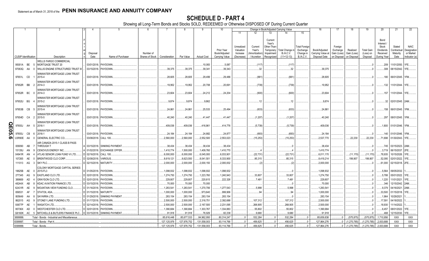|       |           |                             |                                              |                  |                        |                              |               |             | -9                 | 10                                            |                                                   |                                                  | Change in Book/Adjusted Carrying Value                                                                                          |                                                                   | 16                                                  | 17                                                | 18                                     | 19                                         | 20                                                                       | 21                                        | 22                                                       |
|-------|-----------|-----------------------------|----------------------------------------------|------------------|------------------------|------------------------------|---------------|-------------|--------------------|-----------------------------------------------|---------------------------------------------------|--------------------------------------------------|---------------------------------------------------------------------------------------------------------------------------------|-------------------------------------------------------------------|-----------------------------------------------------|---------------------------------------------------|----------------------------------------|--------------------------------------------|--------------------------------------------------------------------------|-------------------------------------------|----------------------------------------------------------|
|       |           |                             |                                              |                  |                        |                              |               |             |                    |                                               | 11                                                | 12                                               | 13<br>14                                                                                                                        | 15                                                                |                                                     |                                                   |                                        |                                            |                                                                          |                                           |                                                          |
|       |           | <b>CUSIP</b> Identification | Description                                  | Disposal<br>Date | Name of Purchaser      | Number of<br>Shares of Stock | Consideration | Par Value   | <b>Actual Cost</b> | Prior Year<br>Book/Adjusted<br>Carrying Value | Unrealized<br>Valuation<br>Increase<br>(Decrease) | Current<br>Year's<br>Amortization<br>/ Accretion | Current<br>Year's<br>Other-Than-<br>Total Change i<br>Temporary<br><b>B./A.C.V.</b><br>Impairment<br>$(11+12-13)$<br>Recognized | <b>Total Foreigr</b><br>Exchange<br>Change in<br><b>B./A.C.V.</b> | Book/Adjusted<br>Carrying Value at<br>Disposal Date | Foreign<br>Exchange<br>Gain (Loss)<br>on Disposal | Realized<br>Gain (Loss)<br>on Disposal | <b>Total Gain</b><br>(Loss) on<br>Disposal | Bond<br>Interest<br>Stock<br><b>Dividends</b><br>Received<br>During Year | Stated<br>Contractual<br>Maturity<br>Date | <b>NAIC</b><br>Designation<br>or Market<br>Indicator (a) |
|       |           |                             | <b><i>NELLS FARGO COMMERCIAL</i></b>         |                  |                        |                              |               |             |                    |                                               |                                                   |                                                  |                                                                                                                                 |                                                                   |                                                     |                                                   |                                        |                                            |                                                                          |                                           |                                                          |
|       | 95001A BE |                             | MORTGAGE TRUST 20                            | 03/01/2018.      | PAYDOWN.               |                              |               |             | 10,083             | .5,087                                        |                                                   | (117)                                            | (117)                                                                                                                           |                                                                   |                                                     |                                                   |                                        | 0                                          | .209                                                                     | 11/01/2050.                               | 1FE                                                      |
|       | 97063Q AA |                             | WILLIS ENGINE STRUCTURED TRUST               | 03/15/2018.      | PAYDOWN.               |                              | .39,375       | .39.375     | .39,341            | .39,343                                       |                                                   | .32                                              | .32                                                                                                                             |                                                                   | .39,375                                             |                                                   |                                        | - 0                                        | .308                                                                     | 08/15/2042.                               | 1FF                                                      |
|       |           |                             | WINWATER MORTGAGE LOAN TRUST                 |                  |                        |                              |               |             |                    |                                               |                                                   |                                                  |                                                                                                                                 |                                                                   |                                                     |                                                   |                                        |                                            |                                                                          |                                           |                                                          |
|       | 97651L CD |                             | 2015-4                                       | 03/01/2018.      | PAYDOWN                |                              | 28,605        | .28,605     | .29,499            | .29,486                                       |                                                   | (881                                             | (881                                                                                                                            |                                                                   | .28,605                                             |                                                   |                                        |                                            |                                                                          | 180 06/01/2045. 1FM.                      |                                                          |
|       |           |                             | WINWATER MORTGAGE LOAN TRUST                 |                  |                        |                              |               |             |                    |                                               |                                                   |                                                  |                                                                                                                                 |                                                                   |                                                     |                                                   |                                        |                                            |                                                                          |                                           |                                                          |
|       | 97652R BB |                             | 2014-3                                       |                  | 03/01/2018. PAYDOWN.   |                              | .19,952       | 19,952      | .20,708            | 20,691                                        |                                                   | (739)                                            | (739)                                                                                                                           |                                                                   | 19,952                                              |                                                   |                                        |                                            |                                                                          | .132   11/01/2044.   1FE                  |                                                          |
|       |           |                             | WINWATER MORTGAGE LOAN TRUST                 |                  |                        |                              |               |             |                    |                                               |                                                   |                                                  |                                                                                                                                 |                                                                   |                                                     |                                                   |                                        |                                            |                                                                          |                                           |                                                          |
|       | 97652R BC |                             | 2014-3                                       |                  | 03/01/2018. PAYDOWN.   |                              | .23,604       | .23,604     | .24,212            | .24,204                                       |                                                   | (600)                                            | (600)                                                                                                                           |                                                                   | .23,604                                             |                                                   |                                        |                                            | 157                                                                      | 11/01/2044. 1FE                           |                                                          |
|       |           |                             | WINWATER MORTGAGE LOAN TRUST                 |                  |                        |                              |               |             |                    |                                               |                                                   |                                                  |                                                                                                                                 |                                                                   |                                                     |                                                   |                                        |                                            |                                                                          |                                           |                                                          |
|       | 97652U BG |                             | 2015-2                                       |                  | 03/01/2018. PAYDOWN.   |                              | .9,874        | .9,874      | .9,862             |                                               |                                                   | 12                                               | 12                                                                                                                              |                                                                   | .9,874                                              |                                                   |                                        |                                            |                                                                          | 32 02/01/2045. 2AM.                       |                                                          |
|       | 97653B CB |                             | WINWATER MORTGAGE LOAN TRUST<br>2015-A       |                  |                        |                              |               |             | .25,533            |                                               |                                                   |                                                  |                                                                                                                                 |                                                                   |                                                     |                                                   |                                        |                                            |                                                                          | 158 06/01/2045. 1FM.                      |                                                          |
|       |           |                             |                                              |                  | 03/01/2018. PAYDOWN.   |                              | .24,861       | .24,861     |                    | .25,494                                       |                                                   | (633)                                            | (633)                                                                                                                           |                                                                   | .24,861                                             |                                                   |                                        |                                            |                                                                          |                                           |                                                          |
|       | 97654D CA |                             | WINWATER MORTGAGE LOAN TRUST<br>2015-5       |                  | 03/01/2018. PAYDOWN.   |                              | .40,240       | .40,240     | .41,447            | .41,447                                       |                                                   | (1,207)                                          | (1,207)                                                                                                                         |                                                                   | .40,240                                             |                                                   |                                        |                                            |                                                                          | 297 08/01/2045. 1FM.                      |                                                          |
|       |           |                             |                                              |                  |                        |                              |               |             |                    |                                               |                                                   |                                                  |                                                                                                                                 |                                                                   |                                                     |                                                   |                                        |                                            |                                                                          |                                           |                                                          |
|       | 97655J    | AH                          | WINWATER MORTGAGE LOAN TRUST<br>2016-1       |                  | 03/01/2018. PAYDOWN    |                              | .409,036      | 409,036     | .416,961           | .414,776                                      |                                                   | (5,739)                                          | (5,739)                                                                                                                         |                                                                   | .409,036                                            |                                                   |                                        |                                            |                                                                          | .1,800 01/01/2046. 1FM.                   |                                                          |
| QE05. |           |                             | WINWATER MORTGAGE LOAN TRUST                 |                  |                        |                              |               |             |                    |                                               |                                                   |                                                  |                                                                                                                                 |                                                                   |                                                     |                                                   |                                        |                                            |                                                                          |                                           |                                                          |
|       | 97655J    | CB                          | 2016-1                                       |                  | 03/01/2018. PAYDOWN    |                              | .24,184       | 24,184      | 24,882             | 24,877                                        |                                                   | (693)                                            | (693)                                                                                                                           |                                                                   | 24,184                                              |                                                   |                                        |                                            |                                                                          | .140   01/01/2046.   1FM.                 |                                                          |
| ග     | U3R90E AA |                             | <b>GENERAL ELECTRIC CO.</b>                  |                  | 03/08/2018. CALL 100.  |                              | .2,560,000    | .2,560,000  | .2,552,500         | .2,553,023                                    |                                                   | (15,253)                                         | (15, 253)                                                                                                                       |                                                                   | 2,537,770                                           |                                                   | .22.230                                | .22.230                                    |                                                                          | .71,698 01/30/2043. 1FE.                  |                                                          |
|       |           |                             | AIR CANADA 2015-1 CLASS B PASS               |                  |                        |                              |               |             |                    |                                               |                                                   |                                                  |                                                                                                                                 |                                                                   |                                                     |                                                   |                                        |                                            |                                                                          |                                           |                                                          |
|       | 009090 AB |                             | THROUGH T                                    | 03/15/2018.      | <b>SINKING PAYMENT</b> |                              | .38,434       | .38,434     | .38,434            | 38,434                                        |                                                   |                                                  |                                                                                                                                 |                                                                   | .38,434                                             |                                                   |                                        | $\cdot$ 0                                  |                                                                          | .745   03/15/2023.   2AM.                 |                                                          |
|       | 15135U    | AN                          | CENOVUS ENERGY INC.                          | 01/02/2018       | <b>EXCHANGE OFFER</b>  |                              | .1,410,774    | 1,500,000   | 1,409,760          | 1,410,770                                     |                                                   |                                                  |                                                                                                                                 |                                                                   | 1,410,774                                           |                                                   |                                        | 0                                          | .3,719                                                                   | 06/15/2037.                               | 2FE.                                                     |
|       | 04941R    | AN                          | ATLAS SENIOR LOAN FUND VI LTD.               | 02/16/2018       | CALL 100.              |                              | .6,000,000    | 6,000,000   | .6,045,000         | .6,033,901                                    |                                                   | (22, 731)                                        | (22, 731)                                                                                                                       |                                                                   | 6,011,170                                           |                                                   | (11,170)                               | (11, 170)                                  | .78,935                                                                  | 10/15/2026.                               | 1FE.                                                     |
|       | 107265    | AE                          | BRENTWOOD CLO CORP.                          | 02/08/2018       | <b>VARIOUS</b>         |                              | .8,619,121    | 8,623,593   | .8,041,501         | 8,333,900                                     |                                                   | .85,315                                          | .85,315                                                                                                                         |                                                                   | .8,419,214                                          |                                                   | 199,907                                | 199,907                                    | .52,095                                                                  | 02/01/2022.                               | 1FE.                                                     |
|       | 111013 AG |                             | SKY PLC.                                     | 02/15/2018.      | <b>MATURITY</b>        |                              | .2,000,000    | .2,000,000  | .2,000,150         | .2,000,002                                    |                                                   | (2)                                              | (2)                                                                                                                             |                                                                   | 2,000,000                                           |                                                   |                                        |                                            | .61,000                                                                  | 02/15/2018. 2FE.                          |                                                          |
|       |           |                             | COLONY MORTGAGE CAPITAL SERIES               |                  |                        |                              |               |             |                    |                                               |                                                   |                                                  |                                                                                                                                 |                                                                   |                                                     |                                                   |                                        |                                            |                                                                          |                                           |                                                          |
|       | 19625B AE |                             | 2015-FL3                                     | 01/05/2018.      | PAYDOWN.               |                              | 1,098,932     | 1,098,932   | 1,098,932          | 1,098,932                                     |                                                   |                                                  |                                                                                                                                 |                                                                   | 1,098,932                                           |                                                   |                                        |                                            | .5,564                                                                   | 09/05/2032.                               |                                                          |
|       | 277345 AG |                             | EASTLAND CLO LTD.                            | 02/01/2018.      | PAYDOWN.               |                              | 1,274,750     | 1,274,750   | 1,223,760          | 1,240,943                                     |                                                   | .33,807                                          | .33,807                                                                                                                         |                                                                   | 1,274,750                                           |                                                   |                                        | . . 0                                      | 5,788                                                                    | 05/01/2022.                               |                                                          |
|       | 389669    | AD                          | <b>GRAYSON CLO LTD</b>                       | 02/01/2018.      | PAYDOWN.               |                              | .229,807      | .229,807    | .220,615           | .222,326                                      |                                                   | .7,481                                           | .7,481                                                                                                                          |                                                                   | .229,807                                            |                                                   |                                        | 0                                          | 1,220                                                                    | 11/01/2021.                               | 1FE.                                                     |
|       | 48244X    | AB                          | <b>KDAC AVIATION FINANCE LTD</b>             | 03/15/2018       | PAYDOWN.               |                              | 70,000        | 70,000      | 70,000             |                                               |                                                   |                                                  |                                                                                                                                 |                                                                   | 70,000                                              |                                                   |                                        |                                            | .346                                                                     | 12/15/2042.                               | 2AM.                                                     |
|       | 62431R    | AE                          | MOUNTAIN VIEW FUNDING CLO                    | 01/16/2018       | PAYDOWN.               |                              | 1,283,541     | 1,283,541   | 1,270,706          | 1,277,543                                     |                                                   | .5,998                                           | .5,998                                                                                                                          |                                                                   | 1,283,541                                           |                                                   |                                        | $\Omega$                                   | .9.379                                                                   | 04/16/2021.                               | 2AM                                                      |
|       | 656531    | AF                          | <b>STATOIL ASA</b>                           | 01/15/2018       | MATURITY               |                              | 1,000,000     | 1,000,000   | .973,640           | .999,906                                      |                                                   | .94                                              | .94                                                                                                                             |                                                                   | 1,000,000                                           |                                                   |                                        |                                            | .33,500                                                                  | 01/15/2018.                               |                                                          |
|       | 805649    | AA                          | SAYARRA LTD.                                 | 01/29/2018       | <b>SINKING PAYMENT</b> |                              | 283,154       | .283,154    | .283,154           | 283,154                                       |                                                   |                                                  |                                                                                                                                 |                                                                   | 283,154                                             |                                                   |                                        |                                            | .1,964                                                                   | 10/29/2021                                |                                                          |
|       | 862015    | AG                          | STONEY LANE FUNDING LTD                      | 01/17/2018       | <b>PAYDOWN</b>         |                              | .2,500,000    | .2,500,000  | .2,318,751         | .2,392,688                                    |                                                   | 107,312                                          | .107,312                                                                                                                        |                                                                   | .2,500,000                                          |                                                   |                                        |                                            | .17,591                                                                  | 04/18/2022.                               |                                                          |
|       | 93677P    | AE                          | <b>WASATCH LTD.</b>                          | 02/14/2018       | PAYDOWN.               |                              | .2,500,000    | 2,500,000   | .2,167,500         | 2,231,095                                     |                                                   | .268,905                                         | .268,905                                                                                                                        |                                                                   | .2,500,000                                          |                                                   |                                        | 0                                          | 18,930                                                                   | 11/14/2022.                               |                                                          |
|       | 95736X    | AD                          | <b>WESTCHESTER CLO LTD</b>                   | 02/01/2018       | PAYDOWN.               |                              | 1,390,684     | 1,390,684   | 1,303,767          | 1,334,883                                     |                                                   | .55,802                                          | .55,802                                                                                                                         |                                                                   | 1,390,684                                           |                                                   |                                        | 0                                          | .6,457                                                                   | 08/01/2022.                               | 1FE.                                                     |
|       | G6160K AC |                             | MITCHELLS & BUTLERS FINANCE PLC              | 03/15/2018.      | <b>SINKING PAYMENT</b> |                              | .91,918       | .91,918     | 76,929             | .82,238                                       |                                                   | .9,680                                           | .9,680                                                                                                                          |                                                                   | .91,918                                             |                                                   |                                        | $\sqrt{ }$                                 | 468                                                                      | 12/15/2030.                               | 1FE.                                                     |
|       | 3899999   |                             | Total - Bonds - Industrial and Miscellaneous |                  |                        |                              | .85,616,448   | .85,677,533 | .84,962,950        | .80,314,247                                   |                                                   | .532,284                                         | .532,284<br>0                                                                                                                   |                                                                   | .85,659,838                                         |                                                   | .(575,875)                             | (575, 875)                                 | 1,710,956                                                                | <b>XXX</b>                                | XXX                                                      |
|       | 3399997   |                             | Total - Bonds - Part 4.                      |                  |                        |                              | 127,125,976   | 127,976,752 | 131,558,003        | 93,114,766                                    |                                                   | 456,625                                          | .456,625                                                                                                                        | ſ                                                                 | 127,864,276                                         |                                                   | (1, 270, 785)                          | (1,270,785)                                | .2,003,688                                                               | XXX                                       | XXX                                                      |
|       | 8399999.  |                             | Total - Bonds.                               |                  |                        |                              | 127,125,976   | 127.976.752 | 131.558.003        | 93.114.766                                    |                                                   | 456.625                                          | 456.625                                                                                                                         |                                                                   | 127.864.276                                         |                                                   | (1,270,785)                            | (1.270.785)                                | 2.003.688                                                                | <b>XXX</b>                                | <b>XXX</b>                                               |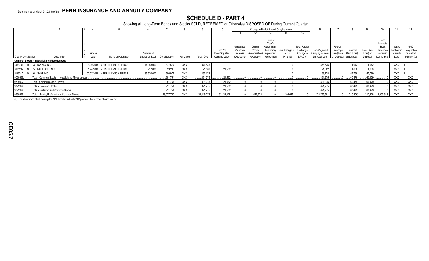# **SCHEDULE D - PART 4**

Showing all Long-Term Bonds and Stocks SOLD, REDEEMED or Otherwise DISPOSED OF During Current Quarter

|                       |                                                       |          |                                   |                 |               |            |                    |                             |                        |                               |                          | Change in Book/Adjusted Carrying Value |                               |                                                            |          |                         |                       |                         |                  | 22                       |
|-----------------------|-------------------------------------------------------|----------|-----------------------------------|-----------------|---------------|------------|--------------------|-----------------------------|------------------------|-------------------------------|--------------------------|----------------------------------------|-------------------------------|------------------------------------------------------------|----------|-------------------------|-----------------------|-------------------------|------------------|--------------------------|
|                       |                                                       |          |                                   |                 |               |            |                    |                             |                        |                               |                          | 14                                     | 15                            |                                                            |          |                         |                       |                         |                  |                          |
|                       |                                                       |          |                                   |                 |               |            |                    |                             |                        |                               |                          |                                        |                               |                                                            |          |                         |                       |                         |                  |                          |
|                       |                                                       |          |                                   |                 |               |            |                    |                             |                        |                               | Current                  |                                        |                               |                                                            |          |                         |                       | Bond                    |                  |                          |
|                       |                                                       |          |                                   |                 |               |            |                    |                             |                        |                               | Year's                   |                                        |                               |                                                            |          |                         |                       | Interest                |                  |                          |
|                       |                                                       |          |                                   |                 |               |            |                    |                             | Unrealized             | Current                       | Other-Than-              |                                        | <b>Total Foreign</b>          |                                                            | Foreign  |                         |                       | Stock                   | Stated           | <b>NAIC</b>              |
|                       |                                                       |          |                                   | Number of       |               |            |                    | Prior Year<br>Book/Adjusted | Valuation              | Year's                        | Temporary                | Total Change i<br><b>B./A.C.V.</b>     | Exchange                      | Book/Adjusted<br>Carrying Value at Gain (Loss) Gain (Loss) | Exchange | Realized                | <b>Total Gain</b>     | Dividends               | Contractual      | Designation<br>or Market |
| CUSIP Identification  | Description                                           | Disposal | Name of Purchaser                 | Shares of Stock | Consideration | Par Value  | <b>Actual Cost</b> | Carrying Value              | Increase<br>(Decrease) | (Amortization)<br>/ Accretion | Impairment<br>Recognized | $(11+12-13)$                           | Change in<br><b>B./A.C.V.</b> | Disposal                                                   |          | on Disposal on Disposal | (Loss) on<br>Disposal | Received<br>During Year | Maturity<br>Date | Indicator (a)            |
|                       |                                                       |          |                                   |                 |               |            |                    |                             |                        |                               |                          |                                        |                               |                                                            |          |                         |                       |                         |                  |                          |
|                       | <b>Common Stocks - Industrial and Miscellaneous</b>   |          |                                   |                 |               |            |                    |                             |                        |                               |                          |                                        |                               |                                                            |          |                         |                       |                         |                  |                          |
| 451731 10             | <b>IGNYTA INC.</b>                                    |          | 01/09/2018. MERRILL LYNCH PIERCE. | .14,008.000     | .377.577      | XXX        | .376,535           |                             |                        |                               |                          |                                        |                               | 376,535                                                    |          | 1,042                   | .1,042                |                         | XXX              |                          |
| 625207                | MULESOFT INC.                                         |          | 01/24/2018. MERRILL LYNCH PIERCE. | 927.000         | .23.200       | <b>XXX</b> | .21.562            | .21.562                     |                        |                               |                          |                                        |                               | .21.562                                                    |          | .1.638                  | .1.638                |                         | <b>XXX</b>       |                          |
| 83304A 10 6 SNAP INC. |                                                       |          | 02/07/2018. MERRILL LYNCH PIERCE. | .35,570.000     | .550,977      | <b>XXX</b> | .493,178           |                             |                        |                               |                          |                                        |                               | .493,178                                                   |          | .57,799                 | .57,799               |                         | <b>XXX</b>       |                          |
| 9099999.              | Total - Common Stocks - Industrial and Miscellaneous. |          |                                   |                 | .951,754      | XXX        | .891,275           | 21,562                      |                        |                               |                          |                                        |                               | 891,275                                                    |          | .60,479                 | 60,479                |                         | <b>XXX</b>       | XXX                      |
| 9799997.              | Total - Common Stocks - Part 4.                       |          |                                   |                 | .951,754      | XXX        | .891,275           | 21,562                      |                        |                               |                          |                                        |                               | .891,275                                                   |          | 60,479                  | 60,479                |                         | <b>XXX</b>       | <b>XXX</b>               |
| 9799999.              | Total - Common Stocks.                                |          |                                   |                 | .951,754      | XXX        | .891,275           | 21,562                      |                        |                               |                          |                                        |                               | 891.275                                                    |          | .60.479                 | 60,479                |                         | <b>XXX</b>       | <b>XXX</b>               |
| 9899999.              | Total - Preferred and Common Stocks                   |          |                                   |                 | .951,754      | XXX        | .891,275           | 21,562                      |                        |                               |                          |                                        |                               | 891,275                                                    |          | .60,479                 | 60,479                |                         | XXX              | <b>XXX</b>               |
| 9999999.              | Total - Bonds, Preferred and Common Stocks.           |          |                                   |                 | 128,077,730   | <b>XXX</b> | 132,449,278        | 93,136,328                  |                        | .456,625                      |                          | .456,625                               |                               | .128,755,551                                               |          | (1,210,306)             | .(1,210,306)          | 0.2,003,688             | <b>XXX</b>       | XXX                      |

(a) For all common stock bearing the NAIC market indicator "U" provide: the number of such issues: ..........0.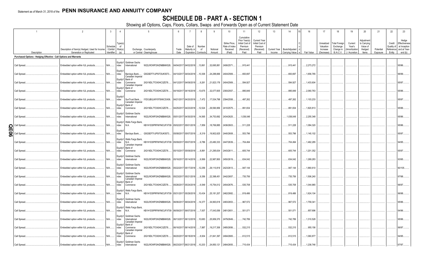# **SCHEDULE DB - PART A - SECTION 1**

|     |                                                                   |                                                                            | $\mathbf{3}$           | $\overline{4}$                              |                                                                                                             | 6             |                        | 8                                    | 9                  | 10                                                   | 11                                                                              | 12                                                                      | 13     | 14                           | 16<br>15                    | 17                                                | 18                                                         | 19                                                  | 20                                                       | 21                    | 22                             | 23                                                                          |
|-----|-------------------------------------------------------------------|----------------------------------------------------------------------------|------------------------|---------------------------------------------|-------------------------------------------------------------------------------------------------------------|---------------|------------------------|--------------------------------------|--------------------|------------------------------------------------------|---------------------------------------------------------------------------------|-------------------------------------------------------------------------|--------|------------------------------|-----------------------------|---------------------------------------------------|------------------------------------------------------------|-----------------------------------------------------|----------------------------------------------------------|-----------------------|--------------------------------|-----------------------------------------------------------------------------|
|     | Description                                                       | Description of Item(s) Hedged, Used for Income<br>Generation or Replicated | Schedule<br>Identifier | Type(s)<br>- of<br>/ Exhibit Risk(s)<br>(a) | Exchange, Counterparty<br>or Central Clearinghouse                                                          | Trade<br>Date | Date of<br>Maturity or | Number<br>of<br>Expiration Contracts | Notional<br>Amount | Strike Price,<br>Rate of Index<br>Received<br>(Paid) | Cumulative<br>Prior Year(s)<br>Initial Cost of<br>Premium<br>(Received)<br>Paid | <b>Current Year</b><br>Initial Cost of<br>Premium<br>(Received)<br>Paid | Income | Current Year   Book/Adjusted | Carrying Value e Fair Value | Unrealized<br>Valuation<br>Increase<br>(Decrease) | <b>Total Foreign</b><br>Exchange<br>Change in<br>B./A.C.V. | Current<br>Year's<br>(Amortization<br>) / Accretion | Adiustment<br>to Carrying<br>Value of<br>Hedged<br>ltems | Potential<br>Exposure | Credit<br>Quality of<br>Entity | Hedge<br>Effectiveness<br>at Inception<br>Reference and at Year-<br>end (b) |
|     | Purchased Options - Hedging Effective - Call Options and Warrants |                                                                            |                        |                                             |                                                                                                             |               |                        |                                      |                    |                                                      |                                                                                 |                                                                         |        |                              |                             |                                                   |                                                            |                                                     |                                                          |                       |                                |                                                                             |
|     |                                                                   |                                                                            |                        |                                             |                                                                                                             |               |                        |                                      |                    |                                                      |                                                                                 |                                                                         |        |                              |                             |                                                   |                                                            |                                                     |                                                          |                       |                                |                                                                             |
|     | Call Spread.                                                      | Embedded option within IUL products                                        | $N/A$                  | ndex                                        | Equity/I Goldman Sachs<br>W22LROWP2IHZNBB6K528<br>International                                             |               | 04/04/2017 04/02/2018  | .13,861                              | .32,695,881        | 2406/2571.                                           | 915,441                                                                         |                                                                         |        | 915,441                      | .2,273,272                  |                                                   |                                                            |                                                     |                                                          |                       |                                | 95/96.                                                                      |
|     | Call Spread.                                                      | Embedded option within IUL products.                                       | N/A                    | Equity/<br>ndex                             | G5GSEF7VJP5I7OUK5573<br>Barclays Bank<br>Canadian Imperial                                                  |               | 04/10/2017 04/04/2018  | .10,306                              | 24,288,666         | 2404/2569.                                           | .693,697                                                                        |                                                                         |        | 693,697                      | .1,656,785                  |                                                   |                                                            |                                                     |                                                          |                       |                                | 96/99.                                                                      |
|     | Call Spread.                                                      | Embedded option within IUL products                                        | $N/A$                  | Equity/I<br>ndex                            | Bank of<br>2IGI19DL77OX0HC3ZE78<br>Commerce<br>Canadian Imperial                                            |               | 04/12/2017 04/09/2018  | 9,261                                | 21,823,176         | 2404/2569.                                           | .594,927                                                                        |                                                                         |        | 594,927                      | .1,433,604                  |                                                   |                                                            |                                                     |                                                          |                       |                                | 95/97.                                                                      |
|     | Call Spread                                                       | Embedded option within IUL products                                        | N/A                    | ndex                                        | Equity/I Bank of<br>2IGI19DL77OX0HC3ZE78<br>Commerce                                                        |               | 04/18/2017 04/16/201   | .13,675                              | 32,077,605         | 2393/2557.                                           | .895,849                                                                        |                                                                         |        | .895,849                     | .2,060,763                  |                                                   |                                                            |                                                     |                                                          |                       |                                | 95/96.                                                                      |
|     | Call Spread                                                       | Embedded option within IUL products                                        | $N/A$                  | Equity/<br>ndex                             | SunTrust Bank IYDOJBGJWY9T8XKCSX06<br>Canadian Imperial                                                     |               | 04/21/2017 04/20/2018  | 7,472                                | 17,534,798         | 2394/2558.                                           | .497,262                                                                        |                                                                         |        | 497,262                      | .1,103,233                  |                                                   |                                                            |                                                     |                                                          |                       |                                | 95/97.                                                                      |
|     | Call Spread.                                                      | Embedded option within IUL products                                        | $N/A$                  | ndex                                        | Equity/I   Bank of<br>Commerce<br>2IGI19DL77OX0HC3ZE78                                                      |               | 04/25/2017 04/23/2018  | .12,524                              | 29,590,956         | 2410/2575.                                           | .891,834                                                                        |                                                                         |        | 891,834                      | .1,820,813                  |                                                   |                                                            |                                                     |                                                          |                       |                                | 95/96.                                                                      |
|     | Call Spread.                                                      | Embedded option within IUL products                                        | $N/A$                  | Equity/I<br>ndex                            | Goldman Sachs<br>W22LROWP2IHZNBB6K528<br>International                                                      |               | 05/01/2017 04/30/2018  | .14,565                              | 34,753,692         | 2434/2625.                                           | .1,038,048                                                                      |                                                                         |        | 1,038,048                    | .2,255,348                  |                                                   |                                                            |                                                     |                                                          |                       |                                | 95/96.                                                                      |
| ဌ   | Call Spread                                                       | Embedded option within IUL products                                        | N/A                    | Equity/I<br>ndex                            | Wells Fargo Bank,<br>KB1H1DSPRFMYMCUFXT09 05/02/2017 05/01/2018<br>N.A.                                     |               |                        | 7,859                                | 18,769,885         | 2436/2603.                                           | 511,228                                                                         |                                                                         |        | 511,228                      | 1,084,320                   |                                                   |                                                            |                                                     |                                                          |                       |                                | 95/96.                                                                      |
| န္တ | Call Spread                                                       | Embedded option within IUL products.                                       | $N/A$                  | Equity/<br>ndex                             | Barclays Bank G5GSEF7VJP5I7OUK5573                                                                          |               | 05/08/2017 05/07/2018  | 8,319                                | .19,902,625        | 2440/2608.                                           | .553,796                                                                        |                                                                         |        | 553,796                      | .1,140,102                  |                                                   |                                                            |                                                     |                                                          |                       |                                | 95/97.                                                                      |
|     | Call Spread.                                                      | Embedded option within IUL products                                        | N/A                    | ndex                                        | Equity/I   Wells Fargo Bank,<br>KB1H1DSPRFMYMCUFXT09 05/09/2017 05/07/2018<br>N.A.<br>Canadian Imperial     |               |                        | 9,786                                | 23,480,333         | 2447/2639.                                           | .704,494                                                                        |                                                                         |        | 704,494                      | 1,462,285                   |                                                   |                                                            |                                                     |                                                          |                       |                                | 94/95.                                                                      |
|     | Call Spread                                                       | Embedded option within IUL products                                        | $N/A$                  | ndex                                        | Equity/I Bank of<br>2IGI19DL77OX0HC3ZE78<br>Commerce                                                        |               | 05/15/2017 05/09/201   | 8,891                                | 21,295,634         | 2443/2611.                                           | .605,744                                                                        |                                                                         |        | 605,744                      | .1,201,352                  |                                                   |                                                            |                                                     |                                                          |                       |                                | 95/97.                                                                      |
|     | Call Spread                                                       | Embedded option within IUL products.                                       | $N/A$                  | ndex                                        | Equity/I Goldman Sachs<br>International<br>W22LROWP2IHZNBB6K528                                             |               | 05/16/2017 05/14/2018  | 9,569                                | 22,987,800         | 2450/2619.                                           | .634,042                                                                        |                                                                         |        | 634,042                      | .1,269,283                  |                                                   |                                                            |                                                     |                                                          |                       |                                | 93/95.                                                                      |
|     | Call Spread                                                       | Embedded option within IUL products                                        | $N/A$                  | ndex                                        | Equity/I Goldman Sachs<br>W22LROWP2IHZNBB6K528<br>International                                             |               | 05/22/2017 05/17/2018  | .12,256                              | 29,110,819         | 2423/2613.                                           | .947,144                                                                        |                                                                         |        | 947,144                      | .1,860,610                  |                                                   |                                                            |                                                     |                                                          |                       |                                | 90/105                                                                      |
|     | Call Spread.                                                      | Embedded option within IUL products                                        | N/A                    | Equity/I<br>ndex                            | Goldman Sachs<br>W22LROWP2IHZNBB6K528<br>International<br>Canadian Imperial                                 |               | 05/23/2017 05/21/2018  | 9,356                                | 22,398,451         | 2442/2657.                                           | .735,756                                                                        |                                                                         |        | 735,756                      | .1,506,240                  |                                                   |                                                            |                                                     |                                                          |                       |                                | 97/98.                                                                      |
|     | Call Spread.                                                      | Embedded option within IUL products                                        | $N/A$                  | Equity/I<br>ndex                            | Bank of<br>Commerce<br>2IGI19DL77OX0HC3ZE78                                                                 |               | 05/26/2017 05/24/2018  | 0.6,549                              | .15,754,012        | 2454/2676.                                           | .535,708                                                                        |                                                                         |        | .535,708                     | .1,044,965                  |                                                   |                                                            |                                                     |                                                          |                       |                                | 96/97.                                                                      |
|     | Call Spread.                                                      | Embedded option within IUL products                                        | N/A                    | ndex                                        | Equity/I   Wells Fargo Bank,<br>KB1H1DSPRFMYMCUFXT09 05/31/2017 05/29/2018<br>N.A.                          |               |                        | .10,434                              | 25,181,207         | 2462/2682.                                           | .819,486                                                                        |                                                                         |        | 819,486                      | .1,624,104                  |                                                   |                                                            |                                                     |                                                          |                       |                                | 96/98.                                                                      |
|     | Call Spread.                                                      | Embedded option within IUL products                                        | N/A                    | ndex                                        | Equity/I Goldman Sachs<br>W22LROWP2IHZNBB6K528<br>International                                             | 06/06/2017    | 06/04/2018             | 14,377                               | 34,993,618         | 2483/2653.                                           | .967,572                                                                        |                                                                         |        | .967,572                     | .1,759,341                  |                                                   |                                                            |                                                     |                                                          |                       |                                | 95/96.                                                                      |
|     | Call Spread                                                       | Embedded option within IUL products                                        | N/A                    | ndex                                        | Equity/I   Wells Fargo Bank,<br>KB1H1DSPRFMYMCUFXT09 06/09/2017 06/07/2018<br>N.A.                          |               |                        | 7,007                                | .17,043,056        | 2481/2651.                                           | .501,071                                                                        |                                                                         |        | 501,071                      | .857,696                    |                                                   |                                                            |                                                     |                                                          |                       |                                | 94/96.                                                                      |
|     | Call Spread                                                       | Embedded option within IUL products                                        | N/A                    | ndex                                        | Equity/I Goldman Sachs<br>W22LROWP2IHZNBB6K528. 06/13/2017 06/12/2018<br>International<br>Canadian Imperial |               |                        | 10,683                               | 25,959,370         | 2479/2649.                                           | 742,789                                                                         |                                                                         |        | 742,789                      | .1,310,528                  |                                                   |                                                            |                                                     |                                                          |                       |                                | 95/96.                                                                      |
|     | Call Spread.                                                      | Embedded option within IUL products                                        | $N/A$                  | ndex                                        | Equity/I Bank of<br>2IGI19DL77OX0HC3ZE78<br>Commerce<br>Canadian Imperial                                   |               | 06/16/2017 06/14/2018  | 7,887                                | .19,217,306        | 2485/2656.                                           | .532,215                                                                        |                                                                         |        | 532,215                      | .955,156                    |                                                   |                                                            |                                                     |                                                          |                       |                                | 96/97.                                                                      |
|     | Call Spread.                                                      | Embedded option within IUL products                                        | $N/A$                  | ndex                                        | Equity/I Bank of<br>2IGI19DL77OX0HC3ZE78<br>Commerce                                                        | 06/20/2017    | 06/18/2018             | 8,934                                | 21,841,397         | 2494/2665.                                           | .612,515                                                                        |                                                                         |        | 612,515                      | .1,060,877                  |                                                   |                                                            |                                                     |                                                          |                       |                                | 94/95.                                                                      |
|     | Call Spread.                                                      | Embedded option within IUL products                                        | N/A.                   | ndex                                        | Equity/I Goldman Sachs<br>W22LROWP2IHZNBB6K528 06/23/2017 06/21/2018<br>International                       |               |                        | .10,203                              | 24,850,121         | 2484/2655.                                           | .715,434                                                                        |                                                                         |        | .715.434                     | 1.238.746                   |                                                   |                                                            |                                                     |                                                          |                       |                                | 97/97                                                                       |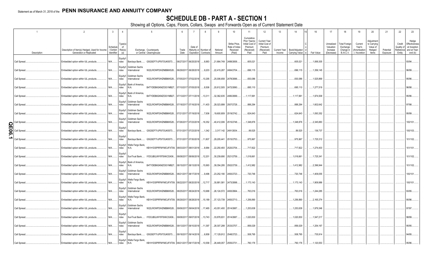# **SCHEDULE DB - PART A - SECTION 1**

|        |                             | $\overline{2}$                                                             | $\mathbf{3}$                     | $\overline{4}$                  |                                              | 5                                                   | - 6           |                               | 8                                             | <sub>9</sub>                    | 10 <sup>°</sup>                                      | 11                                                                              | 12                                                                      | 13     | 14                                                    | 16         | 17                                  | 18                                                         | 19                                                  | 20                                              | 21        | 22                             | 23                                                               |
|--------|-----------------------------|----------------------------------------------------------------------------|----------------------------------|---------------------------------|----------------------------------------------|-----------------------------------------------------|---------------|-------------------------------|-----------------------------------------------|---------------------------------|------------------------------------------------------|---------------------------------------------------------------------------------|-------------------------------------------------------------------------|--------|-------------------------------------------------------|------------|-------------------------------------|------------------------------------------------------------|-----------------------------------------------------|-------------------------------------------------|-----------|--------------------------------|------------------------------------------------------------------|
|        |                             | Description of Item(s) Hedged, Used for Income<br>Generation or Replicated | Schedule<br>Exhibit<br>dentifier | Type(s)<br>of<br>Risk(s)<br>(a) |                                              | Exchange, Counterparty<br>or Central Clearinghouse  | Trade<br>Date | Date of                       | Maturity or Number of<br>Expiration Contracts | Notional                        | Strike Price,<br>Rate of Index<br>Received<br>(Paid) | Cumulative<br>Prior Year(s)<br>Initial Cost of<br>Premium<br>(Received)<br>Paid | <b>Current Year</b><br>Initial Cost of<br>Premium<br>(Received)<br>Paid |        | Current Year   Book/Adjusted<br><b>Carrying Value</b> | Fair Value | Unrealized<br>Valuation<br>Increase | <b>Total Foreign</b><br>Exchange<br>Change in<br>B./A.C.V. | Current<br>Year's<br>(Amortizatior<br>) / Accretion | Adjustment<br>to Carrying<br>Value of<br>Hedged | Potential | Credit<br>Quality of<br>Entity | Hedge<br>Effectiveness<br>at Inception<br>Reference and at Year- |
|        | Description<br>Call Spread. | Embedded option within IUL products.                                       | N/A                              | Equity/I<br>ndex                |                                              | Barclays Bank G5GSEF7VJP5I7OUK5573                  |               | 06/27/2017 06/25/2018         | 8,883                                         | Amount<br>21,664,749 2488/2658. |                                                      | 605,021                                                                         |                                                                         | Income | .605,021                                              | 1,069,305  | (Decrease)                          |                                                            |                                                     | ltems                                           | Exposure  |                                | end $(b)$<br>93/94.                                              |
|        | Call Spread.                |                                                                            | N/A                              | Equity/I                        | Goldman Sachs                                | W22LROWP2IHZNBB6K528                                |               | 06/29/2017 06/28/2018         | $\dots$ 9,203                                 | .22,415,287                     | 2484/2704.                                           | .696,115                                                                        |                                                                         |        | .696,115                                              | .1,356,145 |                                     |                                                            |                                                     |                                                 |           |                                | 96/99.                                                           |
|        |                             | Embedded option within IUL products.                                       |                                  | ndex                            | International<br>Equity/I Goldman Sachs      |                                                     |               |                               |                                               |                                 |                                                      |                                                                                 |                                                                         |        |                                                       |            |                                     |                                                            |                                                     |                                                 |           |                                |                                                                  |
|        | Call Spread.                | Embedded option within IUL products.                                       | N/A                              | ndex                            | International<br>Equity/I   Bank of America, | W22LROWP2IHZNBB6K528                                |               | 07/05/2017 07/02/2018 10,295  |                                               | 25,006,658                      | 2478/2696.                                           | .830,086                                                                        |                                                                         |        | .830,086                                              | 1,525,869  |                                     |                                                            |                                                     |                                                 |           |                                | 95/96.                                                           |
|        | Call Spread.                | Embedded option within IUL products.                                       | N/A                              | ndex                            | N.A.<br>Equity/I Bank of America,            | B4TYDEB6GKMZO031MB27 07/10/2017 07/05/2018          |               |                               | 8,506                                         | 20,612,505 2472/2690.           |                                                      | .695,110                                                                        |                                                                         |        | .695,110                                              | .1,277,519 |                                     |                                                            |                                                     |                                                 |           |                                | 96/98.                                                           |
|        | Call Spread.                | Embedded option within IUL products.                                       | $N/A$                            | ndex                            | N.A.<br>Equity/I Goldman Sachs               | B4TYDEB6GKMZO031MB27 07/13/2017 07/11/2018  13,311  |               |                               |                                               | 32,362,635 2480/2699.           |                                                      | .1,117,991                                                                      |                                                                         |        | , 1, 117, 991                                         | 1,974,509  |                                     |                                                            |                                                     |                                                 |           |                                | 95/96.                                                           |
|        | Call Spread.                | Embedded option within IUL products.                                       | N/A                              | ndex                            | International<br>Equity/I Goldman Sachs      | W22LROWP2IHZNBB6K528                                |               | 07/18/2017 07/16/2018 11,403  |                                               | 28,023,899 2507/2728.           |                                                      | .888,294                                                                        |                                                                         |        | .888,294                                              | 1,602,642  |                                     |                                                            |                                                     |                                                 |           |                                | 97/98.                                                           |
|        | Call Spread.                | Embedded option within IUL products.                                       | N/A                              | ndex                            | International<br>Equity/I Goldman Sachs      | W22LROWP2IHZNBB6K528                                |               | 07/21/2017 07/19/2018 7,936   |                                               |                                 | .19,600,809   2519/2742                              | 624,643                                                                         |                                                                         |        | .624,643                                              | 1,093,352  |                                     |                                                            |                                                     |                                                 |           |                                | 95/99                                                            |
| O<br>π | Call Spread                 | Embedded option within IUL products.                                       | N/A                              | ndex<br>Equity/                 | International                                | W22LROWP2IHZNBB6K528                                |               | 07/26/2017 07/23/2018 16,352  |                                               | .40,412,006   2515/2748.        |                                                      | 1,348,876                                                                       |                                                                         |        | 1,348,876                                             | 2,345,883  |                                     |                                                            |                                                     |                                                 |           |                                | 100/101.                                                         |
| ချွ    | Call Spread                 | Embedded option within IUL products.                                       | N/A                              | ndex<br>Equity/                 |                                              | Barclays Bank G5GSEF7VJP5I7OUK5573                  |               | 07/31/2017 07/23/2018 1,342   |                                               | 3,317,142 2491/2634.            |                                                      | 89,525                                                                          |                                                                         |        | .89,525                                               | 136,737    |                                     |                                                            |                                                     |                                                 |           |                                | 100/103.                                                         |
|        | Call Spread                 | Embedded option within IUL products.                                       | N/A                              | ndex                            | Equity/I   Wells Fargo Bank,                 | Barclays Bank G5GSEF7VJP5I7OUK5573                  |               | 07/31/2017 07/30/2018  11,807 |                                               | 29,205,441                      | 2515/2753.                                           | 975,967                                                                         |                                                                         |        | 975,967                                               | 1,725,312  |                                     |                                                            |                                                     |                                                 |           |                                | 01/102                                                           |
|        | Call Spread.                | Embedded option within IUL products.                                       | N/A                              | ndex<br>Equity/                 | N.A.                                         | KB1H1DSPRFMYMCUFXT09. 08/03/2017 08/01/2018 8,984   |               |                               |                                               | 22,250,493 2520/2754.           |                                                      | 717,822                                                                         |                                                                         |        | 717,822                                               | .1,274,403 |                                     |                                                            |                                                     |                                                 |           |                                | 101/101.                                                         |
|        | Call Spread.                | Embedded option within IUL products.                                       | N/A                              | ndex                            | Equity/I Bank of America,                    | SunTrust Bank IYDOJBGJWY9T8XKCSX06                  |               | 08/08/2017 08/06/2018 12,201  |                                               | .30,239,690 2521/2759.          |                                                      | 1,018,661                                                                       |                                                                         |        | 1,018,661                                             | .1,725,341 |                                     |                                                            |                                                     |                                                 |           |                                | 01/102                                                           |
|        | Call Spread.                | Embedded option within IUL products.                                       | N/A                              | ndex                            | N.A.<br>Equity/I Goldman Sachs               | B4TYDEB6GKMZO031MB27 08/15/2017 08/13/2018  15,993  |               |                               |                                               | 39,354,295 2502/2739.           |                                                      | 1,412,982                                                                       |                                                                         |        | 1,412,982                                             | 2,396,944  |                                     |                                                            |                                                     |                                                 |           |                                | 101/102.                                                         |
|        | Call Spread.                | Embedded option within IUL products.                                       | N/A                              | ndex                            | International                                | W22LROWP2IHZNBB6K528                                |               | 08/21/2017 08/17/2018         | 9,496                                         | 23,252,190 2493/2723.           |                                                      | 720,746                                                                         |                                                                         |        | 720,746                                               | 1,409,055  |                                     |                                                            |                                                     |                                                 |           |                                | 100/101.                                                         |
|        | Call Spread.                | Embedded option within IUL products.                                       | N/A                              | ndex                            | Equity/I Wells Fargo Bank,<br>N.A.           | KB1H1DSPRFMYMCUFXT09. 08/22/2017 08/20/2018  12,717 |               |                               |                                               | .30,881,581                     | 2473/2698.                                           | .1,173,143                                                                      |                                                                         |        | , 1, 173, 143                                         | 1,909,986  |                                     |                                                            |                                                     |                                                 |           |                                | 100/101.                                                         |
|        | Call Spread.                | Embedded option within IUL products.                                       | N/A                              | ndex                            | Equity/I Goldman Sachs<br>International      | W22LROWP2IHZNBB6K528                                |               | 08/25/2017 08/24/2018 10,688  |                                               | 26,124,572 2493/2664.           |                                                      | 763,016                                                                         |                                                                         |        | 763,016                                               | 1,244,285  |                                     |                                                            |                                                     |                                                 |           |                                | 93/95.                                                           |
|        | Call Spread.                | Embedded option within IUL products.                                       | N/A                              | ndex                            | Equity/I   Wells Fargo Bank,<br>N.A.         | KB1H1DSPRFMYMCUFXT09. 08/29/2017 08/28/2018  15,189 |               |                               |                                               | 37,123,739 2493/2713            |                                                      | 1,256,890                                                                       |                                                                         |        | 1,256,890                                             | .2,165,374 |                                     |                                                            |                                                     |                                                 |           |                                | 95/96.                                                           |
|        | Call Spread.                | Embedded option within IUL products.                                       | N/A                              | ndex                            | Equity/I Goldman Sachs<br>International      | W22LROWP2IHZNBB6K528                                |               | 09/06/2017 09/04/2018 17,465  |                                               | .43,051,400   2514/2687.        |                                                      | 1,253,638                                                                       |                                                                         |        | 1,253,638                                             | 1,979,346  |                                     |                                                            |                                                     |                                                 |           |                                | 97/97.                                                           |
|        | Call Spread.                | Embedded option within IUL products.                                       | N/A                              | Equity/<br>ndex                 |                                              | SunTrust Bank IYDOJBGJWY9T8XKCSX06                  |               | 09/08/2017 09/07/2018 13,743  |                                               | .33,878,831                     | 2514/2687.                                           | 1,020,830                                                                       |                                                                         |        | 1,020,830                                             | 1,547,217  |                                     |                                                            |                                                     |                                                 |           |                                | 98/99.                                                           |
|        | Call Spread.                | Embedded option within IUL products.                                       | N/A                              | Equity/I<br>ndex                | Goldman Sachs<br>International               | W22LROWP2IHZNBB6K528                                |               | 09/13/2017 09/10/2018 11,397  |                                               | 28,307,299 2533/2707.           |                                                      | .856,029                                                                        |                                                                         |        | .856,029                                              | 1,254,167  |                                     |                                                            |                                                     |                                                 |           |                                | 95/95.                                                           |
|        | Call Spread.                | Embedded option within IUL products.                                       | N/A                              | Equity/<br>ndex                 |                                              | Barclays Bank G5GSEF7VJP5I7OUK5573                  |               | 09/18/2017 09/14/2018         | 6,858                                         | 17,129,912 2548/2723            |                                                      | 508,795                                                                         |                                                                         |        | .508,795                                              | 735,914    |                                     |                                                            |                                                     |                                                 |           |                                | 94/95.                                                           |
|        | Call Spread.                | Embedded option within IUL products.                                       | N/A                              | ndex                            | Equity/I Wells Fargo Bank,<br>N.A.           | KB1H1DSPRFMYMCUFXT09. 09/21/2017 09/17/2018  10,558 |               |                               |                                               | 26,449,057                      | 2555/2731                                            | .760,176                                                                        |                                                                         |        | .760,176                                              | 1,120,553  |                                     |                                                            |                                                     |                                                 |           |                                | 95/96.                                                           |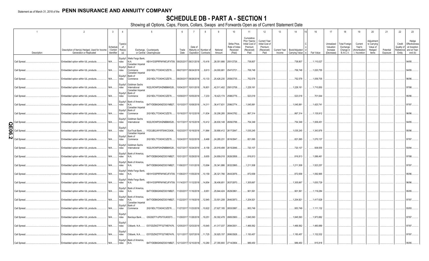# **SCHEDULE DB - PART A - SECTION 1**

|             |              | $\overline{2}$                                                             | $\overline{3}$                   | $\overline{4}$              |                                                           | 5                                                  | 6             | $\overline{7}$                | 8                                             | 9                        | 10                                                   | 11                                                                              | 12                                                                      | 13                     | 14                              | 16            | 17                                                | 18                                                         | 19                                                  | 20                                                       | 21                    | 22                                          | 23                                                               |
|-------------|--------------|----------------------------------------------------------------------------|----------------------------------|-----------------------------|-----------------------------------------------------------|----------------------------------------------------|---------------|-------------------------------|-----------------------------------------------|--------------------------|------------------------------------------------------|---------------------------------------------------------------------------------|-------------------------------------------------------------------------|------------------------|---------------------------------|---------------|---------------------------------------------------|------------------------------------------------------------|-----------------------------------------------------|----------------------------------------------------------|-----------------------|---------------------------------------------|------------------------------------------------------------------|
|             | Description  | Description of Item(s) Hedged, Used for Income<br>Generation or Replicated | Schedule<br>Exhibit<br>dentifier | Type(s)<br>of<br>Risk(s)    |                                                           | Exchange, Counterparty<br>or Central Clearinghouse | Trade<br>Date | Date of                       | Maturity or Number of<br>Expiration Contracts | Notional<br>Amount       | Strike Price.<br>Rate of Index<br>Received<br>(Paid) | Cumulative<br>Prior Year(s)<br>Initial Cost of<br>Premium<br>(Received)<br>Paid | <b>Current Year</b><br>Initial Cost of<br>Premium<br>(Received)<br>Paid | Current Year<br>Income | Book/Adjusted<br>Carrying Value | Fair Value    | Unrealized<br>Valuation<br>Increase<br>(Decrease) | <b>Total Foreign</b><br>Exchange<br>Change in<br>B./A.C.V. | Current<br>Year's<br>(Amortization<br>) / Accretion | Adjustment<br>to Carrying<br>Value of<br>Hedged<br>Items | Potential<br>Exposure | Credit<br>Quality of<br>Reference<br>Entity | Hedge<br>Effectiveness<br>at Inception<br>and at Year-<br>end(b) |
|             | Call Spread  | Embedded option within IUL products.                                       | N/A                              | ndex                        | Equity/I   Wells Fargo Bank,<br>N.A.<br>Canadian Imperial | KB1H1DSPRFMYMCUFXT09.                              |               | 09/25/2017 09/21/2018 10,416  |                                               |                          | .26,051,666 2551/2726.                               | 738,807                                                                         |                                                                         |                        | 738,807                         | , 1, 110, 027 |                                                   |                                                            |                                                     |                                                          |                       |                                             | 94/95                                                            |
|             | Call Spread  | Embedded option within IUL products.                                       | N/A                              | Equity/I<br>ndex            | Bank of<br>Commerce<br>Canadian Imperial                  | 2IGI19DL77OX0HC3ZE78                               |               | 09/27/2017 09/24/2018         | 9,613                                         | 24,000,681               | 2547/2721.                                           | 706,748                                                                         |                                                                         |                        | 706,748                         | .1,020,755    |                                                   |                                                            |                                                     |                                                          |                       |                                             | 94/95                                                            |
|             | Call Spread  | Embedded option within IUL products.                                       | N/A                              | Equity/I<br>ndex            | Bank of<br>Commerce                                       | 2IGI19DL77OX0HC3ZE78.                              |               | 09/29/2017 09/28/2018 10,133  |                                               | 25,426,230 2559/2735     |                                                      | 752,578                                                                         |                                                                         |                        | 752,578                         | .1,059,705    |                                                   |                                                            |                                                     |                                                          |                       |                                             | 96/96.                                                           |
|             | Call Spread  | Embedded option within IUL products.                                       | N/A                              | Equity/I<br>ndex            | Goldman Sachs<br>International<br>Canadian Imperial       | W22LROWP2IHZNBB6K528                               |               | 10/04/2017 10/01/2018  16,801 |                                               | .42,511,402   2581/2758. |                                                      | .1,229,161                                                                      |                                                                         |                        | 1,229,161                       | 1,710,850     |                                                   |                                                            |                                                     |                                                          |                       |                                             | 97/98                                                            |
|             | Call Spread  | Embedded option within IUL products.                                       | N/A                              | Equity/I<br>ndex            | Bank of<br>Commerce                                       | 2IGI19DL77OX0HC3ZE78                               |               | 10/09/2017 10/05/2018 7,233   |                                               |                          | .18,423,174 2598/2776                                | .523,018                                                                        |                                                                         |                        | .523,018                        | 701,644       |                                                   |                                                            |                                                     |                                                          |                       |                                             | 95/96.                                                           |
|             | Call Spread  | Embedded option within IUL products.                                       | N/A                              | Equity/I<br>ndex            | Bank of America,<br>N.A.<br>Canadian Imperial             | B4TYDEB6GKMZO031MB27.                              |               | 10/10/2017 10/08/2018  14,311 |                                               | .36,417,631              | 2596/2774                                            | 1,045,991                                                                       |                                                                         |                        | 1,045,991                       | 1,420,741     |                                                   |                                                            |                                                     |                                                          |                       |                                             | 97/97.                                                           |
|             | Call Spread  | Embedded option within IUL products.                                       | N/A                              | Equity/I<br>ndex            | Bank of<br>Commerce                                       | 2IGI19DL77OX0HC3ZE78                               |               | 10/16/2017 10/12/2018 11,834  |                                               |                          | .30,206,285 2604/2782                                | 867,314                                                                         |                                                                         |                        | .867,314                        | , 1, 135, 912 |                                                   |                                                            |                                                     |                                                          |                       |                                             | 96/96.                                                           |
| <u>ୋ</u>    | Call Spread. | Embedded option within IUL products.                                       | N/A                              | Equity/I<br>ndex            | Goldman Sachs<br>International                            | W22LROWP2IHZNBB6K528                               |               | 10/17/2017 10/15/2018 10,412  |                                               | 26,630,148 2609/2788.    |                                                      | 754,349                                                                         |                                                                         |                        | 754,349                         | .1,006,451    |                                                   |                                                            |                                                     |                                                          |                       |                                             | 94/95                                                            |
| П<br>0<br>თ | Call Spread. | Embedded option within IUL products.                                       | N/A                              | Equity/<br>ndex<br>Equity/I | SunTrust Bank<br>Canadian Imperial<br>Bank of             | IYDOJBGJWY9T8XKCSX06                               |               | 10/23/2017 10/19/2018 11,964  |                                               | 30,690,412 2617/2847     |                                                      | 1,035,245                                                                       |                                                                         |                        | 1,035,245                       | 1,343,976     |                                                   |                                                            |                                                     |                                                          |                       |                                             | 95/96.                                                           |
| v           | Call Spread. | Embedded option within IUL products.                                       | N/A                              | ndex                        | Commerce                                                  | 2IGI19DL77OX0HC3ZE78                               |               | 10/24/2017 10/22/2018 9,468   |                                               | .24,285,231              | 2616/2847.                                           | 821,065                                                                         |                                                                         |                        | .821,065                        | .1,070,137    |                                                   |                                                            |                                                     |                                                          |                       |                                             | 97/97.                                                           |
|             | Call Spread  | Embedded option within IUL products.                                       | N/A                              | Equity/I<br>ndex            | Goldman Sachs<br>International                            | W22LROWP2IHZNBB6K528                               |               | 10/27/2017 10/24/2018 8,158   |                                               | 20,918,499 2615/2846     |                                                      | 720,107                                                                         |                                                                         |                        | 720,107                         | .938,555      |                                                   |                                                            |                                                     |                                                          |                       |                                             | 93/94.                                                           |
|             | Call Spread  | Embedded option within IUL products.                                       | N/A                              | ndex                        | Equity/I Bank of America,<br>N.A.                         | B4TYDEB6GKMZO031MB27                               |               | 10/31/2017 10/29/2018         | 9,655                                         | 24,859,018 2626/2858.    |                                                      | 816,813                                                                         |                                                                         |                        | .816,813                        | 1,086,461     |                                                   |                                                            |                                                     |                                                          |                       |                                             | 97/98.                                                           |
|             | Call Spread. | Embedded option within IUL products.                                       | N/A                              | ndex                        | Equity/I Bank of America,<br>N.A.                         | B4TYDEB6GKMZO031MB27                               |               | 11/06/2017 11/01/2018 13,694  |                                               | 35,341,886 2632/2865     |                                                      | 1,211,508                                                                       |                                                                         |                        | 1,211,508                       | 1,523,257     |                                                   |                                                            |                                                     |                                                          |                       |                                             | 97/97.                                                           |
|             | Call Spread  | Embedded option within IUL products.                                       | N/A                              | ndex                        | Equity/I   Wells Fargo Bank,<br>N.A.                      | KB1H1DSPRFMYMCUFXT09.                              |               | 11/08/2017 11/05/2018 10,159  |                                               | 26,321,766 2643/2876     |                                                      | 872,658                                                                         |                                                                         |                        | 872,658                         | 1,092,965     |                                                   |                                                            |                                                     |                                                          |                       |                                             | 95/96                                                            |
|             | Call Spread  | Embedded option within IUL products.                                       | N/A                              | ndex                        | Equity/I   Wells Fargo Bank,<br>N.A.                      | KB1H1DSPRFMYMCUFXT09.                              |               | 11/14/2017 11/12/2018  14,854 |                                               | .38,406,651              | 2637/2870                                            | 1,305,667                                                                       |                                                                         |                        | .1,305,667                      | 1,630,729     |                                                   |                                                            |                                                     |                                                          |                       |                                             | 96/96.                                                           |
|             | Call Spread  | Embedded option within IUL products.                                       | $N/A$                            | ndex                        | Equity/I   Bank of America,<br>N.A.                       | B4TYDEB6GKMZO031MB27                               |               | 11/20/2017 11/16/2018 9,951   |                                               | 25,644,424               | 2629/2861.                                           | 901,561                                                                         |                                                                         |                        | 901,561                         | 1,119,284     |                                                   |                                                            |                                                     |                                                          |                       |                                             | 95/95                                                            |
|             | Call Spread  | Embedded option within IUL products.                                       | N/A                              | ndex                        | Equity/I   Bank of America,<br>N.A.<br>Canadian Imperial  | B4TYDEB6GKMZO031MB27                               |               | 11/22/2017 11/19/2018 12,945  |                                               | 33,501,208 2640/2873     |                                                      | 1,204,921                                                                       |                                                                         |                        | 1,204,921                       | 1,417,628     |                                                   |                                                            |                                                     |                                                          |                       |                                             | 97/97.                                                           |
|             | Call Spread  | Embedded option within IUL products.                                       | N/A                              | Equity/I<br>ndex            | Bank of<br>Commerce                                       | 2IGI19DL77OX0HC3ZE78                               |               | 11/27/2017 11/23/2018 10,622  |                                               | 27,627,185 2653/2887.    |                                                      | .953,749                                                                        |                                                                         |                        | .953,749                        | 1, 111, 132   |                                                   |                                                            |                                                     |                                                          |                       |                                             | 93/93.                                                           |
|             | Call Spread  | Embedded option within IUL products.                                       | N/A                              | Equity/<br>ndex             |                                                           | Barclays Bank G5GSEF7VJP5I7OUK5573                 |               | 11/29/2017 11/28/2018 19,251  |                                               | .50,302,478 2665/2900.   |                                                      | 1,845,593                                                                       |                                                                         |                        | 1,845,593                       | 1,973,882     |                                                   |                                                            |                                                     |                                                          |                       |                                             | 97/97.                                                           |
|             | Call Spread  | Embedded option within IUL products.                                       | N/A                              | Equity<br>ndex              |                                                           | Citibank, N.A E57ODZWZ7FF32TWEFA76                 |               | 12/05/2017 12/03/2018  15,645 |                                               | .41,317,037              | 2694/2931.                                           | 1,466,562                                                                       |                                                                         |                        | 1,466,562                       | 1,480,889     |                                                   |                                                            |                                                     |                                                          |                       |                                             | 97/97.                                                           |
|             | Call Spread  | Embedded option within IUL products.                                       | N/A                              | Equity/<br>ndex             | Citibank, N.A                                             | E57ODZWZ7FF32TWEFA76                               |               | 12/11/2017 12/07/2018 11,725  |                                               | 30,925,157               | 2690/2928.                                           | 1,150,457                                                                       |                                                                         |                        | 1,150,457                       | 1,132,532     |                                                   |                                                            |                                                     |                                                          |                       |                                             | 97/97.                                                           |
|             | Call Spread. | Embedded option within IUL products.                                       | N/A.                             | ndex N.A.                   | Equity/I   Bank of America,                               | B4TYDEB6GKMZO031MB27 12/13/2017 12/10/2018  10,280 |               |                               |                                               | 27,355,800 2714/2954     |                                                      | 989,450                                                                         |                                                                         |                        | .989,450                        | .915,818      |                                                   |                                                            |                                                     |                                                          |                       |                                             | 95/95.                                                           |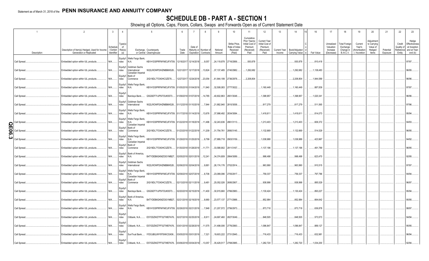# **SCHEDULE DB - PART A - SECTION 1**

|              |                              | $\overline{\phantom{a}}$                                                     | $\overline{3}$                  | $\overline{4}$              |                                                           | 5                                                                                               |               |                                 | 8                     | <sub>9</sub>                                   | 10                                                  | 11                                                                              | 12                                                                      | 13     | 14                                             | 16                   | 17                                                | 18                                                         | 19                                                  | 20                                                       | 21                    | 22                             | 23                                                                          |
|--------------|------------------------------|------------------------------------------------------------------------------|---------------------------------|-----------------------------|-----------------------------------------------------------|-------------------------------------------------------------------------------------------------|---------------|---------------------------------|-----------------------|------------------------------------------------|-----------------------------------------------------|---------------------------------------------------------------------------------|-------------------------------------------------------------------------|--------|------------------------------------------------|----------------------|---------------------------------------------------|------------------------------------------------------------|-----------------------------------------------------|----------------------------------------------------------|-----------------------|--------------------------------|-----------------------------------------------------------------------------|
|              | Description                  | Description of Item(s) Hedged, Used for Income<br>Generation or Replicated   | Schedul<br>Exhibit<br>dentifier | Type(s)<br>of<br>Risk(s)    |                                                           | Exchange, Counterparty<br>or Central Clearinghouse                                              | Trade<br>Date | Date of<br>Expiration Contracts | Maturity or Number of | Notional<br>Amount                             | Strike Price<br>Rate of Inde:<br>Received<br>(Paid) | Cumulative<br>Prior Year(s)<br>Initial Cost of<br>Premium<br>(Received)<br>Paid | <b>Current Year</b><br>Initial Cost of<br>Premium<br>(Received)<br>Paid | Income | Current Year   Book/Adjusted<br>Carrying Value | Fair Value           | Unrealized<br>Valuation<br>Increase<br>(Decrease) | <b>Total Foreign</b><br>Exchange<br>Change in<br>B./A.C.V. | Current<br>Year's<br>(Amortization<br>) / Accretion | Adjustment<br>to Carrying<br>Value of<br>Hedged<br>ltems | Potential<br>Exposure | Credit<br>Quality of<br>Entity | Hedge<br>Effectiveness<br>at Inception<br>Reference and at Year-<br>end (b) |
|              | Call Spread.                 | Embedded option within IUL products.                                         | N/A                             | ndex                        | Equity/I   Wells Fargo Bank,<br>N.A.                      | KB1H1DSPRFMYMCUFXT09. 12/18/2017 12/14/2018                                                     |               |                                 | 9,057                 | 24,119,878 2716/2956.                          |                                                     | 930,878                                                                         |                                                                         |        | 930,878                                        | .810,418             |                                                   |                                                            |                                                     |                                                          |                       |                                | 97/97.                                                                      |
|              | Call Spread.                 | Embedded option within IUL products.                                         | N/A                             | Equity/I<br>ndex            | Goldman Sachs<br>International<br>Canadian Imperial       | W22LROWP2IHZNBB6K528                                                                            |               | 12/21/2017 12/17/2018 13,824    |                       | 37,137,485 2740/2982.                          |                                                     | 1,292,682                                                                       |                                                                         |        | 1,292,682                                      | .1,138,483           |                                                   |                                                            |                                                     |                                                          |                       |                                | 96/95                                                                       |
|              | Call Spread.                 | Embedded option within IUL products.                                         | N/A                             | ndex                        | Equity/I Bank of<br>Commerce                              | 2IGI19DL77OX0HC3ZE78                                                                            |               | 12/27/2017 12/24/2018 23,054    |                       | 61,844,199 2736/2978                           |                                                     | 2,208,804                                                                       |                                                                         |        | 2,208,804                                      | 1,944,589            |                                                   |                                                            |                                                     |                                                          |                       |                                | 96/96.                                                                      |
|              | Call Spread.                 | Embedded option within IUL products.                                         | N/A                             | ndex                        | Equity/I   Wells Fargo Bank,<br>N.A.                      | KB1H1DSPRFMYMCUFXT09. 01/05/2018 01/04/2019  11,940                                             |               |                                 |                       | .32,508,083 2777/3022.                         |                                                     |                                                                                 | 1,160,449                                                               |        | , 1, 160, 449                                  | .887,839             |                                                   |                                                            |                                                     |                                                          |                       |                                | 97/97.                                                                      |
|              | Call Spread.                 | Embedded option within IUL products.                                         | N/A                             | Equity/<br>ndex<br>Equity/I | Goldman Sachs                                             | Barclays Bank G5GSEF7VJP5I7OUK5573                                                              |               | 01/09/2018 01/07/2019 14,785    |                       | .40,602,863 2801/3048.                         |                                                     |                                                                                 | 1,398,957                                                               |        | , 1, 398, 957                                  | .1,020,341           |                                                   |                                                            |                                                     |                                                          |                       |                                | 96/96.                                                                      |
|              | Call Spread.                 | Embedded option within IUL products.                                         | N/A                             | ndex                        | International<br>Equity/I   Wells Fargo Bank,             | W22LROWP2IHZNBB6K528                                                                            |               | 01/12/2018 01/10/2019           | 7,944                 | 21,882,940 2810/3058.                          |                                                     |                                                                                 | 817,279                                                                 |        | 817,279                                        | 511,565              |                                                   |                                                            |                                                     |                                                          |                       |                                | 97/96.                                                                      |
|              | Call Spread.                 | Embedded option within IUL products.                                         | N/A                             | ndex                        | N.A.<br>Equity/I   Wells Fargo Bank,                      | KB1H1DSPRFMYMCUFXT09. 01/17/2018 01/14/2019  13,676                                             |               |                                 |                       | 37,998,492 2834/3084.                          |                                                     |                                                                                 | 1,418,61                                                                |        | 1,418,611                                      | .814,073             |                                                   |                                                            |                                                     |                                                          |                       |                                | 95/94.                                                                      |
| O<br>щ       | Call Spread<br>Call Spread   | Embedded option within IUL products.<br>Embedded option within IUL products. | N/A<br>N/A                      | ndex<br>ndex                | N.A.<br>Canadian Imperial<br>Equity/I Bank of<br>Commerce | KB1H1DSPRFMYMCUFXT09. 01/22/2018 01/18/2019  11,496<br>2IGI19DL77OX0HC3ZE78                     |               | 01/23/2018 01/22/2019 11,209    |                       | .32,243,636 2861/3113<br>31,754,761            | 2890/3145.                                          |                                                                                 | 1,213,403<br>1,132,669                                                  |        | 1,213,403<br>, 1, 132, 669                     | .606,372<br>514,529  |                                                   |                                                            |                                                     |                                                          |                       |                                | 94/93<br>96/95.                                                             |
| 01<br>თ<br>ω | Call Spread                  | Embedded option within IUL products.                                         | N/A                             | ndex                        | Equity/I   Wells Fargo Bank,<br>N.A.                      | KB1H1DSPRFMYMCUFXT09. 01/29/2018 01/25/2019                                                     |               |                                 | 9,799                 | 27,889,718 2903/3159.                          |                                                     |                                                                                 | 1,038,988                                                               |        | 1,038,988                                      | 423,967              |                                                   |                                                            |                                                     |                                                          |                       |                                | 94/92                                                                       |
|              | Call Spread.                 | Embedded option within IUL products.                                         | N/A                             | ndex                        | Canadian Imperial<br>Equity/I Bank of<br>Commerce         | 2IGI19DL77OX0HC3ZE78                                                                            |               | 01/30/2018 01/28/2019 11,771    |                       | 33,588,902 2911/3167.                          |                                                     |                                                                                 | 1,137,196                                                               |        | 1,137,196                                      | .491,789             |                                                   |                                                            |                                                     |                                                          |                       |                                | 96/95.                                                                      |
|              | Call Spread.                 | Embedded option within IUL products.                                         | N/A                             | ndex                        | Equity/I   Bank of America,<br>N.A.                       | B4TYDEB6GKMZO031MB27                                                                            |               | 02/05/2018 02/01/2019 12,241    |                       | 34,374,809 2864/3089.                          |                                                     |                                                                                 | .998,498                                                                |        | .998,498                                       | .623,470             |                                                   |                                                            |                                                     |                                                          |                       |                                | 92/95                                                                       |
|              | Call Spread.                 | Embedded option within IUL products.                                         | N/A                             | ndex                        | Equity/I Goldman Sachs<br>International                   | W22LROWP2IHZNBB6K528                                                                            |               | 02/06/2018 02/04/2019           | 9,881                 | 26,174,176 2702/2914                           |                                                     |                                                                                 | .963,990                                                                |        | 963,990                                        | 910,515              |                                                   |                                                            |                                                     |                                                          |                       |                                | 97/97.                                                                      |
|              | Call Spread.                 | Embedded option within IUL products.                                         | N/A                             | ndex                        | Equity/I   Wells Fargo Bank,<br>N.A.<br>Canadian Imperial | KB1H1DSPRFMYMCUFXT09. 02/09/2018 02/07/2019                                                     |               |                                 | 8,706                 | 23,089,096                                     | 2705/2917.                                          |                                                                                 | 759,337                                                                 |        | 759,337                                        | 797,786              |                                                   |                                                            |                                                     |                                                          |                       |                                | 94/94                                                                       |
|              | Call Spread.                 | Embedded option within IUL products.                                         | N/A                             | ndex<br>Equity/             | Equity/I Bank of<br>Commerce                              | 2IGI19DL77OX0HC3ZE78                                                                            |               | 02/13/2018 02/11/2019 9,481     |                       | 25,052,026 2695/2907.                          |                                                     |                                                                                 | 938,998                                                                 |        | .938,998                                       | 885,529              |                                                   |                                                            |                                                     |                                                          |                       |                                | 96/97.                                                                      |
|              | Call Spread.                 | Embedded option within IUL products.                                         | N/A                             | ndex                        | Barclays Bank<br>Equity/I   Bank of America,              | G5GSEF7VJP5I7OUK5573                                                                            |               | 02/20/2018 02/15/2019 11,400    |                       | 30,915,660 2766/2983.                          |                                                     |                                                                                 | 1,130,424                                                               |        | , 1, 130, 424                                  | .893,227             |                                                   |                                                            |                                                     |                                                          |                       |                                | 95/94.                                                                      |
|              | Call Spread.                 | Embedded option within IUL products.                                         | N/A                             | ndex                        | N.A.<br>Equity/I   Wells Fargo Bank,                      | B4TYDEB6GKMZO031MB27 02/21/2018 02/19/2019                                                      |               |                                 | 8,680                 | 23,577,137 2771/2988.                          |                                                     |                                                                                 | 852,984                                                                 |        | .852,984                                       | 664,642              |                                                   |                                                            |                                                     |                                                          |                       |                                | 95/95.                                                                      |
|              | Call Spread.<br>Call Spread. | Embedded option within IUL products.<br>Embedded option within IUL products. | N/A<br>N/A                      | ndex<br>Equity/<br>ndex     | N.A.<br>Citibank, N.A                                     | KB1H1DSPRFMYMCUFXT09. 02/26/2018 02/21/2019<br>E57ODZWZ7FF32TWEFA76 02/27/2018 02/25/2019 8,911 |               |                                 | 7,848                 | 21,207,572 2756/2973.<br>24,697,460 2827/3049. |                                                     |                                                                                 | .873,718<br>.848,505                                                    |        | .873,718<br>.848,505                           | .636,878<br>.573,573 |                                                   |                                                            |                                                     |                                                          |                       |                                | 98/97.<br>94/94.                                                            |
|              | Call Spread.                 | Embedded option within IUL products.                                         | N/A                             | Equity/<br>ndex             | Citibank, N.A                                             | E57ODZWZ7FF32TWEFA76                                                                            |               | 03/01/2018 02/28/2019 11,575    |                       | 31,498,006 2776/2993.                          |                                                     |                                                                                 | 1,096,847                                                               |        | 1,096,847                                      | 889,127              |                                                   |                                                            |                                                     |                                                          |                       |                                | 95/95.                                                                      |
|              | Call Spread.                 | Embedded option within IUL products.                                         | N/A                             | Equity/<br>ndex             |                                                           | SunTrust Bank IYDOJBGJWY9T8XKCSX06                                                              |               | 03/05/2018 03/01/2019 7,321     |                       | .19,603,222 2731/2945                          |                                                     |                                                                                 | 716,433                                                                 |        | 716,433                                        | 632,981              |                                                   |                                                            |                                                     |                                                          |                       |                                | 96/94.                                                                      |
|              | Call Spread.                 | Embedded option within IUL products.                                         | N/A.                            | Equity/I<br>ndex            | Citibank, N.A                                             | E57ODZWZ7FF32TWEFA76 03/06/2018 03/04/2019 13,057                                               |               |                                 |                       | 35,429,517 2768/2985.                          |                                                     |                                                                                 | .1,282,720                                                              |        | 1,282,720                                      | 1,034,200            |                                                   |                                                            |                                                     |                                                          |                       |                                | 92/94.                                                                      |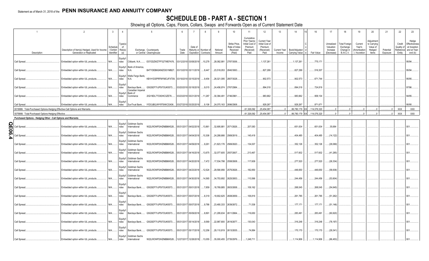# **SCHEDULE DB - PART A - SECTION 1**

|                  |                                                                                                                                      | $\overline{2}$                                                             | $\overline{3}$                   | $\overline{4}$             |                                                                   | 5                                                  |               |                                                       | 8                     | 9                         | 10                                                   | 11                                                                              | 12                                                                      | 13                     | 14                                     | 16          |                     | 17                                                | 18                                                         | 19                                                  | 20                                                       | 21                    | 22                                          | 23                                                                |
|------------------|--------------------------------------------------------------------------------------------------------------------------------------|----------------------------------------------------------------------------|----------------------------------|----------------------------|-------------------------------------------------------------------|----------------------------------------------------|---------------|-------------------------------------------------------|-----------------------|---------------------------|------------------------------------------------------|---------------------------------------------------------------------------------|-------------------------------------------------------------------------|------------------------|----------------------------------------|-------------|---------------------|---------------------------------------------------|------------------------------------------------------------|-----------------------------------------------------|----------------------------------------------------------|-----------------------|---------------------------------------------|-------------------------------------------------------------------|
|                  | Description                                                                                                                          | Description of Item(s) Hedged, Used for Income<br>Generation or Replicated | Schedule<br>Exhibit<br>dentifier | Type(s)<br>of<br>Risk(s)   |                                                                   | Exchange, Counterparty<br>or Central Clearinghouse | Trade<br>Date | Date of<br>Expiration Contracts                       | Maturity or Number of | Notional<br>Amount        | Strike Price.<br>Rate of Index<br>Received<br>(Paid) | Cumulative<br>Prior Year(s)<br>Initial Cost of<br>Premium<br>(Received)<br>Paid | <b>Current Year</b><br>Initial Cost of<br>Premium<br>(Received)<br>Paid | Current Year<br>Income | Book/Adjusted<br><b>Carrying Value</b> | Fair Value  |                     | Unrealized<br>Valuation<br>Increase<br>(Decrease) | <b>Total Foreign</b><br>Exchange<br>Change in<br>B./A.C.V. | Current<br>Year's<br>(Amortization<br>) / Accretion | Adjustment<br>to Carrying<br>Value of<br>Hedged<br>Items | Potential<br>Exposure | Credit<br>Quality of<br>Reference<br>Entity | Hedge<br>Effectiveness<br>at Inception<br>and at Year-<br>end (b) |
|                  | Call Spread.                                                                                                                         | Embedded option within IUL products.                                       | N/A                              | Equity/I<br>ndex           | Citibank, N.A                                                     | E57ODZWZ7FF32TWEFA76 03/12/2018 03/08/2019 10,278  |               |                                                       |                       | .28,082,991               | 2787/3006.                                           |                                                                                 | 1,137,261                                                               |                        | 1,137,261                              |             | .775,171            |                                                   |                                                            |                                                     |                                                          |                       |                                             | 95/94.                                                            |
|                  | Call Spread.                                                                                                                         | Embedded option within IUL products.                                       | N/A                              | Equity/I<br>ndex           | Bank of America,<br>N.A.                                          | B4TYDEB6GKMZO031MB27 03/13/2018 03/11/2019         |               |                                                       | 8,447                 | 23,518,053                | 2840/3063.                                           |                                                                                 | .827,299                                                                |                        | .827,299                               |             | .516,307            |                                                   |                                                            |                                                     |                                                          |                       |                                             | 95/94.                                                            |
|                  | Call Spread.                                                                                                                         | Embedded option within IUL products.                                       | N/A                              | ndex                       | Equity/I   Wells Fargo Bank,<br>N.A.                              | KB1H1DSPRFMYMCUFXT09. 03/19/2018 03/15/2019        |               |                                                       | 9,454                 | 26,021,095 2807/3028.     |                                                      |                                                                                 | .902,573                                                                |                        | .902,573                               |             | .671,744            |                                                   |                                                            |                                                     |                                                          |                       |                                             | 95/95.                                                            |
|                  | Call Spread.                                                                                                                         | Embedded option within IUL products.                                       | N/A                              | Equity/I<br>ndex           | Barclays Bank<br>Canadian Imperial<br>Equity/I Bank of            | G5GSEF7VJP5I7OUK5573                               |               | 03/20/2018 03/18/2019                                 | 9,015                 | 24,456,974 2767/2984.     |                                                      |                                                                                 | .894,018                                                                |                        | .894,018                               |             | .724,819            |                                                   |                                                            |                                                     |                                                          |                       |                                             | 97/96.                                                            |
|                  | Call Spread.                                                                                                                         | Embedded option within IUL products.                                       | N/A                              | ndex<br>Equity/I           | Commerce                                                          | 2IGI19DL77OX0HC3ZE78                               |               | 03/23/2018 03/21/2019 11,287                          |                       | .30,384,491               | 2746/2961.                                           |                                                                                 | .983,662                                                                |                        | .983,662                               |             | 958,104             |                                                   |                                                            |                                                     |                                                          |                       |                                             | 94/95.                                                            |
|                  | Call Spread.                                                                                                                         | Embedded option within IUL products                                        | N/A.                             | ndex                       | SunTrust Bank                                                     | IYDOJBGJWY9T8XKCSX06                               |               | 03/27/2018 03/25/2019                                 | 9,106                 | 24,070,163 2696/2908.     |                                                      | 61,326,092                                                                      | .929,267<br>25,454,087                                                  | 0                      | .929,267<br>.86,780,179                | 114,076,320 | .871,671            | $\Omega$                                          |                                                            |                                                     |                                                          | $\Omega$              | <b>XXX</b>                                  | 95/95.<br><b>XXX</b>                                              |
|                  | 0019999. Total-Purchased Options-Hedging Effective-Call Options and Warrants.<br>0079999. Total-Purchased Options-Hedging Effective. |                                                                            |                                  |                            |                                                                   |                                                    |               |                                                       |                       |                           |                                                      | 61,326,092                                                                      | 25,454,087                                                              | 0                      | .86,780,179                            | 114,076,320 |                     | $\Omega$                                          |                                                            |                                                     |                                                          |                       | <b>XXX</b>                                  | XXX                                                               |
|                  | Purchased Options - Hedging Other - Call Options and Warrants                                                                        |                                                                            |                                  |                            |                                                                   |                                                    |               |                                                       |                       |                           |                                                      |                                                                                 |                                                                         |                        |                                        |             |                     |                                                   |                                                            |                                                     |                                                          |                       |                                             |                                                                   |
|                  |                                                                                                                                      |                                                                            |                                  |                            |                                                                   |                                                    |               |                                                       |                       |                           |                                                      |                                                                                 |                                                                         |                        |                                        |             |                     |                                                   |                                                            |                                                     |                                                          |                       |                                             |                                                                   |
| <u>ក្ត</u><br>0  | Call Spread                                                                                                                          | Embedded option within IUL products.                                       | N/A                              | ndex                       | Equity/I Goldman Sachs<br>International                           | W22LROWP2IHZNBB6K528                               |               | 05/31/2017 04/02/2018 13,861                          |                       | .32,695,881               | 2571/2626.                                           | .207,083                                                                        |                                                                         |                        | .651,634                               |             | .651,634            | .35,684                                           |                                                            |                                                     |                                                          |                       |                                             | 001.                                                              |
| ၈ $\bullet$<br>N | Call Spread                                                                                                                          | Embedded option within IUL products.                                       | N/A                              | ndex                       | Equity/I Goldman Sachs<br>International<br>Equity/I Goldman Sachs | W22LROWP2IHZNBB6K528                               |               | 05/31/2017 04/04/2018 10,306                          |                       | 24,288,666 2569/2619      |                                                      | 145,418                                                                         |                                                                         |                        | .404,485                               |             | 404,485             | (14, 122)                                         |                                                            |                                                     |                                                          |                       |                                             |                                                                   |
|                  | Call Spread.                                                                                                                         | Embedded option within IUL products.                                       | N/A                              | ndex                       | International<br>Equity/I Goldman Sachs                           | W22LROWP2IHZNBB6K528                               |               | 05/31/2017 04/09/2018                                 | 9,261                 | 21,823,176 2569/2620      |                                                      | 134,007                                                                         |                                                                         |                        | .352,126                               |             | .352,126            | (29,069)                                          |                                                            |                                                     |                                                          |                       |                                             | 001.                                                              |
|                  | Call Spread.                                                                                                                         | Embedded option within IUL products.                                       | N/A                              | ndex                       | International<br>Equity/I Goldman Sachs                           | W22LROWP2IHZNBB6K528                               |               | 05/31/2017 04/16/2018 13,675                          |                       | 32,077,605 2557/2607.     |                                                      | 213,467                                                                         |                                                                         |                        | 517,602                                |             | .517,602            | (41,285)                                          |                                                            |                                                     |                                                          |                       |                                             | 001.                                                              |
|                  | Call Spread.<br>Call Spread.                                                                                                         | Embedded option within IUL products<br>Embedded option within IUL products | N/A<br>N/A                       | ndex<br>Equity/I<br>ndex   | International<br>Goldman Sachs<br>International                   | W22LROWP2IHZNBB6K528<br>W22LROWP2IHZNBB6K528       |               | 05/31/2017 04/20/2018<br>05/31/2017 04/23/2018 12,524 | 7,472                 | .17,534,798<br>29,590,956 | 2558/2608.<br>2575/2626.                             | .117,609<br>182,850                                                             |                                                                         |                        | 277,520<br>.446,650                    |             | .277,520<br>446,650 | (26, 334)<br>(58, 636)                            |                                                            |                                                     |                                                          |                       |                                             | 001.<br>0 <sub>01</sub>                                           |
|                  | Call Spread.                                                                                                                         | Embedded option within IUL products.                                       | N/A                              | Equity/I<br>ndex           | Goldman Sachs<br>International                                    | W22LROWP2IHZNBB6K528                               |               | 05/31/2017 04/30/2018  14,565                         |                       | .34,753,692 2625/2653     |                                                      | 110,566                                                                         |                                                                         |                        | .244,456                               |             | .244,456            | (53,604)                                          |                                                            |                                                     |                                                          |                       |                                             | 001                                                               |
|                  | Call Spread.                                                                                                                         | Embedded option within IUL products.                                       | N/A                              | Equity<br>ndex             | Barclays Bank                                                     | G5GSEF7VJP5I7OUK5573                               |               | 05/31/2017 05/01/2018                                 | ,7,859                | 18,769,885 2603/2658.     |                                                      | 109,162                                                                         |                                                                         |                        | .268,045                               |             | .268,045            | (54, 645)                                         |                                                            |                                                     |                                                          |                       |                                             |                                                                   |
|                  | Call Spread.                                                                                                                         | Embedded option within IUL products.                                       | N/A                              | Equity/<br>ndex            |                                                                   | Barclays Bank G5GSEF7VJP5I7OUK5573                 |               | 05/31/2017 05/07/2018                                 | 8,319                 | .19,902,625   2608/2659.  |                                                      | 106,816                                                                         |                                                                         |                        | .261,785                               |             | .261,785            | (51,262)                                          |                                                            |                                                     |                                                          |                       |                                             |                                                                   |
|                  | Call Spread.                                                                                                                         | Embedded option within IUL products.                                       | N/A                              | Equity/<br>ndex            |                                                                   | Barclays Bank G5GSEF7VJP5I7OUK5573                 |               | 05/31/2017 05/07/2018                                 | 9,786                 | .23,480,333               | 2639/2672.                                           | 71,536                                                                          |                                                                         |                        | .177,171                               |             | .177,171            | (51, 146)                                         |                                                            |                                                     |                                                          |                       |                                             |                                                                   |
|                  | Call Spread.                                                                                                                         | Embedded option within IUL products.                                       | N/A                              | Equity/<br>ndex<br>Equity/ |                                                                   | Barclays Bank G5GSEF7VJP5I7OUK5573                 |               | 05/31/2017 05/09/2018                                 | 8,891                 | 21,295,634 2611/2664.     |                                                      | 116,650                                                                         |                                                                         |                        | 283,491                                |             | .283,491            | (60, 620)                                         |                                                            |                                                     |                                                          |                       |                                             |                                                                   |
|                  | Call Spread.                                                                                                                         | Embedded option within IUL products.                                       | N/A                              | ndex<br>Equity/            |                                                                   | Barclays Bank G5GSEF7VJP5I7OUK5573                 |               | 05/31/2017 05/14/2018                                 | 9,569                 | .22,987,800 2619/2677.    |                                                      | .130,043                                                                        |                                                                         |                        | 316,248                                |             | 316,248             | (78, 197)                                         |                                                            |                                                     |                                                          |                       |                                             | NO 1                                                              |
|                  | Call Spread.                                                                                                                         | Embedded option within IUL products.                                       | N/A                              | ndex                       | Equity/I Goldman Sachs                                            | Barclays Bank G5GSEF7VJP5I7OUK5573                 |               | 05/31/2017 05/17/2018 12,256                          |                       | 29,110,819 2613/2635.     |                                                      | 74,884                                                                          |                                                                         |                        | 170,170                                |             | .170,170            | (29,341)                                          |                                                            |                                                     |                                                          |                       |                                             | 001.                                                              |
|                  | Call Spread.                                                                                                                         | Embedded option within IUL products.                                       | N/A.                             | ndex                       | International                                                     | W22LROWP2IHZNBB6K528                               |               | 12/27/2017 12/28/2018  13,055                         |                       | .35,000,455 2735/2976.    |                                                      | .1,248,711                                                                      |                                                                         |                        | .1,114,906                             |             | .1,114,906          | (66, 453)                                         |                                                            |                                                     |                                                          |                       |                                             | 001.                                                              |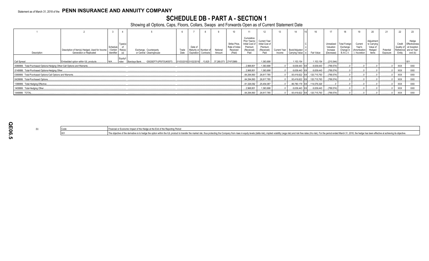# **SCHEDULE DB - PART A - SECTION 1**

|                                                                          |                                                                            |                                           |                  |                                                                                         |               |         |                                                |                    |                                                      |                                                                | 12                                                                             |        |                                                  |             |                                                   |                                                           |                                                   | 20                                                       |                       | 22               |                                                                                        |
|--------------------------------------------------------------------------|----------------------------------------------------------------------------|-------------------------------------------|------------------|-----------------------------------------------------------------------------------------|---------------|---------|------------------------------------------------|--------------------|------------------------------------------------------|----------------------------------------------------------------|--------------------------------------------------------------------------------|--------|--------------------------------------------------|-------------|---------------------------------------------------|-----------------------------------------------------------|---------------------------------------------------|----------------------------------------------------------|-----------------------|------------------|----------------------------------------------------------------------------------------|
| Description                                                              | Description of Item(s) Hedged, Used for Income<br>Generation or Replicated | Schedu<br>/ Exhibit Risk(s)<br>Identifier | Type(s)          | Exchange, Counterparty<br>or Central Clearinghouse                                      | Trade<br>Date | Date of | Maturity or Number o<br>Expiration   Contracts | Notional<br>Amount | Strike Price,<br>Rate of Index<br>Received<br>(Paid) | Cumulative<br>Initial Cost of<br>Premium<br>(Received)<br>Paid | Prior Year(s) Current Year<br>Initial Cost of<br>Premium<br>(Received)<br>Paid | Income | Current Year   Book/Adjusted<br>Carrying Value e | Fair Value  | Unrealized<br>Valuation<br>Increase<br>(Decrease) | <b>Total Foreign</b><br>Exchange<br>Change in<br>B./A.C.V | Current<br>Year's<br>(Amortization<br>/ Accretion | Adjustment<br>to Carrying<br>Value of<br>Hedged<br>Items | Potential<br>Exposure | Credit<br>Entity | Hedge<br>Effectiveness<br>Quality of at Inception<br>Reference and at Year-<br>end (b) |
| Call Spread                                                              | Embedded option within IUL products                                        |                                           | Equity/I<br>ndex | G5GSEF7VJP5I7OUK5573 01/03/2018 01/02/2019 13,825 37,269,573 2747/2989<br>Barclays Bank |               |         |                                                |                    |                                                      |                                                                | .1,363,698                                                                     |        | .1,153,154                                       | 1,153,154   | (210,544)                                         |                                                           |                                                   |                                                          |                       |                  |                                                                                        |
| 0089999. Total-Purchased Options-Hedging Other-Call Options and Warrants |                                                                            |                                           |                  |                                                                                         |               |         |                                                |                    |                                                      | 2,968,801                                                      | 1,363,698                                                                      |        | .6,639,443 XX                                    | .6,639,443  | (789, 574)                                        |                                                           |                                                   |                                                          |                       | XXX              | XXX                                                                                    |
| 0149999. Total-Purchased Options-Hedging Other                           |                                                                            |                                           |                  |                                                                                         |               |         |                                                |                    |                                                      | 2.968.801                                                      | 1,363,698                                                                      |        | .6.639.443 XX                                    | 6,639,443   | (789, 574)                                        |                                                           |                                                   |                                                          |                       | <b>XXX</b>       | XXX                                                                                    |
| 0369999. Total-Purchased Options-Call Options and Warrants               |                                                                            |                                           |                  |                                                                                         |               |         |                                                |                    |                                                      | 64,294,893                                                     | 26,817,785                                                                     |        | 93,419,622 XX                                    | 120,715,763 | (789, 574)                                        |                                                           |                                                   |                                                          |                       | <b>XXX</b>       | XXX                                                                                    |
| 0429999. Total-Purchased Options                                         |                                                                            |                                           |                  |                                                                                         |               |         |                                                |                    |                                                      |                                                                | $64,294,893$ 26,817,785                                                        |        | 93,419,622 XX                                    |             | $\dots$ 120,715,763 $\dots$ (789,574)             |                                                           |                                                   |                                                          |                       | <b>XXX</b>       | XXX                                                                                    |
| 1399999. Total-Hedging Effective.                                        |                                                                            |                                           |                  |                                                                                         |               |         |                                                |                    |                                                      | 61,326,092                                                     | 25,454,087                                                                     |        | .86,780,179 XX                                   | 114,076,320 |                                                   |                                                           |                                                   |                                                          |                       | <b>XXX</b>       | XXX                                                                                    |
| 1409999. Total-Hedging Other                                             |                                                                            |                                           |                  |                                                                                         |               |         |                                                |                    |                                                      | 2,968,801                                                      | 1,363,698                                                                      |        | $0.6,639,443$ XX                                 | 6,639,443   | (789,574)                                         |                                                           |                                                   |                                                          |                       | XXX              | <b>XXX</b>                                                                             |
| 1449999. TOTAL                                                           |                                                                            |                                           |                  |                                                                                         |               |         |                                                |                    |                                                      |                                                                | $64,294,893$ 26,817,785                                                        |        | 93.419.622 XX                                    |             | $\dots$ 120,715,763 $\dots$ (789,574)             |                                                           |                                                   |                                                          |                       | <b>XXX</b>       | <b>XXX</b>                                                                             |

|  | Financial or Economic Impact of the Hedge at the End of the Reporting Period                                                                                                                                                  |
|--|-------------------------------------------------------------------------------------------------------------------------------------------------------------------------------------------------------------------------------|
|  | The objective of the derivative is to hedge the option within the IUL product to transfer the market risk, thus protecting the Company from rises in equity levels (delta risk), implied volatility (vega risk) and risk free |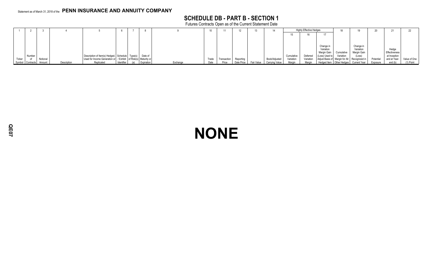# **SCHEDULE DB - PART B - SECTION 1**

Futures Contracts Open as of the Current Statement Date

|        |                  |          |             |                                                                      |            |            |          | 10    |             |            |            |                |           | <b>Highly Effective Hedges</b> |                        | 18         |                                                |           | 21            |              |
|--------|------------------|----------|-------------|----------------------------------------------------------------------|------------|------------|----------|-------|-------------|------------|------------|----------------|-----------|--------------------------------|------------------------|------------|------------------------------------------------|-----------|---------------|--------------|
|        |                  |          |             |                                                                      |            |            |          |       |             |            |            |                |           |                                |                        |            |                                                |           |               |              |
|        |                  |          |             |                                                                      |            |            |          |       |             |            |            |                |           |                                |                        |            |                                                |           |               |              |
|        |                  |          |             |                                                                      |            |            |          |       |             |            |            |                |           |                                |                        |            |                                                |           |               |              |
|        |                  |          |             |                                                                      |            |            |          |       |             |            |            |                |           |                                | Change in<br>Variation |            | Change in<br>Variation                         |           | Hedge         |              |
|        |                  |          |             |                                                                      |            |            |          |       |             |            |            |                |           |                                | Margin Gain            | Cumulative | Margin Gain                                    |           | Effectiveness |              |
|        | Number           |          |             | Description of Item(s) Hedged, Schedule Type(s) Date of              |            |            |          |       |             |            |            |                | Cumulativ | Deferred                       | (Loss) Used to         | Variation  | (Loss)                                         |           | at Inception  |              |
| Ticker |                  | Notional |             | Used for Income Generation or   / Exhibit   of Risk(s)   Maturity or |            |            |          | Trade | Transaction | Reporting  |            | Book/Adjusted  | Variation | Variation                      |                        |            | Adjust Basis of Margin for All   Recognized in | Potential | and at Year-  | Value of One |
|        | Symbol Contracts | Amount   | Description | Replicated                                                           | Identifier | Expiration | Exchange | Date  | Price       | Date Price | Fair Value | Carrying Value | Margin    | Margin                         |                        |            | Hedged Item   Other Hedges   Current Year      | Exposure  | end (b)       | $(1)$ Point  |

# **NONE**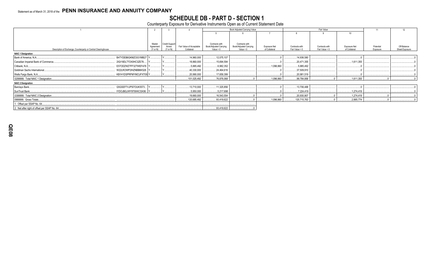# SCHEDULE DB - PART D - SECTION 1<br>Counterparty Exposure for Derivative Instruments Open as of Current Statement Date

|                                                                |                     |                         |                          |                                          | Book Adjusted Carrying Value             |                     |                | Fair Value     |                  | 11        | 12             |
|----------------------------------------------------------------|---------------------|-------------------------|--------------------------|------------------------------------------|------------------------------------------|---------------------|----------------|----------------|------------------|-----------|----------------|
|                                                                |                     |                         |                          |                                          |                                          |                     |                |                | 10 <sup>10</sup> |           |                |
|                                                                |                     |                         |                          |                                          |                                          |                     |                |                |                  |           |                |
|                                                                |                     |                         |                          |                                          |                                          |                     |                |                |                  |           |                |
|                                                                | Master<br>Agreement | Credit Support<br>Annex | Fair Value of Acceptable | Contracts with<br>Book/Adjusted Carrying | Contracts with<br>Book/Adjusted Carrying | <b>Exposure Net</b> | Contracts with | Contracts with | Exposure Net     | Potential | Off-Balance    |
| Description of Exchange, Counterparty or Central Clearinghouse | $(Y \text{ or } N)$ | $(Y \text{ or } N)$     | Collateral               | Value $> 0$                              | Value $< 0$                              | of Collateral       | Fair Value > 0 | Fair Value < 0 | of Collateral    | Exposure  | Sheet Exposure |
| <b>NAIC 1 Designation</b>                                      |                     |                         |                          |                                          |                                          |                     |                |                |                  |           |                |
| Bank of America, N.A.<br>B4TYDEB6GKMZO031MB27                  |                     |                         | .14,960,000              | .12,075,107                              |                                          |                     | 14.936.580     |                |                  |           |                |
| Canadian Imperial Bank of Commerce<br>2IGI19DL77OX0HC3ZE78     |                     |                         | 18,860,000               | .15,694,594                              |                                          |                     | 20,471,355     |                | 1,611,355        |           |                |
| Citibank, N.A<br>E57ODZWZ7FF32TWEFA76                          |                     |                         | .5,885,492               | 6,982,352                                |                                          | .1,096,860          | 5,885,492      |                |                  |           |                |
| Goldman Sachs International<br>W22LROWP2IHZNBB6K528.           |                     |                         | .40,330,000              | .24,464,616                              |                                          |                     | .37,509,910    |                |                  |           |                |
| KB1H1DSPRFMYMCUFXT09<br>Wells Fargo Bank, N.A.                 |                     |                         | 20,990,000               | .17,659,399                              |                                          |                     | .20,981,519    |                |                  |           |                |
| 0299999. Total NAIC 1 Designation.                             |                     |                         | 101,025,492              | 76,876,068                               |                                          | 1,096,860           | 99,784,856     |                | 1,611,355        |           |                |
| <b>NAIC 2 Designation</b>                                      |                     |                         |                          |                                          |                                          |                     |                |                |                  |           |                |
| Barclays Bank<br>G5GSEF7VJP5I7OUK5573.                         |                     |                         | 13,710,000               | 11,325,856                               |                                          |                     | 13,706,488     |                |                  |           |                |
| IYDOJBGJWY9T8XKCSX06.<br>SunTrust Bank                         |                     |                         | .5,950,000               | 5,217,698                                |                                          |                     | .7,224,419     |                | .1,274,419       |           |                |
| 0399999. Total NAIC 2 Designation.                             |                     |                         | .19,660,000              | .16,543,554                              |                                          |                     | 20,930,907     |                | .1,274,419       |           |                |
| 0999999. Gross Totals                                          |                     |                         | .120,685,492             | .93,419,622                              |                                          | 1,096,860           | 120,715,763    |                | .2,885,774       |           |                |
| 1. Offset per SSAP No. 64.                                     |                     |                         |                          |                                          |                                          |                     |                |                |                  |           |                |
| 2. Net after right of offset per SSAP No. 64.                  |                     |                         |                          | .93,419,622                              |                                          |                     |                |                |                  |           |                |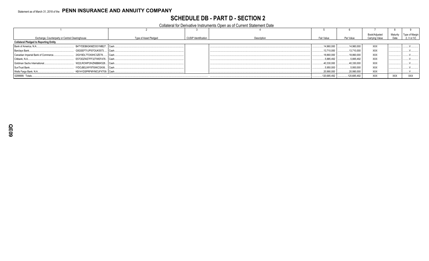# **SCHEDULE DB - PART D - SECTION 2**

Collateral for Derivative Instruments Open as of Current Statement Date

| Exchange, Counterparty or Central Clearinghouse |                              | Type of Asset Pledged | <b>CUSIP Identification</b> | Description | Fair Value   | Par Value   | Book/Adjusted<br>Carrying Value | Maturity<br>Date | Type of Margir<br>(I, V or IV) |
|-------------------------------------------------|------------------------------|-----------------------|-----------------------------|-------------|--------------|-------------|---------------------------------|------------------|--------------------------------|
| <b>Collateral Pledged to Reporting Entity</b>   |                              |                       |                             |             |              |             |                                 |                  |                                |
| Bank of America, N.A                            | B4TYDEB6GKMZO031MB27 Cash    |                       |                             |             | .14.960.000  | .14.960.000 | <b>XXX</b>                      |                  |                                |
| Barclays Bank                                   | G5GSEF7VJP5I7OUK5573         | Cash.                 |                             |             | .13,710,000  | .13,710,000 | XXX                             |                  |                                |
| Canadian Imperial Bank of Commerce              | 2IGI19DL77OX0HC3ZE78         | l Cash.               |                             |             | .18,860,000  | .18,860,000 | <b>XXX</b>                      |                  |                                |
| Citibank, N.A.                                  | E57ODZWZ7FF32TWEFA76 Cash    |                       |                             |             | .5,885,492   | 5,885,492   | <b>XXX</b>                      |                  |                                |
| Goldman Sachs International                     | W22LROWP2IHZNBB6K528 Cash    |                       |                             |             | .40,330,000  | 40,330,000  | <b>XXX</b>                      |                  |                                |
| SunTrust Bank                                   | IYDOJBGJWY9T8XKCSX06 Cash    |                       |                             |             | .5,950,000   | .5,950,000  | <b>XXX</b>                      |                  |                                |
| Wells Fargo Bank, N.A                           | . KB1H1DSPRFMYMCUFXT09. Cash |                       |                             |             | .20,990,000  | .20,990,000 | <b>XXX</b>                      |                  |                                |
| 0299999. Totals                                 |                              |                       |                             |             | .120,685,492 | 120,685,492 | <b>XXX</b>                      | <b>XXX</b>       | <b>XXX</b>                     |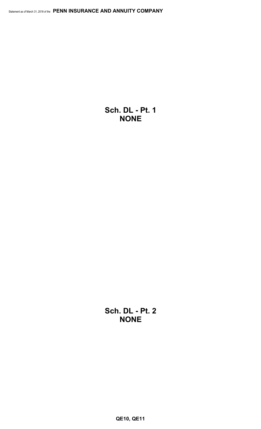**Sch. DL - Pt. 1 NONE**

**Sch. DL - Pt. 2 NONE**

**QE10, QE11**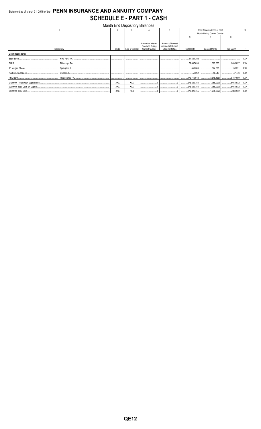# Statement as of March 31, 2018 of the PENN INSURANCE AND ANNUITY COMPANY **SCHEDULE E - PART 1 - CASH**  $\overline{1}$

|                          |            |                  | Month End Depository Balances         |                                          |             |                              |                    |            |
|--------------------------|------------|------------------|---------------------------------------|------------------------------------------|-------------|------------------------------|--------------------|------------|
|                          |            |                  |                                       |                                          |             | Book Balance at End of Each  |                    |            |
|                          |            |                  |                                       |                                          |             | Month During Current Quarter |                    |            |
|                          |            |                  |                                       |                                          | 6           |                              |                    |            |
|                          |            |                  |                                       |                                          |             |                              |                    |            |
|                          |            |                  | Amount of Interest<br>Received During | Amount of Interest<br>Accrued at Current |             |                              |                    |            |
| Depository               | Code       | Rate of Interest | <b>Current Quarter</b>                | <b>Statement Date</b>                    | First Month | Second Month                 | <b>Third Month</b> |            |
| <b>Open Depositories</b> |            |                  |                                       |                                          |             |                              |                    |            |
| State Street             |            |                  |                                       |                                          | 17,424,392  |                              |                    | <b>XXX</b> |
|                          |            |                  |                                       |                                          |             |                              | 1,096,857          | XXX        |
|                          |            |                  |                                       |                                          | 541,366     | 624,221                      |                    | XXX        |
|                          |            |                  |                                       |                                          | 50,252      | 40,543                       | 47.746             | <b>XXX</b> |
|                          |            |                  |                                       |                                          | 176,746,048 |                              |                    | XXX        |
|                          | <b>XXX</b> | <b>XXX</b>       |                                       |                                          | 273,829,755 |                              |                    | XXX        |
|                          | <b>XXX</b> | <b>XXX</b>       |                                       |                                          | 273,829,755 |                              |                    | XXX        |
|                          | <b>XXX</b> | <b>XXX</b>       |                                       |                                          |             |                              |                    | XXX        |